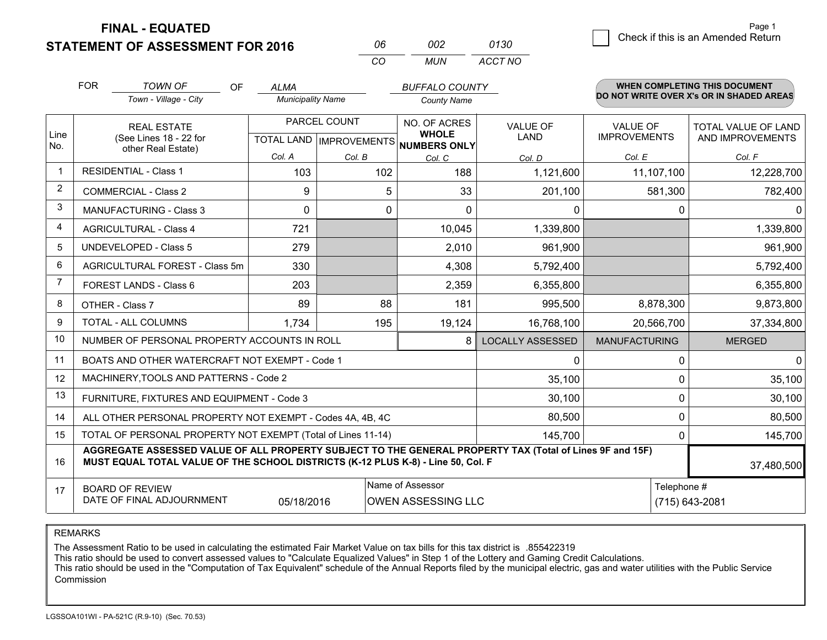**FINAL - EQUATED**

**STATEMENT OF ASSESSMENT FOR 2016** 

| กค       | nnə | 0130    |
|----------|-----|---------|
| $\cdots$ | MUN | ACCT NO |

|                | <b>FOR</b>                                                                                                                                                                                   | <b>TOWN OF</b><br><b>OF</b><br>Town - Village - City         | <b>ALMA</b><br><b>Municipality Name</b>             |          | <b>BUFFALO COUNTY</b><br><b>County Name</b> |                                |                                        | <b>WHEN COMPLETING THIS DOCUMENT</b><br>DO NOT WRITE OVER X's OR IN SHADED AREAS |
|----------------|----------------------------------------------------------------------------------------------------------------------------------------------------------------------------------------------|--------------------------------------------------------------|-----------------------------------------------------|----------|---------------------------------------------|--------------------------------|----------------------------------------|----------------------------------------------------------------------------------|
| Line<br>No.    | <b>REAL ESTATE</b><br>(See Lines 18 - 22 for<br>other Real Estate)                                                                                                                           |                                                              | PARCEL COUNT<br>TOTAL LAND MPROVEMENTS NUMBERS ONLY |          | NO. OF ACRES<br><b>WHOLE</b>                | <b>VALUE OF</b><br><b>LAND</b> | <b>VALUE OF</b><br><b>IMPROVEMENTS</b> | TOTAL VALUE OF LAND<br>AND IMPROVEMENTS                                          |
|                |                                                                                                                                                                                              |                                                              | Col. A                                              | Col. B   | Col. C                                      | Col. D                         | Col. E                                 | Col. F                                                                           |
| $\mathbf 1$    |                                                                                                                                                                                              | <b>RESIDENTIAL - Class 1</b>                                 | 103                                                 | 102      | 188                                         | 1,121,600                      | 11,107,100                             | 12,228,700                                                                       |
| $\overline{2}$ |                                                                                                                                                                                              | <b>COMMERCIAL - Class 2</b>                                  | 9                                                   | 5        | 33                                          | 201,100                        | 581,300                                | 782,400                                                                          |
| 3              |                                                                                                                                                                                              | <b>MANUFACTURING - Class 3</b>                               | $\Omega$                                            | $\Omega$ | $\Omega$                                    | $\mathbf{0}$                   | $\mathbf{0}$                           | $\Omega$                                                                         |
| $\overline{4}$ |                                                                                                                                                                                              | <b>AGRICULTURAL - Class 4</b>                                | 721                                                 |          | 10,045                                      | 1,339,800                      |                                        | 1,339,800                                                                        |
| 5              |                                                                                                                                                                                              | <b>UNDEVELOPED - Class 5</b>                                 | 279                                                 |          | 2,010                                       | 961,900                        |                                        | 961,900                                                                          |
| 6              | AGRICULTURAL FOREST - Class 5m                                                                                                                                                               |                                                              | 330                                                 |          | 4,308                                       | 5,792,400                      |                                        | 5,792,400                                                                        |
| $\overline{7}$ |                                                                                                                                                                                              | FOREST LANDS - Class 6                                       | 203                                                 |          | 2,359                                       | 6,355,800                      |                                        | 6,355,800                                                                        |
| 8              |                                                                                                                                                                                              | OTHER - Class 7                                              | 89                                                  | 88       | 181                                         | 995,500                        | 8,878,300                              | 9,873,800                                                                        |
| 9              |                                                                                                                                                                                              | <b>TOTAL - ALL COLUMNS</b>                                   | 1,734                                               | 195      | 19,124                                      | 16,768,100                     | 20,566,700                             | 37,334,800                                                                       |
| 10             |                                                                                                                                                                                              | NUMBER OF PERSONAL PROPERTY ACCOUNTS IN ROLL                 |                                                     |          | 8                                           | <b>LOCALLY ASSESSED</b>        | <b>MANUFACTURING</b>                   | <b>MERGED</b>                                                                    |
| 11             |                                                                                                                                                                                              | BOATS AND OTHER WATERCRAFT NOT EXEMPT - Code 1               |                                                     |          |                                             | $\mathbf{0}$                   | 0                                      | $\mathbf 0$                                                                      |
| 12             |                                                                                                                                                                                              | MACHINERY, TOOLS AND PATTERNS - Code 2                       |                                                     |          |                                             | 35,100                         | 0                                      | 35,100                                                                           |
| 13             |                                                                                                                                                                                              | FURNITURE, FIXTURES AND EQUIPMENT - Code 3                   |                                                     |          |                                             | 30,100                         | 0                                      | 30,100                                                                           |
| 14             |                                                                                                                                                                                              | ALL OTHER PERSONAL PROPERTY NOT EXEMPT - Codes 4A, 4B, 4C    |                                                     |          |                                             | 80,500                         | $\mathbf{0}$                           | 80,500                                                                           |
| 15             |                                                                                                                                                                                              | TOTAL OF PERSONAL PROPERTY NOT EXEMPT (Total of Lines 11-14) |                                                     |          |                                             | 145,700                        | 0                                      | 145,700                                                                          |
| 16             | AGGREGATE ASSESSED VALUE OF ALL PROPERTY SUBJECT TO THE GENERAL PROPERTY TAX (Total of Lines 9F and 15F)<br>MUST EQUAL TOTAL VALUE OF THE SCHOOL DISTRICTS (K-12 PLUS K-8) - Line 50, Col. F |                                                              |                                                     |          |                                             |                                | 37,480,500                             |                                                                                  |
| 17             | Name of Assessor<br>Telephone #<br><b>BOARD OF REVIEW</b><br>DATE OF FINAL ADJOURNMENT<br>(715) 643-2081<br>05/18/2016<br><b>OWEN ASSESSING LLC</b>                                          |                                                              |                                                     |          |                                             |                                |                                        |                                                                                  |

REMARKS

The Assessment Ratio to be used in calculating the estimated Fair Market Value on tax bills for this tax district is .855422319

This ratio should be used to convert assessed values to "Calculate Equalized Values" in Step 1 of the Lottery and Gaming Credit Calculations.<br>This ratio should be used in the "Computation of Tax Equivalent" schedule of the Commission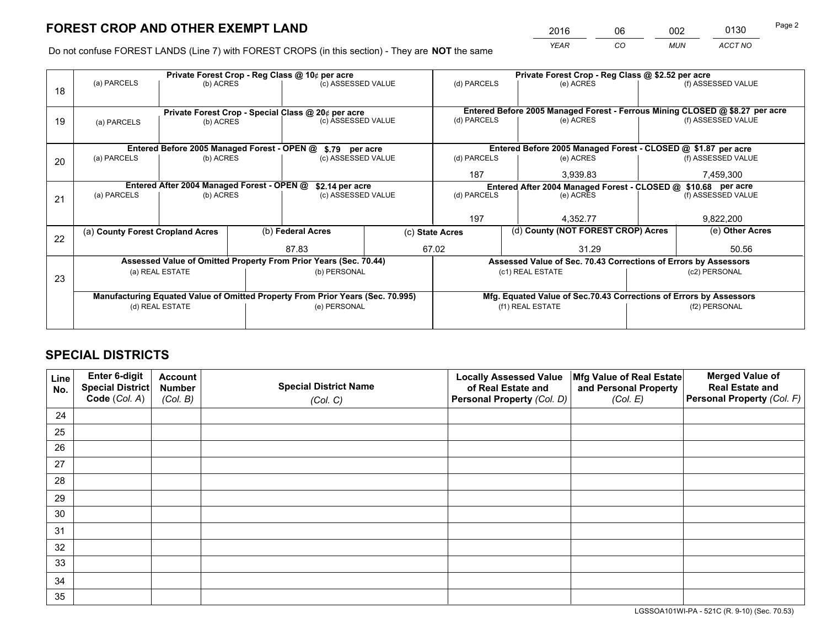*YEAR CO MUN ACCT NO* 2016 06 002 0130

Do not confuse FOREST LANDS (Line 7) with FOREST CROPS (in this section) - They are **NOT** the same

|    |                                                                                |                                             |                    | Private Forest Crop - Reg Class @ 10¢ per acre                   |             | Private Forest Crop - Reg Class @ \$2.52 per acre |                                                               |                                                                    |                    |                                                                              |
|----|--------------------------------------------------------------------------------|---------------------------------------------|--------------------|------------------------------------------------------------------|-------------|---------------------------------------------------|---------------------------------------------------------------|--------------------------------------------------------------------|--------------------|------------------------------------------------------------------------------|
| 18 | (a) PARCELS                                                                    | (b) ACRES                                   |                    | (c) ASSESSED VALUE                                               |             | (d) PARCELS                                       |                                                               | (e) ACRES                                                          |                    | (f) ASSESSED VALUE                                                           |
|    |                                                                                |                                             |                    | Private Forest Crop - Special Class @ 20¢ per acre               |             |                                                   |                                                               |                                                                    |                    | Entered Before 2005 Managed Forest - Ferrous Mining CLOSED @ \$8.27 per acre |
| 19 | (b) ACRES<br>(a) PARCELS                                                       |                                             | (c) ASSESSED VALUE |                                                                  | (d) PARCELS |                                                   | (e) ACRES                                                     |                                                                    | (f) ASSESSED VALUE |                                                                              |
|    |                                                                                | Entered Before 2005 Managed Forest - OPEN @ |                    | \$.79 per acre                                                   |             |                                                   |                                                               | Entered Before 2005 Managed Forest - CLOSED @ \$1.87 per acre      |                    |                                                                              |
| 20 | (a) PARCELS                                                                    | (b) ACRES                                   |                    | (c) ASSESSED VALUE                                               |             | (d) PARCELS                                       |                                                               | (e) ACRES                                                          |                    | (f) ASSESSED VALUE                                                           |
|    |                                                                                |                                             |                    |                                                                  |             | 187                                               |                                                               | 3,939.83                                                           |                    | 7,459,300                                                                    |
|    |                                                                                | Entered After 2004 Managed Forest - OPEN @  |                    | \$2.14 per acre                                                  |             |                                                   | Entered After 2004 Managed Forest - CLOSED @ \$10.68 per acre |                                                                    |                    |                                                                              |
| 21 | (a) PARCELS                                                                    | (b) ACRES                                   |                    | (c) ASSESSED VALUE                                               |             | (d) PARCELS                                       |                                                               | (e) ACRES                                                          |                    | (f) ASSESSED VALUE                                                           |
|    |                                                                                |                                             |                    |                                                                  |             |                                                   |                                                               |                                                                    |                    |                                                                              |
|    |                                                                                |                                             |                    |                                                                  | 197         |                                                   |                                                               | 4,352.77                                                           |                    | 9,822,200                                                                    |
| 22 | (a) County Forest Cropland Acres                                               |                                             |                    | (b) Federal Acres                                                |             | (c) State Acres                                   |                                                               | (d) County (NOT FOREST CROP) Acres                                 |                    | (e) Other Acres                                                              |
|    |                                                                                |                                             |                    | 87.83                                                            |             | 67.02                                             |                                                               | 31.29                                                              |                    | 50.56                                                                        |
|    |                                                                                |                                             |                    | Assessed Value of Omitted Property From Prior Years (Sec. 70.44) |             |                                                   |                                                               | Assessed Value of Sec. 70.43 Corrections of Errors by Assessors    |                    |                                                                              |
| 23 |                                                                                | (a) REAL ESTATE                             |                    | (b) PERSONAL                                                     |             |                                                   | (c1) REAL ESTATE                                              |                                                                    |                    | (c2) PERSONAL                                                                |
|    |                                                                                |                                             |                    |                                                                  |             |                                                   |                                                               |                                                                    |                    |                                                                              |
|    | Manufacturing Equated Value of Omitted Property From Prior Years (Sec. 70.995) |                                             |                    |                                                                  |             |                                                   |                                                               | Mfg. Equated Value of Sec.70.43 Corrections of Errors by Assessors |                    |                                                                              |
|    |                                                                                | (d) REAL ESTATE                             |                    | (e) PERSONAL                                                     |             | (f1) REAL ESTATE                                  |                                                               |                                                                    | (f2) PERSONAL      |                                                                              |
|    |                                                                                |                                             |                    |                                                                  |             |                                                   |                                                               |                                                                    |                    |                                                                              |

## **SPECIAL DISTRICTS**

| Line<br>No. | Enter 6-digit<br><b>Special District</b> | <b>Account</b><br><b>Number</b> | <b>Special District Name</b> | <b>Locally Assessed Value</b><br>of Real Estate and | Mfg Value of Real Estate<br>and Personal Property | <b>Merged Value of</b><br><b>Real Estate and</b> |
|-------------|------------------------------------------|---------------------------------|------------------------------|-----------------------------------------------------|---------------------------------------------------|--------------------------------------------------|
|             | Code (Col. A)                            | (Col. B)                        | (Col. C)                     | Personal Property (Col. D)                          | (Col. E)                                          | Personal Property (Col. F)                       |
| 24          |                                          |                                 |                              |                                                     |                                                   |                                                  |
| 25          |                                          |                                 |                              |                                                     |                                                   |                                                  |
| 26          |                                          |                                 |                              |                                                     |                                                   |                                                  |
| 27          |                                          |                                 |                              |                                                     |                                                   |                                                  |
| 28          |                                          |                                 |                              |                                                     |                                                   |                                                  |
| 29          |                                          |                                 |                              |                                                     |                                                   |                                                  |
| 30          |                                          |                                 |                              |                                                     |                                                   |                                                  |
| 31          |                                          |                                 |                              |                                                     |                                                   |                                                  |
| 32          |                                          |                                 |                              |                                                     |                                                   |                                                  |
| 33          |                                          |                                 |                              |                                                     |                                                   |                                                  |
| 34          |                                          |                                 |                              |                                                     |                                                   |                                                  |
| 35          |                                          |                                 |                              |                                                     |                                                   |                                                  |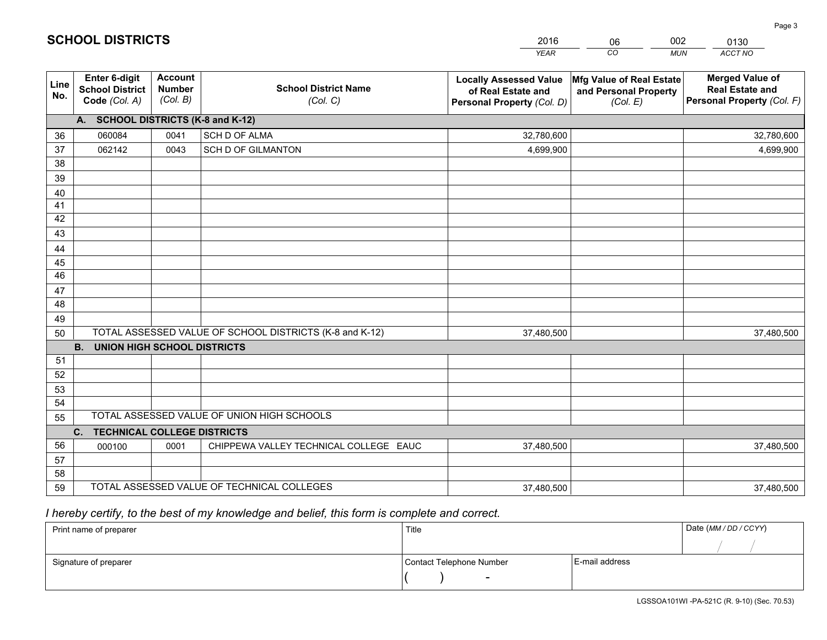|             |                                                                 |                                             |                                                         | <b>YEAR</b>                                                                       | CO<br><b>MUN</b>                                              | ACCT NO                                                                        |
|-------------|-----------------------------------------------------------------|---------------------------------------------|---------------------------------------------------------|-----------------------------------------------------------------------------------|---------------------------------------------------------------|--------------------------------------------------------------------------------|
| Line<br>No. | <b>Enter 6-digit</b><br><b>School District</b><br>Code (Col. A) | <b>Account</b><br><b>Number</b><br>(Col. B) | <b>School District Name</b><br>(Col. C)                 | <b>Locally Assessed Value</b><br>of Real Estate and<br>Personal Property (Col. D) | Mfg Value of Real Estate<br>and Personal Property<br>(Col. E) | <b>Merged Value of</b><br><b>Real Estate and</b><br>Personal Property (Col. F) |
|             | A. SCHOOL DISTRICTS (K-8 and K-12)                              |                                             |                                                         |                                                                                   |                                                               |                                                                                |
| 36          | 060084                                                          | 0041                                        | SCH D OF ALMA                                           | 32,780,600                                                                        |                                                               | 32,780,600                                                                     |
| 37          | 062142                                                          | 0043                                        | <b>SCH D OF GILMANTON</b>                               | 4,699,900                                                                         |                                                               | 4,699,900                                                                      |
| 38          |                                                                 |                                             |                                                         |                                                                                   |                                                               |                                                                                |
| 39          |                                                                 |                                             |                                                         |                                                                                   |                                                               |                                                                                |
| 40          |                                                                 |                                             |                                                         |                                                                                   |                                                               |                                                                                |
| 41          |                                                                 |                                             |                                                         |                                                                                   |                                                               |                                                                                |
| 42          |                                                                 |                                             |                                                         |                                                                                   |                                                               |                                                                                |
| 43          |                                                                 |                                             |                                                         |                                                                                   |                                                               |                                                                                |
| 44          |                                                                 |                                             |                                                         |                                                                                   |                                                               |                                                                                |
| 45<br>46    |                                                                 |                                             |                                                         |                                                                                   |                                                               |                                                                                |
|             |                                                                 |                                             |                                                         |                                                                                   |                                                               |                                                                                |
| 47<br>48    |                                                                 |                                             |                                                         |                                                                                   |                                                               |                                                                                |
| 49          |                                                                 |                                             |                                                         |                                                                                   |                                                               |                                                                                |
| 50          |                                                                 |                                             | TOTAL ASSESSED VALUE OF SCHOOL DISTRICTS (K-8 and K-12) | 37,480,500                                                                        |                                                               | 37,480,500                                                                     |
|             | <b>B.</b><br><b>UNION HIGH SCHOOL DISTRICTS</b>                 |                                             |                                                         |                                                                                   |                                                               |                                                                                |
| 51          |                                                                 |                                             |                                                         |                                                                                   |                                                               |                                                                                |
| 52          |                                                                 |                                             |                                                         |                                                                                   |                                                               |                                                                                |
| 53          |                                                                 |                                             |                                                         |                                                                                   |                                                               |                                                                                |
| 54          |                                                                 |                                             |                                                         |                                                                                   |                                                               |                                                                                |
| 55          |                                                                 |                                             | TOTAL ASSESSED VALUE OF UNION HIGH SCHOOLS              |                                                                                   |                                                               |                                                                                |
|             | <b>TECHNICAL COLLEGE DISTRICTS</b><br>C.                        |                                             |                                                         |                                                                                   |                                                               |                                                                                |
| 56          | 000100                                                          | 0001                                        | CHIPPEWA VALLEY TECHNICAL COLLEGE EAUC                  | 37,480,500                                                                        |                                                               | 37,480,500                                                                     |
| 57          |                                                                 |                                             |                                                         |                                                                                   |                                                               |                                                                                |
| 58          |                                                                 |                                             |                                                         |                                                                                   |                                                               |                                                                                |
| 59          |                                                                 |                                             | TOTAL ASSESSED VALUE OF TECHNICAL COLLEGES              | 37,480,500                                                                        |                                                               | 37,480,500                                                                     |

06

002

## *I hereby certify, to the best of my knowledge and belief, this form is complete and correct.*

**SCHOOL DISTRICTS**

| Print name of preparer | Title                    |                | Date (MM / DD / CCYY) |
|------------------------|--------------------------|----------------|-----------------------|
|                        |                          |                |                       |
| Signature of preparer  | Contact Telephone Number | E-mail address |                       |
|                        | $\overline{\phantom{0}}$ |                |                       |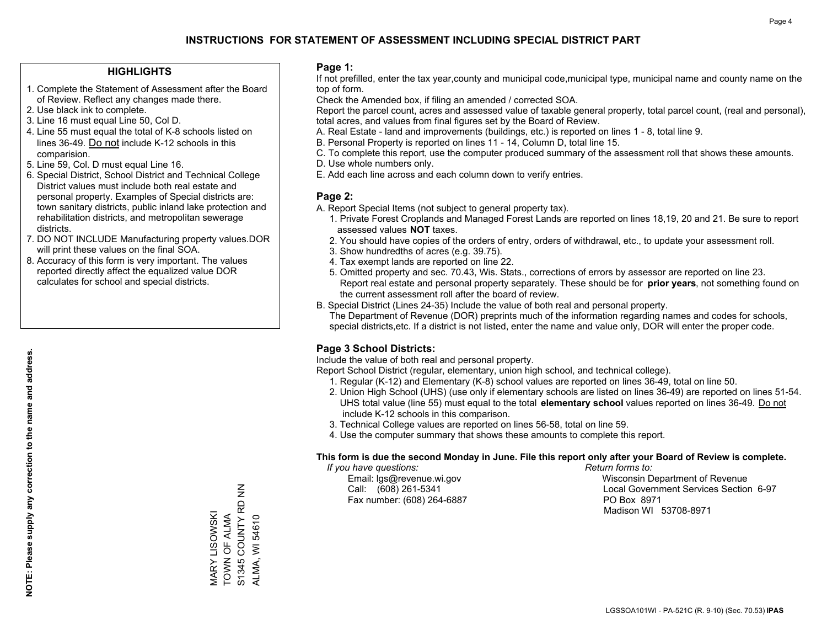#### **HIGHLIGHTS**

- 1. Complete the Statement of Assessment after the Board of Review. Reflect any changes made there.
- 2. Use black ink to complete.
- 3. Line 16 must equal Line 50, Col D.
- 4. Line 55 must equal the total of K-8 schools listed on lines 36-49. Do not include K-12 schools in this comparision.
- 5. Line 59, Col. D must equal Line 16.
- 6. Special District, School District and Technical College District values must include both real estate and personal property. Examples of Special districts are: town sanitary districts, public inland lake protection and rehabilitation districts, and metropolitan sewerage districts.
- 7. DO NOT INCLUDE Manufacturing property values.DOR will print these values on the final SOA.
- 8. Accuracy of this form is very important. The values reported directly affect the equalized value DOR calculates for school and special districts.

#### **Page 1:**

 If not prefilled, enter the tax year,county and municipal code,municipal type, municipal name and county name on the top of form.

Check the Amended box, if filing an amended / corrected SOA.

 Report the parcel count, acres and assessed value of taxable general property, total parcel count, (real and personal), total acres, and values from final figures set by the Board of Review.

- A. Real Estate land and improvements (buildings, etc.) is reported on lines 1 8, total line 9.
- B. Personal Property is reported on lines 11 14, Column D, total line 15.
- C. To complete this report, use the computer produced summary of the assessment roll that shows these amounts.
- D. Use whole numbers only.
- E. Add each line across and each column down to verify entries.

#### **Page 2:**

- A. Report Special Items (not subject to general property tax).
- 1. Private Forest Croplands and Managed Forest Lands are reported on lines 18,19, 20 and 21. Be sure to report assessed values **NOT** taxes.
- 2. You should have copies of the orders of entry, orders of withdrawal, etc., to update your assessment roll.
	- 3. Show hundredths of acres (e.g. 39.75).
- 4. Tax exempt lands are reported on line 22.
- 5. Omitted property and sec. 70.43, Wis. Stats., corrections of errors by assessor are reported on line 23. Report real estate and personal property separately. These should be for **prior years**, not something found on the current assessment roll after the board of review.
- B. Special District (Lines 24-35) Include the value of both real and personal property.
- The Department of Revenue (DOR) preprints much of the information regarding names and codes for schools, special districts,etc. If a district is not listed, enter the name and value only, DOR will enter the proper code.

### **Page 3 School Districts:**

Include the value of both real and personal property.

Report School District (regular, elementary, union high school, and technical college).

- 1. Regular (K-12) and Elementary (K-8) school values are reported on lines 36-49, total on line 50.
- 2. Union High School (UHS) (use only if elementary schools are listed on lines 36-49) are reported on lines 51-54. UHS total value (line 55) must equal to the total **elementary school** values reported on lines 36-49. Do notinclude K-12 schools in this comparison.
- 3. Technical College values are reported on lines 56-58, total on line 59.
- 4. Use the computer summary that shows these amounts to complete this report.

#### **This form is due the second Monday in June. File this report only after your Board of Review is complete.**

 *If you have questions: Return forms to:*

Fax number: (608) 264-6887 PO Box 8971

 Email: lgs@revenue.wi.gov Wisconsin Department of Revenue Call: (608) 261-5341 Local Government Services Section 6-97Madison WI 53708-8971

S1345 COUNTY RD NN S1345 COUNTY RD NN MARY LISOWSKI<br>TOWN OF ALMA TOWN OF ALMA MARY LISOWSKI ALMA, WI 54610 ALMA, WI 54610

**NOTE: Please supply any correction to the name and address.**

NOTE: Please supply any correction to the name and address.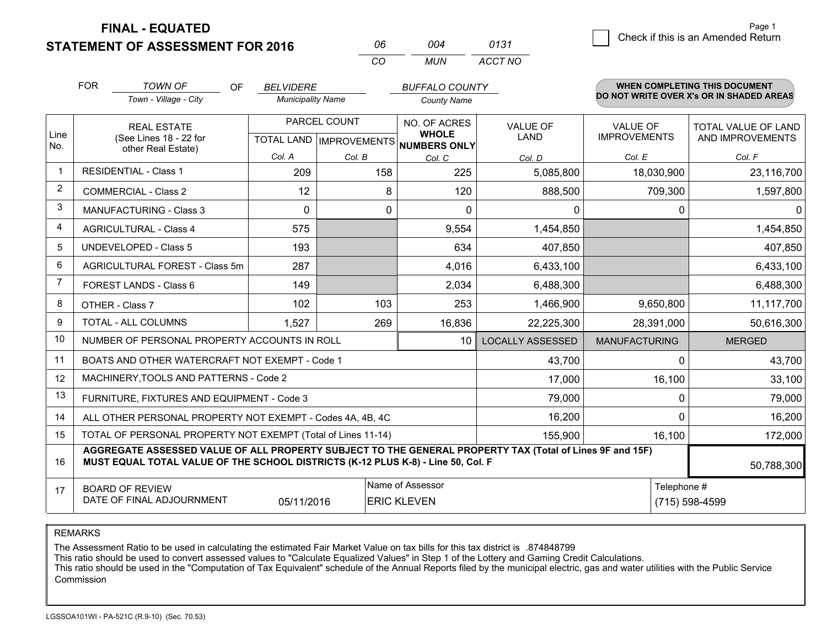**STATEMENT OF ASSESSMENT FOR 2016** 

**FINAL - EQUATED**

| 06 | 004 | 0131    |
|----|-----|---------|
| CО | MUN | ACCT NO |

|             | <b>FOR</b>                                                                                                                                                                                   | <b>TOWN OF</b><br>OF                                         | <b>BELVIDERE</b>         |                           | <b>BUFFALO COUNTY</b>        |                         |                      | <b>WHEN COMPLETING THIS DOCUMENT</b><br>DO NOT WRITE OVER X's OR IN SHADED AREAS |
|-------------|----------------------------------------------------------------------------------------------------------------------------------------------------------------------------------------------|--------------------------------------------------------------|--------------------------|---------------------------|------------------------------|-------------------------|----------------------|----------------------------------------------------------------------------------|
|             |                                                                                                                                                                                              | Town - Village - City                                        | <b>Municipality Name</b> |                           | <b>County Name</b>           |                         |                      |                                                                                  |
|             |                                                                                                                                                                                              | <b>REAL ESTATE</b>                                           |                          | PARCEL COUNT              | NO. OF ACRES                 | <b>VALUE OF</b>         | <b>VALUE OF</b>      | TOTAL VALUE OF LAND                                                              |
| Line<br>No. |                                                                                                                                                                                              | (See Lines 18 - 22 for<br>other Real Estate)                 |                          | TOTAL LAND   IMPROVEMENTS | <b>WHOLE</b><br>NUMBERS ONLY | <b>LAND</b>             | <b>IMPROVEMENTS</b>  | AND IMPROVEMENTS                                                                 |
|             |                                                                                                                                                                                              |                                                              | Col. A                   | Col. B                    | Col. C                       | Col. D                  | Col. E               | Col. F                                                                           |
| $\mathbf 1$ |                                                                                                                                                                                              | <b>RESIDENTIAL - Class 1</b>                                 | 209                      | 158                       | 225                          | 5,085,800               | 18,030,900           | 23,116,700                                                                       |
| 2           |                                                                                                                                                                                              | <b>COMMERCIAL - Class 2</b>                                  | 12                       | 8                         | 120                          | 888,500                 | 709,300              | 1,597,800                                                                        |
| 3           |                                                                                                                                                                                              | <b>MANUFACTURING - Class 3</b>                               | $\Omega$                 | 0                         | $\Omega$                     | $\mathbf{0}$            | $\mathbf{0}$         | $\Omega$                                                                         |
| 4           |                                                                                                                                                                                              | <b>AGRICULTURAL - Class 4</b>                                | 575                      |                           | 9,554                        | 1,454,850               |                      | 1,454,850                                                                        |
| 5           |                                                                                                                                                                                              | <b>UNDEVELOPED - Class 5</b>                                 | 193                      |                           | 634                          | 407,850                 |                      | 407,850                                                                          |
| 6           |                                                                                                                                                                                              | AGRICULTURAL FOREST - Class 5m                               | 287                      |                           | 4,016                        | 6,433,100               |                      | 6,433,100                                                                        |
| 7           | FOREST LANDS - Class 6                                                                                                                                                                       |                                                              | 149                      |                           | 2,034                        | 6,488,300               |                      | 6,488,300                                                                        |
| 8           |                                                                                                                                                                                              | OTHER - Class 7                                              | 102                      | 103                       | 253                          | 1,466,900               | 9,650,800            | 11,117,700                                                                       |
| 9           |                                                                                                                                                                                              | TOTAL - ALL COLUMNS                                          | 1,527                    | 269                       | 16,836                       | 22,225,300              | 28,391,000           | 50,616,300                                                                       |
| 10          |                                                                                                                                                                                              | NUMBER OF PERSONAL PROPERTY ACCOUNTS IN ROLL                 |                          |                           | 10 <sup>°</sup>              | <b>LOCALLY ASSESSED</b> | <b>MANUFACTURING</b> | <b>MERGED</b>                                                                    |
| 11          |                                                                                                                                                                                              | BOATS AND OTHER WATERCRAFT NOT EXEMPT - Code 1               |                          |                           |                              | 43,700                  | 0                    | 43,700                                                                           |
| 12          |                                                                                                                                                                                              | MACHINERY, TOOLS AND PATTERNS - Code 2                       |                          |                           |                              | 17,000                  | 16,100               | 33,100                                                                           |
| 13          |                                                                                                                                                                                              | FURNITURE, FIXTURES AND EQUIPMENT - Code 3                   |                          |                           |                              | 79,000                  | $\mathbf{0}$         | 79,000                                                                           |
| 14          |                                                                                                                                                                                              | ALL OTHER PERSONAL PROPERTY NOT EXEMPT - Codes 4A, 4B, 4C    |                          |                           |                              | 16,200                  | $\Omega$             | 16,200                                                                           |
| 15          |                                                                                                                                                                                              | TOTAL OF PERSONAL PROPERTY NOT EXEMPT (Total of Lines 11-14) |                          | 155,900                   | 16,100                       | 172,000                 |                      |                                                                                  |
| 16          | AGGREGATE ASSESSED VALUE OF ALL PROPERTY SUBJECT TO THE GENERAL PROPERTY TAX (Total of Lines 9F and 15F)<br>MUST EQUAL TOTAL VALUE OF THE SCHOOL DISTRICTS (K-12 PLUS K-8) - Line 50, Col. F |                                                              |                          |                           |                              |                         |                      | 50,788,300                                                                       |
| 17          |                                                                                                                                                                                              | <b>BOARD OF REVIEW</b>                                       |                          |                           | Name of Assessor             |                         | Telephone #          |                                                                                  |
|             |                                                                                                                                                                                              | DATE OF FINAL ADJOURNMENT                                    | 05/11/2016               |                           | <b>ERIC KLEVEN</b>           |                         |                      | (715) 598-4599                                                                   |

REMARKS

The Assessment Ratio to be used in calculating the estimated Fair Market Value on tax bills for this tax district is .874848799

This ratio should be used to convert assessed values to "Calculate Equalized Values" in Step 1 of the Lottery and Gaming Credit Calculations.<br>This ratio should be used in the "Computation of Tax Equivalent" schedule of the Commission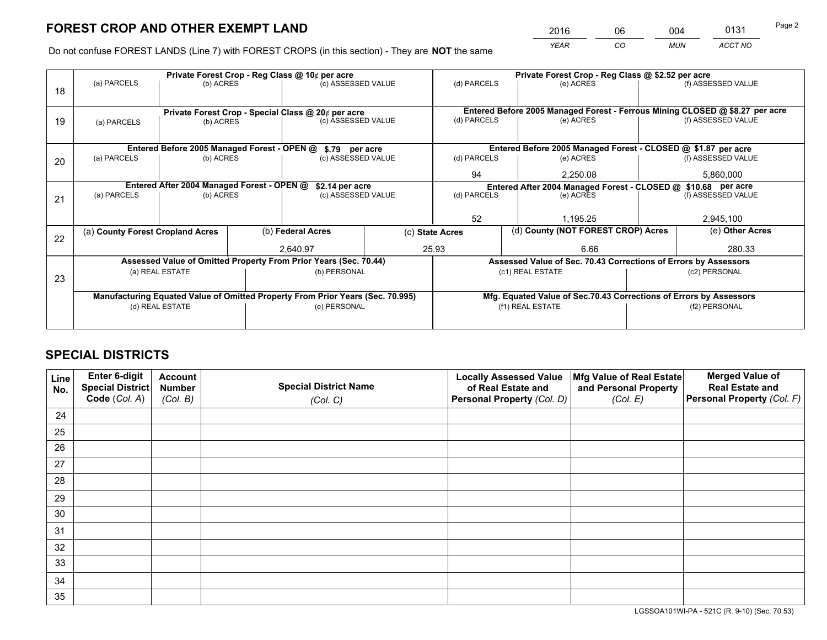*YEAR CO MUN ACCT NO* 2016 06 004 0131

Do not confuse FOREST LANDS (Line 7) with FOREST CROPS (in this section) - They are **NOT** the same

|    |                                                                                |                                             |  | Private Forest Crop - Reg Class @ 10¢ per acre                   |    | Private Forest Crop - Reg Class @ \$2.52 per acre             |                                                                    |           |                                                                              |  |
|----|--------------------------------------------------------------------------------|---------------------------------------------|--|------------------------------------------------------------------|----|---------------------------------------------------------------|--------------------------------------------------------------------|-----------|------------------------------------------------------------------------------|--|
| 18 | (a) PARCELS                                                                    | (b) ACRES                                   |  | (c) ASSESSED VALUE                                               |    | (d) PARCELS                                                   | (e) ACRES                                                          |           | (f) ASSESSED VALUE                                                           |  |
|    |                                                                                |                                             |  |                                                                  |    |                                                               |                                                                    |           |                                                                              |  |
|    |                                                                                |                                             |  | Private Forest Crop - Special Class @ 20¢ per acre               |    |                                                               |                                                                    |           | Entered Before 2005 Managed Forest - Ferrous Mining CLOSED @ \$8.27 per acre |  |
| 19 | (a) PARCELS                                                                    | (b) ACRES                                   |  | (c) ASSESSED VALUE                                               |    | (d) PARCELS                                                   | (e) ACRES                                                          |           | (f) ASSESSED VALUE                                                           |  |
|    |                                                                                |                                             |  |                                                                  |    |                                                               |                                                                    |           |                                                                              |  |
|    |                                                                                | Entered Before 2005 Managed Forest - OPEN @ |  | \$.79 per acre                                                   |    |                                                               | Entered Before 2005 Managed Forest - CLOSED @ \$1.87 per acre      |           |                                                                              |  |
| 20 | (a) PARCELS                                                                    | (b) ACRES                                   |  | (c) ASSESSED VALUE                                               |    | (d) PARCELS                                                   | (e) ACRES                                                          |           | (f) ASSESSED VALUE                                                           |  |
|    |                                                                                |                                             |  |                                                                  | 94 | 2,250.08                                                      |                                                                    | 5,860,000 |                                                                              |  |
|    | Entered After 2004 Managed Forest - OPEN @<br>\$2.14 per acre                  |                                             |  |                                                                  |    | Entered After 2004 Managed Forest - CLOSED @ \$10.68 per acre |                                                                    |           |                                                                              |  |
| 21 | (a) PARCELS                                                                    | (b) ACRES                                   |  | (c) ASSESSED VALUE                                               |    | (d) PARCELS                                                   | (e) ACRES                                                          |           |                                                                              |  |
|    |                                                                                |                                             |  |                                                                  |    |                                                               |                                                                    |           |                                                                              |  |
|    |                                                                                |                                             |  |                                                                  |    | 52                                                            | 1,195.25                                                           |           | 2,945,100                                                                    |  |
|    | (a) County Forest Cropland Acres                                               |                                             |  | (b) Federal Acres<br>(c) State Acres<br>25.93<br>2,640.97        |    | (d) County (NOT FOREST CROP) Acres                            |                                                                    |           | (e) Other Acres                                                              |  |
| 22 |                                                                                |                                             |  |                                                                  |    |                                                               | 6.66                                                               |           | 280.33                                                                       |  |
|    |                                                                                |                                             |  | Assessed Value of Omitted Property From Prior Years (Sec. 70.44) |    |                                                               | Assessed Value of Sec. 70.43 Corrections of Errors by Assessors    |           |                                                                              |  |
|    |                                                                                | (a) REAL ESTATE                             |  | (b) PERSONAL                                                     |    |                                                               | (c1) REAL ESTATE                                                   |           | (c2) PERSONAL                                                                |  |
| 23 |                                                                                |                                             |  |                                                                  |    |                                                               |                                                                    |           |                                                                              |  |
|    | Manufacturing Equated Value of Omitted Property From Prior Years (Sec. 70.995) |                                             |  |                                                                  |    |                                                               | Mfg. Equated Value of Sec.70.43 Corrections of Errors by Assessors |           |                                                                              |  |
|    |                                                                                | (d) REAL ESTATE                             |  | (e) PERSONAL                                                     |    | (f1) REAL ESTATE                                              |                                                                    |           | (f2) PERSONAL                                                                |  |
|    |                                                                                |                                             |  |                                                                  |    |                                                               |                                                                    |           |                                                                              |  |

## **SPECIAL DISTRICTS**

| Line<br>No. | Enter 6-digit<br>Special District<br>Code (Col. A) | <b>Account</b><br><b>Number</b><br>(Col. B) | <b>Special District Name</b><br>(Col. C) | <b>Locally Assessed Value</b><br>of Real Estate and<br>Personal Property (Col. D) | Mfg Value of Real Estate<br>and Personal Property<br>(Col. E) | <b>Merged Value of</b><br><b>Real Estate and</b><br>Personal Property (Col. F) |
|-------------|----------------------------------------------------|---------------------------------------------|------------------------------------------|-----------------------------------------------------------------------------------|---------------------------------------------------------------|--------------------------------------------------------------------------------|
| 24          |                                                    |                                             |                                          |                                                                                   |                                                               |                                                                                |
| 25          |                                                    |                                             |                                          |                                                                                   |                                                               |                                                                                |
| 26          |                                                    |                                             |                                          |                                                                                   |                                                               |                                                                                |
| 27          |                                                    |                                             |                                          |                                                                                   |                                                               |                                                                                |
| 28          |                                                    |                                             |                                          |                                                                                   |                                                               |                                                                                |
| 29          |                                                    |                                             |                                          |                                                                                   |                                                               |                                                                                |
| 30          |                                                    |                                             |                                          |                                                                                   |                                                               |                                                                                |
| 31          |                                                    |                                             |                                          |                                                                                   |                                                               |                                                                                |
| 32          |                                                    |                                             |                                          |                                                                                   |                                                               |                                                                                |
| 33          |                                                    |                                             |                                          |                                                                                   |                                                               |                                                                                |
| 34          |                                                    |                                             |                                          |                                                                                   |                                                               |                                                                                |
| 35          |                                                    |                                             |                                          |                                                                                   |                                                               |                                                                                |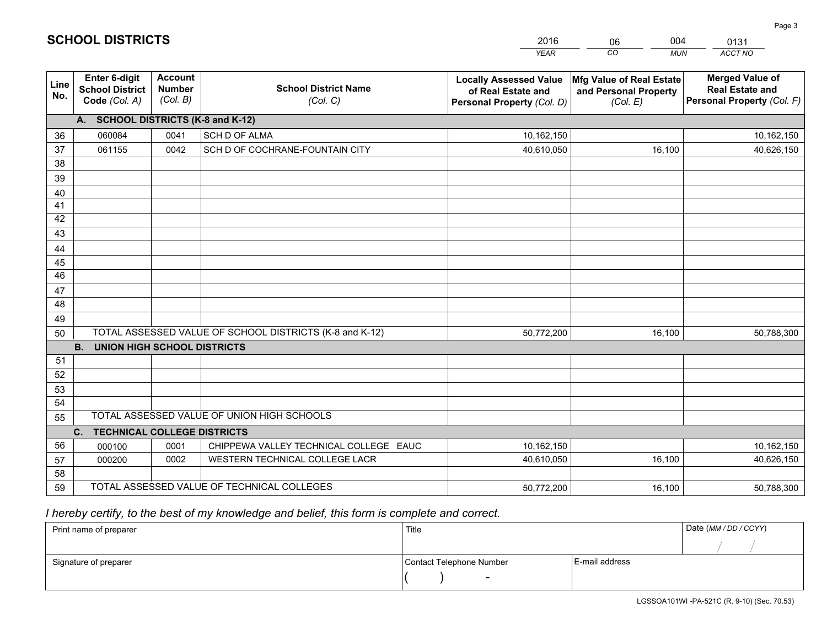|                 |                                                                 |                                             |                                                         | <b>YEAR</b>                                                                       | CO<br><b>MUN</b>                                              | ACCT NO                                                                        |
|-----------------|-----------------------------------------------------------------|---------------------------------------------|---------------------------------------------------------|-----------------------------------------------------------------------------------|---------------------------------------------------------------|--------------------------------------------------------------------------------|
| Line<br>No.     | <b>Enter 6-digit</b><br><b>School District</b><br>Code (Col. A) | <b>Account</b><br><b>Number</b><br>(Col. B) | <b>School District Name</b><br>(Col. C)                 | <b>Locally Assessed Value</b><br>of Real Estate and<br>Personal Property (Col. D) | Mfg Value of Real Estate<br>and Personal Property<br>(Col. E) | <b>Merged Value of</b><br><b>Real Estate and</b><br>Personal Property (Col. F) |
|                 | A. SCHOOL DISTRICTS (K-8 and K-12)                              |                                             |                                                         |                                                                                   |                                                               |                                                                                |
| 36              | 060084                                                          | 0041                                        | <b>SCH D OF ALMA</b>                                    | 10,162,150                                                                        |                                                               | 10,162,150                                                                     |
| 37              | 061155                                                          | 0042                                        | SCH D OF COCHRANE-FOUNTAIN CITY                         | 40,610,050                                                                        | 16,100                                                        | 40,626,150                                                                     |
| 38              |                                                                 |                                             |                                                         |                                                                                   |                                                               |                                                                                |
| 39              |                                                                 |                                             |                                                         |                                                                                   |                                                               |                                                                                |
| 40              |                                                                 |                                             |                                                         |                                                                                   |                                                               |                                                                                |
| 41              |                                                                 |                                             |                                                         |                                                                                   |                                                               |                                                                                |
| 42              |                                                                 |                                             |                                                         |                                                                                   |                                                               |                                                                                |
| 43              |                                                                 |                                             |                                                         |                                                                                   |                                                               |                                                                                |
| 44              |                                                                 |                                             |                                                         |                                                                                   |                                                               |                                                                                |
| 45              |                                                                 |                                             |                                                         |                                                                                   |                                                               |                                                                                |
| $\overline{46}$ |                                                                 |                                             |                                                         |                                                                                   |                                                               |                                                                                |
| 47              |                                                                 |                                             |                                                         |                                                                                   |                                                               |                                                                                |
| 48              |                                                                 |                                             |                                                         |                                                                                   |                                                               |                                                                                |
| 49              |                                                                 |                                             |                                                         |                                                                                   |                                                               |                                                                                |
| 50              |                                                                 |                                             | TOTAL ASSESSED VALUE OF SCHOOL DISTRICTS (K-8 and K-12) | 50,772,200                                                                        | 16,100                                                        | 50,788,300                                                                     |
|                 | <b>B.</b><br><b>UNION HIGH SCHOOL DISTRICTS</b>                 |                                             |                                                         |                                                                                   |                                                               |                                                                                |
| 51              |                                                                 |                                             |                                                         |                                                                                   |                                                               |                                                                                |
| 52              |                                                                 |                                             |                                                         |                                                                                   |                                                               |                                                                                |
| 53              |                                                                 |                                             |                                                         |                                                                                   |                                                               |                                                                                |
| 54              |                                                                 |                                             | TOTAL ASSESSED VALUE OF UNION HIGH SCHOOLS              |                                                                                   |                                                               |                                                                                |
| 55              |                                                                 |                                             |                                                         |                                                                                   |                                                               |                                                                                |
| 56              | C.<br><b>TECHNICAL COLLEGE DISTRICTS</b>                        |                                             | CHIPPEWA VALLEY TECHNICAL COLLEGE EAUC                  |                                                                                   |                                                               |                                                                                |
| 57              | 000100<br>000200                                                | 0001<br>0002                                | WESTERN TECHNICAL COLLEGE LACR                          | 10,162,150<br>40,610,050                                                          | 16,100                                                        | 10,162,150<br>40,626,150                                                       |
| 58              |                                                                 |                                             |                                                         |                                                                                   |                                                               |                                                                                |
| 59              |                                                                 |                                             | TOTAL ASSESSED VALUE OF TECHNICAL COLLEGES              | 50,772,200                                                                        | 16,100                                                        | 50,788,300                                                                     |
|                 |                                                                 |                                             |                                                         |                                                                                   |                                                               |                                                                                |

06

004

## *I hereby certify, to the best of my knowledge and belief, this form is complete and correct.*

**SCHOOL DISTRICTS**

| Print name of preparer | Title                    |                | Date (MM / DD / CCYY) |
|------------------------|--------------------------|----------------|-----------------------|
|                        |                          |                |                       |
| Signature of preparer  | Contact Telephone Number | E-mail address |                       |
|                        | $\overline{\phantom{0}}$ |                |                       |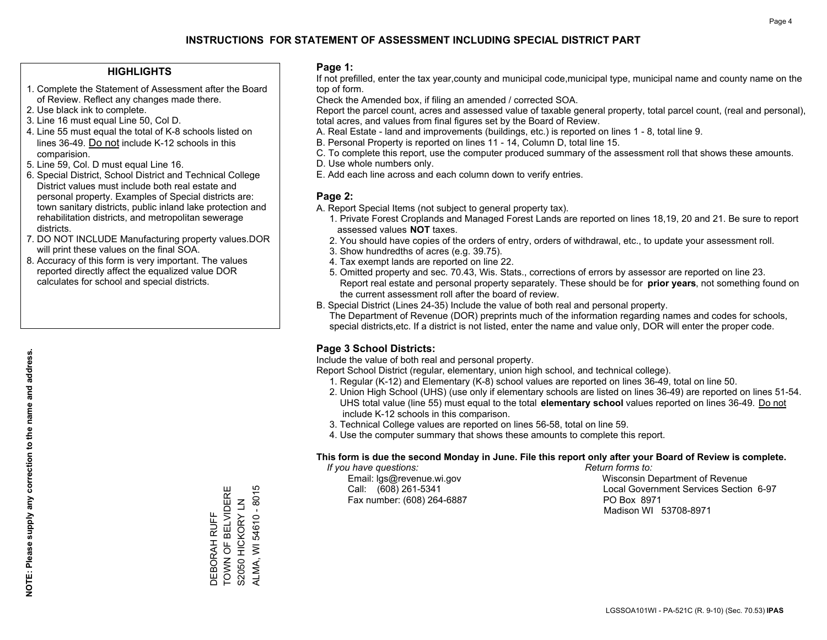#### **HIGHLIGHTS**

- 1. Complete the Statement of Assessment after the Board of Review. Reflect any changes made there.
- 2. Use black ink to complete.
- 3. Line 16 must equal Line 50, Col D.
- 4. Line 55 must equal the total of K-8 schools listed on lines 36-49. Do not include K-12 schools in this comparision.
- 5. Line 59, Col. D must equal Line 16.
- 6. Special District, School District and Technical College District values must include both real estate and personal property. Examples of Special districts are: town sanitary districts, public inland lake protection and rehabilitation districts, and metropolitan sewerage districts.
- 7. DO NOT INCLUDE Manufacturing property values.DOR will print these values on the final SOA.
- 8. Accuracy of this form is very important. The values reported directly affect the equalized value DOR calculates for school and special districts.

#### **Page 1:**

 If not prefilled, enter the tax year,county and municipal code,municipal type, municipal name and county name on the top of form.

Check the Amended box, if filing an amended / corrected SOA.

 Report the parcel count, acres and assessed value of taxable general property, total parcel count, (real and personal), total acres, and values from final figures set by the Board of Review.

- A. Real Estate land and improvements (buildings, etc.) is reported on lines 1 8, total line 9.
- B. Personal Property is reported on lines 11 14, Column D, total line 15.
- C. To complete this report, use the computer produced summary of the assessment roll that shows these amounts.
- D. Use whole numbers only.
- E. Add each line across and each column down to verify entries.

#### **Page 2:**

- A. Report Special Items (not subject to general property tax).
- 1. Private Forest Croplands and Managed Forest Lands are reported on lines 18,19, 20 and 21. Be sure to report assessed values **NOT** taxes.
- 2. You should have copies of the orders of entry, orders of withdrawal, etc., to update your assessment roll.
	- 3. Show hundredths of acres (e.g. 39.75).
- 4. Tax exempt lands are reported on line 22.
- 5. Omitted property and sec. 70.43, Wis. Stats., corrections of errors by assessor are reported on line 23. Report real estate and personal property separately. These should be for **prior years**, not something found on the current assessment roll after the board of review.
- B. Special District (Lines 24-35) Include the value of both real and personal property.

 The Department of Revenue (DOR) preprints much of the information regarding names and codes for schools, special districts,etc. If a district is not listed, enter the name and value only, DOR will enter the proper code.

### **Page 3 School Districts:**

Include the value of both real and personal property.

Report School District (regular, elementary, union high school, and technical college).

- 1. Regular (K-12) and Elementary (K-8) school values are reported on lines 36-49, total on line 50.
- 2. Union High School (UHS) (use only if elementary schools are listed on lines 36-49) are reported on lines 51-54. UHS total value (line 55) must equal to the total **elementary school** values reported on lines 36-49. Do notinclude K-12 schools in this comparison.
- 3. Technical College values are reported on lines 56-58, total on line 59.
- 4. Use the computer summary that shows these amounts to complete this report.

#### **This form is due the second Monday in June. File this report only after your Board of Review is complete.**

 *If you have questions: Return forms to:*

Fax number: (608) 264-6887 PO Box 8971

 Email: lgs@revenue.wi.gov Wisconsin Department of Revenue Call: (608) 261-5341 Local Government Services Section 6-97Madison WI 53708-8971

TOWN OF BELVIDERE ALMA, WI 54610 - 8015 TOWN OF BELVIDERE ALMA, WI 54610 - 8015 S2050 HICKORY LN S2050 HICKORY LN DEBORAH RUFF DEBORAH RUFF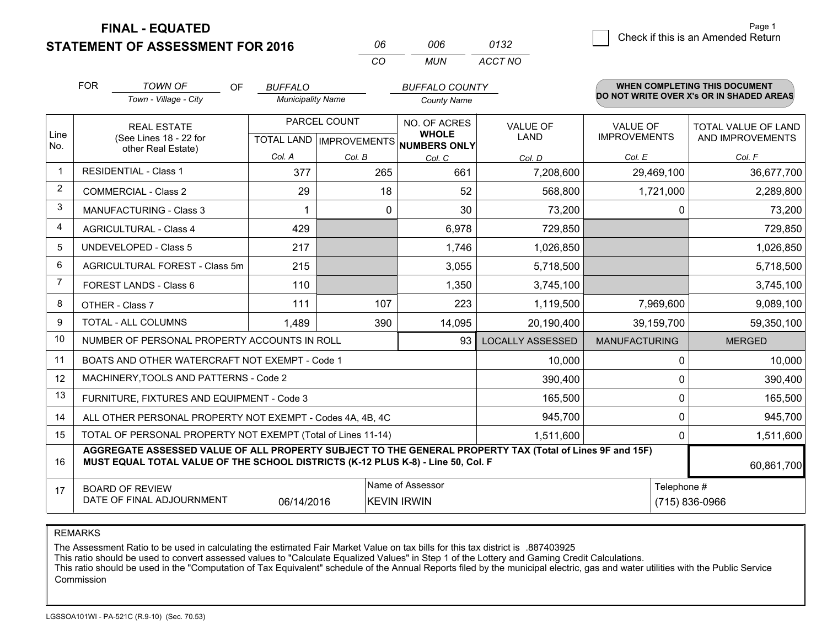**STATEMENT OF ASSESSMENT FOR 2016** 

**FINAL - EQUATED**

| 06 | 006 | 0132    |  |
|----|-----|---------|--|
| CO | MUN | ACCT NO |  |

|                | <b>FOR</b>                                                                                                                                                                                   | <b>TOWN OF</b><br>OF                                         | <b>BUFFALO</b>           |              | <b>BUFFALO COUNTY</b>                               |                         |                      | WHEN COMPLETING THIS DOCUMENT<br>DO NOT WRITE OVER X's OR IN SHADED AREAS |
|----------------|----------------------------------------------------------------------------------------------------------------------------------------------------------------------------------------------|--------------------------------------------------------------|--------------------------|--------------|-----------------------------------------------------|-------------------------|----------------------|---------------------------------------------------------------------------|
|                |                                                                                                                                                                                              | Town - Village - City                                        | <b>Municipality Name</b> |              | <b>County Name</b>                                  |                         |                      |                                                                           |
|                |                                                                                                                                                                                              | <b>REAL ESTATE</b>                                           |                          | PARCEL COUNT | NO. OF ACRES                                        | <b>VALUE OF</b>         | <b>VALUE OF</b>      | <b>TOTAL VALUE OF LAND</b>                                                |
| Line<br>No.    |                                                                                                                                                                                              | (See Lines 18 - 22 for<br>other Real Estate)                 |                          |              | <b>WHOLE</b><br>TOTAL LAND MPROVEMENTS NUMBERS ONLY | <b>LAND</b>             | <b>IMPROVEMENTS</b>  | AND IMPROVEMENTS                                                          |
|                |                                                                                                                                                                                              |                                                              | Col. A                   | Col. B       | Col. C                                              | Col. D                  | Col. E               | Col. F                                                                    |
| -1             |                                                                                                                                                                                              | <b>RESIDENTIAL - Class 1</b>                                 | 377                      | 265          | 661                                                 | 7,208,600               | 29,469,100           | 36,677,700                                                                |
| 2              |                                                                                                                                                                                              | <b>COMMERCIAL - Class 2</b>                                  | 29                       | 18           | 52                                                  | 568,800                 | 1,721,000            | 2,289,800                                                                 |
| 3              |                                                                                                                                                                                              | <b>MANUFACTURING - Class 3</b>                               |                          | $\Omega$     | 30                                                  | 73,200                  | $\Omega$             | 73,200                                                                    |
| 4              |                                                                                                                                                                                              | <b>AGRICULTURAL - Class 4</b>                                | 429                      |              | 6,978                                               | 729,850                 |                      | 729,850                                                                   |
| 5              |                                                                                                                                                                                              | <b>UNDEVELOPED - Class 5</b>                                 | 217                      |              | 1,746                                               | 1,026,850               |                      | 1,026,850                                                                 |
| 6              | AGRICULTURAL FOREST - Class 5m                                                                                                                                                               |                                                              | 215                      |              | 3,055                                               | 5,718,500               |                      | 5,718,500                                                                 |
| $\overline{7}$ |                                                                                                                                                                                              | FOREST LANDS - Class 6                                       | 110                      |              | 1,350                                               | 3,745,100               |                      | 3,745,100                                                                 |
| 8              |                                                                                                                                                                                              | OTHER - Class 7                                              | 111                      | 107          | 223                                                 | 1,119,500               | 7,969,600            | 9,089,100                                                                 |
| 9              |                                                                                                                                                                                              | TOTAL - ALL COLUMNS                                          | 1,489                    | 390          | 14,095                                              | 20,190,400              | 39,159,700           | 59,350,100                                                                |
| 10             |                                                                                                                                                                                              | NUMBER OF PERSONAL PROPERTY ACCOUNTS IN ROLL                 |                          |              | 93                                                  | <b>LOCALLY ASSESSED</b> | <b>MANUFACTURING</b> | <b>MERGED</b>                                                             |
| 11             |                                                                                                                                                                                              | BOATS AND OTHER WATERCRAFT NOT EXEMPT - Code 1               |                          |              |                                                     | 10,000                  | 0                    | 10,000                                                                    |
| 12             |                                                                                                                                                                                              | MACHINERY, TOOLS AND PATTERNS - Code 2                       |                          |              |                                                     | 390,400                 | 0                    | 390,400                                                                   |
| 13             |                                                                                                                                                                                              | FURNITURE, FIXTURES AND EQUIPMENT - Code 3                   |                          |              |                                                     | 165,500                 | 0                    | 165,500                                                                   |
| 14             |                                                                                                                                                                                              | ALL OTHER PERSONAL PROPERTY NOT EXEMPT - Codes 4A, 4B, 4C    |                          |              |                                                     | 945,700                 | 0                    | 945,700                                                                   |
| 15             |                                                                                                                                                                                              | TOTAL OF PERSONAL PROPERTY NOT EXEMPT (Total of Lines 11-14) |                          |              |                                                     | 1,511,600               | 0                    | 1,511,600                                                                 |
| 16             | AGGREGATE ASSESSED VALUE OF ALL PROPERTY SUBJECT TO THE GENERAL PROPERTY TAX (Total of Lines 9F and 15F)<br>MUST EQUAL TOTAL VALUE OF THE SCHOOL DISTRICTS (K-12 PLUS K-8) - Line 50, Col. F |                                                              |                          |              |                                                     |                         |                      | 60,861,700                                                                |
| 17             |                                                                                                                                                                                              | <b>BOARD OF REVIEW</b>                                       |                          |              | Name of Assessor                                    |                         | Telephone #          |                                                                           |
|                |                                                                                                                                                                                              | DATE OF FINAL ADJOURNMENT                                    | 06/14/2016               |              | <b>KEVIN IRWIN</b>                                  |                         |                      | (715) 836-0966                                                            |

REMARKS

The Assessment Ratio to be used in calculating the estimated Fair Market Value on tax bills for this tax district is .887403925

This ratio should be used to convert assessed values to "Calculate Equalized Values" in Step 1 of the Lottery and Gaming Credit Calculations.

 This ratio should be used in the "Computation of Tax Equivalent" schedule of the Annual Reports filed by the municipal electric, gas and water utilities with the Public Service Commission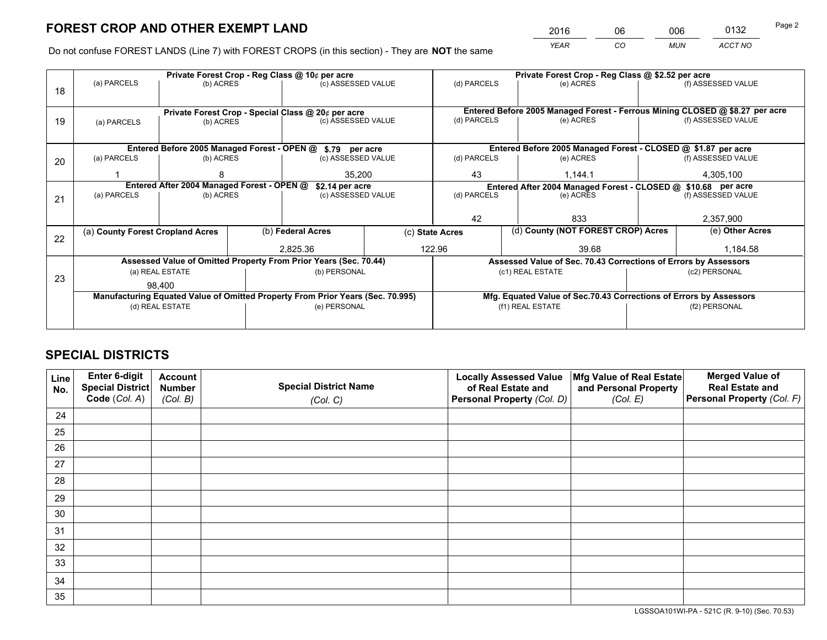*YEAR CO MUN ACCT NO* <sup>2016</sup> <sup>06</sup> <sup>006</sup> <sup>0132</sup>

Do not confuse FOREST LANDS (Line 7) with FOREST CROPS (in this section) - They are **NOT** the same

|    |                                                                                |                                            |             | Private Forest Crop - Reg Class @ 10¢ per acre                   |                 | Private Forest Crop - Reg Class @ \$2.52 per acre |                                                               |                                    |               |                                                                              |
|----|--------------------------------------------------------------------------------|--------------------------------------------|-------------|------------------------------------------------------------------|-----------------|---------------------------------------------------|---------------------------------------------------------------|------------------------------------|---------------|------------------------------------------------------------------------------|
| 18 | (a) PARCELS                                                                    | (b) ACRES                                  |             | (c) ASSESSED VALUE                                               |                 | (d) PARCELS                                       |                                                               | (e) ACRES                          |               | (f) ASSESSED VALUE                                                           |
|    |                                                                                |                                            |             | Private Forest Crop - Special Class @ 20¢ per acre               |                 |                                                   |                                                               |                                    |               | Entered Before 2005 Managed Forest - Ferrous Mining CLOSED @ \$8.27 per acre |
| 19 | (c) ASSESSED VALUE<br>(b) ACRES<br>(a) PARCELS                                 |                                            | (d) PARCELS |                                                                  | (e) ACRES       |                                                   | (f) ASSESSED VALUE                                            |                                    |               |                                                                              |
|    |                                                                                |                                            |             | Entered Before 2005 Managed Forest - OPEN @ \$.79 per acre       |                 |                                                   |                                                               |                                    |               | Entered Before 2005 Managed Forest - CLOSED @ \$1.87 per acre                |
| 20 | (a) PARCELS                                                                    | (b) ACRES                                  |             | (c) ASSESSED VALUE                                               |                 | (d) PARCELS                                       |                                                               | (e) ACRES                          |               | (f) ASSESSED VALUE                                                           |
|    |                                                                                | 35,200                                     |             |                                                                  | 43              |                                                   | 1,144.1                                                       |                                    | 4,305,100     |                                                                              |
|    |                                                                                | Entered After 2004 Managed Forest - OPEN @ |             | \$2.14 per acre                                                  |                 |                                                   | Entered After 2004 Managed Forest - CLOSED @ \$10.68 per acre |                                    |               |                                                                              |
| 21 | (a) PARCELS                                                                    | (b) ACRES                                  |             | (c) ASSESSED VALUE                                               |                 | (d) PARCELS                                       |                                                               | (e) ACRES                          |               | (f) ASSESSED VALUE                                                           |
|    |                                                                                |                                            |             |                                                                  |                 |                                                   |                                                               |                                    |               |                                                                              |
|    |                                                                                |                                            |             |                                                                  |                 |                                                   |                                                               | 833                                |               | 2,357,900                                                                    |
| 22 | (a) County Forest Cropland Acres                                               |                                            |             | (b) Federal Acres                                                | (c) State Acres |                                                   |                                                               | (d) County (NOT FOREST CROP) Acres |               | (e) Other Acres                                                              |
|    |                                                                                |                                            |             | 2,825.36                                                         | 122.96          |                                                   |                                                               | 39.68                              |               | 1,184.58                                                                     |
|    |                                                                                |                                            |             | Assessed Value of Omitted Property From Prior Years (Sec. 70.44) |                 |                                                   |                                                               |                                    |               | Assessed Value of Sec. 70.43 Corrections of Errors by Assessors              |
| 23 |                                                                                | (a) REAL ESTATE                            |             | (b) PERSONAL                                                     |                 |                                                   | (c1) REAL ESTATE                                              |                                    |               | (c2) PERSONAL                                                                |
|    |                                                                                | 98,400                                     |             |                                                                  |                 |                                                   |                                                               |                                    |               |                                                                              |
|    | Manufacturing Equated Value of Omitted Property From Prior Years (Sec. 70.995) |                                            |             |                                                                  |                 |                                                   |                                                               |                                    |               | Mfg. Equated Value of Sec.70.43 Corrections of Errors by Assessors           |
|    |                                                                                | (d) REAL ESTATE                            |             | (e) PERSONAL                                                     |                 | (f1) REAL ESTATE                                  |                                                               |                                    | (f2) PERSONAL |                                                                              |
|    |                                                                                |                                            |             |                                                                  |                 |                                                   |                                                               |                                    |               |                                                                              |

## **SPECIAL DISTRICTS**

| Line<br>No. | Enter 6-digit<br>Special District<br>Code (Col. A) | <b>Account</b><br><b>Number</b><br>(Col. B) | <b>Special District Name</b><br>(Col. C) | <b>Locally Assessed Value</b><br>of Real Estate and<br>Personal Property (Col. D) | Mfg Value of Real Estate<br>and Personal Property<br>(Col. E) | <b>Merged Value of</b><br><b>Real Estate and</b><br>Personal Property (Col. F) |
|-------------|----------------------------------------------------|---------------------------------------------|------------------------------------------|-----------------------------------------------------------------------------------|---------------------------------------------------------------|--------------------------------------------------------------------------------|
| 24          |                                                    |                                             |                                          |                                                                                   |                                                               |                                                                                |
| 25          |                                                    |                                             |                                          |                                                                                   |                                                               |                                                                                |
| 26          |                                                    |                                             |                                          |                                                                                   |                                                               |                                                                                |
| 27          |                                                    |                                             |                                          |                                                                                   |                                                               |                                                                                |
| 28          |                                                    |                                             |                                          |                                                                                   |                                                               |                                                                                |
| 29          |                                                    |                                             |                                          |                                                                                   |                                                               |                                                                                |
| 30          |                                                    |                                             |                                          |                                                                                   |                                                               |                                                                                |
| 31          |                                                    |                                             |                                          |                                                                                   |                                                               |                                                                                |
| 32          |                                                    |                                             |                                          |                                                                                   |                                                               |                                                                                |
| 33          |                                                    |                                             |                                          |                                                                                   |                                                               |                                                                                |
| 34          |                                                    |                                             |                                          |                                                                                   |                                                               |                                                                                |
| 35          |                                                    |                                             |                                          |                                                                                   |                                                               |                                                                                |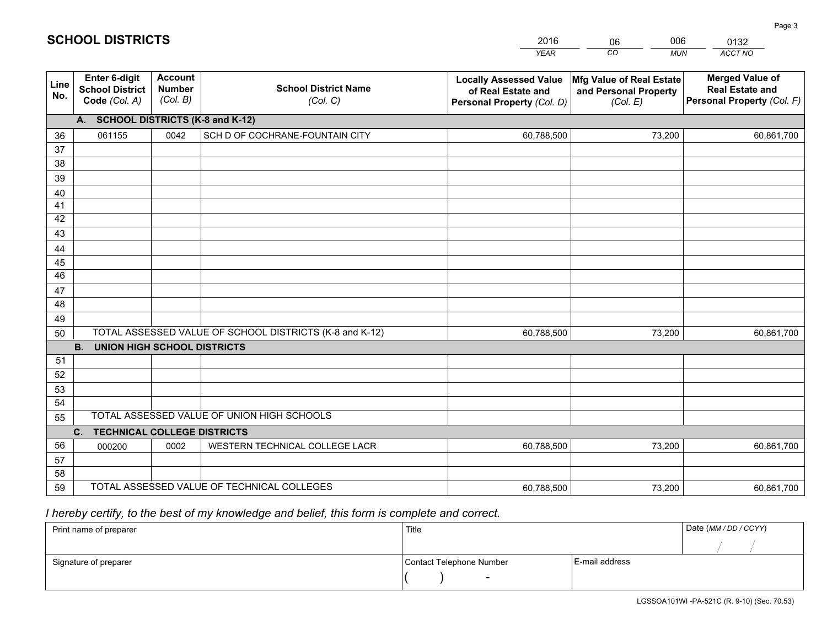|             |                                                          |                                             |                                                         | <b>YEAR</b>                                                                       | CO<br><b>MUN</b>                                              | ACCT NO                                                                        |
|-------------|----------------------------------------------------------|---------------------------------------------|---------------------------------------------------------|-----------------------------------------------------------------------------------|---------------------------------------------------------------|--------------------------------------------------------------------------------|
| Line<br>No. | Enter 6-digit<br><b>School District</b><br>Code (Col. A) | <b>Account</b><br><b>Number</b><br>(Col. B) | <b>School District Name</b><br>(Col. C)                 | <b>Locally Assessed Value</b><br>of Real Estate and<br>Personal Property (Col. D) | Mfg Value of Real Estate<br>and Personal Property<br>(Col. E) | <b>Merged Value of</b><br><b>Real Estate and</b><br>Personal Property (Col. F) |
|             | A. SCHOOL DISTRICTS (K-8 and K-12)                       |                                             |                                                         |                                                                                   |                                                               |                                                                                |
| 36          | 061155                                                   | 0042                                        | SCH D OF COCHRANE-FOUNTAIN CITY                         | 60,788,500                                                                        | 73,200                                                        | 60,861,700                                                                     |
| 37          |                                                          |                                             |                                                         |                                                                                   |                                                               |                                                                                |
| 38          |                                                          |                                             |                                                         |                                                                                   |                                                               |                                                                                |
| 39          |                                                          |                                             |                                                         |                                                                                   |                                                               |                                                                                |
| 40          |                                                          |                                             |                                                         |                                                                                   |                                                               |                                                                                |
| 41          |                                                          |                                             |                                                         |                                                                                   |                                                               |                                                                                |
| 42<br>43    |                                                          |                                             |                                                         |                                                                                   |                                                               |                                                                                |
|             |                                                          |                                             |                                                         |                                                                                   |                                                               |                                                                                |
| 44<br>45    |                                                          |                                             |                                                         |                                                                                   |                                                               |                                                                                |
| 46          |                                                          |                                             |                                                         |                                                                                   |                                                               |                                                                                |
| 47          |                                                          |                                             |                                                         |                                                                                   |                                                               |                                                                                |
| 48          |                                                          |                                             |                                                         |                                                                                   |                                                               |                                                                                |
| 49          |                                                          |                                             |                                                         |                                                                                   |                                                               |                                                                                |
| 50          |                                                          |                                             | TOTAL ASSESSED VALUE OF SCHOOL DISTRICTS (K-8 and K-12) | 60,788,500                                                                        | 73,200                                                        | 60,861,700                                                                     |
|             | <b>B.</b><br><b>UNION HIGH SCHOOL DISTRICTS</b>          |                                             |                                                         |                                                                                   |                                                               |                                                                                |
| 51          |                                                          |                                             |                                                         |                                                                                   |                                                               |                                                                                |
| 52          |                                                          |                                             |                                                         |                                                                                   |                                                               |                                                                                |
| 53          |                                                          |                                             |                                                         |                                                                                   |                                                               |                                                                                |
| 54          |                                                          |                                             |                                                         |                                                                                   |                                                               |                                                                                |
| 55          |                                                          |                                             | TOTAL ASSESSED VALUE OF UNION HIGH SCHOOLS              |                                                                                   |                                                               |                                                                                |
|             | C.<br><b>TECHNICAL COLLEGE DISTRICTS</b>                 |                                             |                                                         |                                                                                   |                                                               |                                                                                |
| 56          | 000200                                                   | 0002                                        | WESTERN TECHNICAL COLLEGE LACR                          | 60,788,500                                                                        | 73,200                                                        | 60,861,700                                                                     |
| 57<br>58    |                                                          |                                             |                                                         |                                                                                   |                                                               |                                                                                |
| 59          |                                                          |                                             | TOTAL ASSESSED VALUE OF TECHNICAL COLLEGES              | 60,788,500                                                                        | 73,200                                                        | 60,861,700                                                                     |
|             |                                                          |                                             |                                                         |                                                                                   |                                                               |                                                                                |

06

006

## *I hereby certify, to the best of my knowledge and belief, this form is complete and correct.*

**SCHOOL DISTRICTS**

| Print name of preparer | Title                    |                | Date (MM / DD / CCYY) |
|------------------------|--------------------------|----------------|-----------------------|
|                        |                          |                |                       |
| Signature of preparer  | Contact Telephone Number | E-mail address |                       |
|                        | $\overline{\phantom{0}}$ |                |                       |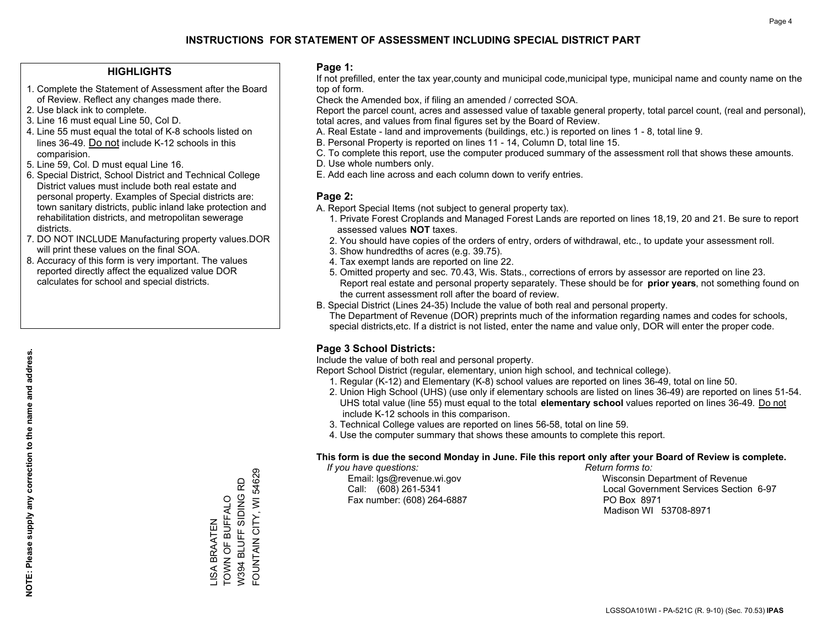#### **HIGHLIGHTS**

- 1. Complete the Statement of Assessment after the Board of Review. Reflect any changes made there.
- 2. Use black ink to complete.
- 3. Line 16 must equal Line 50, Col D.
- 4. Line 55 must equal the total of K-8 schools listed on lines 36-49. Do not include K-12 schools in this comparision.
- 5. Line 59, Col. D must equal Line 16.
- 6. Special District, School District and Technical College District values must include both real estate and personal property. Examples of Special districts are: town sanitary districts, public inland lake protection and rehabilitation districts, and metropolitan sewerage districts.
- 7. DO NOT INCLUDE Manufacturing property values.DOR will print these values on the final SOA.

LISA BRAATEN TOWN OF BUFFALO W394 BLUFF SIDING RD FOUNTAIN CITY, WI 54629

FOUNTAIN CITY, WI 54629 W394 BLUFF SIDING RD **TOWN OF BUFFALO JSA BRAATEN** 

 8. Accuracy of this form is very important. The values reported directly affect the equalized value DOR calculates for school and special districts.

#### **Page 1:**

 If not prefilled, enter the tax year,county and municipal code,municipal type, municipal name and county name on the top of form.

Check the Amended box, if filing an amended / corrected SOA.

 Report the parcel count, acres and assessed value of taxable general property, total parcel count, (real and personal), total acres, and values from final figures set by the Board of Review.

- A. Real Estate land and improvements (buildings, etc.) is reported on lines 1 8, total line 9.
- B. Personal Property is reported on lines 11 14, Column D, total line 15.
- C. To complete this report, use the computer produced summary of the assessment roll that shows these amounts.
- D. Use whole numbers only.
- E. Add each line across and each column down to verify entries.

#### **Page 2:**

- A. Report Special Items (not subject to general property tax).
- 1. Private Forest Croplands and Managed Forest Lands are reported on lines 18,19, 20 and 21. Be sure to report assessed values **NOT** taxes.
- 2. You should have copies of the orders of entry, orders of withdrawal, etc., to update your assessment roll.
	- 3. Show hundredths of acres (e.g. 39.75).
- 4. Tax exempt lands are reported on line 22.
- 5. Omitted property and sec. 70.43, Wis. Stats., corrections of errors by assessor are reported on line 23. Report real estate and personal property separately. These should be for **prior years**, not something found on the current assessment roll after the board of review.
- B. Special District (Lines 24-35) Include the value of both real and personal property.

 The Department of Revenue (DOR) preprints much of the information regarding names and codes for schools, special districts,etc. If a district is not listed, enter the name and value only, DOR will enter the proper code.

### **Page 3 School Districts:**

Include the value of both real and personal property.

Report School District (regular, elementary, union high school, and technical college).

- 1. Regular (K-12) and Elementary (K-8) school values are reported on lines 36-49, total on line 50.
- 2. Union High School (UHS) (use only if elementary schools are listed on lines 36-49) are reported on lines 51-54. UHS total value (line 55) must equal to the total **elementary school** values reported on lines 36-49. Do notinclude K-12 schools in this comparison.
- 3. Technical College values are reported on lines 56-58, total on line 59.
- 4. Use the computer summary that shows these amounts to complete this report.

#### **This form is due the second Monday in June. File this report only after your Board of Review is complete.**

 *If you have questions: Return forms to:*

Fax number: (608) 264-6887 PO Box 8971

 Email: lgs@revenue.wi.gov Wisconsin Department of Revenue Call: (608) 261-5341 Local Government Services Section 6-97Madison WI 53708-8971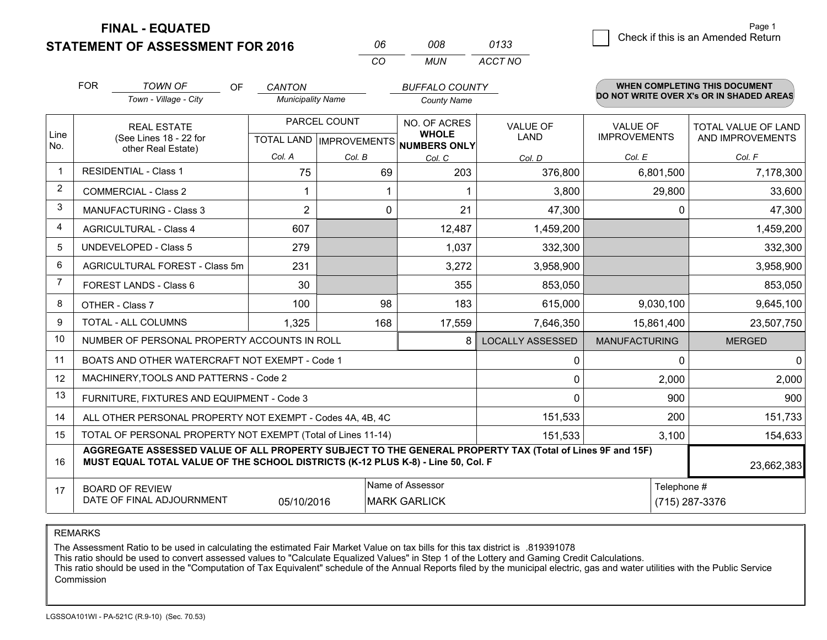**STATEMENT OF ASSESSMENT FOR 2016** 

**FINAL - EQUATED**

| 06  | 008 | 0133    |
|-----|-----|---------|
| CO. | MUN | ACCT NO |

|              | <b>FOR</b>                                                                                                                                                                                   | <b>TOWN OF</b><br><b>OF</b><br>Town - Village - City         | <b>CANTON</b><br><b>Municipality Name</b> |              | <b>BUFFALO COUNTY</b><br><b>County Name</b>    |                         |                                        | <b>WHEN COMPLETING THIS DOCUMENT</b><br>DO NOT WRITE OVER X's OR IN SHADED AREAS |
|--------------|----------------------------------------------------------------------------------------------------------------------------------------------------------------------------------------------|--------------------------------------------------------------|-------------------------------------------|--------------|------------------------------------------------|-------------------------|----------------------------------------|----------------------------------------------------------------------------------|
| Line         |                                                                                                                                                                                              | <b>REAL ESTATE</b><br>(See Lines 18 - 22 for                 |                                           | PARCEL COUNT | NO. OF ACRES<br><b>WHOLE</b>                   | <b>VALUE OF</b><br>LAND | <b>VALUE OF</b><br><b>IMPROVEMENTS</b> | <b>TOTAL VALUE OF LAND</b><br>AND IMPROVEMENTS                                   |
| No.          |                                                                                                                                                                                              | other Real Estate)                                           | Col. A                                    | Col. B       | TOTAL LAND IMPROVEMENTS NUMBERS ONLY<br>Col. C | Col. D                  | Col. E                                 | Col. F                                                                           |
| $\mathbf{1}$ |                                                                                                                                                                                              | <b>RESIDENTIAL - Class 1</b>                                 | 75                                        | 69           | 203                                            | 376,800                 | 6,801,500                              | 7,178,300                                                                        |
| 2            |                                                                                                                                                                                              | <b>COMMERCIAL - Class 2</b>                                  |                                           |              |                                                | 3,800                   | 29,800                                 | 33,600                                                                           |
| 3            |                                                                                                                                                                                              | <b>MANUFACTURING - Class 3</b>                               | $\overline{2}$                            | 0            | 21                                             | 47,300                  | 0                                      | 47,300                                                                           |
| 4            |                                                                                                                                                                                              | <b>AGRICULTURAL - Class 4</b>                                | 607                                       |              | 12,487                                         | 1,459,200               |                                        | 1,459,200                                                                        |
| 5            |                                                                                                                                                                                              | <b>UNDEVELOPED - Class 5</b>                                 | 279                                       |              | 1,037                                          | 332,300                 |                                        | 332,300                                                                          |
| 6            |                                                                                                                                                                                              | AGRICULTURAL FOREST - Class 5m                               | 231                                       |              | 3,272                                          | 3,958,900               |                                        | 3,958,900                                                                        |
| 7            |                                                                                                                                                                                              | FOREST LANDS - Class 6                                       | 30                                        |              | 355                                            | 853,050                 |                                        | 853,050                                                                          |
| 8            |                                                                                                                                                                                              | OTHER - Class 7                                              | 100                                       | 98           | 183                                            | 615,000                 | 9,030,100                              | 9,645,100                                                                        |
| 9            |                                                                                                                                                                                              | TOTAL - ALL COLUMNS                                          | 1,325                                     | 168          | 17,559                                         | 7,646,350               | 15,861,400                             | 23,507,750                                                                       |
| 10           |                                                                                                                                                                                              | NUMBER OF PERSONAL PROPERTY ACCOUNTS IN ROLL                 |                                           |              | 8                                              | <b>LOCALLY ASSESSED</b> | <b>MANUFACTURING</b>                   | <b>MERGED</b>                                                                    |
| 11           |                                                                                                                                                                                              | BOATS AND OTHER WATERCRAFT NOT EXEMPT - Code 1               |                                           |              |                                                | 0                       | $\Omega$                               | $\mathbf 0$                                                                      |
| 12           |                                                                                                                                                                                              | MACHINERY, TOOLS AND PATTERNS - Code 2                       |                                           |              |                                                | 0                       | 2,000                                  | 2,000                                                                            |
| 13           |                                                                                                                                                                                              | FURNITURE, FIXTURES AND EQUIPMENT - Code 3                   |                                           |              |                                                | 0                       | 900                                    | 900                                                                              |
| 14           |                                                                                                                                                                                              | ALL OTHER PERSONAL PROPERTY NOT EXEMPT - Codes 4A, 4B, 4C    |                                           |              |                                                | 151,533                 | 200                                    | 151,733                                                                          |
| 15           |                                                                                                                                                                                              | TOTAL OF PERSONAL PROPERTY NOT EXEMPT (Total of Lines 11-14) |                                           |              |                                                | 151,533                 | 3,100                                  | 154,633                                                                          |
| 16           | AGGREGATE ASSESSED VALUE OF ALL PROPERTY SUBJECT TO THE GENERAL PROPERTY TAX (Total of Lines 9F and 15F)<br>MUST EQUAL TOTAL VALUE OF THE SCHOOL DISTRICTS (K-12 PLUS K-8) - Line 50, Col. F |                                                              |                                           |              |                                                |                         |                                        | 23,662,383                                                                       |
| 17           | Name of Assessor<br>Telephone #<br><b>BOARD OF REVIEW</b><br>DATE OF FINAL ADJOURNMENT<br>05/10/2016<br><b>MARK GARLICK</b><br>(715) 287-3376                                                |                                                              |                                           |              |                                                |                         |                                        |                                                                                  |

REMARKS

The Assessment Ratio to be used in calculating the estimated Fair Market Value on tax bills for this tax district is .819391078

This ratio should be used to convert assessed values to "Calculate Equalized Values" in Step 1 of the Lottery and Gaming Credit Calculations.<br>This ratio should be used in the "Computation of Tax Equivalent" schedule of the Commission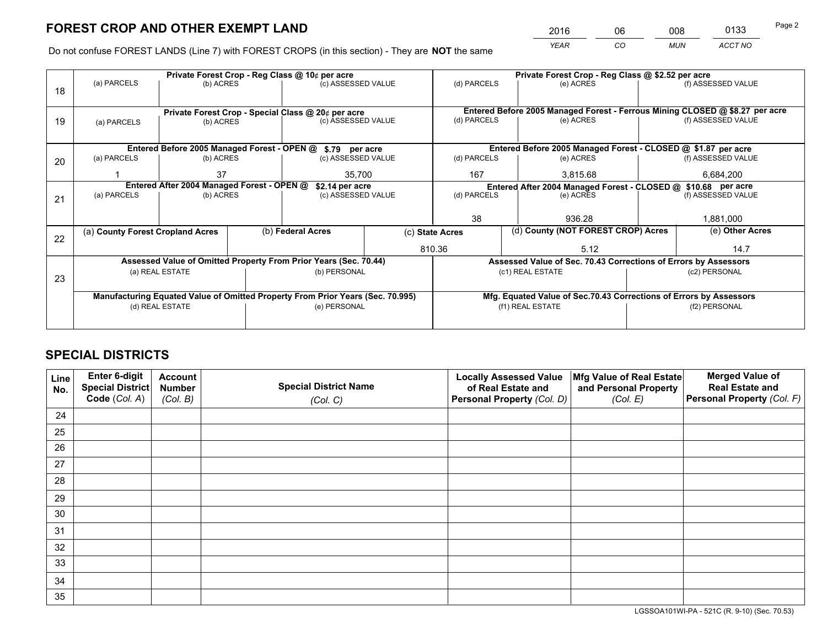*YEAR CO MUN ACCT NO* <sup>2016</sup> <sup>06</sup> <sup>008</sup> <sup>0133</sup> Page 2

Do not confuse FOREST LANDS (Line 7) with FOREST CROPS (in this section) - They are **NOT** the same

|             |                            |                                                                        |                                                  |                                                                                                                   | Private Forest Crop - Reg Class @ \$2.52 per acre                                                                                                                                                                                                                                                                                                                                                                 |              |             |                                         |                                                                                                                                                                                                                                                                                                                                                                                               |
|-------------|----------------------------|------------------------------------------------------------------------|--------------------------------------------------|-------------------------------------------------------------------------------------------------------------------|-------------------------------------------------------------------------------------------------------------------------------------------------------------------------------------------------------------------------------------------------------------------------------------------------------------------------------------------------------------------------------------------------------------------|--------------|-------------|-----------------------------------------|-----------------------------------------------------------------------------------------------------------------------------------------------------------------------------------------------------------------------------------------------------------------------------------------------------------------------------------------------------------------------------------------------|
|             |                            |                                                                        |                                                  |                                                                                                                   | (d) PARCELS                                                                                                                                                                                                                                                                                                                                                                                                       |              | (e) ACRES   |                                         | (f) ASSESSED VALUE                                                                                                                                                                                                                                                                                                                                                                            |
|             |                            |                                                                        |                                                  |                                                                                                                   |                                                                                                                                                                                                                                                                                                                                                                                                                   |              |             |                                         |                                                                                                                                                                                                                                                                                                                                                                                               |
|             |                            |                                                                        |                                                  |                                                                                                                   |                                                                                                                                                                                                                                                                                                                                                                                                                   |              |             |                                         |                                                                                                                                                                                                                                                                                                                                                                                               |
| (a) PARCELS |                            |                                                                        |                                                  |                                                                                                                   |                                                                                                                                                                                                                                                                                                                                                                                                                   |              | (e) ACRES   |                                         | (f) ASSESSED VALUE                                                                                                                                                                                                                                                                                                                                                                            |
|             |                            |                                                                        |                                                  |                                                                                                                   |                                                                                                                                                                                                                                                                                                                                                                                                                   |              |             |                                         |                                                                                                                                                                                                                                                                                                                                                                                               |
|             |                            |                                                                        |                                                  |                                                                                                                   |                                                                                                                                                                                                                                                                                                                                                                                                                   |              |             |                                         |                                                                                                                                                                                                                                                                                                                                                                                               |
| (a) PARCELS |                            |                                                                        |                                                  |                                                                                                                   | (d) PARCELS                                                                                                                                                                                                                                                                                                                                                                                                       |              | (e) ACRES   |                                         | (f) ASSESSED VALUE                                                                                                                                                                                                                                                                                                                                                                            |
|             | 37<br>35.700               |                                                                        |                                                  | 167                                                                                                               |                                                                                                                                                                                                                                                                                                                                                                                                                   | 3,815.68     | 6,684,200   |                                         |                                                                                                                                                                                                                                                                                                                                                                                               |
|             |                            |                                                                        |                                                  |                                                                                                                   |                                                                                                                                                                                                                                                                                                                                                                                                                   |              |             |                                         |                                                                                                                                                                                                                                                                                                                                                                                               |
|             |                            |                                                                        |                                                  | (d) PARCELS                                                                                                       |                                                                                                                                                                                                                                                                                                                                                                                                                   |              |             |                                         | (f) ASSESSED VALUE                                                                                                                                                                                                                                                                                                                                                                            |
|             |                            |                                                                        |                                                  |                                                                                                                   |                                                                                                                                                                                                                                                                                                                                                                                                                   |              |             |                                         |                                                                                                                                                                                                                                                                                                                                                                                               |
|             |                            |                                                                        |                                                  |                                                                                                                   |                                                                                                                                                                                                                                                                                                                                                                                                                   |              |             | 1,881,000                               |                                                                                                                                                                                                                                                                                                                                                                                               |
|             |                            |                                                                        |                                                  | (c) State Acres                                                                                                   |                                                                                                                                                                                                                                                                                                                                                                                                                   |              |             |                                         | (e) Other Acres                                                                                                                                                                                                                                                                                                                                                                               |
|             |                            |                                                                        |                                                  |                                                                                                                   |                                                                                                                                                                                                                                                                                                                                                                                                                   |              | 5.12        |                                         | 14.7                                                                                                                                                                                                                                                                                                                                                                                          |
|             |                            |                                                                        |                                                  |                                                                                                                   |                                                                                                                                                                                                                                                                                                                                                                                                                   |              |             |                                         |                                                                                                                                                                                                                                                                                                                                                                                               |
|             |                            |                                                                        |                                                  |                                                                                                                   |                                                                                                                                                                                                                                                                                                                                                                                                                   |              |             |                                         | (c2) PERSONAL                                                                                                                                                                                                                                                                                                                                                                                 |
|             |                            |                                                                        |                                                  |                                                                                                                   |                                                                                                                                                                                                                                                                                                                                                                                                                   |              |             |                                         |                                                                                                                                                                                                                                                                                                                                                                                               |
|             |                            |                                                                        |                                                  |                                                                                                                   |                                                                                                                                                                                                                                                                                                                                                                                                                   |              |             |                                         |                                                                                                                                                                                                                                                                                                                                                                                               |
|             |                            |                                                                        |                                                  |                                                                                                                   | (f1) REAL ESTATE                                                                                                                                                                                                                                                                                                                                                                                                  |              |             | (f2) PERSONAL                           |                                                                                                                                                                                                                                                                                                                                                                                               |
|             |                            |                                                                        |                                                  |                                                                                                                   |                                                                                                                                                                                                                                                                                                                                                                                                                   |              |             |                                         |                                                                                                                                                                                                                                                                                                                                                                                               |
|             | (a) PARCELS<br>(a) PARCELS | (a) County Forest Cropland Acres<br>(a) REAL ESTATE<br>(d) REAL ESTATE | (b) ACRES<br>(b) ACRES<br>(b) ACRES<br>(b) ACRES | Private Forest Crop - Reg Class @ 10¢ per acre<br>Entered After 2004 Managed Forest - OPEN @<br>(b) Federal Acres | (c) ASSESSED VALUE<br>Private Forest Crop - Special Class @ 20¢ per acre<br>(c) ASSESSED VALUE<br>Entered Before 2005 Managed Forest - OPEN @ \$.79 per acre<br>(c) ASSESSED VALUE<br>\$2.14 per acre<br>(c) ASSESSED VALUE<br>Assessed Value of Omitted Property From Prior Years (Sec. 70.44)<br>(b) PERSONAL<br>Manufacturing Equated Value of Omitted Property From Prior Years (Sec. 70.995)<br>(e) PERSONAL | 38<br>810.36 | (d) PARCELS | (e) ACRES<br>936.28<br>(c1) REAL ESTATE | Entered Before 2005 Managed Forest - Ferrous Mining CLOSED @ \$8.27 per acre<br>Entered Before 2005 Managed Forest - CLOSED @ \$1.87 per acre<br>Entered After 2004 Managed Forest - CLOSED @ \$10.68 per acre<br>(d) County (NOT FOREST CROP) Acres<br>Assessed Value of Sec. 70.43 Corrections of Errors by Assessors<br>Mfg. Equated Value of Sec.70.43 Corrections of Errors by Assessors |

## **SPECIAL DISTRICTS**

| Line<br>No. | Enter 6-digit<br><b>Special District</b> | <b>Account</b><br><b>Number</b> | <b>Special District Name</b> | <b>Locally Assessed Value</b><br>of Real Estate and | Mfg Value of Real Estate<br>and Personal Property | <b>Merged Value of</b><br><b>Real Estate and</b> |
|-------------|------------------------------------------|---------------------------------|------------------------------|-----------------------------------------------------|---------------------------------------------------|--------------------------------------------------|
|             | Code (Col. A)                            | (Col. B)                        | (Col. C)                     | Personal Property (Col. D)                          | (Col. E)                                          | Personal Property (Col. F)                       |
| 24          |                                          |                                 |                              |                                                     |                                                   |                                                  |
| 25          |                                          |                                 |                              |                                                     |                                                   |                                                  |
| 26          |                                          |                                 |                              |                                                     |                                                   |                                                  |
| 27          |                                          |                                 |                              |                                                     |                                                   |                                                  |
| 28          |                                          |                                 |                              |                                                     |                                                   |                                                  |
| 29          |                                          |                                 |                              |                                                     |                                                   |                                                  |
| 30          |                                          |                                 |                              |                                                     |                                                   |                                                  |
| 31          |                                          |                                 |                              |                                                     |                                                   |                                                  |
| 32          |                                          |                                 |                              |                                                     |                                                   |                                                  |
| 33          |                                          |                                 |                              |                                                     |                                                   |                                                  |
| 34          |                                          |                                 |                              |                                                     |                                                   |                                                  |
| 35          |                                          |                                 |                              |                                                     |                                                   |                                                  |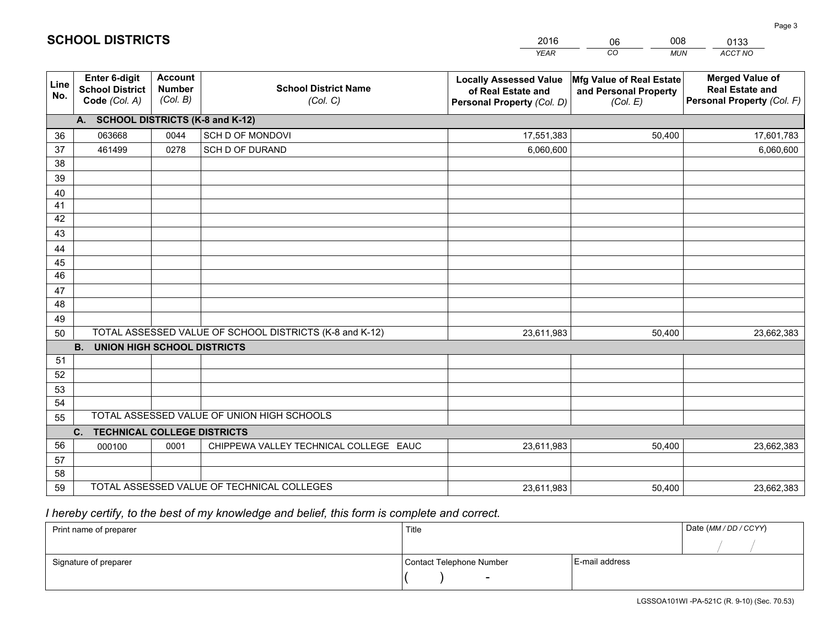|             |                                                                 |                                             |                                                         | <b>YEAR</b>                                                                       | CO<br><b>MUN</b>                                              | ACCT NO                                                                        |
|-------------|-----------------------------------------------------------------|---------------------------------------------|---------------------------------------------------------|-----------------------------------------------------------------------------------|---------------------------------------------------------------|--------------------------------------------------------------------------------|
| Line<br>No. | <b>Enter 6-digit</b><br><b>School District</b><br>Code (Col. A) | <b>Account</b><br><b>Number</b><br>(Col. B) | <b>School District Name</b><br>(Col. C)                 | <b>Locally Assessed Value</b><br>of Real Estate and<br>Personal Property (Col. D) | Mfg Value of Real Estate<br>and Personal Property<br>(Col. E) | <b>Merged Value of</b><br><b>Real Estate and</b><br>Personal Property (Col. F) |
|             | A. SCHOOL DISTRICTS (K-8 and K-12)                              |                                             |                                                         |                                                                                   |                                                               |                                                                                |
| 36          | 063668                                                          | 0044                                        | SCH D OF MONDOVI                                        | 17,551,383                                                                        | 50,400                                                        | 17,601,783                                                                     |
| 37          | 461499                                                          | 0278                                        | SCH D OF DURAND                                         | 6,060,600                                                                         |                                                               | 6,060,600                                                                      |
| 38          |                                                                 |                                             |                                                         |                                                                                   |                                                               |                                                                                |
| 39          |                                                                 |                                             |                                                         |                                                                                   |                                                               |                                                                                |
| 40          |                                                                 |                                             |                                                         |                                                                                   |                                                               |                                                                                |
| 41          |                                                                 |                                             |                                                         |                                                                                   |                                                               |                                                                                |
| 42          |                                                                 |                                             |                                                         |                                                                                   |                                                               |                                                                                |
| 43          |                                                                 |                                             |                                                         |                                                                                   |                                                               |                                                                                |
| 44          |                                                                 |                                             |                                                         |                                                                                   |                                                               |                                                                                |
| 45<br>46    |                                                                 |                                             |                                                         |                                                                                   |                                                               |                                                                                |
| 47          |                                                                 |                                             |                                                         |                                                                                   |                                                               |                                                                                |
| 48          |                                                                 |                                             |                                                         |                                                                                   |                                                               |                                                                                |
| 49          |                                                                 |                                             |                                                         |                                                                                   |                                                               |                                                                                |
| 50          |                                                                 |                                             | TOTAL ASSESSED VALUE OF SCHOOL DISTRICTS (K-8 and K-12) | 23,611,983                                                                        | 50,400                                                        | 23,662,383                                                                     |
|             | <b>B.</b><br><b>UNION HIGH SCHOOL DISTRICTS</b>                 |                                             |                                                         |                                                                                   |                                                               |                                                                                |
| 51          |                                                                 |                                             |                                                         |                                                                                   |                                                               |                                                                                |
| 52          |                                                                 |                                             |                                                         |                                                                                   |                                                               |                                                                                |
| 53          |                                                                 |                                             |                                                         |                                                                                   |                                                               |                                                                                |
| 54          |                                                                 |                                             |                                                         |                                                                                   |                                                               |                                                                                |
| 55          |                                                                 |                                             | TOTAL ASSESSED VALUE OF UNION HIGH SCHOOLS              |                                                                                   |                                                               |                                                                                |
|             | C.<br><b>TECHNICAL COLLEGE DISTRICTS</b>                        |                                             |                                                         |                                                                                   |                                                               |                                                                                |
| 56          | 000100                                                          | 0001                                        | CHIPPEWA VALLEY TECHNICAL COLLEGE EAUC                  | 23,611,983                                                                        | 50,400                                                        | 23,662,383                                                                     |
| 57          |                                                                 |                                             |                                                         |                                                                                   |                                                               |                                                                                |
| 58          |                                                                 |                                             |                                                         |                                                                                   |                                                               |                                                                                |
| 59          |                                                                 |                                             | TOTAL ASSESSED VALUE OF TECHNICAL COLLEGES              | 23,611,983                                                                        | 50,400                                                        | 23,662,383                                                                     |

06

008

 *I hereby certify, to the best of my knowledge and belief, this form is complete and correct.*

**SCHOOL DISTRICTS**

| Print name of preparer | Title                    |                | Date (MM / DD / CCYY) |
|------------------------|--------------------------|----------------|-----------------------|
|                        |                          |                |                       |
| Signature of preparer  | Contact Telephone Number | E-mail address |                       |
|                        | $\sim$                   |                |                       |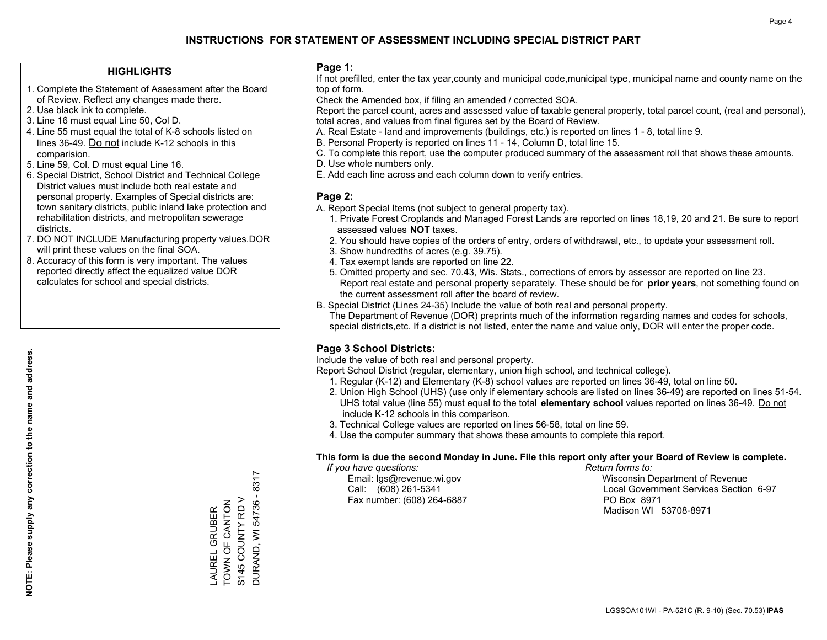#### **HIGHLIGHTS**

- 1. Complete the Statement of Assessment after the Board of Review. Reflect any changes made there.
- 2. Use black ink to complete.
- 3. Line 16 must equal Line 50, Col D.
- 4. Line 55 must equal the total of K-8 schools listed on lines 36-49. Do not include K-12 schools in this comparision.
- 5. Line 59, Col. D must equal Line 16.
- 6. Special District, School District and Technical College District values must include both real estate and personal property. Examples of Special districts are: town sanitary districts, public inland lake protection and rehabilitation districts, and metropolitan sewerage districts.
- 7. DO NOT INCLUDE Manufacturing property values.DOR will print these values on the final SOA.

LAUREL GRUBER TOWN OF CANTON S145 COUNTY RD V DURAND, WI 54736 - 8317

DURAND, WI 54736 - 8317 S145 COUNTY RD V \_AUREL GRUBER<br>TOWN OF CANTON

 8. Accuracy of this form is very important. The values reported directly affect the equalized value DOR calculates for school and special districts.

#### **Page 1:**

 If not prefilled, enter the tax year,county and municipal code,municipal type, municipal name and county name on the top of form.

Check the Amended box, if filing an amended / corrected SOA.

 Report the parcel count, acres and assessed value of taxable general property, total parcel count, (real and personal), total acres, and values from final figures set by the Board of Review.

- A. Real Estate land and improvements (buildings, etc.) is reported on lines 1 8, total line 9.
- B. Personal Property is reported on lines 11 14, Column D, total line 15.
- C. To complete this report, use the computer produced summary of the assessment roll that shows these amounts.
- D. Use whole numbers only.
- E. Add each line across and each column down to verify entries.

#### **Page 2:**

- A. Report Special Items (not subject to general property tax).
- 1. Private Forest Croplands and Managed Forest Lands are reported on lines 18,19, 20 and 21. Be sure to report assessed values **NOT** taxes.
- 2. You should have copies of the orders of entry, orders of withdrawal, etc., to update your assessment roll.
	- 3. Show hundredths of acres (e.g. 39.75).
- 4. Tax exempt lands are reported on line 22.
- 5. Omitted property and sec. 70.43, Wis. Stats., corrections of errors by assessor are reported on line 23. Report real estate and personal property separately. These should be for **prior years**, not something found on the current assessment roll after the board of review.
- B. Special District (Lines 24-35) Include the value of both real and personal property.
- The Department of Revenue (DOR) preprints much of the information regarding names and codes for schools, special districts,etc. If a district is not listed, enter the name and value only, DOR will enter the proper code.

### **Page 3 School Districts:**

Include the value of both real and personal property.

Report School District (regular, elementary, union high school, and technical college).

- 1. Regular (K-12) and Elementary (K-8) school values are reported on lines 36-49, total on line 50.
- 2. Union High School (UHS) (use only if elementary schools are listed on lines 36-49) are reported on lines 51-54. UHS total value (line 55) must equal to the total **elementary school** values reported on lines 36-49. Do notinclude K-12 schools in this comparison.
- 3. Technical College values are reported on lines 56-58, total on line 59.
- 4. Use the computer summary that shows these amounts to complete this report.

#### **This form is due the second Monday in June. File this report only after your Board of Review is complete.**

 *If you have questions: Return forms to:*

Fax number: (608) 264-6887 PO Box 8971

 Email: lgs@revenue.wi.gov Wisconsin Department of Revenue Call: (608) 261-5341 Local Government Services Section 6-97Madison WI 53708-8971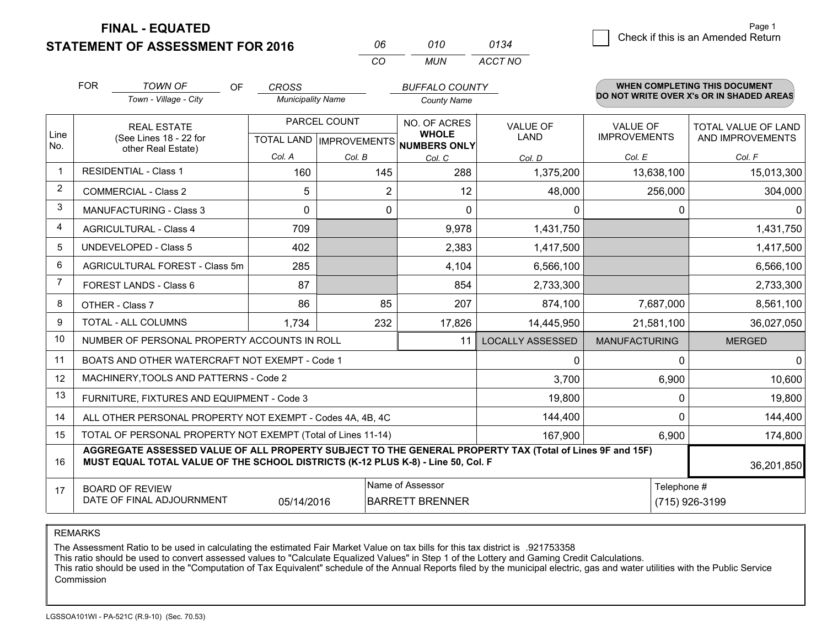**STATEMENT OF ASSESSMENT FOR 2016 FINAL - EQUATED**

| 010 | 0134    |
|-----|---------|
| MUN | ACCT NO |

|                         | <b>FOR</b>                                                                                                                                                                                   | <b>TOWN OF</b><br><b>OF</b><br>Town - Village - City               | <b>CROSS</b><br><b>Municipality Name</b>  |        | <b>BUFFALO COUNTY</b><br><b>County Name</b>                                    |                         |                                        | <b>WHEN COMPLETING THIS DOCUMENT</b><br>DO NOT WRITE OVER X's OR IN SHADED AREAS |
|-------------------------|----------------------------------------------------------------------------------------------------------------------------------------------------------------------------------------------|--------------------------------------------------------------------|-------------------------------------------|--------|--------------------------------------------------------------------------------|-------------------------|----------------------------------------|----------------------------------------------------------------------------------|
| Line<br>No.             |                                                                                                                                                                                              | <b>REAL ESTATE</b><br>(See Lines 18 - 22 for<br>other Real Estate) | PARCEL COUNT<br>TOTAL LAND   IMPROVEMENTS |        | NO. OF ACRES<br><b>VALUE OF</b><br><b>WHOLE</b><br><b>LAND</b><br>NUMBERS ONLY |                         | <b>VALUE OF</b><br><b>IMPROVEMENTS</b> | <b>TOTAL VALUE OF LAND</b><br>AND IMPROVEMENTS                                   |
|                         |                                                                                                                                                                                              |                                                                    | Col. A                                    | Col. B | Col. C                                                                         | Col. D                  | Col. E                                 | Col. F                                                                           |
| $\overline{\mathbf{1}}$ |                                                                                                                                                                                              | <b>RESIDENTIAL - Class 1</b>                                       | 160                                       | 145    | 288                                                                            | 1,375,200               | 13,638,100                             | 15,013,300                                                                       |
| 2                       |                                                                                                                                                                                              | <b>COMMERCIAL - Class 2</b>                                        | 5                                         | 2      | 12                                                                             | 48,000                  | 256,000                                | 304,000                                                                          |
| 3                       |                                                                                                                                                                                              | <b>MANUFACTURING - Class 3</b>                                     | $\Omega$                                  | 0      | $\Omega$                                                                       | 0                       | $\Omega$                               | $\mathbf{0}$                                                                     |
| 4                       |                                                                                                                                                                                              | <b>AGRICULTURAL - Class 4</b>                                      | 709                                       |        | 9,978                                                                          | 1,431,750               |                                        | 1,431,750                                                                        |
| 5                       |                                                                                                                                                                                              | <b>UNDEVELOPED - Class 5</b>                                       | 402                                       |        | 2,383                                                                          | 1,417,500               |                                        | 1,417,500                                                                        |
| 6                       |                                                                                                                                                                                              | AGRICULTURAL FOREST - Class 5m                                     | 285                                       |        | 4,104                                                                          | 6,566,100               |                                        | 6,566,100                                                                        |
| 7                       |                                                                                                                                                                                              | FOREST LANDS - Class 6                                             | 87                                        |        | 854                                                                            | 2,733,300               |                                        | 2,733,300                                                                        |
| 8                       |                                                                                                                                                                                              | OTHER - Class 7                                                    | 86                                        | 85     | 207                                                                            | 874,100                 | 7,687,000                              | 8,561,100                                                                        |
| 9                       |                                                                                                                                                                                              | TOTAL - ALL COLUMNS                                                | 1,734                                     | 232    | 17,826                                                                         | 14,445,950              | 21,581,100                             | 36,027,050                                                                       |
| 10                      |                                                                                                                                                                                              | NUMBER OF PERSONAL PROPERTY ACCOUNTS IN ROLL                       |                                           |        | 11                                                                             | <b>LOCALLY ASSESSED</b> | <b>MANUFACTURING</b>                   | <b>MERGED</b>                                                                    |
| 11                      |                                                                                                                                                                                              | BOATS AND OTHER WATERCRAFT NOT EXEMPT - Code 1                     |                                           |        |                                                                                | 0                       | 0                                      | $\mathbf 0$                                                                      |
| 12                      |                                                                                                                                                                                              | MACHINERY, TOOLS AND PATTERNS - Code 2                             |                                           |        |                                                                                | 3,700                   | 6,900                                  | 10,600                                                                           |
| 13                      |                                                                                                                                                                                              | FURNITURE, FIXTURES AND EQUIPMENT - Code 3                         |                                           |        |                                                                                | 19,800                  | $\Omega$                               | 19,800                                                                           |
| 14                      |                                                                                                                                                                                              | ALL OTHER PERSONAL PROPERTY NOT EXEMPT - Codes 4A, 4B, 4C          |                                           |        |                                                                                | 144,400                 | $\Omega$                               | 144,400                                                                          |
| 15                      |                                                                                                                                                                                              | TOTAL OF PERSONAL PROPERTY NOT EXEMPT (Total of Lines 11-14)       |                                           |        | 167,900                                                                        | 6,900                   | 174,800                                |                                                                                  |
| 16                      | AGGREGATE ASSESSED VALUE OF ALL PROPERTY SUBJECT TO THE GENERAL PROPERTY TAX (Total of Lines 9F and 15F)<br>MUST EQUAL TOTAL VALUE OF THE SCHOOL DISTRICTS (K-12 PLUS K-8) - Line 50, Col. F |                                                                    |                                           |        |                                                                                |                         | 36,201,850                             |                                                                                  |
| 17                      | Name of Assessor<br>Telephone #<br><b>BOARD OF REVIEW</b><br>DATE OF FINAL ADJOURNMENT<br>05/14/2016<br><b>BARRETT BRENNER</b><br>(715) 926-3199                                             |                                                                    |                                           |        |                                                                                |                         |                                        |                                                                                  |

*CO*

*<sup>06</sup> <sup>010</sup>*

REMARKS

The Assessment Ratio to be used in calculating the estimated Fair Market Value on tax bills for this tax district is .921753358

This ratio should be used to convert assessed values to "Calculate Equalized Values" in Step 1 of the Lottery and Gaming Credit Calculations.<br>This ratio should be used in the "Computation of Tax Equivalent" schedule of the Commission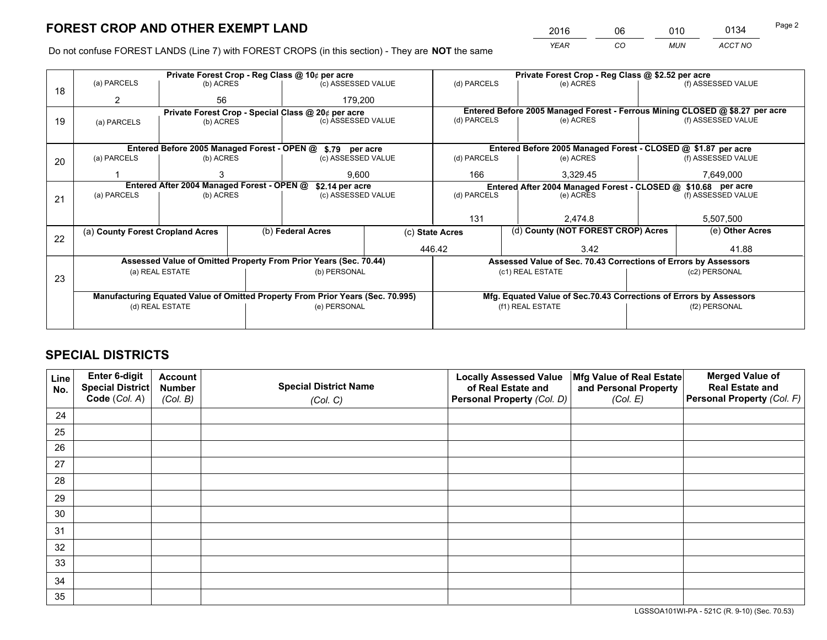*YEAR CO MUN ACCT NO* <sup>2016</sup> <sup>06</sup> <sup>010</sup> <sup>0134</sup> Page 2

Do not confuse FOREST LANDS (Line 7) with FOREST CROPS (in this section) - They are **NOT** the same

|    | Private Forest Crop - Reg Class @ 10¢ per acre                                 |                 |  |                                                                  |                                                                    |                                                                              | Private Forest Crop - Reg Class @ \$2.52 per acre               |               |                    |  |
|----|--------------------------------------------------------------------------------|-----------------|--|------------------------------------------------------------------|--------------------------------------------------------------------|------------------------------------------------------------------------------|-----------------------------------------------------------------|---------------|--------------------|--|
| 18 | (a) PARCELS                                                                    | (b) ACRES       |  | (c) ASSESSED VALUE                                               |                                                                    | (d) PARCELS                                                                  | (e) ACRES                                                       |               | (f) ASSESSED VALUE |  |
|    | 2                                                                              | 56              |  | 179.200                                                          |                                                                    |                                                                              |                                                                 |               |                    |  |
|    |                                                                                |                 |  | Private Forest Crop - Special Class @ 20¢ per acre               |                                                                    | Entered Before 2005 Managed Forest - Ferrous Mining CLOSED @ \$8.27 per acre |                                                                 |               |                    |  |
| 19 | (a) PARCELS                                                                    | (b) ACRES       |  | (c) ASSESSED VALUE                                               |                                                                    | (d) PARCELS                                                                  | (e) ACRES                                                       |               | (f) ASSESSED VALUE |  |
|    |                                                                                |                 |  |                                                                  |                                                                    |                                                                              |                                                                 |               |                    |  |
|    |                                                                                |                 |  | Entered Before 2005 Managed Forest - OPEN @ \$.79 per acre       |                                                                    |                                                                              | Entered Before 2005 Managed Forest - CLOSED @ \$1.87 per acre   |               |                    |  |
| 20 | (a) PARCELS                                                                    | (b) ACRES       |  | (c) ASSESSED VALUE                                               |                                                                    | (d) PARCELS                                                                  | (e) ACRES                                                       |               | (f) ASSESSED VALUE |  |
|    |                                                                                | 9.600<br>3      |  |                                                                  | 166                                                                | 3,329.45                                                                     |                                                                 | 7,649,000     |                    |  |
|    | Entered After 2004 Managed Forest - OPEN @<br>\$2.14 per acre                  |                 |  |                                                                  | Entered After 2004 Managed Forest - CLOSED @ \$10.68 per acre      |                                                                              |                                                                 |               |                    |  |
| 21 | (a) PARCELS                                                                    | (b) ACRES       |  | (c) ASSESSED VALUE                                               |                                                                    | (d) PARCELS                                                                  | (e) ACRES                                                       |               | (f) ASSESSED VALUE |  |
|    |                                                                                |                 |  |                                                                  |                                                                    |                                                                              |                                                                 |               |                    |  |
|    |                                                                                |                 |  |                                                                  | 131                                                                |                                                                              | 2.474.8                                                         |               | 5,507,500          |  |
| 22 | (a) County Forest Cropland Acres                                               |                 |  | (b) Federal Acres                                                | (c) State Acres                                                    |                                                                              | (d) County (NOT FOREST CROP) Acres                              |               | (e) Other Acres    |  |
|    |                                                                                |                 |  |                                                                  | 446.42                                                             |                                                                              | 3.42                                                            |               | 41.88              |  |
|    |                                                                                |                 |  | Assessed Value of Omitted Property From Prior Years (Sec. 70.44) |                                                                    |                                                                              | Assessed Value of Sec. 70.43 Corrections of Errors by Assessors |               |                    |  |
|    |                                                                                | (a) REAL ESTATE |  | (b) PERSONAL                                                     |                                                                    |                                                                              | (c1) REAL ESTATE                                                |               | (c2) PERSONAL      |  |
| 23 |                                                                                |                 |  |                                                                  |                                                                    |                                                                              |                                                                 |               |                    |  |
|    | Manufacturing Equated Value of Omitted Property From Prior Years (Sec. 70.995) |                 |  |                                                                  | Mfg. Equated Value of Sec.70.43 Corrections of Errors by Assessors |                                                                              |                                                                 |               |                    |  |
|    | (d) REAL ESTATE                                                                |                 |  | (e) PERSONAL                                                     |                                                                    | (f1) REAL ESTATE                                                             |                                                                 | (f2) PERSONAL |                    |  |
|    |                                                                                |                 |  |                                                                  |                                                                    |                                                                              |                                                                 |               |                    |  |

## **SPECIAL DISTRICTS**

| Line<br>No. | Enter 6-digit<br>Special District | <b>Account</b><br><b>Number</b> | <b>Special District Name</b> | <b>Locally Assessed Value</b><br>of Real Estate and | Mfg Value of Real Estate<br>and Personal Property | <b>Merged Value of</b><br><b>Real Estate and</b> |
|-------------|-----------------------------------|---------------------------------|------------------------------|-----------------------------------------------------|---------------------------------------------------|--------------------------------------------------|
|             | Code (Col. A)                     | (Col. B)                        | (Col. C)                     | Personal Property (Col. D)                          | (Col. E)                                          | Personal Property (Col. F)                       |
| 24          |                                   |                                 |                              |                                                     |                                                   |                                                  |
| 25          |                                   |                                 |                              |                                                     |                                                   |                                                  |
| 26          |                                   |                                 |                              |                                                     |                                                   |                                                  |
| 27          |                                   |                                 |                              |                                                     |                                                   |                                                  |
| 28          |                                   |                                 |                              |                                                     |                                                   |                                                  |
| 29          |                                   |                                 |                              |                                                     |                                                   |                                                  |
| 30          |                                   |                                 |                              |                                                     |                                                   |                                                  |
| 31          |                                   |                                 |                              |                                                     |                                                   |                                                  |
| 32          |                                   |                                 |                              |                                                     |                                                   |                                                  |
| 33          |                                   |                                 |                              |                                                     |                                                   |                                                  |
| 34          |                                   |                                 |                              |                                                     |                                                   |                                                  |
| 35          |                                   |                                 |                              |                                                     |                                                   |                                                  |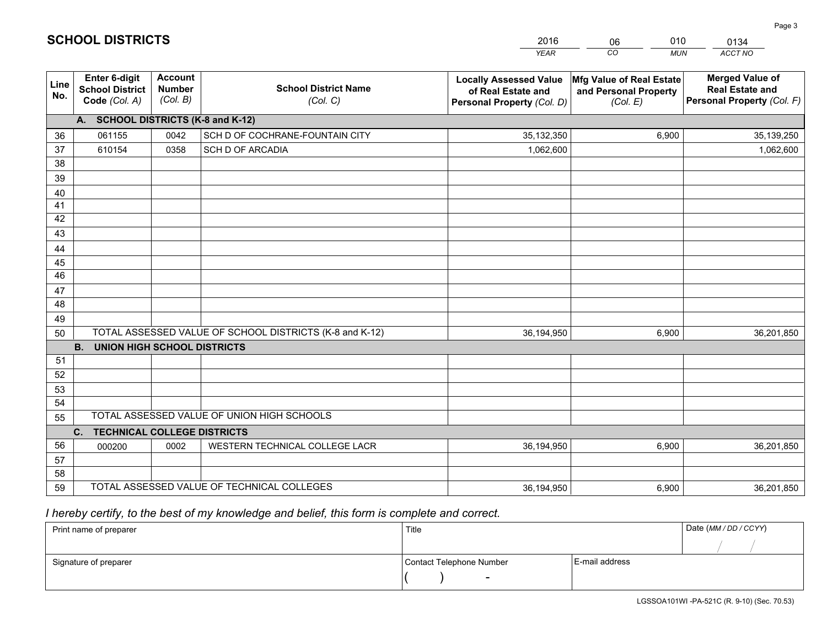|             |                                                                 |                                             |                                                         | <b>YEAR</b>                                                                       | CO<br><b>MUN</b>                                              | ACCT NO                                                                        |
|-------------|-----------------------------------------------------------------|---------------------------------------------|---------------------------------------------------------|-----------------------------------------------------------------------------------|---------------------------------------------------------------|--------------------------------------------------------------------------------|
| Line<br>No. | <b>Enter 6-digit</b><br><b>School District</b><br>Code (Col. A) | <b>Account</b><br><b>Number</b><br>(Col. B) | <b>School District Name</b><br>(Col. C)                 | <b>Locally Assessed Value</b><br>of Real Estate and<br>Personal Property (Col. D) | Mfg Value of Real Estate<br>and Personal Property<br>(Col. E) | <b>Merged Value of</b><br><b>Real Estate and</b><br>Personal Property (Col. F) |
|             | A. SCHOOL DISTRICTS (K-8 and K-12)                              |                                             |                                                         |                                                                                   |                                                               |                                                                                |
| 36          | 061155                                                          | 0042                                        | SCH D OF COCHRANE-FOUNTAIN CITY                         | 35,132,350                                                                        | 6,900                                                         | 35,139,250                                                                     |
| 37          | 610154                                                          | 0358                                        | <b>SCH D OF ARCADIA</b>                                 | 1,062,600                                                                         |                                                               | 1,062,600                                                                      |
| 38          |                                                                 |                                             |                                                         |                                                                                   |                                                               |                                                                                |
| 39          |                                                                 |                                             |                                                         |                                                                                   |                                                               |                                                                                |
| 40          |                                                                 |                                             |                                                         |                                                                                   |                                                               |                                                                                |
| 41          |                                                                 |                                             |                                                         |                                                                                   |                                                               |                                                                                |
| 42          |                                                                 |                                             |                                                         |                                                                                   |                                                               |                                                                                |
| 43          |                                                                 |                                             |                                                         |                                                                                   |                                                               |                                                                                |
| 44          |                                                                 |                                             |                                                         |                                                                                   |                                                               |                                                                                |
| 45<br>46    |                                                                 |                                             |                                                         |                                                                                   |                                                               |                                                                                |
|             |                                                                 |                                             |                                                         |                                                                                   |                                                               |                                                                                |
| 47<br>48    |                                                                 |                                             |                                                         |                                                                                   |                                                               |                                                                                |
| 49          |                                                                 |                                             |                                                         |                                                                                   |                                                               |                                                                                |
| 50          |                                                                 |                                             | TOTAL ASSESSED VALUE OF SCHOOL DISTRICTS (K-8 and K-12) | 36,194,950                                                                        | 6,900                                                         | 36,201,850                                                                     |
|             | <b>B.</b><br><b>UNION HIGH SCHOOL DISTRICTS</b>                 |                                             |                                                         |                                                                                   |                                                               |                                                                                |
| 51          |                                                                 |                                             |                                                         |                                                                                   |                                                               |                                                                                |
| 52          |                                                                 |                                             |                                                         |                                                                                   |                                                               |                                                                                |
| 53          |                                                                 |                                             |                                                         |                                                                                   |                                                               |                                                                                |
| 54          |                                                                 |                                             |                                                         |                                                                                   |                                                               |                                                                                |
| 55          |                                                                 |                                             | TOTAL ASSESSED VALUE OF UNION HIGH SCHOOLS              |                                                                                   |                                                               |                                                                                |
|             | C.<br><b>TECHNICAL COLLEGE DISTRICTS</b>                        |                                             |                                                         |                                                                                   |                                                               |                                                                                |
| 56          | 000200                                                          | 0002                                        | WESTERN TECHNICAL COLLEGE LACR                          | 36,194,950                                                                        | 6,900                                                         | 36,201,850                                                                     |
| 57          |                                                                 |                                             |                                                         |                                                                                   |                                                               |                                                                                |
| 58          |                                                                 |                                             |                                                         |                                                                                   |                                                               |                                                                                |
| 59          |                                                                 |                                             | TOTAL ASSESSED VALUE OF TECHNICAL COLLEGES              | 36,194,950                                                                        | 6,900                                                         | 36,201,850                                                                     |

06

010

 *I hereby certify, to the best of my knowledge and belief, this form is complete and correct.*

**SCHOOL DISTRICTS**

| Print name of preparer | Title                    |                | Date (MM / DD / CCYY) |
|------------------------|--------------------------|----------------|-----------------------|
|                        |                          |                |                       |
| Signature of preparer  | Contact Telephone Number | E-mail address |                       |
|                        | $\sim$                   |                |                       |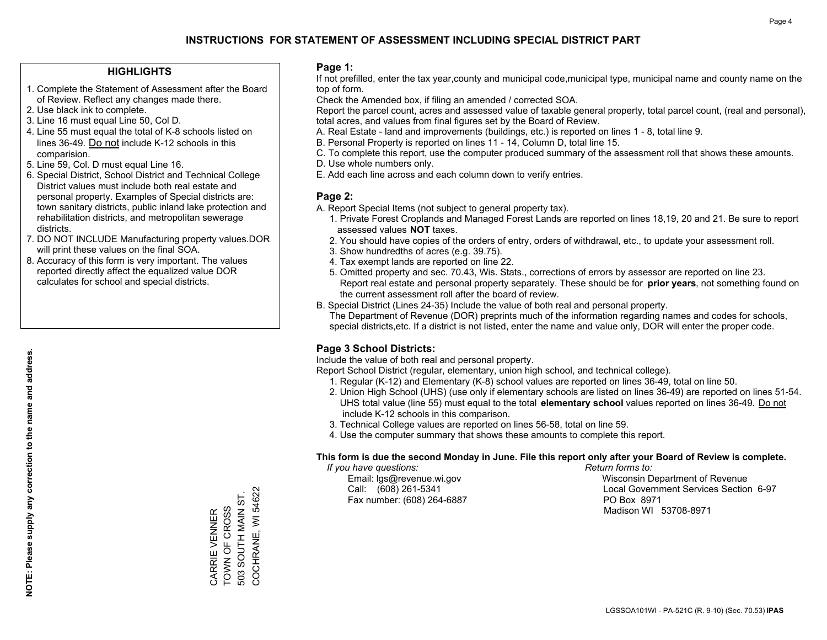#### **HIGHLIGHTS**

- 1. Complete the Statement of Assessment after the Board of Review. Reflect any changes made there.
- 2. Use black ink to complete.
- 3. Line 16 must equal Line 50, Col D.
- 4. Line 55 must equal the total of K-8 schools listed on lines 36-49. Do not include K-12 schools in this comparision.
- 5. Line 59, Col. D must equal Line 16.
- 6. Special District, School District and Technical College District values must include both real estate and personal property. Examples of Special districts are: town sanitary districts, public inland lake protection and rehabilitation districts, and metropolitan sewerage districts.
- 7. DO NOT INCLUDE Manufacturing property values.DOR will print these values on the final SOA.
- 8. Accuracy of this form is very important. The values reported directly affect the equalized value DOR calculates for school and special districts.

#### **Page 1:**

 If not prefilled, enter the tax year,county and municipal code,municipal type, municipal name and county name on the top of form.

Check the Amended box, if filing an amended / corrected SOA.

 Report the parcel count, acres and assessed value of taxable general property, total parcel count, (real and personal), total acres, and values from final figures set by the Board of Review.

- A. Real Estate land and improvements (buildings, etc.) is reported on lines 1 8, total line 9.
- B. Personal Property is reported on lines 11 14, Column D, total line 15.
- C. To complete this report, use the computer produced summary of the assessment roll that shows these amounts.
- D. Use whole numbers only.
- E. Add each line across and each column down to verify entries.

#### **Page 2:**

- A. Report Special Items (not subject to general property tax).
- 1. Private Forest Croplands and Managed Forest Lands are reported on lines 18,19, 20 and 21. Be sure to report assessed values **NOT** taxes.
- 2. You should have copies of the orders of entry, orders of withdrawal, etc., to update your assessment roll.
	- 3. Show hundredths of acres (e.g. 39.75).
- 4. Tax exempt lands are reported on line 22.
- 5. Omitted property and sec. 70.43, Wis. Stats., corrections of errors by assessor are reported on line 23. Report real estate and personal property separately. These should be for **prior years**, not something found on the current assessment roll after the board of review.
- B. Special District (Lines 24-35) Include the value of both real and personal property.
- The Department of Revenue (DOR) preprints much of the information regarding names and codes for schools, special districts,etc. If a district is not listed, enter the name and value only, DOR will enter the proper code.

### **Page 3 School Districts:**

Include the value of both real and personal property.

Report School District (regular, elementary, union high school, and technical college).

- 1. Regular (K-12) and Elementary (K-8) school values are reported on lines 36-49, total on line 50.
- 2. Union High School (UHS) (use only if elementary schools are listed on lines 36-49) are reported on lines 51-54. UHS total value (line 55) must equal to the total **elementary school** values reported on lines 36-49. Do notinclude K-12 schools in this comparison.
- 3. Technical College values are reported on lines 56-58, total on line 59.
- 4. Use the computer summary that shows these amounts to complete this report.

#### **This form is due the second Monday in June. File this report only after your Board of Review is complete.**

 *If you have questions: Return forms to:*

Fax number: (608) 264-6887 PO Box 8971

 Email: lgs@revenue.wi.gov Wisconsin Department of Revenue Call: (608) 261-5341 Local Government Services Section 6-97Madison WI 53708-8971

COCHRANE, WI 54622 COCHRANE, WI 54622 503 SOUTH MAIN ST. 503 SOUTH MAIN ST. CARRIE VENNER<br>TOWN OF CROSS TOWN OF CROSS CARRIE VENNER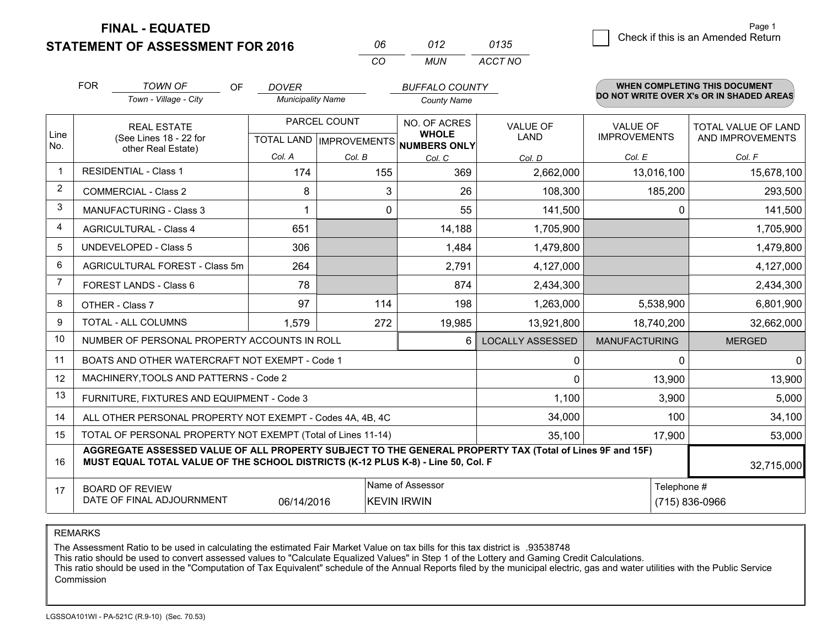**FINAL - EQUATED**

**STATEMENT OF ASSESSMENT FOR 2016** 

| NR       | 012 | 0135    |
|----------|-----|---------|
| $\cdots$ | MUN | ACCT NO |

|      | <b>FOR</b>                                                                                                                                                                                   | <b>TOWN OF</b><br><b>OF</b>                               | <b>DOVER</b>                              |        | <b>BUFFALO COUNTY</b>        |                                |                                        | <b>WHEN COMPLETING THIS DOCUMENT</b>           |
|------|----------------------------------------------------------------------------------------------------------------------------------------------------------------------------------------------|-----------------------------------------------------------|-------------------------------------------|--------|------------------------------|--------------------------------|----------------------------------------|------------------------------------------------|
|      |                                                                                                                                                                                              | Town - Village - City                                     | <b>Municipality Name</b>                  |        | <b>County Name</b>           |                                |                                        | DO NOT WRITE OVER X's OR IN SHADED AREAS       |
| Line |                                                                                                                                                                                              | <b>REAL ESTATE</b><br>(See Lines 18 - 22 for              | PARCEL COUNT<br>TOTAL LAND   IMPROVEMENTS |        | NO. OF ACRES<br><b>WHOLE</b> | <b>VALUE OF</b><br><b>LAND</b> | <b>VALUE OF</b><br><b>IMPROVEMENTS</b> | <b>TOTAL VALUE OF LAND</b><br>AND IMPROVEMENTS |
| No.  |                                                                                                                                                                                              | other Real Estate)                                        | Col. A                                    | Col. B | NUMBERS ONLY<br>Col. C       | Col. D                         | Col. E                                 | Col. F                                         |
|      |                                                                                                                                                                                              | <b>RESIDENTIAL - Class 1</b>                              | 174                                       | 155    | 369                          | 2,662,000                      | 13,016,100                             | 15,678,100                                     |
| 2    |                                                                                                                                                                                              | <b>COMMERCIAL - Class 2</b>                               | 8                                         | 3      | 26                           | 108,300                        | 185,200                                | 293,500                                        |
| 3    |                                                                                                                                                                                              | <b>MANUFACTURING - Class 3</b>                            | 1                                         | 0      | 55                           | 141,500                        | $\Omega$                               | 141,500                                        |
| 4    |                                                                                                                                                                                              | <b>AGRICULTURAL - Class 4</b>                             | 651                                       |        | 14,188                       | 1,705,900                      |                                        | 1,705,900                                      |
| 5    |                                                                                                                                                                                              | <b>UNDEVELOPED - Class 5</b>                              | 306                                       |        | 1,484                        | 1,479,800                      |                                        | 1,479,800                                      |
| 6    |                                                                                                                                                                                              | AGRICULTURAL FOREST - Class 5m                            | 264                                       |        | 2,791                        | 4,127,000                      |                                        | 4,127,000                                      |
| 7    |                                                                                                                                                                                              | FOREST LANDS - Class 6                                    | 78                                        |        | 874                          | 2,434,300                      |                                        | 2,434,300                                      |
| 8    |                                                                                                                                                                                              | OTHER - Class 7                                           | 97                                        | 114    | 198                          | 1,263,000                      | 5,538,900                              | 6,801,900                                      |
| 9    |                                                                                                                                                                                              | TOTAL - ALL COLUMNS                                       | 1,579                                     | 272    | 19,985                       | 13,921,800                     | 18,740,200                             | 32,662,000                                     |
| 10   |                                                                                                                                                                                              | NUMBER OF PERSONAL PROPERTY ACCOUNTS IN ROLL              |                                           |        | 6                            | <b>LOCALLY ASSESSED</b>        | <b>MANUFACTURING</b>                   | <b>MERGED</b>                                  |
| 11   |                                                                                                                                                                                              | BOATS AND OTHER WATERCRAFT NOT EXEMPT - Code 1            |                                           |        |                              | 0                              | $\Omega$                               | 0                                              |
| 12   |                                                                                                                                                                                              | MACHINERY, TOOLS AND PATTERNS - Code 2                    |                                           |        |                              | $\Omega$                       | 13,900                                 | 13,900                                         |
| 13   |                                                                                                                                                                                              | FURNITURE, FIXTURES AND EQUIPMENT - Code 3                |                                           |        |                              | 1,100                          | 3,900                                  | 5,000                                          |
| 14   |                                                                                                                                                                                              | ALL OTHER PERSONAL PROPERTY NOT EXEMPT - Codes 4A, 4B, 4C |                                           |        |                              | 34,000                         | 100                                    | 34,100                                         |
| 15   | TOTAL OF PERSONAL PROPERTY NOT EXEMPT (Total of Lines 11-14)<br>35,100                                                                                                                       |                                                           |                                           |        |                              |                                | 17,900                                 | 53,000                                         |
| 16   | AGGREGATE ASSESSED VALUE OF ALL PROPERTY SUBJECT TO THE GENERAL PROPERTY TAX (Total of Lines 9F and 15F)<br>MUST EQUAL TOTAL VALUE OF THE SCHOOL DISTRICTS (K-12 PLUS K-8) - Line 50, Col. F |                                                           |                                           |        |                              |                                | 32,715,000                             |                                                |
| 17   | Name of Assessor<br>Telephone #<br><b>BOARD OF REVIEW</b><br>DATE OF FINAL ADJOURNMENT<br>06/14/2016<br><b>KEVIN IRWIN</b><br>(715) 836-0966                                                 |                                                           |                                           |        |                              |                                |                                        |                                                |

REMARKS

The Assessment Ratio to be used in calculating the estimated Fair Market Value on tax bills for this tax district is .93538748<br>This ratio should be used to convert assessed values to "Calculate Equalized Values" in Step 1 Commission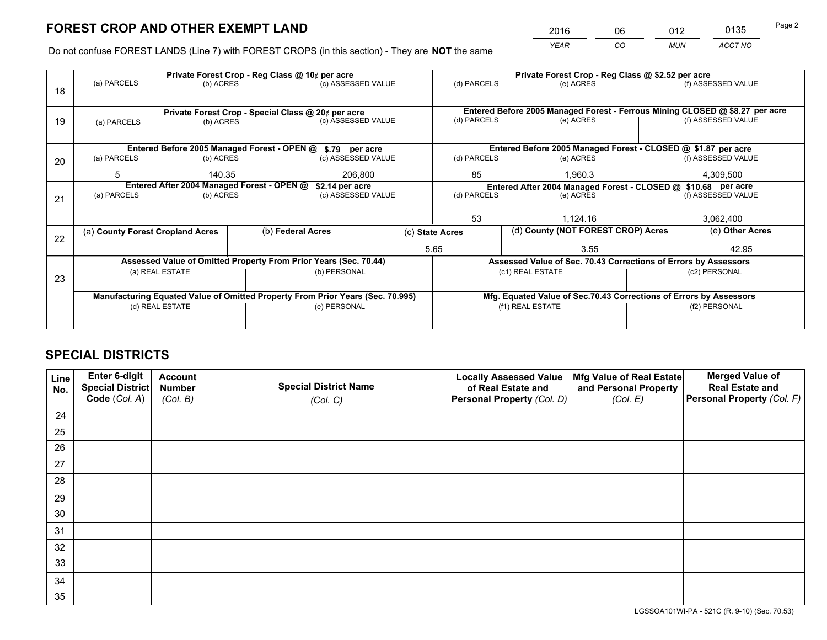*YEAR CO MUN ACCT NO* 2016 06 012 0135

Do not confuse FOREST LANDS (Line 7) with FOREST CROPS (in this section) - They are **NOT** the same

|    |                                                                                |                                 |  | Private Forest Crop - Reg Class @ 10¢ per acre                   |             | Private Forest Crop - Reg Class @ \$2.52 per acre                            |                                                                 |                    |                    |  |
|----|--------------------------------------------------------------------------------|---------------------------------|--|------------------------------------------------------------------|-------------|------------------------------------------------------------------------------|-----------------------------------------------------------------|--------------------|--------------------|--|
| 18 | (a) PARCELS                                                                    | (b) ACRES                       |  | (c) ASSESSED VALUE                                               |             | (d) PARCELS                                                                  | (e) ACRES                                                       |                    | (f) ASSESSED VALUE |  |
|    | Private Forest Crop - Special Class @ 20¢ per acre                             |                                 |  |                                                                  |             | Entered Before 2005 Managed Forest - Ferrous Mining CLOSED @ \$8.27 per acre |                                                                 |                    |                    |  |
| 19 | (a) PARCELS                                                                    | (c) ASSESSED VALUE<br>(b) ACRES |  |                                                                  | (d) PARCELS | (e) ACRES                                                                    |                                                                 | (f) ASSESSED VALUE |                    |  |
|    |                                                                                |                                 |  | Entered Before 2005 Managed Forest - OPEN @ \$.79 per acre       |             |                                                                              | Entered Before 2005 Managed Forest - CLOSED @ \$1.87 per acre   |                    |                    |  |
| 20 | (a) PARCELS                                                                    | (b) ACRES                       |  | (c) ASSESSED VALUE                                               |             | (d) PARCELS                                                                  | (e) ACRES                                                       |                    | (f) ASSESSED VALUE |  |
|    | 5                                                                              | 140.35                          |  | 206.800                                                          |             | 85                                                                           | 1.960.3                                                         |                    | 4,309,500          |  |
|    | Entered After 2004 Managed Forest - OPEN @<br>\$2.14 per acre                  |                                 |  |                                                                  |             | Entered After 2004 Managed Forest - CLOSED @ \$10.68 per acre                |                                                                 |                    |                    |  |
| 21 | (a) PARCELS                                                                    | (b) ACRES                       |  | (c) ASSESSED VALUE                                               |             | (d) PARCELS                                                                  | (e) ACRES                                                       |                    | (f) ASSESSED VALUE |  |
|    |                                                                                |                                 |  |                                                                  |             |                                                                              |                                                                 |                    |                    |  |
|    |                                                                                |                                 |  |                                                                  |             | 53                                                                           | 1,124.16                                                        |                    | 3,062,400          |  |
| 22 | (a) County Forest Cropland Acres                                               |                                 |  | (b) Federal Acres                                                |             | (c) State Acres                                                              | (d) County (NOT FOREST CROP) Acres                              |                    | (e) Other Acres    |  |
|    |                                                                                |                                 |  |                                                                  |             | 5.65<br>3.55                                                                 |                                                                 |                    | 42.95              |  |
|    |                                                                                |                                 |  | Assessed Value of Omitted Property From Prior Years (Sec. 70.44) |             |                                                                              | Assessed Value of Sec. 70.43 Corrections of Errors by Assessors |                    |                    |  |
| 23 |                                                                                | (a) REAL ESTATE                 |  | (b) PERSONAL                                                     |             |                                                                              | (c1) REAL ESTATE                                                |                    | (c2) PERSONAL      |  |
|    |                                                                                |                                 |  |                                                                  |             |                                                                              |                                                                 |                    |                    |  |
|    | Manufacturing Equated Value of Omitted Property From Prior Years (Sec. 70.995) |                                 |  |                                                                  |             | Mfg. Equated Value of Sec.70.43 Corrections of Errors by Assessors           |                                                                 |                    |                    |  |
|    | (d) REAL ESTATE                                                                |                                 |  | (e) PERSONAL                                                     |             | (f1) REAL ESTATE                                                             |                                                                 |                    | (f2) PERSONAL      |  |
|    |                                                                                |                                 |  |                                                                  |             |                                                                              |                                                                 |                    |                    |  |

## **SPECIAL DISTRICTS**

| Line<br>No. | Enter 6-digit<br><b>Special District</b> | <b>Account</b><br><b>Number</b> | <b>Special District Name</b> | <b>Locally Assessed Value</b><br>of Real Estate and | Mfg Value of Real Estate<br>and Personal Property | <b>Merged Value of</b><br><b>Real Estate and</b> |
|-------------|------------------------------------------|---------------------------------|------------------------------|-----------------------------------------------------|---------------------------------------------------|--------------------------------------------------|
|             | Code (Col. A)                            | (Col. B)                        | (Col. C)                     | Personal Property (Col. D)                          | (Col. E)                                          | Personal Property (Col. F)                       |
| 24          |                                          |                                 |                              |                                                     |                                                   |                                                  |
| 25          |                                          |                                 |                              |                                                     |                                                   |                                                  |
| 26          |                                          |                                 |                              |                                                     |                                                   |                                                  |
| 27          |                                          |                                 |                              |                                                     |                                                   |                                                  |
| 28          |                                          |                                 |                              |                                                     |                                                   |                                                  |
| 29          |                                          |                                 |                              |                                                     |                                                   |                                                  |
| 30          |                                          |                                 |                              |                                                     |                                                   |                                                  |
| 31          |                                          |                                 |                              |                                                     |                                                   |                                                  |
| 32          |                                          |                                 |                              |                                                     |                                                   |                                                  |
| 33          |                                          |                                 |                              |                                                     |                                                   |                                                  |
| 34          |                                          |                                 |                              |                                                     |                                                   |                                                  |
| 35          |                                          |                                 |                              |                                                     |                                                   |                                                  |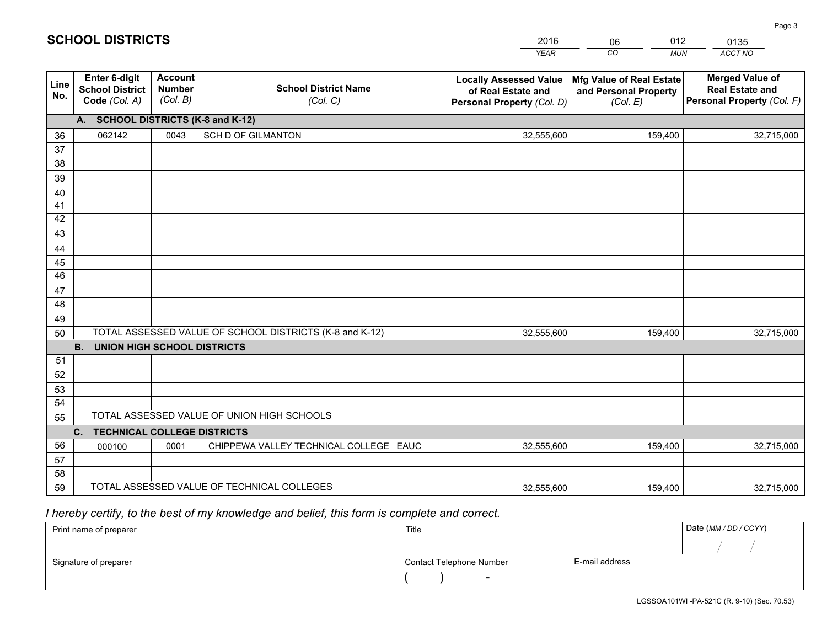|             |                                                                 |                                             |                                                         | <b>YEAR</b>                                                                       | CO<br><b>MUN</b>                                              | <b>ACCT NO</b>                                                                 |
|-------------|-----------------------------------------------------------------|---------------------------------------------|---------------------------------------------------------|-----------------------------------------------------------------------------------|---------------------------------------------------------------|--------------------------------------------------------------------------------|
| Line<br>No. | <b>Enter 6-digit</b><br><b>School District</b><br>Code (Col. A) | <b>Account</b><br><b>Number</b><br>(Col. B) | <b>School District Name</b><br>(Col. C)                 | <b>Locally Assessed Value</b><br>of Real Estate and<br>Personal Property (Col. D) | Mfg Value of Real Estate<br>and Personal Property<br>(Col. E) | <b>Merged Value of</b><br><b>Real Estate and</b><br>Personal Property (Col. F) |
|             | A. SCHOOL DISTRICTS (K-8 and K-12)                              |                                             |                                                         |                                                                                   |                                                               |                                                                                |
| 36          | 062142                                                          | 0043                                        | SCH D OF GILMANTON                                      | 32,555,600                                                                        | 159,400                                                       | 32,715,000                                                                     |
| 37          |                                                                 |                                             |                                                         |                                                                                   |                                                               |                                                                                |
| 38          |                                                                 |                                             |                                                         |                                                                                   |                                                               |                                                                                |
| 39          |                                                                 |                                             |                                                         |                                                                                   |                                                               |                                                                                |
| 40          |                                                                 |                                             |                                                         |                                                                                   |                                                               |                                                                                |
| 41<br>42    |                                                                 |                                             |                                                         |                                                                                   |                                                               |                                                                                |
| 43          |                                                                 |                                             |                                                         |                                                                                   |                                                               |                                                                                |
| 44          |                                                                 |                                             |                                                         |                                                                                   |                                                               |                                                                                |
| 45          |                                                                 |                                             |                                                         |                                                                                   |                                                               |                                                                                |
| 46          |                                                                 |                                             |                                                         |                                                                                   |                                                               |                                                                                |
| 47          |                                                                 |                                             |                                                         |                                                                                   |                                                               |                                                                                |
| 48          |                                                                 |                                             |                                                         |                                                                                   |                                                               |                                                                                |
| 49          |                                                                 |                                             |                                                         |                                                                                   |                                                               |                                                                                |
| 50          |                                                                 |                                             | TOTAL ASSESSED VALUE OF SCHOOL DISTRICTS (K-8 and K-12) | 32,555,600                                                                        | 159,400                                                       | 32,715,000                                                                     |
|             | <b>B.</b><br><b>UNION HIGH SCHOOL DISTRICTS</b>                 |                                             |                                                         |                                                                                   |                                                               |                                                                                |
| 51          |                                                                 |                                             |                                                         |                                                                                   |                                                               |                                                                                |
| 52          |                                                                 |                                             |                                                         |                                                                                   |                                                               |                                                                                |
| 53          |                                                                 |                                             |                                                         |                                                                                   |                                                               |                                                                                |
| 54          |                                                                 |                                             |                                                         |                                                                                   |                                                               |                                                                                |
| 55          |                                                                 |                                             | TOTAL ASSESSED VALUE OF UNION HIGH SCHOOLS              |                                                                                   |                                                               |                                                                                |
|             | C.<br><b>TECHNICAL COLLEGE DISTRICTS</b>                        |                                             |                                                         |                                                                                   |                                                               |                                                                                |
| 56<br>57    | 000100                                                          | 0001                                        | CHIPPEWA VALLEY TECHNICAL COLLEGE EAUC                  | 32,555,600                                                                        | 159,400                                                       | 32,715,000                                                                     |
| 58          |                                                                 |                                             |                                                         |                                                                                   |                                                               |                                                                                |
| 59          |                                                                 |                                             | TOTAL ASSESSED VALUE OF TECHNICAL COLLEGES              | 32,555,600                                                                        | 159,400                                                       | 32,715,000                                                                     |
|             |                                                                 |                                             |                                                         |                                                                                   |                                                               |                                                                                |

06

012

## *I hereby certify, to the best of my knowledge and belief, this form is complete and correct.*

**SCHOOL DISTRICTS**

| Print name of preparer | Title                    |                | Date (MM / DD / CCYY) |
|------------------------|--------------------------|----------------|-----------------------|
|                        |                          |                |                       |
| Signature of preparer  | Contact Telephone Number | E-mail address |                       |
|                        | $\overline{\phantom{0}}$ |                |                       |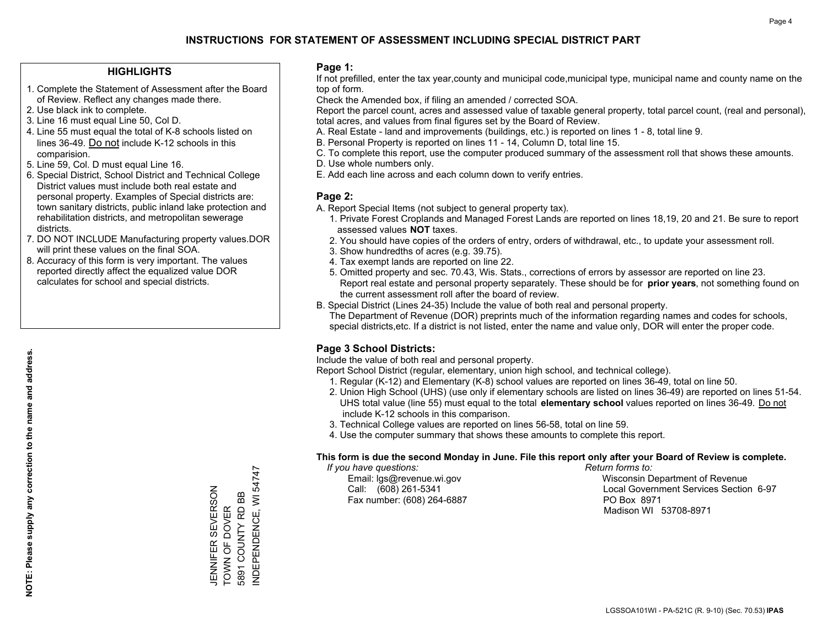#### **HIGHLIGHTS**

- 1. Complete the Statement of Assessment after the Board of Review. Reflect any changes made there.
- 2. Use black ink to complete.
- 3. Line 16 must equal Line 50, Col D.
- 4. Line 55 must equal the total of K-8 schools listed on lines 36-49. Do not include K-12 schools in this comparision.
- 5. Line 59, Col. D must equal Line 16.
- 6. Special District, School District and Technical College District values must include both real estate and personal property. Examples of Special districts are: town sanitary districts, public inland lake protection and rehabilitation districts, and metropolitan sewerage districts.
- 7. DO NOT INCLUDE Manufacturing property values.DOR will print these values on the final SOA.

JENNIFER SEVERSON TOWN OF DOVER 5891 COUNTY RD BB INDEPENDENCE, WI 54747

JENNIFER SEVERSON<br>TOWN OF DOVER 5891 COUNTY RD BB NDEPENDENCE, WI 54747

 8. Accuracy of this form is very important. The values reported directly affect the equalized value DOR calculates for school and special districts.

#### **Page 1:**

 If not prefilled, enter the tax year,county and municipal code,municipal type, municipal name and county name on the top of form.

Check the Amended box, if filing an amended / corrected SOA.

 Report the parcel count, acres and assessed value of taxable general property, total parcel count, (real and personal), total acres, and values from final figures set by the Board of Review.

- A. Real Estate land and improvements (buildings, etc.) is reported on lines 1 8, total line 9.
- B. Personal Property is reported on lines 11 14, Column D, total line 15.
- C. To complete this report, use the computer produced summary of the assessment roll that shows these amounts.
- D. Use whole numbers only.
- E. Add each line across and each column down to verify entries.

### **Page 2:**

- A. Report Special Items (not subject to general property tax).
- 1. Private Forest Croplands and Managed Forest Lands are reported on lines 18,19, 20 and 21. Be sure to report assessed values **NOT** taxes.
- 2. You should have copies of the orders of entry, orders of withdrawal, etc., to update your assessment roll.
	- 3. Show hundredths of acres (e.g. 39.75).
- 4. Tax exempt lands are reported on line 22.
- 5. Omitted property and sec. 70.43, Wis. Stats., corrections of errors by assessor are reported on line 23. Report real estate and personal property separately. These should be for **prior years**, not something found on the current assessment roll after the board of review.
- B. Special District (Lines 24-35) Include the value of both real and personal property.
- The Department of Revenue (DOR) preprints much of the information regarding names and codes for schools, special districts,etc. If a district is not listed, enter the name and value only, DOR will enter the proper code.

## **Page 3 School Districts:**

Include the value of both real and personal property.

Report School District (regular, elementary, union high school, and technical college).

- 1. Regular (K-12) and Elementary (K-8) school values are reported on lines 36-49, total on line 50.
- 2. Union High School (UHS) (use only if elementary schools are listed on lines 36-49) are reported on lines 51-54. UHS total value (line 55) must equal to the total **elementary school** values reported on lines 36-49. Do notinclude K-12 schools in this comparison.
- 3. Technical College values are reported on lines 56-58, total on line 59.
- 4. Use the computer summary that shows these amounts to complete this report.

#### **This form is due the second Monday in June. File this report only after your Board of Review is complete.**

 *If you have questions: Return forms to:*

Fax number: (608) 264-6887 PO Box 8971

 Email: lgs@revenue.wi.gov Wisconsin Department of Revenue Call: (608) 261-5341 Local Government Services Section 6-97Madison WI 53708-8971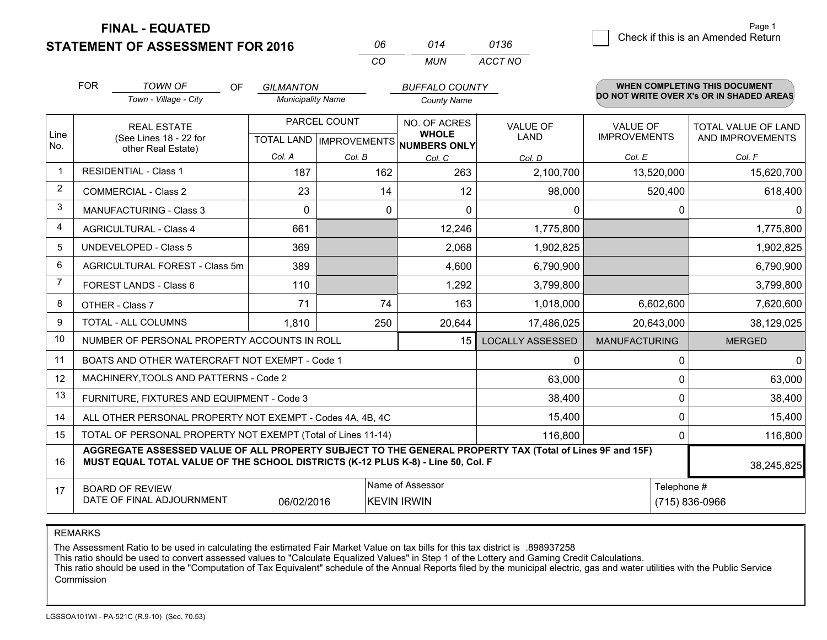**STATEMENT OF ASSESSMENT FOR 2016** 

**FINAL - EQUATED**

| 06 | 014 | 0136    |
|----|-----|---------|
| -ല | MUN | ACCT NO |

|                | <b>FOR</b><br><b>TOWN OF</b>                                                                                                                                                                 | OF<br>Town - Village - City | <b>GILMANTON</b><br><b>Municipality Name</b> |                                                     | <b>BUFFALO COUNTY</b><br><b>County Name</b> |                         |                                        | WHEN COMPLETING THIS DOCUMENT<br>DO NOT WRITE OVER X's OR IN SHADED AREAS |
|----------------|----------------------------------------------------------------------------------------------------------------------------------------------------------------------------------------------|-----------------------------|----------------------------------------------|-----------------------------------------------------|---------------------------------------------|-------------------------|----------------------------------------|---------------------------------------------------------------------------|
| Line<br>No.    | <b>REAL ESTATE</b><br>(See Lines 18 - 22 for<br>other Real Estate)                                                                                                                           |                             |                                              | PARCEL COUNT<br>TOTAL LAND MPROVEMENTS NUMBERS ONLY |                                             | <b>VALUE OF</b><br>LAND | <b>VALUE OF</b><br><b>IMPROVEMENTS</b> | TOTAL VALUE OF LAND<br>AND IMPROVEMENTS                                   |
|                |                                                                                                                                                                                              |                             | Col. A                                       | Col. B                                              | Col. C                                      | Col. D                  | Col. E                                 | Col. F                                                                    |
| $\overline{1}$ | <b>RESIDENTIAL - Class 1</b>                                                                                                                                                                 |                             | 187                                          | 162                                                 | 263                                         | 2,100,700               | 13,520,000                             | 15,620,700                                                                |
| $\overline{2}$ | <b>COMMERCIAL - Class 2</b>                                                                                                                                                                  |                             | 23                                           | 14                                                  | 12                                          | 98,000                  | 520,400                                | 618,400                                                                   |
| 3              | MANUFACTURING - Class 3                                                                                                                                                                      |                             | $\Omega$                                     | 0                                                   | $\Omega$                                    | $\Omega$                | $\Omega$                               | 0                                                                         |
| $\overline{4}$ | <b>AGRICULTURAL - Class 4</b>                                                                                                                                                                |                             | 661                                          |                                                     | 12,246                                      | 1,775,800               |                                        | 1,775,800                                                                 |
| 5              | <b>UNDEVELOPED - Class 5</b>                                                                                                                                                                 |                             | 369                                          |                                                     | 2,068                                       | 1,902,825               |                                        | 1,902,825                                                                 |
| 6              | AGRICULTURAL FOREST - Class 5m                                                                                                                                                               |                             | 389                                          |                                                     | 4,600                                       | 6,790,900               |                                        | 6,790,900                                                                 |
| 7              | FOREST LANDS - Class 6                                                                                                                                                                       |                             | 110                                          |                                                     | 1,292                                       | 3,799,800               |                                        | 3,799,800                                                                 |
| 8              | OTHER - Class 7                                                                                                                                                                              |                             | 71                                           | 74                                                  | 163                                         | 1,018,000               | 6,602,600                              | 7,620,600                                                                 |
| 9              | TOTAL - ALL COLUMNS                                                                                                                                                                          |                             | 1,810                                        | 250                                                 | 20,644                                      | 17,486,025              | 20,643,000                             | 38,129,025                                                                |
| 10             | NUMBER OF PERSONAL PROPERTY ACCOUNTS IN ROLL                                                                                                                                                 |                             |                                              |                                                     | 15                                          | <b>LOCALLY ASSESSED</b> | <b>MANUFACTURING</b>                   | <b>MERGED</b>                                                             |
| 11             | BOATS AND OTHER WATERCRAFT NOT EXEMPT - Code 1                                                                                                                                               |                             |                                              |                                                     |                                             | 0                       | $\mathbf{0}$                           | 0                                                                         |
| 12             | MACHINERY, TOOLS AND PATTERNS - Code 2                                                                                                                                                       |                             |                                              |                                                     |                                             | 63,000                  | $\mathbf 0$                            | 63,000                                                                    |
| 13             | FURNITURE, FIXTURES AND EQUIPMENT - Code 3                                                                                                                                                   |                             |                                              |                                                     |                                             | 38,400                  | $\mathbf{0}$                           | 38,400                                                                    |
| 14             | ALL OTHER PERSONAL PROPERTY NOT EXEMPT - Codes 4A, 4B, 4C                                                                                                                                    |                             |                                              |                                                     |                                             | 15,400                  | 0                                      | 15,400                                                                    |
| 15             | TOTAL OF PERSONAL PROPERTY NOT EXEMPT (Total of Lines 11-14)                                                                                                                                 |                             |                                              |                                                     |                                             | 116,800                 | 0                                      | 116,800                                                                   |
| 16             | AGGREGATE ASSESSED VALUE OF ALL PROPERTY SUBJECT TO THE GENERAL PROPERTY TAX (Total of Lines 9F and 15F)<br>MUST EQUAL TOTAL VALUE OF THE SCHOOL DISTRICTS (K-12 PLUS K-8) - Line 50, Col. F |                             |                                              |                                                     |                                             |                         |                                        | 38,245,825                                                                |
| 17             | Name of Assessor<br>Telephone #<br><b>BOARD OF REVIEW</b><br>DATE OF FINAL ADJOURNMENT<br>06/02/2016<br><b>KEVIN IRWIN</b>                                                                   |                             |                                              |                                                     |                                             |                         |                                        | (715) 836-0966                                                            |

REMARKS

The Assessment Ratio to be used in calculating the estimated Fair Market Value on tax bills for this tax district is .898937258

This ratio should be used to convert assessed values to "Calculate Equalized Values" in Step 1 of the Lottery and Gaming Credit Calculations.

 This ratio should be used in the "Computation of Tax Equivalent" schedule of the Annual Reports filed by the municipal electric, gas and water utilities with the Public Service Commission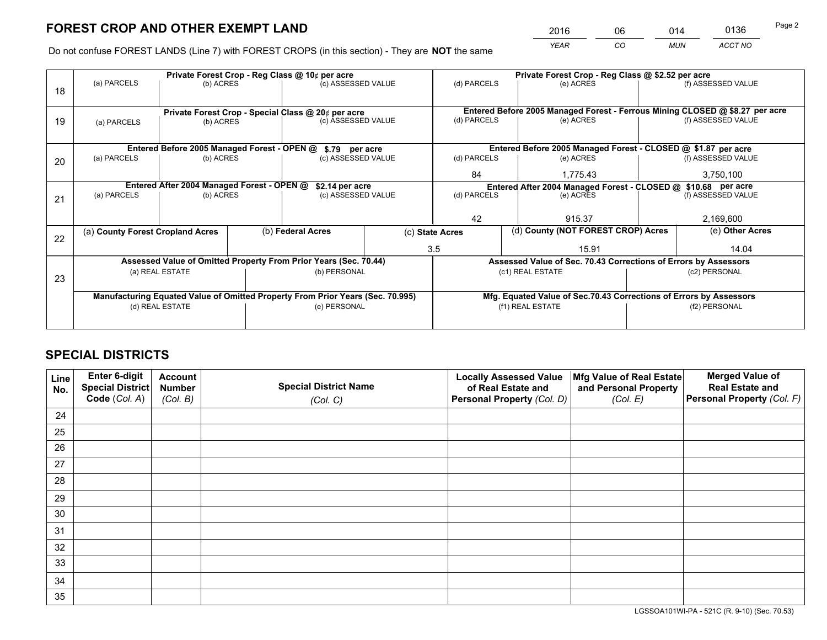*YEAR CO MUN ACCT NO* <sup>2016</sup> <sup>06</sup> <sup>014</sup> <sup>0136</sup>

Do not confuse FOREST LANDS (Line 7) with FOREST CROPS (in this section) - They are **NOT** the same

|    |                                                               |                 |  | Private Forest Crop - Reg Class @ 10¢ per acre                                 |  | Private Forest Crop - Reg Class @ \$2.52 per acre             |                                                                              |                 |                    |  |
|----|---------------------------------------------------------------|-----------------|--|--------------------------------------------------------------------------------|--|---------------------------------------------------------------|------------------------------------------------------------------------------|-----------------|--------------------|--|
| 18 | (a) PARCELS                                                   | (b) ACRES       |  | (c) ASSESSED VALUE                                                             |  | (d) PARCELS                                                   | (e) ACRES                                                                    |                 | (f) ASSESSED VALUE |  |
|    |                                                               |                 |  |                                                                                |  |                                                               |                                                                              |                 |                    |  |
|    | Private Forest Crop - Special Class @ 20¢ per acre            |                 |  |                                                                                |  |                                                               | Entered Before 2005 Managed Forest - Ferrous Mining CLOSED @ \$8.27 per acre |                 |                    |  |
| 19 | (a) PARCELS                                                   | (b) ACRES       |  | (c) ASSESSED VALUE                                                             |  | (d) PARCELS                                                   | (e) ACRES                                                                    |                 | (f) ASSESSED VALUE |  |
|    |                                                               |                 |  |                                                                                |  |                                                               |                                                                              |                 |                    |  |
|    |                                                               |                 |  | Entered Before 2005 Managed Forest - OPEN @ \$.79 per acre                     |  |                                                               | Entered Before 2005 Managed Forest - CLOSED @ \$1.87 per acre                |                 |                    |  |
| 20 | (a) PARCELS                                                   | (b) ACRES       |  | (c) ASSESSED VALUE                                                             |  | (d) PARCELS                                                   | (e) ACRES                                                                    |                 | (f) ASSESSED VALUE |  |
|    |                                                               |                 |  |                                                                                |  | 84                                                            | 1,775.43                                                                     |                 | 3,750,100          |  |
|    | Entered After 2004 Managed Forest - OPEN @<br>\$2.14 per acre |                 |  |                                                                                |  | Entered After 2004 Managed Forest - CLOSED @ \$10.68 per acre |                                                                              |                 |                    |  |
| 21 | (a) PARCELS                                                   | (b) ACRES       |  | (c) ASSESSED VALUE                                                             |  | (d) PARCELS                                                   | (e) ACRES                                                                    |                 | (f) ASSESSED VALUE |  |
|    |                                                               |                 |  |                                                                                |  |                                                               |                                                                              |                 |                    |  |
|    |                                                               |                 |  |                                                                                |  | 42                                                            | 915.37                                                                       |                 | 2,169,600          |  |
| 22 | (a) County Forest Cropland Acres                              |                 |  | (b) Federal Acres                                                              |  | (d) County (NOT FOREST CROP) Acres<br>(c) State Acres         |                                                                              | (e) Other Acres |                    |  |
|    |                                                               |                 |  |                                                                                |  | 3.5                                                           | 15.91                                                                        |                 | 14.04              |  |
|    |                                                               |                 |  | Assessed Value of Omitted Property From Prior Years (Sec. 70.44)               |  |                                                               | Assessed Value of Sec. 70.43 Corrections of Errors by Assessors              |                 |                    |  |
|    |                                                               | (a) REAL ESTATE |  | (b) PERSONAL                                                                   |  |                                                               | (c1) REAL ESTATE                                                             |                 | (c2) PERSONAL      |  |
| 23 |                                                               |                 |  |                                                                                |  |                                                               |                                                                              |                 |                    |  |
|    |                                                               |                 |  | Manufacturing Equated Value of Omitted Property From Prior Years (Sec. 70.995) |  |                                                               | Mfg. Equated Value of Sec.70.43 Corrections of Errors by Assessors           |                 |                    |  |
|    | (d) REAL ESTATE                                               |                 |  | (e) PERSONAL                                                                   |  | (f1) REAL ESTATE                                              |                                                                              |                 | (f2) PERSONAL      |  |
|    |                                                               |                 |  |                                                                                |  |                                                               |                                                                              |                 |                    |  |

## **SPECIAL DISTRICTS**

| Line<br>No. | Enter 6-digit<br>Special District<br>Code (Col. A) | <b>Account</b><br><b>Number</b><br>(Col. B) | <b>Special District Name</b><br>(Col. C) | <b>Locally Assessed Value</b><br>of Real Estate and<br>Personal Property (Col. D) | Mfg Value of Real Estate<br>and Personal Property<br>(Col. E) | <b>Merged Value of</b><br><b>Real Estate and</b><br>Personal Property (Col. F) |
|-------------|----------------------------------------------------|---------------------------------------------|------------------------------------------|-----------------------------------------------------------------------------------|---------------------------------------------------------------|--------------------------------------------------------------------------------|
| 24          |                                                    |                                             |                                          |                                                                                   |                                                               |                                                                                |
| 25          |                                                    |                                             |                                          |                                                                                   |                                                               |                                                                                |
| 26          |                                                    |                                             |                                          |                                                                                   |                                                               |                                                                                |
| 27          |                                                    |                                             |                                          |                                                                                   |                                                               |                                                                                |
| 28          |                                                    |                                             |                                          |                                                                                   |                                                               |                                                                                |
| 29          |                                                    |                                             |                                          |                                                                                   |                                                               |                                                                                |
| 30          |                                                    |                                             |                                          |                                                                                   |                                                               |                                                                                |
| 31          |                                                    |                                             |                                          |                                                                                   |                                                               |                                                                                |
| 32          |                                                    |                                             |                                          |                                                                                   |                                                               |                                                                                |
| 33          |                                                    |                                             |                                          |                                                                                   |                                                               |                                                                                |
| 34          |                                                    |                                             |                                          |                                                                                   |                                                               |                                                                                |
| 35          |                                                    |                                             |                                          |                                                                                   |                                                               |                                                                                |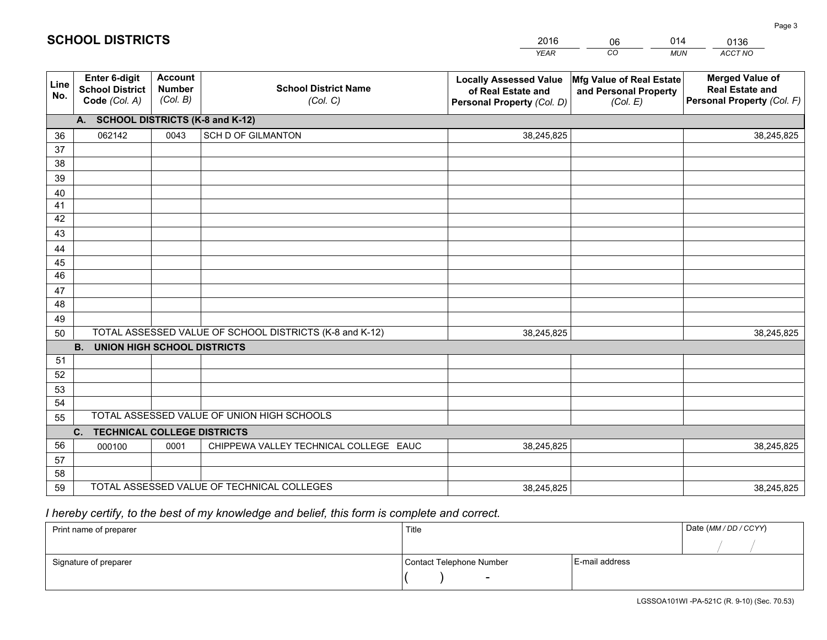|             |                                                                 |                                             |                                                         | <b>YEAR</b>                                                                       | CO<br><b>MUN</b>                                              | ACCT NO                                                                        |
|-------------|-----------------------------------------------------------------|---------------------------------------------|---------------------------------------------------------|-----------------------------------------------------------------------------------|---------------------------------------------------------------|--------------------------------------------------------------------------------|
| Line<br>No. | <b>Enter 6-digit</b><br><b>School District</b><br>Code (Col. A) | <b>Account</b><br><b>Number</b><br>(Col. B) | <b>School District Name</b><br>(Col. C)                 | <b>Locally Assessed Value</b><br>of Real Estate and<br>Personal Property (Col. D) | Mfg Value of Real Estate<br>and Personal Property<br>(Col. E) | <b>Merged Value of</b><br><b>Real Estate and</b><br>Personal Property (Col. F) |
|             | A. SCHOOL DISTRICTS (K-8 and K-12)                              |                                             |                                                         |                                                                                   |                                                               |                                                                                |
| 36          | 062142                                                          | 0043                                        | <b>SCH D OF GILMANTON</b>                               | 38,245,825                                                                        |                                                               | 38,245,825                                                                     |
| 37          |                                                                 |                                             |                                                         |                                                                                   |                                                               |                                                                                |
| 38          |                                                                 |                                             |                                                         |                                                                                   |                                                               |                                                                                |
| 39          |                                                                 |                                             |                                                         |                                                                                   |                                                               |                                                                                |
| 40          |                                                                 |                                             |                                                         |                                                                                   |                                                               |                                                                                |
| 41          |                                                                 |                                             |                                                         |                                                                                   |                                                               |                                                                                |
| 42<br>43    |                                                                 |                                             |                                                         |                                                                                   |                                                               |                                                                                |
|             |                                                                 |                                             |                                                         |                                                                                   |                                                               |                                                                                |
| 44<br>45    |                                                                 |                                             |                                                         |                                                                                   |                                                               |                                                                                |
| 46          |                                                                 |                                             |                                                         |                                                                                   |                                                               |                                                                                |
| 47          |                                                                 |                                             |                                                         |                                                                                   |                                                               |                                                                                |
| 48          |                                                                 |                                             |                                                         |                                                                                   |                                                               |                                                                                |
| 49          |                                                                 |                                             |                                                         |                                                                                   |                                                               |                                                                                |
| 50          |                                                                 |                                             | TOTAL ASSESSED VALUE OF SCHOOL DISTRICTS (K-8 and K-12) | 38,245,825                                                                        |                                                               | 38,245,825                                                                     |
| <b>B.</b>   | <b>UNION HIGH SCHOOL DISTRICTS</b>                              |                                             |                                                         |                                                                                   |                                                               |                                                                                |
| 51          |                                                                 |                                             |                                                         |                                                                                   |                                                               |                                                                                |
| 52          |                                                                 |                                             |                                                         |                                                                                   |                                                               |                                                                                |
| 53          |                                                                 |                                             |                                                         |                                                                                   |                                                               |                                                                                |
| 54          |                                                                 |                                             |                                                         |                                                                                   |                                                               |                                                                                |
| 55          |                                                                 |                                             | TOTAL ASSESSED VALUE OF UNION HIGH SCHOOLS              |                                                                                   |                                                               |                                                                                |
| C.          | <b>TECHNICAL COLLEGE DISTRICTS</b>                              |                                             |                                                         |                                                                                   |                                                               |                                                                                |
| 56<br>57    | 000100                                                          | 0001                                        | CHIPPEWA VALLEY TECHNICAL COLLEGE EAUC                  | 38,245,825                                                                        |                                                               | 38,245,825                                                                     |
| 58          |                                                                 |                                             |                                                         |                                                                                   |                                                               |                                                                                |
| 59          |                                                                 |                                             | TOTAL ASSESSED VALUE OF TECHNICAL COLLEGES              | 38,245,825                                                                        |                                                               | 38,245,825                                                                     |

06

014

 *I hereby certify, to the best of my knowledge and belief, this form is complete and correct.*

**SCHOOL DISTRICTS**

| Print name of preparer | Title                    |                | Date (MM/DD/CCYY) |
|------------------------|--------------------------|----------------|-------------------|
|                        |                          |                |                   |
| Signature of preparer  | Contact Telephone Number | E-mail address |                   |
|                        | $\overline{\phantom{0}}$ |                |                   |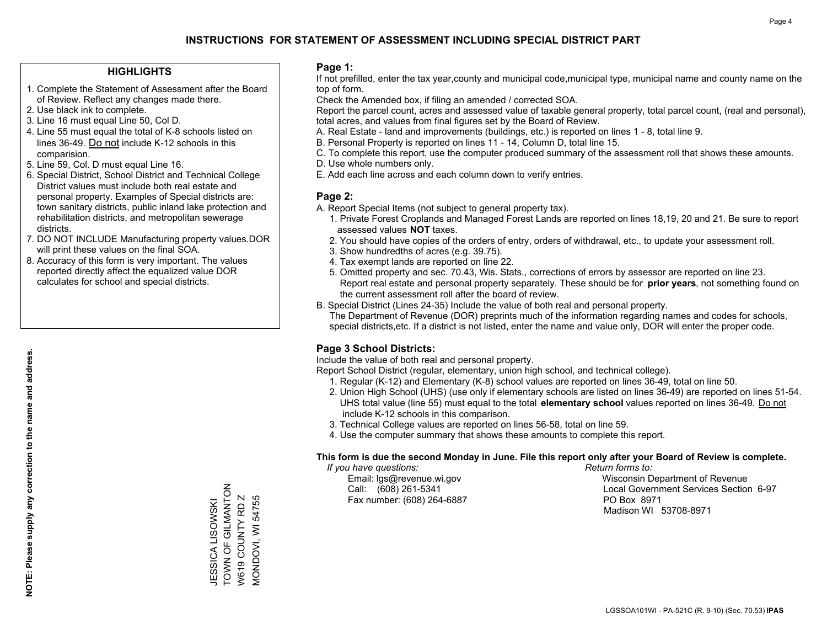#### **HIGHLIGHTS**

- 1. Complete the Statement of Assessment after the Board of Review. Reflect any changes made there.
- 2. Use black ink to complete.
- 3. Line 16 must equal Line 50, Col D.
- 4. Line 55 must equal the total of K-8 schools listed on lines 36-49. Do not include K-12 schools in this comparision.
- 5. Line 59, Col. D must equal Line 16.
- 6. Special District, School District and Technical College District values must include both real estate and personal property. Examples of Special districts are: town sanitary districts, public inland lake protection and rehabilitation districts, and metropolitan sewerage districts.
- 7. DO NOT INCLUDE Manufacturing property values.DOR will print these values on the final SOA.

JESSICA LISOWSKI TOWN OF GILMANTON W619 COUNTY RD Z MONDOVI, WI 54755

JESSICA LISOWSKI<br>TOWN OF GILMANTON W619 COUNTY RD Z VIONDOVI, WI 54755

 8. Accuracy of this form is very important. The values reported directly affect the equalized value DOR calculates for school and special districts.

#### **Page 1:**

 If not prefilled, enter the tax year,county and municipal code,municipal type, municipal name and county name on the top of form.

Check the Amended box, if filing an amended / corrected SOA.

 Report the parcel count, acres and assessed value of taxable general property, total parcel count, (real and personal), total acres, and values from final figures set by the Board of Review.

- A. Real Estate land and improvements (buildings, etc.) is reported on lines 1 8, total line 9.
- B. Personal Property is reported on lines 11 14, Column D, total line 15.
- C. To complete this report, use the computer produced summary of the assessment roll that shows these amounts.
- D. Use whole numbers only.
- E. Add each line across and each column down to verify entries.

#### **Page 2:**

- A. Report Special Items (not subject to general property tax).
- 1. Private Forest Croplands and Managed Forest Lands are reported on lines 18,19, 20 and 21. Be sure to report assessed values **NOT** taxes.
- 2. You should have copies of the orders of entry, orders of withdrawal, etc., to update your assessment roll.
	- 3. Show hundredths of acres (e.g. 39.75).
- 4. Tax exempt lands are reported on line 22.
- 5. Omitted property and sec. 70.43, Wis. Stats., corrections of errors by assessor are reported on line 23. Report real estate and personal property separately. These should be for **prior years**, not something found on the current assessment roll after the board of review.
- B. Special District (Lines 24-35) Include the value of both real and personal property.
- The Department of Revenue (DOR) preprints much of the information regarding names and codes for schools, special districts,etc. If a district is not listed, enter the name and value only, DOR will enter the proper code.

### **Page 3 School Districts:**

Include the value of both real and personal property.

Report School District (regular, elementary, union high school, and technical college).

- 1. Regular (K-12) and Elementary (K-8) school values are reported on lines 36-49, total on line 50.
- 2. Union High School (UHS) (use only if elementary schools are listed on lines 36-49) are reported on lines 51-54. UHS total value (line 55) must equal to the total **elementary school** values reported on lines 36-49. Do notinclude K-12 schools in this comparison.
- 3. Technical College values are reported on lines 56-58, total on line 59.
- 4. Use the computer summary that shows these amounts to complete this report.

#### **This form is due the second Monday in June. File this report only after your Board of Review is complete.**

 *If you have questions: Return forms to:*

Fax number: (608) 264-6887 PO Box 8971

 Email: lgs@revenue.wi.gov Wisconsin Department of Revenue Call: (608) 261-5341 Local Government Services Section 6-97Madison WI 53708-8971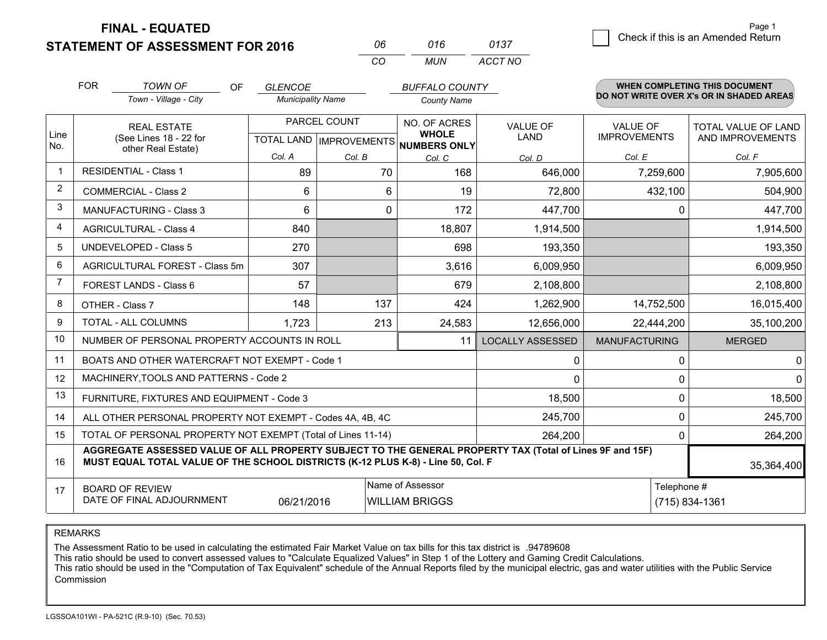**STATEMENT OF ASSESSMENT FOR 2016** 

**FINAL - EQUATED**

| N6. | 016 | 0137    |
|-----|-----|---------|
| CO. | MUN | ACCT NO |

|                | <b>FOR</b>                                                                                                                                                                                   | <b>TOWN OF</b><br><b>OF</b>                               | <b>GLENCOE</b>           |                                           | <b>BUFFALO COUNTY</b> |                         |                                        | <b>WHEN COMPLETING THIS DOCUMENT</b>     |
|----------------|----------------------------------------------------------------------------------------------------------------------------------------------------------------------------------------------|-----------------------------------------------------------|--------------------------|-------------------------------------------|-----------------------|-------------------------|----------------------------------------|------------------------------------------|
|                |                                                                                                                                                                                              | Town - Village - City                                     | <b>Municipality Name</b> |                                           | <b>County Name</b>    |                         |                                        | DO NOT WRITE OVER X's OR IN SHADED AREAS |
| Line           |                                                                                                                                                                                              | <b>REAL ESTATE</b><br>(See Lines 18 - 22 for              |                          | PARCEL COUNT<br>TOTAL LAND   IMPROVEMENTS |                       | VALUE OF<br>LAND        | <b>VALUE OF</b><br><b>IMPROVEMENTS</b> | TOTAL VALUE OF LAND<br>AND IMPROVEMENTS  |
| No.            | other Real Estate)                                                                                                                                                                           | Col. A                                                    | Col. B                   | <b>NUMBERS ONLY</b><br>Col. C             | Col. D                | Col. E                  | Col. F                                 |                                          |
|                |                                                                                                                                                                                              | <b>RESIDENTIAL - Class 1</b>                              | 89                       | 70                                        | 168                   | 646,000                 | 7,259,600                              | 7,905,600                                |
| $\overline{2}$ |                                                                                                                                                                                              | <b>COMMERCIAL - Class 2</b>                               | 6                        | 6                                         | 19                    | 72,800                  | 432,100                                | 504,900                                  |
| 3              |                                                                                                                                                                                              | <b>MANUFACTURING - Class 3</b>                            | 6                        | 0                                         | 172                   | 447,700                 |                                        | 447,700<br>0                             |
| 4              |                                                                                                                                                                                              | <b>AGRICULTURAL - Class 4</b>                             | 840                      |                                           | 18,807                | 1,914,500               |                                        | 1,914,500                                |
| 5              |                                                                                                                                                                                              | <b>UNDEVELOPED - Class 5</b>                              | 270                      |                                           | 698                   | 193,350                 |                                        | 193,350                                  |
| 6              |                                                                                                                                                                                              | AGRICULTURAL FOREST - Class 5m                            | 307                      |                                           | 3,616                 | 6,009,950               |                                        | 6,009,950                                |
| 7              |                                                                                                                                                                                              | FOREST LANDS - Class 6                                    | 57                       |                                           | 679                   | 2,108,800               |                                        | 2,108,800                                |
| 8              |                                                                                                                                                                                              | OTHER - Class 7                                           | 148                      | 137                                       | 424                   | 1,262,900               | 14,752,500                             | 16,015,400                               |
| 9              |                                                                                                                                                                                              | TOTAL - ALL COLUMNS                                       | 1,723                    | 213                                       | 24,583                | 12,656,000              | 22,444,200                             | 35,100,200                               |
| 10             |                                                                                                                                                                                              | NUMBER OF PERSONAL PROPERTY ACCOUNTS IN ROLL              |                          |                                           | 11                    | <b>LOCALLY ASSESSED</b> | <b>MANUFACTURING</b>                   | <b>MERGED</b>                            |
| 11             |                                                                                                                                                                                              | BOATS AND OTHER WATERCRAFT NOT EXEMPT - Code 1            |                          |                                           |                       | 0                       |                                        | 0<br>0                                   |
| 12             |                                                                                                                                                                                              | MACHINERY, TOOLS AND PATTERNS - Code 2                    |                          |                                           |                       | $\Omega$                |                                        | $\Omega$<br>0                            |
| 13             |                                                                                                                                                                                              | FURNITURE, FIXTURES AND EQUIPMENT - Code 3                |                          |                                           |                       | 18,500                  |                                        | 0<br>18,500                              |
| 14             |                                                                                                                                                                                              | ALL OTHER PERSONAL PROPERTY NOT EXEMPT - Codes 4A, 4B, 4C |                          |                                           |                       | 245,700                 |                                        | 0<br>245,700                             |
| 15             | TOTAL OF PERSONAL PROPERTY NOT EXEMPT (Total of Lines 11-14)<br>264,200                                                                                                                      |                                                           |                          |                                           |                       |                         |                                        | 264,200<br>0                             |
| 16             | AGGREGATE ASSESSED VALUE OF ALL PROPERTY SUBJECT TO THE GENERAL PROPERTY TAX (Total of Lines 9F and 15F)<br>MUST EQUAL TOTAL VALUE OF THE SCHOOL DISTRICTS (K-12 PLUS K-8) - Line 50, Col. F |                                                           |                          |                                           |                       |                         | 35,364,400                             |                                          |
| 17             | Name of Assessor<br>Telephone #<br><b>BOARD OF REVIEW</b><br>DATE OF FINAL ADJOURNMENT<br>(715) 834-1361<br>06/21/2016<br><b>WILLIAM BRIGGS</b>                                              |                                                           |                          |                                           |                       |                         |                                        |                                          |

REMARKS

The Assessment Ratio to be used in calculating the estimated Fair Market Value on tax bills for this tax district is .94789608<br>This ratio should be used to convert assessed values to "Calculate Equalized Values" in Step 1 Commission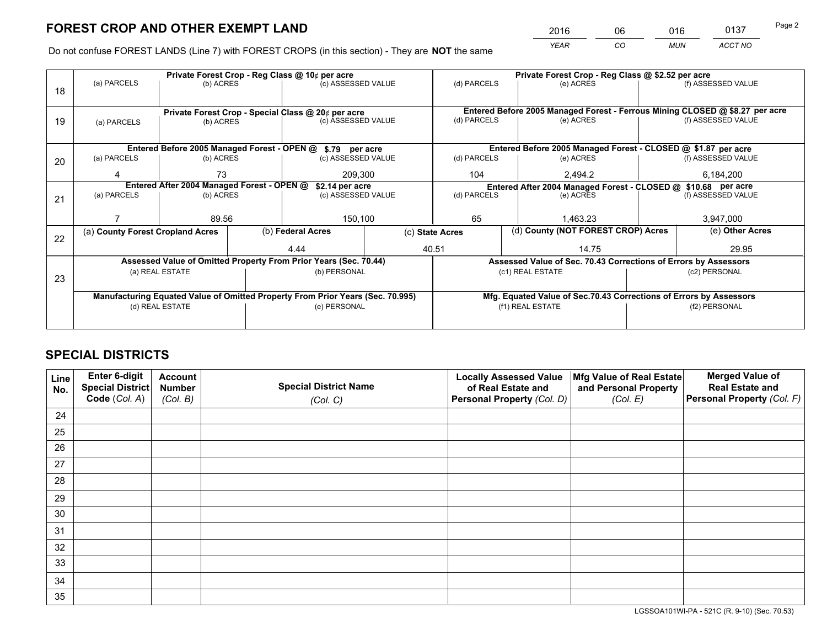*YEAR CO MUN ACCT NO* <sup>2016</sup> <sup>06</sup> <sup>016</sup> <sup>0137</sup>

Do not confuse FOREST LANDS (Line 7) with FOREST CROPS (in this section) - They are **NOT** the same

|    |                                                                                |                 |  | Private Forest Crop - Reg Class @ 10¢ per acre                   |  |                                                               | Private Forest Crop - Reg Class @ \$2.52 per acre |                                                                    |               |                                                                              |
|----|--------------------------------------------------------------------------------|-----------------|--|------------------------------------------------------------------|--|---------------------------------------------------------------|---------------------------------------------------|--------------------------------------------------------------------|---------------|------------------------------------------------------------------------------|
| 18 | (a) PARCELS                                                                    | (b) ACRES       |  | (c) ASSESSED VALUE                                               |  | (d) PARCELS                                                   |                                                   | (e) ACRES                                                          |               | (f) ASSESSED VALUE                                                           |
|    |                                                                                |                 |  |                                                                  |  |                                                               |                                                   |                                                                    |               |                                                                              |
|    |                                                                                |                 |  | Private Forest Crop - Special Class @ 20¢ per acre               |  |                                                               |                                                   |                                                                    |               | Entered Before 2005 Managed Forest - Ferrous Mining CLOSED @ \$8.27 per acre |
| 19 | (a) PARCELS                                                                    | (b) ACRES       |  | (c) ASSESSED VALUE                                               |  | (d) PARCELS                                                   |                                                   | (e) ACRES                                                          |               | (f) ASSESSED VALUE                                                           |
|    |                                                                                |                 |  |                                                                  |  |                                                               |                                                   |                                                                    |               |                                                                              |
|    |                                                                                |                 |  | Entered Before 2005 Managed Forest - OPEN @ \$.79 per acre       |  |                                                               |                                                   | Entered Before 2005 Managed Forest - CLOSED @ \$1.87 per acre      |               |                                                                              |
| 20 | (a) PARCELS                                                                    | (b) ACRES       |  | (c) ASSESSED VALUE                                               |  | (d) PARCELS                                                   |                                                   | (e) ACRES                                                          |               | (f) ASSESSED VALUE                                                           |
|    |                                                                                | 73              |  | 209,300                                                          |  | 104                                                           |                                                   | 2,494.2                                                            |               | 6,184,200                                                                    |
|    | Entered After 2004 Managed Forest - OPEN @<br>\$2.14 per acre                  |                 |  |                                                                  |  | Entered After 2004 Managed Forest - CLOSED @ \$10.68 per acre |                                                   |                                                                    |               |                                                                              |
| 21 | (a) PARCELS                                                                    | (b) ACRES       |  | (c) ASSESSED VALUE                                               |  | (d) PARCELS<br>(e) ACRES                                      |                                                   | (f) ASSESSED VALUE                                                 |               |                                                                              |
|    |                                                                                |                 |  |                                                                  |  |                                                               |                                                   |                                                                    |               |                                                                              |
|    |                                                                                | 89.56           |  | 150,100                                                          |  | 65                                                            |                                                   | 1,463.23                                                           |               | 3,947,000                                                                    |
|    | (a) County Forest Cropland Acres                                               |                 |  | (b) Federal Acres<br>(c) State Acres                             |  |                                                               | (d) County (NOT FOREST CROP) Acres                |                                                                    |               | (e) Other Acres                                                              |
| 22 |                                                                                |                 |  | 4.44                                                             |  | 40.51                                                         |                                                   | 14.75                                                              |               | 29.95                                                                        |
|    |                                                                                |                 |  |                                                                  |  |                                                               |                                                   |                                                                    |               |                                                                              |
|    |                                                                                |                 |  | Assessed Value of Omitted Property From Prior Years (Sec. 70.44) |  |                                                               |                                                   | Assessed Value of Sec. 70.43 Corrections of Errors by Assessors    |               |                                                                              |
| 23 |                                                                                | (a) REAL ESTATE |  | (b) PERSONAL                                                     |  |                                                               |                                                   | (c1) REAL ESTATE                                                   |               | (c2) PERSONAL                                                                |
|    |                                                                                |                 |  |                                                                  |  |                                                               |                                                   |                                                                    |               |                                                                              |
|    | Manufacturing Equated Value of Omitted Property From Prior Years (Sec. 70.995) |                 |  |                                                                  |  |                                                               |                                                   | Mfg. Equated Value of Sec.70.43 Corrections of Errors by Assessors |               |                                                                              |
|    |                                                                                | (d) REAL ESTATE |  | (e) PERSONAL                                                     |  |                                                               |                                                   | (f1) REAL ESTATE                                                   | (f2) PERSONAL |                                                                              |
|    |                                                                                |                 |  |                                                                  |  |                                                               |                                                   |                                                                    |               |                                                                              |

## **SPECIAL DISTRICTS**

| Line<br>No. | Enter 6-digit<br><b>Special District</b> | <b>Account</b><br><b>Number</b> | <b>Special District Name</b> | <b>Locally Assessed Value</b><br>of Real Estate and | Mfg Value of Real Estate<br>and Personal Property | <b>Merged Value of</b><br><b>Real Estate and</b> |
|-------------|------------------------------------------|---------------------------------|------------------------------|-----------------------------------------------------|---------------------------------------------------|--------------------------------------------------|
|             | Code (Col. A)                            | (Col. B)                        | (Col. C)                     | Personal Property (Col. D)                          | (Col. E)                                          | Personal Property (Col. F)                       |
| 24          |                                          |                                 |                              |                                                     |                                                   |                                                  |
| 25          |                                          |                                 |                              |                                                     |                                                   |                                                  |
| 26          |                                          |                                 |                              |                                                     |                                                   |                                                  |
| 27          |                                          |                                 |                              |                                                     |                                                   |                                                  |
| 28          |                                          |                                 |                              |                                                     |                                                   |                                                  |
| 29          |                                          |                                 |                              |                                                     |                                                   |                                                  |
| 30          |                                          |                                 |                              |                                                     |                                                   |                                                  |
| 31          |                                          |                                 |                              |                                                     |                                                   |                                                  |
| 32          |                                          |                                 |                              |                                                     |                                                   |                                                  |
| 33          |                                          |                                 |                              |                                                     |                                                   |                                                  |
| 34          |                                          |                                 |                              |                                                     |                                                   |                                                  |
| 35          |                                          |                                 |                              |                                                     |                                                   |                                                  |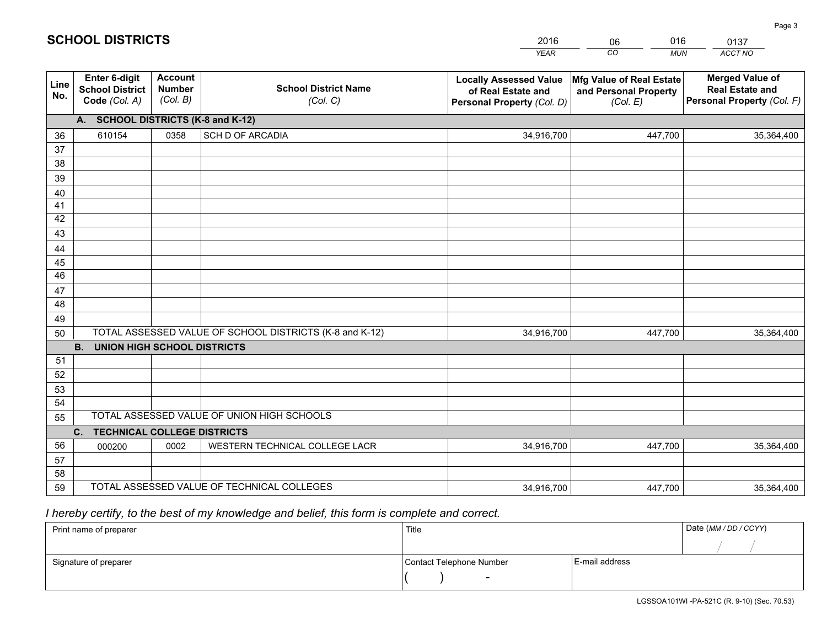|             |                                                                 |                                             |                                                         | <b>YEAR</b>                                                                       | CO<br><b>MUN</b>                                              | ACCT NO                                                                        |
|-------------|-----------------------------------------------------------------|---------------------------------------------|---------------------------------------------------------|-----------------------------------------------------------------------------------|---------------------------------------------------------------|--------------------------------------------------------------------------------|
| Line<br>No. | <b>Enter 6-digit</b><br><b>School District</b><br>Code (Col. A) | <b>Account</b><br><b>Number</b><br>(Col. B) | <b>School District Name</b><br>(Col. C)                 | <b>Locally Assessed Value</b><br>of Real Estate and<br>Personal Property (Col. D) | Mfg Value of Real Estate<br>and Personal Property<br>(Col. E) | <b>Merged Value of</b><br><b>Real Estate and</b><br>Personal Property (Col. F) |
|             | A. SCHOOL DISTRICTS (K-8 and K-12)                              |                                             |                                                         |                                                                                   |                                                               |                                                                                |
| 36          | 610154                                                          | 0358                                        | <b>SCH D OF ARCADIA</b>                                 | 34,916,700                                                                        | 447,700                                                       | 35,364,400                                                                     |
| 37          |                                                                 |                                             |                                                         |                                                                                   |                                                               |                                                                                |
| 38          |                                                                 |                                             |                                                         |                                                                                   |                                                               |                                                                                |
| 39          |                                                                 |                                             |                                                         |                                                                                   |                                                               |                                                                                |
| 40          |                                                                 |                                             |                                                         |                                                                                   |                                                               |                                                                                |
| 41<br>42    |                                                                 |                                             |                                                         |                                                                                   |                                                               |                                                                                |
| 43          |                                                                 |                                             |                                                         |                                                                                   |                                                               |                                                                                |
|             |                                                                 |                                             |                                                         |                                                                                   |                                                               |                                                                                |
| 44<br>45    |                                                                 |                                             |                                                         |                                                                                   |                                                               |                                                                                |
| 46          |                                                                 |                                             |                                                         |                                                                                   |                                                               |                                                                                |
| 47          |                                                                 |                                             |                                                         |                                                                                   |                                                               |                                                                                |
| 48          |                                                                 |                                             |                                                         |                                                                                   |                                                               |                                                                                |
| 49          |                                                                 |                                             |                                                         |                                                                                   |                                                               |                                                                                |
| 50          |                                                                 |                                             | TOTAL ASSESSED VALUE OF SCHOOL DISTRICTS (K-8 and K-12) | 34,916,700                                                                        | 447,700                                                       | 35,364,400                                                                     |
|             | <b>B.</b><br>UNION HIGH SCHOOL DISTRICTS                        |                                             |                                                         |                                                                                   |                                                               |                                                                                |
| 51          |                                                                 |                                             |                                                         |                                                                                   |                                                               |                                                                                |
| 52          |                                                                 |                                             |                                                         |                                                                                   |                                                               |                                                                                |
| 53          |                                                                 |                                             |                                                         |                                                                                   |                                                               |                                                                                |
| 54          |                                                                 |                                             |                                                         |                                                                                   |                                                               |                                                                                |
| 55          |                                                                 |                                             | TOTAL ASSESSED VALUE OF UNION HIGH SCHOOLS              |                                                                                   |                                                               |                                                                                |
|             | C.<br><b>TECHNICAL COLLEGE DISTRICTS</b>                        |                                             |                                                         |                                                                                   |                                                               |                                                                                |
| 56          | 000200                                                          | 0002                                        | WESTERN TECHNICAL COLLEGE LACR                          | 34,916,700                                                                        | 447,700                                                       | 35,364,400                                                                     |
| 57<br>58    |                                                                 |                                             |                                                         |                                                                                   |                                                               |                                                                                |
| 59          |                                                                 |                                             | TOTAL ASSESSED VALUE OF TECHNICAL COLLEGES              | 34,916,700                                                                        | 447,700                                                       | 35,364,400                                                                     |
|             |                                                                 |                                             |                                                         |                                                                                   |                                                               |                                                                                |

06

016

 *I hereby certify, to the best of my knowledge and belief, this form is complete and correct.*

**SCHOOL DISTRICTS**

| Print name of preparer | Title                    |                | Date (MM / DD / CCYY) |
|------------------------|--------------------------|----------------|-----------------------|
|                        |                          |                |                       |
| Signature of preparer  | Contact Telephone Number | E-mail address |                       |
|                        | $\overline{\phantom{0}}$ |                |                       |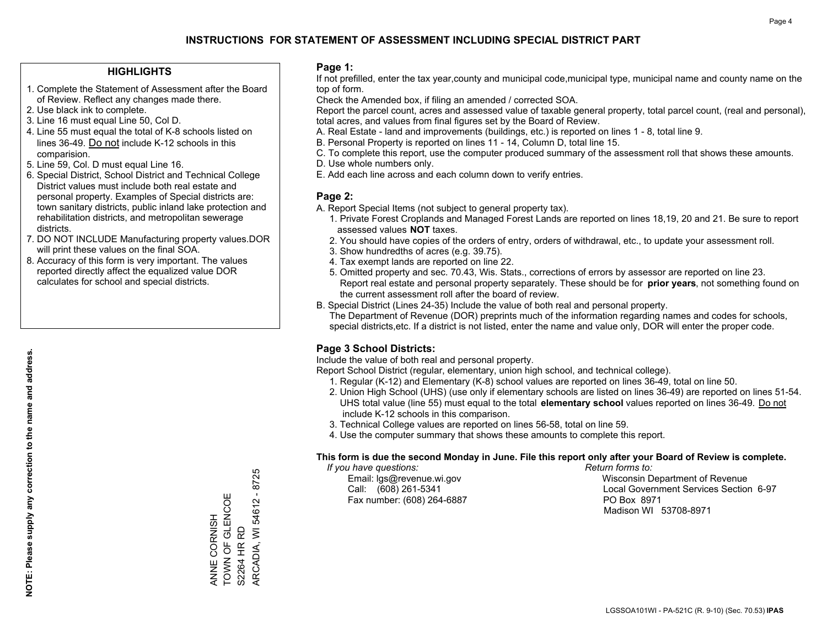#### **HIGHLIGHTS**

- 1. Complete the Statement of Assessment after the Board of Review. Reflect any changes made there.
- 2. Use black ink to complete.
- 3. Line 16 must equal Line 50, Col D.
- 4. Line 55 must equal the total of K-8 schools listed on lines 36-49. Do not include K-12 schools in this comparision.
- 5. Line 59, Col. D must equal Line 16.
- 6. Special District, School District and Technical College District values must include both real estate and personal property. Examples of Special districts are: town sanitary districts, public inland lake protection and rehabilitation districts, and metropolitan sewerage districts.
- 7. DO NOT INCLUDE Manufacturing property values.DOR will print these values on the final SOA.
- 8. Accuracy of this form is very important. The values reported directly affect the equalized value DOR calculates for school and special districts.

#### **Page 1:**

 If not prefilled, enter the tax year,county and municipal code,municipal type, municipal name and county name on the top of form.

Check the Amended box, if filing an amended / corrected SOA.

 Report the parcel count, acres and assessed value of taxable general property, total parcel count, (real and personal), total acres, and values from final figures set by the Board of Review.

- A. Real Estate land and improvements (buildings, etc.) is reported on lines 1 8, total line 9.
- B. Personal Property is reported on lines 11 14, Column D, total line 15.
- C. To complete this report, use the computer produced summary of the assessment roll that shows these amounts.
- D. Use whole numbers only.
- E. Add each line across and each column down to verify entries.

#### **Page 2:**

- A. Report Special Items (not subject to general property tax).
- 1. Private Forest Croplands and Managed Forest Lands are reported on lines 18,19, 20 and 21. Be sure to report assessed values **NOT** taxes.
- 2. You should have copies of the orders of entry, orders of withdrawal, etc., to update your assessment roll.
	- 3. Show hundredths of acres (e.g. 39.75).
- 4. Tax exempt lands are reported on line 22.
- 5. Omitted property and sec. 70.43, Wis. Stats., corrections of errors by assessor are reported on line 23. Report real estate and personal property separately. These should be for **prior years**, not something found on the current assessment roll after the board of review.
- B. Special District (Lines 24-35) Include the value of both real and personal property.
- The Department of Revenue (DOR) preprints much of the information regarding names and codes for schools, special districts,etc. If a district is not listed, enter the name and value only, DOR will enter the proper code.

### **Page 3 School Districts:**

Include the value of both real and personal property.

Report School District (regular, elementary, union high school, and technical college).

- 1. Regular (K-12) and Elementary (K-8) school values are reported on lines 36-49, total on line 50.
- 2. Union High School (UHS) (use only if elementary schools are listed on lines 36-49) are reported on lines 51-54. UHS total value (line 55) must equal to the total **elementary school** values reported on lines 36-49. Do notinclude K-12 schools in this comparison.
- 3. Technical College values are reported on lines 56-58, total on line 59.
- 4. Use the computer summary that shows these amounts to complete this report.

#### **This form is due the second Monday in June. File this report only after your Board of Review is complete.**

 *If you have questions: Return forms to:*

Fax number: (608) 264-6887 PO Box 8971

 Email: lgs@revenue.wi.gov Wisconsin Department of Revenue Call: (608) 261-5341 Local Government Services Section 6-97Madison WI 53708-8971

ARCADIA, WI 54612 - 8725 ARCADIA, WI 54612 - 8725 TOWN OF GLENCOE ANNE CORNISH<br>TOWN OF GLENCOE ANNE CORNISH S2264 HR RD S2264 HR RD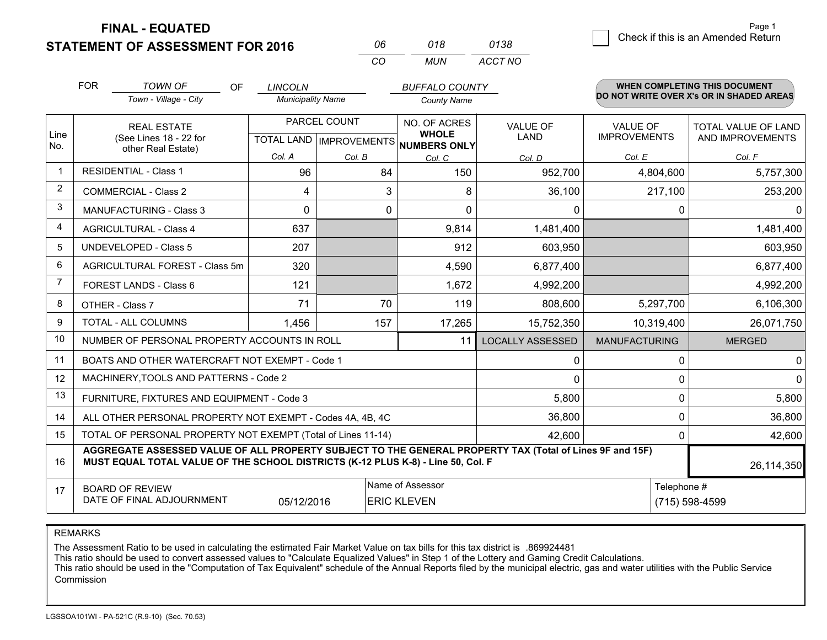**STATEMENT OF ASSESSMENT FOR 2016 FINAL - EQUATED**

| 0138 | .490<br>Check if this is an Amended Return |
|------|--------------------------------------------|
|      |                                            |

|                | <b>FOR</b>                                                                                                                                                                                   | <b>TOWN OF</b><br><b>OF</b><br>Town - Village - City         | <b>LINCOLN</b><br><b>Municipality Name</b> |                           | <b>BUFFALO COUNTY</b><br><b>County Name</b> |                         |                                        | <b>WHEN COMPLETING THIS DOCUMENT</b><br>DO NOT WRITE OVER X's OR IN SHADED AREAS |
|----------------|----------------------------------------------------------------------------------------------------------------------------------------------------------------------------------------------|--------------------------------------------------------------|--------------------------------------------|---------------------------|---------------------------------------------|-------------------------|----------------------------------------|----------------------------------------------------------------------------------|
| Line           | <b>REAL ESTATE</b><br>(See Lines 18 - 22 for                                                                                                                                                 |                                                              | PARCEL COUNT                               |                           | NO. OF ACRES<br><b>WHOLE</b>                | <b>VALUE OF</b><br>LAND | <b>VALUE OF</b><br><b>IMPROVEMENTS</b> | <b>TOTAL VALUE OF LAND</b><br>AND IMPROVEMENTS                                   |
| No.            |                                                                                                                                                                                              | other Real Estate)                                           | Col. A                                     | TOTAL LAND   IMPROVEMENTS | NUMBERS ONLY                                |                         | Col. E                                 | Col. F                                                                           |
| $\mathbf{1}$   | <b>RESIDENTIAL - Class 1</b>                                                                                                                                                                 |                                                              | 96                                         | Col. B<br>84              | Col. C<br>150                               | Col. D<br>952,700       | 4,804,600                              | 5,757,300                                                                        |
| $\overline{2}$ |                                                                                                                                                                                              | <b>COMMERCIAL - Class 2</b>                                  | 4                                          | 3                         | 8                                           | 36,100                  | 217,100                                | 253,200                                                                          |
| 3              |                                                                                                                                                                                              | <b>MANUFACTURING - Class 3</b>                               | $\Omega$                                   | 0                         | $\Omega$                                    | 0                       | $\Omega$                               | $\Omega$                                                                         |
| 4              |                                                                                                                                                                                              | <b>AGRICULTURAL - Class 4</b>                                | 637                                        |                           | 9,814                                       | 1,481,400               |                                        | 1,481,400                                                                        |
| 5              | <b>UNDEVELOPED - Class 5</b>                                                                                                                                                                 |                                                              | 207                                        |                           | 912                                         | 603,950                 |                                        | 603,950                                                                          |
| 6              |                                                                                                                                                                                              | AGRICULTURAL FOREST - Class 5m                               | 320                                        |                           | 4,590                                       | 6,877,400               |                                        | 6,877,400                                                                        |
| 7              |                                                                                                                                                                                              | FOREST LANDS - Class 6                                       | 121                                        |                           | 1,672                                       | 4,992,200               |                                        | 4,992,200                                                                        |
| 8              |                                                                                                                                                                                              | OTHER - Class 7                                              | 71                                         | 70                        | 119                                         | 808,600                 | 5,297,700                              | 6,106,300                                                                        |
| 9              | TOTAL - ALL COLUMNS                                                                                                                                                                          |                                                              | 1,456                                      | 157                       | 17,265                                      | 15,752,350              | 10,319,400                             | 26,071,750                                                                       |
| 10             | NUMBER OF PERSONAL PROPERTY ACCOUNTS IN ROLL<br>11                                                                                                                                           |                                                              |                                            |                           |                                             | <b>LOCALLY ASSESSED</b> | <b>MANUFACTURING</b>                   | <b>MERGED</b>                                                                    |
| 11             |                                                                                                                                                                                              | BOATS AND OTHER WATERCRAFT NOT EXEMPT - Code 1               |                                            |                           |                                             | 0                       | 0                                      | 0                                                                                |
| 12             |                                                                                                                                                                                              | MACHINERY, TOOLS AND PATTERNS - Code 2                       |                                            |                           |                                             | $\Omega$                | $\Omega$                               | $\mathbf 0$                                                                      |
| 13             |                                                                                                                                                                                              | FURNITURE, FIXTURES AND EQUIPMENT - Code 3                   |                                            |                           |                                             | 5,800                   | $\mathbf 0$                            | 5,800                                                                            |
| 14             |                                                                                                                                                                                              | ALL OTHER PERSONAL PROPERTY NOT EXEMPT - Codes 4A, 4B, 4C    |                                            |                           | 36,800                                      | $\mathbf 0$             |                                        |                                                                                  |
| 15             |                                                                                                                                                                                              | TOTAL OF PERSONAL PROPERTY NOT EXEMPT (Total of Lines 11-14) | 42,600                                     | $\Omega$                  | 42,600                                      |                         |                                        |                                                                                  |
| 16             | AGGREGATE ASSESSED VALUE OF ALL PROPERTY SUBJECT TO THE GENERAL PROPERTY TAX (Total of Lines 9F and 15F)<br>MUST EQUAL TOTAL VALUE OF THE SCHOOL DISTRICTS (K-12 PLUS K-8) - Line 50, Col. F |                                                              |                                            |                           |                                             |                         |                                        | 26,114,350                                                                       |
| 17             | Name of Assessor<br><b>BOARD OF REVIEW</b><br>DATE OF FINAL ADJOURNMENT<br>05/12/2016<br><b>ERIC KLEVEN</b>                                                                                  |                                                              |                                            |                           |                                             | Telephone #             |                                        |                                                                                  |
|                |                                                                                                                                                                                              |                                                              |                                            |                           |                                             | (715) 598-4599          |                                        |                                                                                  |

*CO*

*MUN*

*ACCT NO*

*<sup>06</sup> <sup>018</sup>*

REMARKS

The Assessment Ratio to be used in calculating the estimated Fair Market Value on tax bills for this tax district is .869924481<br>This ratio should be used to convert assessed values to "Calculate Equalized Values" in Step 1 Commission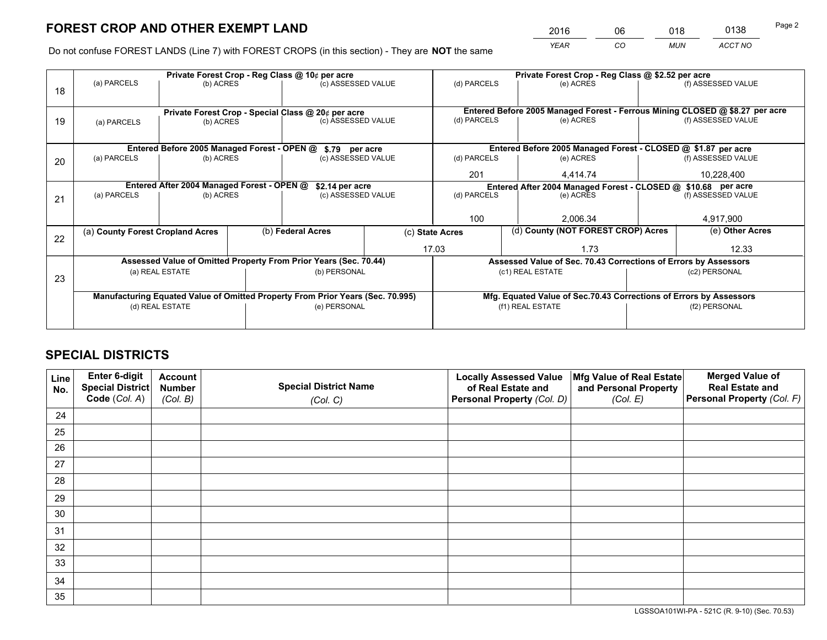*YEAR CO MUN ACCT NO* <sup>2016</sup> <sup>06</sup> <sup>018</sup> <sup>0138</sup>

Do not confuse FOREST LANDS (Line 7) with FOREST CROPS (in this section) - They are **NOT** the same

|    | Private Forest Crop - Reg Class @ 10¢ per acre                                 |                                             |  |                                                                  |                                                                    | Private Forest Crop - Reg Class @ \$2.52 per acre               |                                                                              |               |                    |  |
|----|--------------------------------------------------------------------------------|---------------------------------------------|--|------------------------------------------------------------------|--------------------------------------------------------------------|-----------------------------------------------------------------|------------------------------------------------------------------------------|---------------|--------------------|--|
| 18 | (a) PARCELS<br>(b) ACRES                                                       |                                             |  | (c) ASSESSED VALUE                                               |                                                                    | (d) PARCELS                                                     | (e) ACRES                                                                    |               | (f) ASSESSED VALUE |  |
|    |                                                                                |                                             |  |                                                                  |                                                                    |                                                                 |                                                                              |               |                    |  |
|    |                                                                                |                                             |  | Private Forest Crop - Special Class @ 20¢ per acre               |                                                                    |                                                                 | Entered Before 2005 Managed Forest - Ferrous Mining CLOSED @ \$8.27 per acre |               |                    |  |
| 19 | (a) PARCELS                                                                    | (b) ACRES                                   |  | (c) ASSESSED VALUE                                               |                                                                    | (d) PARCELS                                                     | (e) ACRES                                                                    |               | (f) ASSESSED VALUE |  |
|    |                                                                                |                                             |  |                                                                  |                                                                    |                                                                 |                                                                              |               |                    |  |
|    |                                                                                | Entered Before 2005 Managed Forest - OPEN @ |  | \$.79 per acre                                                   |                                                                    |                                                                 | Entered Before 2005 Managed Forest - CLOSED @ \$1.87 per acre                |               |                    |  |
| 20 | (a) PARCELS                                                                    | (b) ACRES                                   |  | (c) ASSESSED VALUE                                               |                                                                    | (d) PARCELS                                                     | (e) ACRES                                                                    |               |                    |  |
|    |                                                                                |                                             |  |                                                                  | 201                                                                | 4.414.74                                                        |                                                                              |               |                    |  |
|    | Entered After 2004 Managed Forest - OPEN @<br>\$2.14 per acre                  |                                             |  |                                                                  | Entered After 2004 Managed Forest - CLOSED @ \$10.68 per acre      |                                                                 |                                                                              |               |                    |  |
| 21 | (a) PARCELS                                                                    | (b) ACRES                                   |  | (c) ASSESSED VALUE                                               |                                                                    | (d) PARCELS                                                     | (e) ACRES                                                                    |               |                    |  |
|    |                                                                                |                                             |  |                                                                  |                                                                    |                                                                 |                                                                              |               |                    |  |
|    |                                                                                |                                             |  |                                                                  |                                                                    | 100<br>2,006.34                                                 |                                                                              |               | 4,917,900          |  |
| 22 | (a) County Forest Cropland Acres                                               |                                             |  | (b) Federal Acres                                                |                                                                    | (d) County (NOT FOREST CROP) Acres<br>(c) State Acres           |                                                                              |               | (e) Other Acres    |  |
|    |                                                                                |                                             |  |                                                                  |                                                                    | 17.03<br>1.73                                                   |                                                                              |               | 12.33              |  |
|    |                                                                                |                                             |  | Assessed Value of Omitted Property From Prior Years (Sec. 70.44) |                                                                    | Assessed Value of Sec. 70.43 Corrections of Errors by Assessors |                                                                              |               |                    |  |
| 23 | (a) REAL ESTATE                                                                |                                             |  | (b) PERSONAL                                                     |                                                                    |                                                                 | (c1) REAL ESTATE                                                             |               |                    |  |
|    |                                                                                |                                             |  |                                                                  |                                                                    |                                                                 |                                                                              |               |                    |  |
|    | Manufacturing Equated Value of Omitted Property From Prior Years (Sec. 70.995) |                                             |  |                                                                  | Mfg. Equated Value of Sec.70.43 Corrections of Errors by Assessors |                                                                 |                                                                              |               |                    |  |
|    | (d) REAL ESTATE                                                                |                                             |  | (e) PERSONAL                                                     |                                                                    | (f1) REAL ESTATE                                                |                                                                              | (f2) PERSONAL |                    |  |
|    |                                                                                |                                             |  |                                                                  |                                                                    |                                                                 |                                                                              |               |                    |  |

## **SPECIAL DISTRICTS**

| Line<br>No. | Enter 6-digit<br>Special District<br>Code (Col. A) | <b>Account</b><br><b>Number</b> | <b>Special District Name</b> | <b>Locally Assessed Value</b><br>of Real Estate and | Mfg Value of Real Estate<br>and Personal Property | <b>Merged Value of</b><br><b>Real Estate and</b><br>Personal Property (Col. F) |
|-------------|----------------------------------------------------|---------------------------------|------------------------------|-----------------------------------------------------|---------------------------------------------------|--------------------------------------------------------------------------------|
|             |                                                    | (Col. B)                        | (Col. C)                     | Personal Property (Col. D)                          | (Col. E)                                          |                                                                                |
| 24          |                                                    |                                 |                              |                                                     |                                                   |                                                                                |
| 25          |                                                    |                                 |                              |                                                     |                                                   |                                                                                |
| 26          |                                                    |                                 |                              |                                                     |                                                   |                                                                                |
| 27          |                                                    |                                 |                              |                                                     |                                                   |                                                                                |
| 28          |                                                    |                                 |                              |                                                     |                                                   |                                                                                |
| 29          |                                                    |                                 |                              |                                                     |                                                   |                                                                                |
| 30          |                                                    |                                 |                              |                                                     |                                                   |                                                                                |
| 31          |                                                    |                                 |                              |                                                     |                                                   |                                                                                |
| 32          |                                                    |                                 |                              |                                                     |                                                   |                                                                                |
| 33          |                                                    |                                 |                              |                                                     |                                                   |                                                                                |
| 34          |                                                    |                                 |                              |                                                     |                                                   |                                                                                |
| 35          |                                                    |                                 |                              |                                                     |                                                   |                                                                                |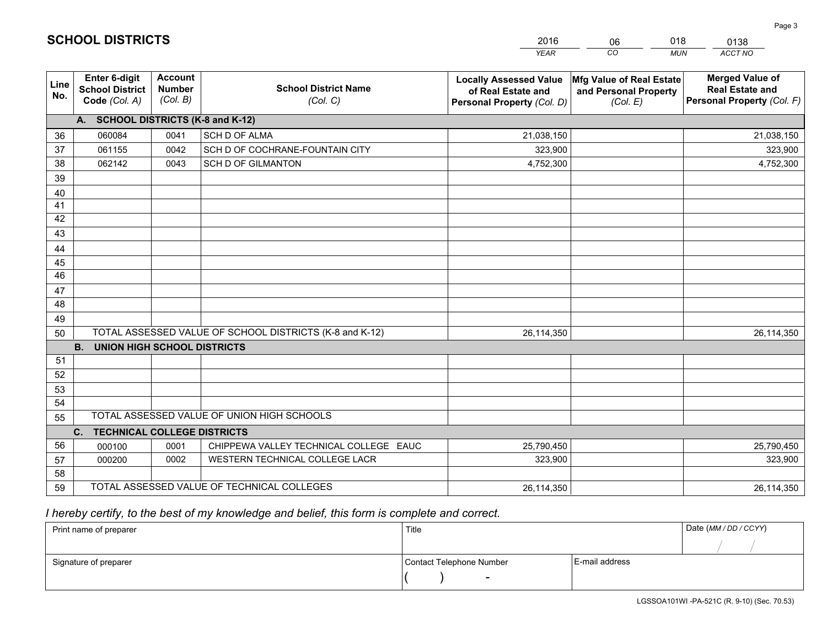|             |                                                                 |                                             |                                                         | <b>YEAR</b>                                                                       | CO<br><b>MUN</b>                                              | ACCT NO                                                                        |  |  |
|-------------|-----------------------------------------------------------------|---------------------------------------------|---------------------------------------------------------|-----------------------------------------------------------------------------------|---------------------------------------------------------------|--------------------------------------------------------------------------------|--|--|
| Line<br>No. | <b>Enter 6-digit</b><br><b>School District</b><br>Code (Col. A) | <b>Account</b><br><b>Number</b><br>(Col. B) | <b>School District Name</b><br>(Col. C)                 | <b>Locally Assessed Value</b><br>of Real Estate and<br>Personal Property (Col. D) | Mfg Value of Real Estate<br>and Personal Property<br>(Col. E) | <b>Merged Value of</b><br><b>Real Estate and</b><br>Personal Property (Col. F) |  |  |
|             | A. SCHOOL DISTRICTS (K-8 and K-12)                              |                                             |                                                         |                                                                                   |                                                               |                                                                                |  |  |
| 36          | 060084                                                          | 0041                                        | SCH D OF ALMA                                           | 21,038,150                                                                        |                                                               | 21,038,150                                                                     |  |  |
| 37          | 061155                                                          | 0042                                        | SCH D OF COCHRANE-FOUNTAIN CITY                         | 323,900                                                                           |                                                               | 323,900                                                                        |  |  |
| 38          | 062142                                                          | 0043                                        | <b>SCH D OF GILMANTON</b>                               | 4,752,300                                                                         |                                                               | 4,752,300                                                                      |  |  |
| 39          |                                                                 |                                             |                                                         |                                                                                   |                                                               |                                                                                |  |  |
| 40          |                                                                 |                                             |                                                         |                                                                                   |                                                               |                                                                                |  |  |
| 41          |                                                                 |                                             |                                                         |                                                                                   |                                                               |                                                                                |  |  |
| 42          |                                                                 |                                             |                                                         |                                                                                   |                                                               |                                                                                |  |  |
| 43          |                                                                 |                                             |                                                         |                                                                                   |                                                               |                                                                                |  |  |
| 44          |                                                                 |                                             |                                                         |                                                                                   |                                                               |                                                                                |  |  |
| 45          |                                                                 |                                             |                                                         |                                                                                   |                                                               |                                                                                |  |  |
| 46          |                                                                 |                                             |                                                         |                                                                                   |                                                               |                                                                                |  |  |
| 47          |                                                                 |                                             |                                                         |                                                                                   |                                                               |                                                                                |  |  |
| 48          |                                                                 |                                             |                                                         |                                                                                   |                                                               |                                                                                |  |  |
| 49          |                                                                 |                                             |                                                         |                                                                                   |                                                               |                                                                                |  |  |
| 50          |                                                                 |                                             | TOTAL ASSESSED VALUE OF SCHOOL DISTRICTS (K-8 and K-12) | 26,114,350                                                                        |                                                               | 26,114,350                                                                     |  |  |
|             | <b>B.</b><br><b>UNION HIGH SCHOOL DISTRICTS</b>                 |                                             |                                                         |                                                                                   |                                                               |                                                                                |  |  |
| 51          |                                                                 |                                             |                                                         |                                                                                   |                                                               |                                                                                |  |  |
| 52          |                                                                 |                                             |                                                         |                                                                                   |                                                               |                                                                                |  |  |
| 53          |                                                                 |                                             |                                                         |                                                                                   |                                                               |                                                                                |  |  |
| 54          |                                                                 |                                             |                                                         |                                                                                   |                                                               |                                                                                |  |  |
| 55          | TOTAL ASSESSED VALUE OF UNION HIGH SCHOOLS                      |                                             |                                                         |                                                                                   |                                                               |                                                                                |  |  |
|             | <b>TECHNICAL COLLEGE DISTRICTS</b><br>C.                        |                                             |                                                         |                                                                                   |                                                               |                                                                                |  |  |
| 56          | 000100                                                          | 0001                                        | CHIPPEWA VALLEY TECHNICAL COLLEGE EAUC                  | 25,790,450                                                                        |                                                               | 25,790,450                                                                     |  |  |
| 57          | 000200                                                          | 0002                                        | WESTERN TECHNICAL COLLEGE LACR                          | 323,900                                                                           |                                                               | 323,900                                                                        |  |  |
| 58          |                                                                 |                                             |                                                         |                                                                                   |                                                               |                                                                                |  |  |
| 59          |                                                                 |                                             | TOTAL ASSESSED VALUE OF TECHNICAL COLLEGES              | 26,114,350                                                                        |                                                               | 26,114,350                                                                     |  |  |

## *I hereby certify, to the best of my knowledge and belief, this form is complete and correct.*

| Print name of preparer | Title                    |                | Date (MM / DD / CCYY) |
|------------------------|--------------------------|----------------|-----------------------|
|                        |                          |                |                       |
| Signature of preparer  | Contact Telephone Number | E-mail address |                       |
|                        | $\overline{\phantom{0}}$ |                |                       |

# **SCHOOL DISTRICTS**

201606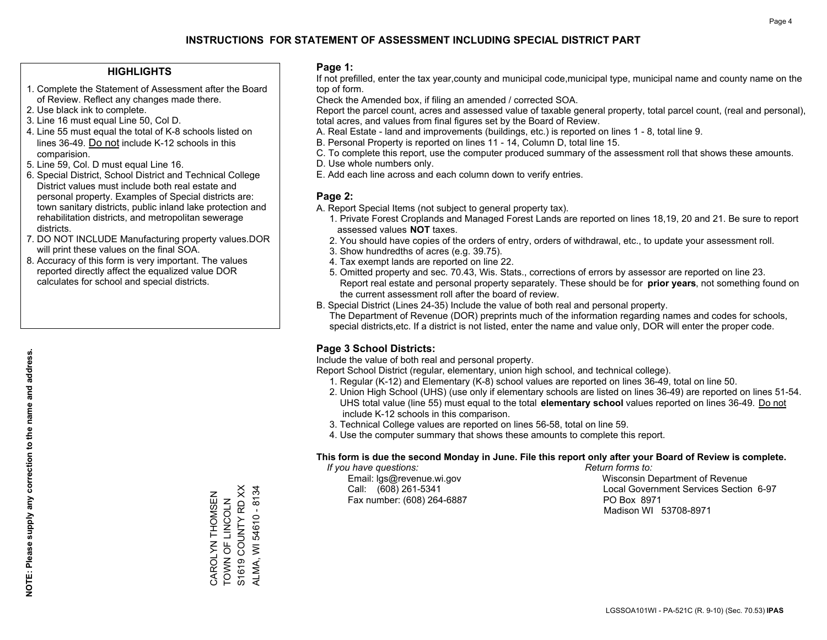#### **HIGHLIGHTS**

- 1. Complete the Statement of Assessment after the Board of Review. Reflect any changes made there.
- 2. Use black ink to complete.
- 3. Line 16 must equal Line 50, Col D.
- 4. Line 55 must equal the total of K-8 schools listed on lines 36-49. Do not include K-12 schools in this comparision.
- 5. Line 59, Col. D must equal Line 16.
- 6. Special District, School District and Technical College District values must include both real estate and personal property. Examples of Special districts are: town sanitary districts, public inland lake protection and rehabilitation districts, and metropolitan sewerage districts.
- 7. DO NOT INCLUDE Manufacturing property values.DOR will print these values on the final SOA.
- 8. Accuracy of this form is very important. The values reported directly affect the equalized value DOR calculates for school and special districts.

#### **Page 1:**

 If not prefilled, enter the tax year,county and municipal code,municipal type, municipal name and county name on the top of form.

Check the Amended box, if filing an amended / corrected SOA.

 Report the parcel count, acres and assessed value of taxable general property, total parcel count, (real and personal), total acres, and values from final figures set by the Board of Review.

- A. Real Estate land and improvements (buildings, etc.) is reported on lines 1 8, total line 9.
- B. Personal Property is reported on lines 11 14, Column D, total line 15.
- C. To complete this report, use the computer produced summary of the assessment roll that shows these amounts.
- D. Use whole numbers only.
- E. Add each line across and each column down to verify entries.

### **Page 2:**

- A. Report Special Items (not subject to general property tax).
- 1. Private Forest Croplands and Managed Forest Lands are reported on lines 18,19, 20 and 21. Be sure to report assessed values **NOT** taxes.
- 2. You should have copies of the orders of entry, orders of withdrawal, etc., to update your assessment roll.
	- 3. Show hundredths of acres (e.g. 39.75).
- 4. Tax exempt lands are reported on line 22.
- 5. Omitted property and sec. 70.43, Wis. Stats., corrections of errors by assessor are reported on line 23. Report real estate and personal property separately. These should be for **prior years**, not something found on the current assessment roll after the board of review.
- B. Special District (Lines 24-35) Include the value of both real and personal property.

 The Department of Revenue (DOR) preprints much of the information regarding names and codes for schools, special districts,etc. If a district is not listed, enter the name and value only, DOR will enter the proper code.

### **Page 3 School Districts:**

Include the value of both real and personal property.

Report School District (regular, elementary, union high school, and technical college).

- 1. Regular (K-12) and Elementary (K-8) school values are reported on lines 36-49, total on line 50.
- 2. Union High School (UHS) (use only if elementary schools are listed on lines 36-49) are reported on lines 51-54. UHS total value (line 55) must equal to the total **elementary school** values reported on lines 36-49. Do notinclude K-12 schools in this comparison.
- 3. Technical College values are reported on lines 56-58, total on line 59.
- 4. Use the computer summary that shows these amounts to complete this report.

#### **This form is due the second Monday in June. File this report only after your Board of Review is complete.**

 *If you have questions: Return forms to:*

Fax number: (608) 264-6887 PO Box 8971

 Email: lgs@revenue.wi.gov Wisconsin Department of Revenue Call: (608) 261-5341 Local Government Services Section 6-97Madison WI 53708-8971

S1619 COUNTY RD XX ALMA, WI 54610 - 8134 S1619 COUNTY RD XX ALMA, WI 54610 - 8134 CAROLYN THOMSEN<br>TOWN OF LINCOLN CAROLYN THOMSEN TOWN OF LINCOLN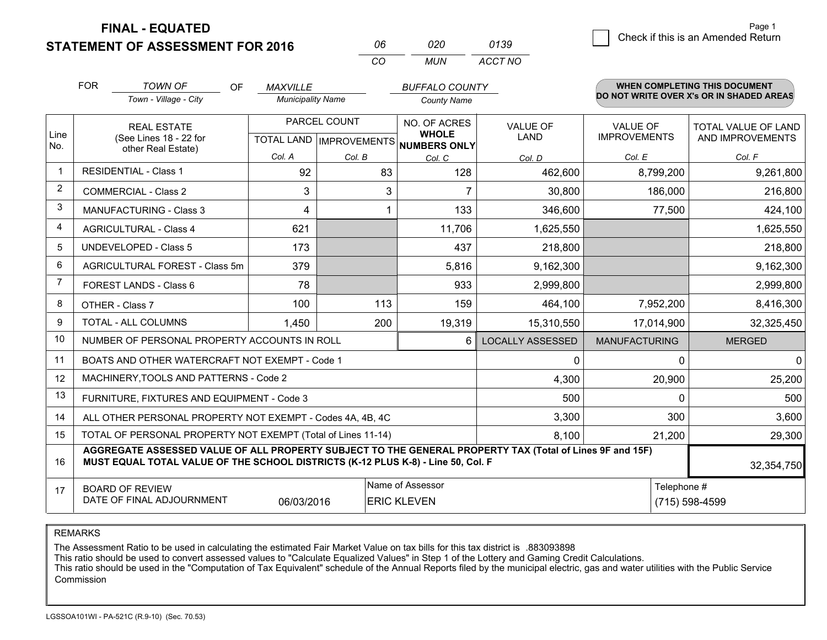**FINAL - EQUATED**

**STATEMENT OF ASSESSMENT FOR 2016** 

| nr       | กวก   | 0139    |
|----------|-------|---------|
| $\cdots$ | MI IN | ACCT NO |

|                | <b>FOR</b>                                                                                                  | <b>TOWN OF</b><br><b>OF</b><br>Town - Village - City                                                                                                                                         | <b>MAXVILLE</b><br><b>Municipality Name</b>          |        |                              | <b>BUFFALO COUNTY</b><br><b>County Name</b> |                                        | <b>WHEN COMPLETING THIS DOCUMENT</b><br>DO NOT WRITE OVER X's OR IN SHADED AREAS |  |
|----------------|-------------------------------------------------------------------------------------------------------------|----------------------------------------------------------------------------------------------------------------------------------------------------------------------------------------------|------------------------------------------------------|--------|------------------------------|---------------------------------------------|----------------------------------------|----------------------------------------------------------------------------------|--|
| Line<br>No.    |                                                                                                             | <b>REAL ESTATE</b><br>(See Lines 18 - 22 for<br>other Real Estate)                                                                                                                           | PARCEL COUNT<br>TOTAL LAND IMPROVEMENTS NUMBERS ONLY |        | NO. OF ACRES<br><b>WHOLE</b> | <b>VALUE OF</b><br>LAND                     | <b>VALUE OF</b><br><b>IMPROVEMENTS</b> | <b>TOTAL VALUE OF LAND</b><br>AND IMPROVEMENTS                                   |  |
|                |                                                                                                             |                                                                                                                                                                                              | Col. A                                               | Col. B | Col. C                       | Col. D                                      | Col. E                                 | Col. F                                                                           |  |
| $\mathbf 1$    |                                                                                                             | <b>RESIDENTIAL - Class 1</b>                                                                                                                                                                 | 92                                                   | 83     | 128                          | 462,600                                     | 8,799,200                              | 9,261,800                                                                        |  |
| $\overline{2}$ |                                                                                                             | <b>COMMERCIAL - Class 2</b>                                                                                                                                                                  | 3                                                    | 3      |                              | 30,800                                      | 186,000                                | 216,800                                                                          |  |
| 3              |                                                                                                             | MANUFACTURING - Class 3                                                                                                                                                                      | 4                                                    |        | 133                          | 346,600                                     | 77,500                                 | 424,100                                                                          |  |
| 4              |                                                                                                             | <b>AGRICULTURAL - Class 4</b>                                                                                                                                                                | 621                                                  |        | 11,706                       | 1,625,550                                   |                                        | 1,625,550                                                                        |  |
| 5              |                                                                                                             | <b>UNDEVELOPED - Class 5</b>                                                                                                                                                                 | 173                                                  |        | 437                          | 218,800                                     |                                        | 218,800                                                                          |  |
| 6              |                                                                                                             | AGRICULTURAL FOREST - Class 5m                                                                                                                                                               | 379                                                  |        | 5,816                        | 9,162,300                                   |                                        | 9,162,300                                                                        |  |
| 7              | FOREST LANDS - Class 6                                                                                      |                                                                                                                                                                                              | 78                                                   |        | 933                          | 2,999,800                                   |                                        | 2,999,800                                                                        |  |
| 8              |                                                                                                             | OTHER - Class 7                                                                                                                                                                              | 100                                                  | 113    | 159                          | 464,100                                     | 7,952,200                              | 8,416,300                                                                        |  |
| 9              |                                                                                                             | TOTAL - ALL COLUMNS                                                                                                                                                                          | 1,450                                                | 200    | 19,319                       | 15,310,550                                  | 17,014,900                             | 32,325,450                                                                       |  |
| 10             |                                                                                                             | NUMBER OF PERSONAL PROPERTY ACCOUNTS IN ROLL                                                                                                                                                 |                                                      |        | 6                            | <b>LOCALLY ASSESSED</b>                     | <b>MANUFACTURING</b>                   | <b>MERGED</b>                                                                    |  |
| 11             |                                                                                                             | BOATS AND OTHER WATERCRAFT NOT EXEMPT - Code 1                                                                                                                                               |                                                      |        |                              | 0                                           | 0                                      | $\overline{0}$                                                                   |  |
| 12             |                                                                                                             | MACHINERY, TOOLS AND PATTERNS - Code 2                                                                                                                                                       |                                                      |        |                              | 4,300                                       | 20,900                                 | 25,200                                                                           |  |
| 13             |                                                                                                             | FURNITURE, FIXTURES AND EQUIPMENT - Code 3                                                                                                                                                   |                                                      |        |                              | 500                                         | $\Omega$                               | 500                                                                              |  |
| 14             |                                                                                                             | ALL OTHER PERSONAL PROPERTY NOT EXEMPT - Codes 4A, 4B, 4C                                                                                                                                    |                                                      |        |                              | 3,300                                       | 300                                    | 3,600                                                                            |  |
| 15             |                                                                                                             | TOTAL OF PERSONAL PROPERTY NOT EXEMPT (Total of Lines 11-14)                                                                                                                                 |                                                      |        |                              | 8,100                                       | 21,200                                 | 29,300                                                                           |  |
| 16             |                                                                                                             | AGGREGATE ASSESSED VALUE OF ALL PROPERTY SUBJECT TO THE GENERAL PROPERTY TAX (Total of Lines 9F and 15F)<br>MUST EQUAL TOTAL VALUE OF THE SCHOOL DISTRICTS (K-12 PLUS K-8) - Line 50, Col. F |                                                      |        |                              |                                             |                                        | 32,354,750                                                                       |  |
| 17             | Name of Assessor<br><b>BOARD OF REVIEW</b><br>DATE OF FINAL ADJOURNMENT<br>06/03/2016<br><b>ERIC KLEVEN</b> |                                                                                                                                                                                              |                                                      |        |                              |                                             |                                        | Telephone #<br>(715) 598-4599                                                    |  |

REMARKS

The Assessment Ratio to be used in calculating the estimated Fair Market Value on tax bills for this tax district is .883093898

This ratio should be used to convert assessed values to "Calculate Equalized Values" in Step 1 of the Lottery and Gaming Credit Calculations.<br>This ratio should be used in the "Computation of Tax Equivalent" schedule of the Commission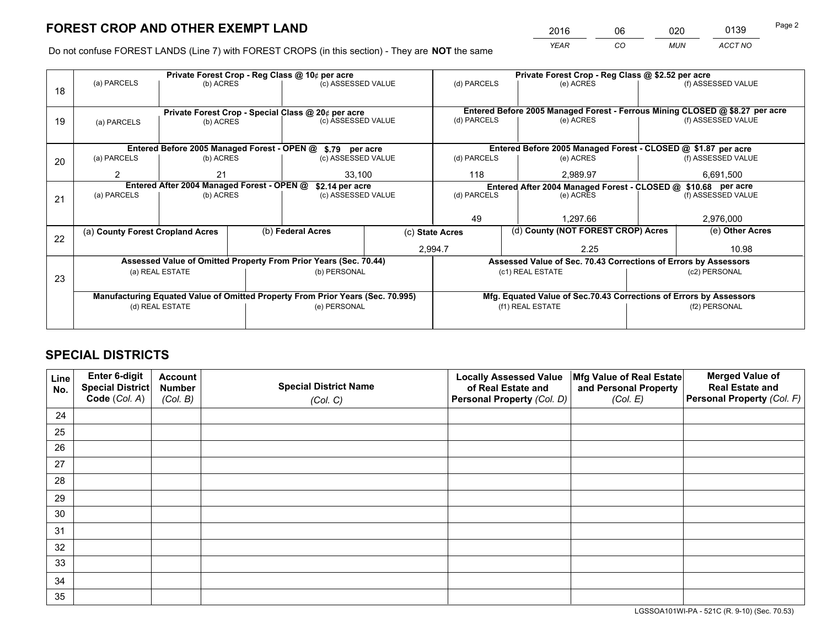*YEAR CO MUN ACCT NO* <sup>2016</sup> <sup>06</sup> <sup>020</sup> <sup>0139</sup>

Do not confuse FOREST LANDS (Line 7) with FOREST CROPS (in this section) - They are **NOT** the same

|    |                                                                                |                 |  | Private Forest Crop - Reg Class @ 10¢ per acre                   |                 |                                                                              | Private Forest Crop - Reg Class @ \$2.52 per acre               |           |                                                                    |  |
|----|--------------------------------------------------------------------------------|-----------------|--|------------------------------------------------------------------|-----------------|------------------------------------------------------------------------------|-----------------------------------------------------------------|-----------|--------------------------------------------------------------------|--|
| 18 | (a) PARCELS                                                                    | (b) ACRES       |  | (c) ASSESSED VALUE                                               |                 | (d) PARCELS                                                                  | (e) ACRES                                                       |           | (f) ASSESSED VALUE                                                 |  |
|    |                                                                                |                 |  |                                                                  |                 |                                                                              |                                                                 |           |                                                                    |  |
|    |                                                                                |                 |  | Private Forest Crop - Special Class @ 20¢ per acre               |                 | Entered Before 2005 Managed Forest - Ferrous Mining CLOSED @ \$8.27 per acre |                                                                 |           |                                                                    |  |
| 19 | (a) PARCELS                                                                    | (b) ACRES       |  | (c) ASSESSED VALUE                                               |                 | (d) PARCELS                                                                  | (e) ACRES                                                       |           | (f) ASSESSED VALUE                                                 |  |
|    |                                                                                |                 |  |                                                                  |                 |                                                                              |                                                                 |           |                                                                    |  |
|    |                                                                                |                 |  | Entered Before 2005 Managed Forest - OPEN @ \$.79 per acre       |                 |                                                                              | Entered Before 2005 Managed Forest - CLOSED @ \$1.87 per acre   |           |                                                                    |  |
| 20 | (a) PARCELS                                                                    | (b) ACRES       |  | (c) ASSESSED VALUE                                               |                 | (d) PARCELS                                                                  | (e) ACRES                                                       |           | (f) ASSESSED VALUE                                                 |  |
|    | 2                                                                              | 21<br>33.100    |  |                                                                  | 118<br>2.989.97 |                                                                              |                                                                 | 6,691,500 |                                                                    |  |
|    | Entered After 2004 Managed Forest - OPEN @<br>\$2.14 per acre                  |                 |  |                                                                  |                 |                                                                              | Entered After 2004 Managed Forest - CLOSED @ \$10.68 per acre   |           |                                                                    |  |
| 21 | (a) PARCELS                                                                    | (b) ACRES       |  | (c) ASSESSED VALUE                                               |                 | (d) PARCELS                                                                  | (e) ACRES                                                       |           | (f) ASSESSED VALUE                                                 |  |
|    |                                                                                |                 |  |                                                                  |                 |                                                                              |                                                                 |           |                                                                    |  |
|    |                                                                                |                 |  |                                                                  |                 | 49                                                                           | 1.297.66                                                        |           | 2,976,000                                                          |  |
| 22 | (a) County Forest Cropland Acres                                               |                 |  | (b) Federal Acres                                                | (c) State Acres |                                                                              | (d) County (NOT FOREST CROP) Acres                              |           | (e) Other Acres                                                    |  |
|    |                                                                                |                 |  |                                                                  |                 | 2,994.7                                                                      | 2.25                                                            |           | 10.98                                                              |  |
|    |                                                                                |                 |  | Assessed Value of Omitted Property From Prior Years (Sec. 70.44) |                 |                                                                              | Assessed Value of Sec. 70.43 Corrections of Errors by Assessors |           |                                                                    |  |
| 23 |                                                                                | (a) REAL ESTATE |  | (b) PERSONAL                                                     |                 |                                                                              | (c1) REAL ESTATE                                                |           | (c2) PERSONAL                                                      |  |
|    |                                                                                |                 |  |                                                                  |                 |                                                                              |                                                                 |           |                                                                    |  |
|    | Manufacturing Equated Value of Omitted Property From Prior Years (Sec. 70.995) |                 |  |                                                                  |                 |                                                                              |                                                                 |           | Mfg. Equated Value of Sec.70.43 Corrections of Errors by Assessors |  |
|    | (d) REAL ESTATE                                                                |                 |  | (e) PERSONAL                                                     |                 |                                                                              | (f1) REAL ESTATE                                                |           | (f2) PERSONAL                                                      |  |
|    |                                                                                |                 |  |                                                                  |                 |                                                                              |                                                                 |           |                                                                    |  |

## **SPECIAL DISTRICTS**

| Line<br>No. | Enter 6-digit<br><b>Special District</b> | <b>Account</b><br><b>Number</b> | <b>Special District Name</b> | <b>Locally Assessed Value</b><br>of Real Estate and | Mfg Value of Real Estate<br>and Personal Property | <b>Merged Value of</b><br><b>Real Estate and</b> |
|-------------|------------------------------------------|---------------------------------|------------------------------|-----------------------------------------------------|---------------------------------------------------|--------------------------------------------------|
|             | Code (Col. A)                            | (Col. B)                        | (Col. C)                     | Personal Property (Col. D)                          | (Col. E)                                          | Personal Property (Col. F)                       |
| 24          |                                          |                                 |                              |                                                     |                                                   |                                                  |
| 25          |                                          |                                 |                              |                                                     |                                                   |                                                  |
| 26          |                                          |                                 |                              |                                                     |                                                   |                                                  |
| 27          |                                          |                                 |                              |                                                     |                                                   |                                                  |
| 28          |                                          |                                 |                              |                                                     |                                                   |                                                  |
| 29          |                                          |                                 |                              |                                                     |                                                   |                                                  |
| 30          |                                          |                                 |                              |                                                     |                                                   |                                                  |
| 31          |                                          |                                 |                              |                                                     |                                                   |                                                  |
| 32          |                                          |                                 |                              |                                                     |                                                   |                                                  |
| 33          |                                          |                                 |                              |                                                     |                                                   |                                                  |
| 34          |                                          |                                 |                              |                                                     |                                                   |                                                  |
| 35          |                                          |                                 |                              |                                                     |                                                   |                                                  |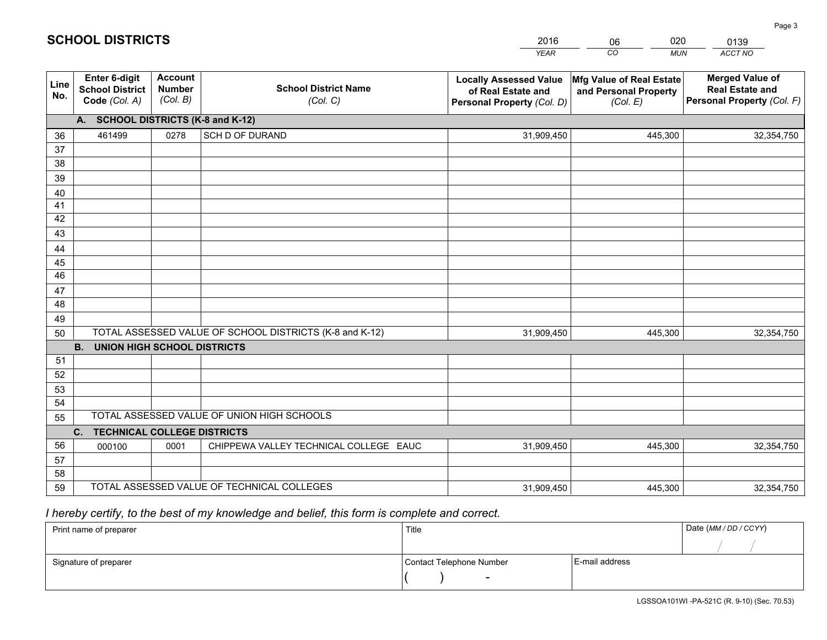|             |                                                                 |                                             |                                                         | <b>YEAR</b>                                                                       | CO<br><b>MUN</b>                                              | <b>ACCT NO</b>                                                                 |  |  |  |  |  |
|-------------|-----------------------------------------------------------------|---------------------------------------------|---------------------------------------------------------|-----------------------------------------------------------------------------------|---------------------------------------------------------------|--------------------------------------------------------------------------------|--|--|--|--|--|
| Line<br>No. | <b>Enter 6-digit</b><br><b>School District</b><br>Code (Col. A) | <b>Account</b><br><b>Number</b><br>(Col. B) | <b>School District Name</b><br>(Col. C)                 | <b>Locally Assessed Value</b><br>of Real Estate and<br>Personal Property (Col. D) | Mfg Value of Real Estate<br>and Personal Property<br>(Col. E) | <b>Merged Value of</b><br><b>Real Estate and</b><br>Personal Property (Col. F) |  |  |  |  |  |
|             | A. SCHOOL DISTRICTS (K-8 and K-12)                              |                                             |                                                         |                                                                                   |                                                               |                                                                                |  |  |  |  |  |
| 36          | 461499                                                          | 0278                                        | SCH D OF DURAND                                         | 31,909,450                                                                        | 445,300                                                       | 32,354,750                                                                     |  |  |  |  |  |
| 37          |                                                                 |                                             |                                                         |                                                                                   |                                                               |                                                                                |  |  |  |  |  |
| 38          |                                                                 |                                             |                                                         |                                                                                   |                                                               |                                                                                |  |  |  |  |  |
| 39          |                                                                 |                                             |                                                         |                                                                                   |                                                               |                                                                                |  |  |  |  |  |
| 40          |                                                                 |                                             |                                                         |                                                                                   |                                                               |                                                                                |  |  |  |  |  |
| 41          |                                                                 |                                             |                                                         |                                                                                   |                                                               |                                                                                |  |  |  |  |  |
| 42          |                                                                 |                                             |                                                         |                                                                                   |                                                               |                                                                                |  |  |  |  |  |
| 43          |                                                                 |                                             |                                                         |                                                                                   |                                                               |                                                                                |  |  |  |  |  |
| 44<br>45    |                                                                 |                                             |                                                         |                                                                                   |                                                               |                                                                                |  |  |  |  |  |
| 46          |                                                                 |                                             |                                                         |                                                                                   |                                                               |                                                                                |  |  |  |  |  |
| 47          |                                                                 |                                             |                                                         |                                                                                   |                                                               |                                                                                |  |  |  |  |  |
| 48          |                                                                 |                                             |                                                         |                                                                                   |                                                               |                                                                                |  |  |  |  |  |
| 49          |                                                                 |                                             |                                                         |                                                                                   |                                                               |                                                                                |  |  |  |  |  |
| 50          |                                                                 |                                             | TOTAL ASSESSED VALUE OF SCHOOL DISTRICTS (K-8 and K-12) | 31,909,450                                                                        | 445,300                                                       | 32,354,750                                                                     |  |  |  |  |  |
|             | <b>B.</b><br><b>UNION HIGH SCHOOL DISTRICTS</b>                 |                                             |                                                         |                                                                                   |                                                               |                                                                                |  |  |  |  |  |
| 51          |                                                                 |                                             |                                                         |                                                                                   |                                                               |                                                                                |  |  |  |  |  |
| 52          |                                                                 |                                             |                                                         |                                                                                   |                                                               |                                                                                |  |  |  |  |  |
| 53          |                                                                 |                                             |                                                         |                                                                                   |                                                               |                                                                                |  |  |  |  |  |
| 54          |                                                                 |                                             |                                                         |                                                                                   |                                                               |                                                                                |  |  |  |  |  |
| 55          |                                                                 |                                             | TOTAL ASSESSED VALUE OF UNION HIGH SCHOOLS              |                                                                                   |                                                               |                                                                                |  |  |  |  |  |
|             | C.<br><b>TECHNICAL COLLEGE DISTRICTS</b>                        |                                             |                                                         |                                                                                   |                                                               |                                                                                |  |  |  |  |  |
| 56          | 000100                                                          | 0001                                        | CHIPPEWA VALLEY TECHNICAL COLLEGE EAUC                  | 31,909,450                                                                        | 445,300                                                       | 32,354,750                                                                     |  |  |  |  |  |
| 57          |                                                                 |                                             |                                                         |                                                                                   |                                                               |                                                                                |  |  |  |  |  |
| 58          |                                                                 |                                             | TOTAL ASSESSED VALUE OF TECHNICAL COLLEGES              |                                                                                   |                                                               |                                                                                |  |  |  |  |  |
| 59          |                                                                 |                                             |                                                         | 31,909,450                                                                        | 445,300                                                       | 32,354,750                                                                     |  |  |  |  |  |

06

020

## *I hereby certify, to the best of my knowledge and belief, this form is complete and correct.*

**SCHOOL DISTRICTS**

| Print name of preparer | Title                    |                | Date (MM / DD / CCYY) |
|------------------------|--------------------------|----------------|-----------------------|
|                        |                          |                |                       |
| Signature of preparer  | Contact Telephone Number | E-mail address |                       |
|                        | $\sim$                   |                |                       |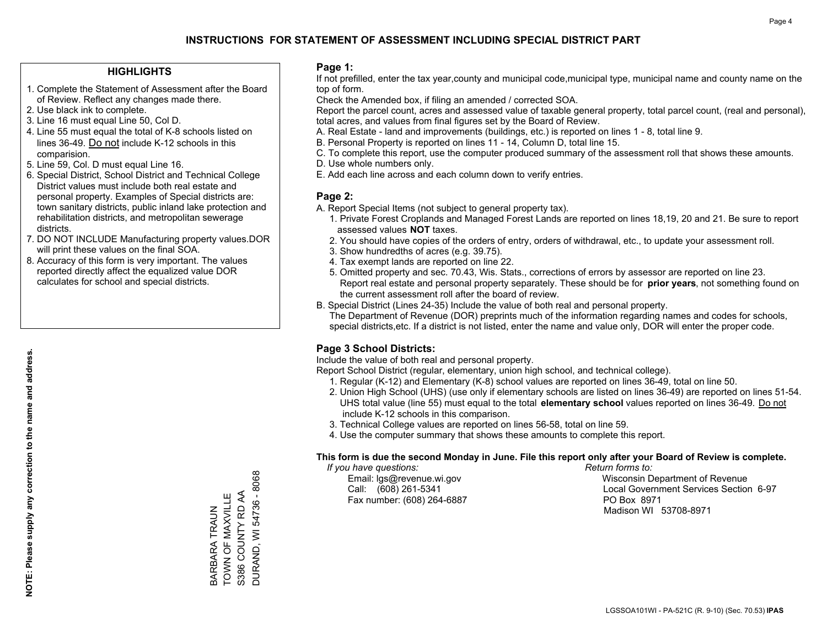#### **HIGHLIGHTS**

- 1. Complete the Statement of Assessment after the Board of Review. Reflect any changes made there.
- 2. Use black ink to complete.
- 3. Line 16 must equal Line 50, Col D.
- 4. Line 55 must equal the total of K-8 schools listed on lines 36-49. Do not include K-12 schools in this comparision.
- 5. Line 59, Col. D must equal Line 16.
- 6. Special District, School District and Technical College District values must include both real estate and personal property. Examples of Special districts are: town sanitary districts, public inland lake protection and rehabilitation districts, and metropolitan sewerage districts.
- 7. DO NOT INCLUDE Manufacturing property values.DOR will print these values on the final SOA.
- 8. Accuracy of this form is very important. The values reported directly affect the equalized value DOR calculates for school and special districts.

#### **Page 1:**

 If not prefilled, enter the tax year,county and municipal code,municipal type, municipal name and county name on the top of form.

Check the Amended box, if filing an amended / corrected SOA.

 Report the parcel count, acres and assessed value of taxable general property, total parcel count, (real and personal), total acres, and values from final figures set by the Board of Review.

- A. Real Estate land and improvements (buildings, etc.) is reported on lines 1 8, total line 9.
- B. Personal Property is reported on lines 11 14, Column D, total line 15.
- C. To complete this report, use the computer produced summary of the assessment roll that shows these amounts.
- D. Use whole numbers only.
- E. Add each line across and each column down to verify entries.

### **Page 2:**

- A. Report Special Items (not subject to general property tax).
- 1. Private Forest Croplands and Managed Forest Lands are reported on lines 18,19, 20 and 21. Be sure to report assessed values **NOT** taxes.
- 2. You should have copies of the orders of entry, orders of withdrawal, etc., to update your assessment roll.
	- 3. Show hundredths of acres (e.g. 39.75).
- 4. Tax exempt lands are reported on line 22.
- 5. Omitted property and sec. 70.43, Wis. Stats., corrections of errors by assessor are reported on line 23. Report real estate and personal property separately. These should be for **prior years**, not something found on the current assessment roll after the board of review.
- B. Special District (Lines 24-35) Include the value of both real and personal property.
- The Department of Revenue (DOR) preprints much of the information regarding names and codes for schools, special districts,etc. If a district is not listed, enter the name and value only, DOR will enter the proper code.

### **Page 3 School Districts:**

Include the value of both real and personal property.

Report School District (regular, elementary, union high school, and technical college).

- 1. Regular (K-12) and Elementary (K-8) school values are reported on lines 36-49, total on line 50.
- 2. Union High School (UHS) (use only if elementary schools are listed on lines 36-49) are reported on lines 51-54. UHS total value (line 55) must equal to the total **elementary school** values reported on lines 36-49. Do notinclude K-12 schools in this comparison.
- 3. Technical College values are reported on lines 56-58, total on line 59.
- 4. Use the computer summary that shows these amounts to complete this report.

#### **This form is due the second Monday in June. File this report only after your Board of Review is complete.**

 *If you have questions: Return forms to:*

Fax number: (608) 264-6887 PO Box 8971

 Email: lgs@revenue.wi.gov Wisconsin Department of Revenue Call: (608) 261-5341 Local Government Services Section 6-97Madison WI 53708-8971

DURAND, WI 54736 - 8068 DURAND, WI 54736 - 8068 S386 COUNTY RD AA BARBARA TRAUN<br>TOWN OF MAXVILLE TOWN OF MAXVILLE S386 COUNTY RD AA BARBARA TRAUN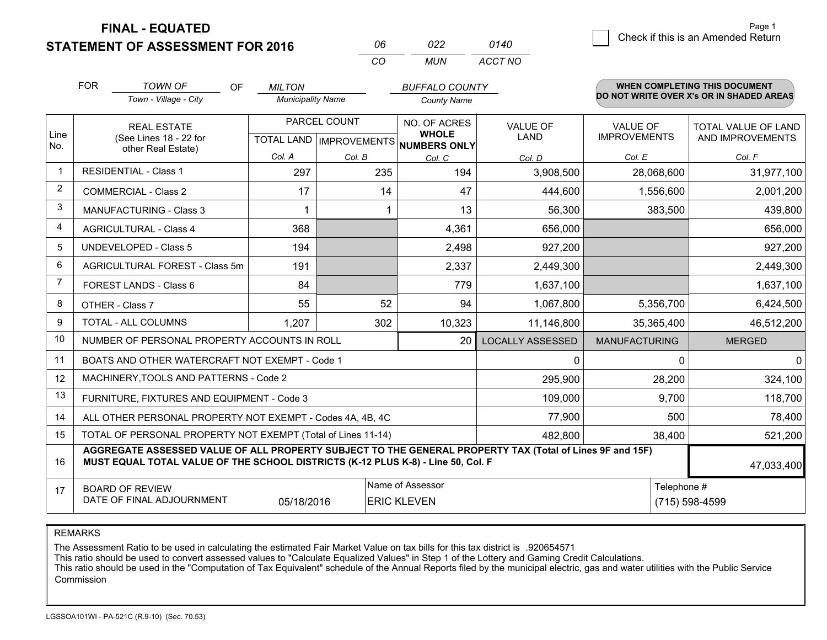**FINAL - EQUATED**

0 **Check if this is an Amended Return** Page 1

|            | <b>STATEMENT OF ASSESSMENT FOR 2016</b> |    |                                           | 06<br>CO | 022<br>MUN                                  | 0140<br>ACCT NO | <u> Onoon il tillo io un minonuou i totuni</u> |                                                                                  |  |
|------------|-----------------------------------------|----|-------------------------------------------|----------|---------------------------------------------|-----------------|------------------------------------------------|----------------------------------------------------------------------------------|--|
| <b>FOR</b> | TOWN OF<br>Town - Village - City        | OF | <b>MILTON</b><br><b>Municipality Name</b> |          | <b>BUFFALO COUNTY</b><br><b>County Name</b> |                 |                                                | <b>WHEN COMPLETING THIS DOCUMENT</b><br>DO NOT WRITE OVER X's OR IN SHADED AREAS |  |
|            | REAL ESTATE                             |    | PARCEL COUNT                              |          | NO. OF ACRES<br>                            | <b>VALUE OF</b> | <b>VALUE OF</b>                                | TOTAL VALUE OF LAN                                                               |  |

| Line           | <b>REAL ESTATE</b>                                                                                                                                                                                         |                  | <b>FANGEL UUUNI</b> | NO. OF ACRES<br><b>WHOLE</b>         | <b>VALUE OF</b>         | <b>VALUE OF</b>      |           | TOTAL VALUE OF LAND |
|----------------|------------------------------------------------------------------------------------------------------------------------------------------------------------------------------------------------------------|------------------|---------------------|--------------------------------------|-------------------------|----------------------|-----------|---------------------|
| No.            | (See Lines 18 - 22 for<br>other Real Estate)                                                                                                                                                               |                  |                     | TOTAL LAND IMPROVEMENTS NUMBERS ONLY | LAND                    | <b>IMPROVEMENTS</b>  |           | AND IMPROVEMENTS    |
|                |                                                                                                                                                                                                            | Col. A           | Col. B              | Col. C                               | Col. D                  | Col. E               |           | Col. F              |
|                | <b>RESIDENTIAL - Class 1</b>                                                                                                                                                                               | 297              | 235                 | 194                                  | 3,908,500               | 28,068,600           |           | 31,977,100          |
| $\overline{2}$ | <b>COMMERCIAL - Class 2</b>                                                                                                                                                                                | 17               | 14                  | 47                                   | 444,600                 |                      | 1,556,600 | 2,001,200           |
| 3              | <b>MANUFACTURING - Class 3</b>                                                                                                                                                                             |                  |                     | 13                                   | 56,300                  |                      | 383,500   | 439,800             |
| 4              | <b>AGRICULTURAL - Class 4</b>                                                                                                                                                                              | 368              |                     | 4,361                                | 656,000                 |                      |           | 656,000             |
| 5              | <b>UNDEVELOPED - Class 5</b>                                                                                                                                                                               | 194              |                     | 2,498                                | 927,200                 |                      |           | 927,200             |
| 6              | AGRICULTURAL FOREST - Class 5m                                                                                                                                                                             | 191              |                     | 2,337                                | 2,449,300               |                      |           | 2,449,300           |
| 7              | FOREST LANDS - Class 6                                                                                                                                                                                     | 84               |                     | 779                                  | 1,637,100               |                      |           | 1,637,100           |
| 8              | OTHER - Class 7                                                                                                                                                                                            | 55               |                     | 94                                   | 1,067,800               |                      | 5,356,700 | 6,424,500           |
| 9              | <b>TOTAL - ALL COLUMNS</b>                                                                                                                                                                                 | 1,207            | 302                 | 10,323                               | 11,146,800              | 35,365,400           |           | 46,512,200          |
| 10             | NUMBER OF PERSONAL PROPERTY ACCOUNTS IN ROLL                                                                                                                                                               |                  |                     | 20                                   | <b>LOCALLY ASSESSED</b> | <b>MANUFACTURING</b> |           | <b>MERGED</b>       |
| 11             | BOATS AND OTHER WATERCRAFT NOT EXEMPT - Code 1                                                                                                                                                             |                  |                     |                                      | 0                       |                      | 0         | $\overline{0}$      |
| 12             | MACHINERY, TOOLS AND PATTERNS - Code 2                                                                                                                                                                     |                  |                     |                                      | 295,900                 |                      | 28,200    | 324,100             |
| 13             | FURNITURE, FIXTURES AND EQUIPMENT - Code 3                                                                                                                                                                 |                  |                     |                                      | 109,000                 |                      | 9,700     | 118,700             |
| 14             | ALL OTHER PERSONAL PROPERTY NOT EXEMPT - Codes 4A, 4B, 4C                                                                                                                                                  |                  |                     |                                      | 77,900                  |                      | 500       | 78,400              |
| 15             | TOTAL OF PERSONAL PROPERTY NOT EXEMPT (Total of Lines 11-14)                                                                                                                                               |                  |                     |                                      | 482,800                 |                      | 38,400    | 521,200             |
| 16             | AGGREGATE ASSESSED VALUE OF ALL PROPERTY SUBJECT TO THE GENERAL PROPERTY TAX (Total of Lines 9F and 15F)<br>MUST EQUAL TOTAL VALUE OF THE SCHOOL DISTRICTS (K-12 PLUS K-8) - Line 50, Col. F<br>47,033,400 |                  |                     |                                      |                         |                      |           |                     |
| 17             | <b>BOARD OF REVIEW</b>                                                                                                                                                                                     | Name of Assessor | Telephone #         |                                      |                         |                      |           |                     |
|                | DATE OF FINAL ADJOURNMENT<br>(715) 598-4599<br>05/18/2016<br><b>ERIC KLEVEN</b>                                                                                                                            |                  |                     |                                      |                         |                      |           |                     |

REMARKS

The Assessment Ratio to be used in calculating the estimated Fair Market Value on tax bills for this tax district is .920654571<br>This ratio should be used to convert assessed values to "Calculate Equalized Values" in Step 1 Commission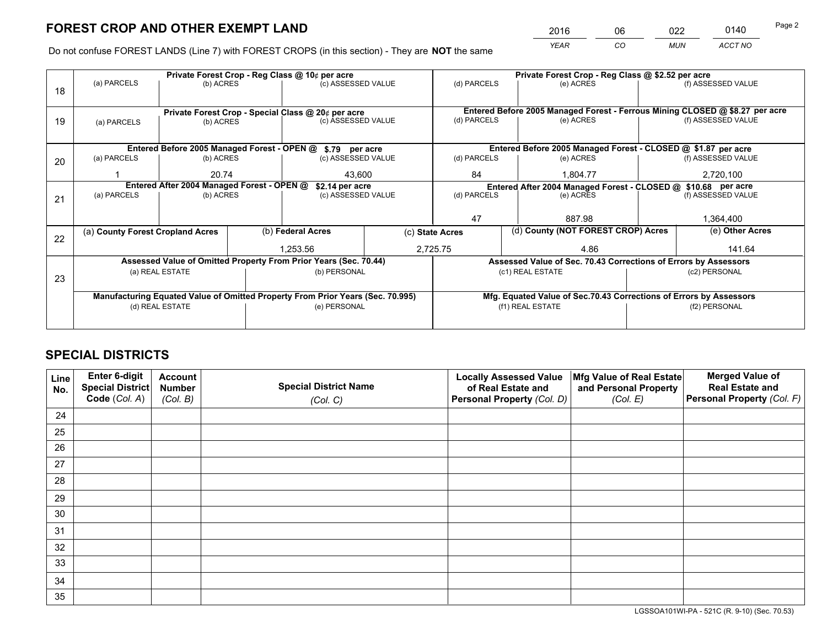*YEAR CO MUN ACCT NO* 2016 06 022 0140 Page 2

Do not confuse FOREST LANDS (Line 7) with FOREST CROPS (in this section) - They are **NOT** the same

|    |                                                                                |                                 |  | Private Forest Crop - Reg Class @ 10¢ per acre                   |                                   |             | Private Forest Crop - Reg Class @ \$2.52 per acre                            |                    |                    |  |
|----|--------------------------------------------------------------------------------|---------------------------------|--|------------------------------------------------------------------|-----------------------------------|-------------|------------------------------------------------------------------------------|--------------------|--------------------|--|
| 18 | (a) PARCELS                                                                    | (b) ACRES                       |  | (c) ASSESSED VALUE                                               |                                   | (d) PARCELS | (e) ACRES                                                                    |                    | (f) ASSESSED VALUE |  |
|    |                                                                                |                                 |  |                                                                  |                                   |             |                                                                              |                    |                    |  |
|    | Private Forest Crop - Special Class @ 20¢ per acre                             |                                 |  |                                                                  |                                   |             | Entered Before 2005 Managed Forest - Ferrous Mining CLOSED @ \$8.27 per acre |                    |                    |  |
| 19 | (a) PARCELS                                                                    | (b) ACRES                       |  | (c) ASSESSED VALUE                                               |                                   | (d) PARCELS | (e) ACRES                                                                    |                    | (f) ASSESSED VALUE |  |
|    |                                                                                |                                 |  |                                                                  |                                   |             |                                                                              |                    |                    |  |
|    |                                                                                |                                 |  | Entered Before 2005 Managed Forest - OPEN @ \$.79 per acre       |                                   |             | Entered Before 2005 Managed Forest - CLOSED @ \$1.87 per acre                |                    |                    |  |
| 20 | (a) PARCELS                                                                    | (b) ACRES<br>(c) ASSESSED VALUE |  |                                                                  | (d) PARCELS                       | (e) ACRES   |                                                                              | (f) ASSESSED VALUE |                    |  |
|    |                                                                                | 20.74<br>43.600                 |  |                                                                  | 84<br>1.804.77                    |             |                                                                              | 2,720,100          |                    |  |
|    | Entered After 2004 Managed Forest - OPEN @<br>\$2.14 per acre                  |                                 |  |                                                                  |                                   |             | Entered After 2004 Managed Forest - CLOSED @ \$10.68 per acre                |                    |                    |  |
| 21 | (a) PARCELS                                                                    | (b) ACRES                       |  |                                                                  | (d) PARCELS<br>(c) ASSESSED VALUE |             | (e) ACRES                                                                    |                    | (f) ASSESSED VALUE |  |
|    |                                                                                |                                 |  |                                                                  |                                   |             |                                                                              |                    |                    |  |
|    |                                                                                |                                 |  |                                                                  |                                   | 47          | 887.98                                                                       |                    | 1,364,400          |  |
| 22 | (a) County Forest Cropland Acres                                               |                                 |  | (b) Federal Acres                                                | (c) State Acres                   |             | (d) County (NOT FOREST CROP) Acres                                           |                    | (e) Other Acres    |  |
|    |                                                                                |                                 |  | 1,253.56                                                         |                                   | 2,725.75    | 4.86                                                                         |                    | 141.64             |  |
|    |                                                                                |                                 |  | Assessed Value of Omitted Property From Prior Years (Sec. 70.44) |                                   |             | Assessed Value of Sec. 70.43 Corrections of Errors by Assessors              |                    |                    |  |
| 23 |                                                                                | (a) REAL ESTATE                 |  | (b) PERSONAL                                                     |                                   |             | (c1) REAL ESTATE                                                             |                    | (c2) PERSONAL      |  |
|    |                                                                                |                                 |  |                                                                  |                                   |             |                                                                              |                    |                    |  |
|    | Manufacturing Equated Value of Omitted Property From Prior Years (Sec. 70.995) |                                 |  |                                                                  |                                   |             | Mfg. Equated Value of Sec.70.43 Corrections of Errors by Assessors           |                    |                    |  |
|    | (d) REAL ESTATE                                                                |                                 |  | (e) PERSONAL                                                     |                                   |             | (f1) REAL ESTATE                                                             |                    | (f2) PERSONAL      |  |
|    |                                                                                |                                 |  |                                                                  |                                   |             |                                                                              |                    |                    |  |

## **SPECIAL DISTRICTS**

| Line<br>No. | Enter 6-digit<br><b>Special District</b> | <b>Account</b><br><b>Number</b> | <b>Special District Name</b> | <b>Locally Assessed Value</b><br>of Real Estate and | Mfg Value of Real Estate<br>and Personal Property | <b>Merged Value of</b><br><b>Real Estate and</b> |
|-------------|------------------------------------------|---------------------------------|------------------------------|-----------------------------------------------------|---------------------------------------------------|--------------------------------------------------|
|             | Code (Col. A)                            | (Col. B)                        | (Col. C)                     | Personal Property (Col. D)                          | (Col. E)                                          | Personal Property (Col. F)                       |
| 24          |                                          |                                 |                              |                                                     |                                                   |                                                  |
| 25          |                                          |                                 |                              |                                                     |                                                   |                                                  |
| 26          |                                          |                                 |                              |                                                     |                                                   |                                                  |
| 27          |                                          |                                 |                              |                                                     |                                                   |                                                  |
| 28          |                                          |                                 |                              |                                                     |                                                   |                                                  |
| 29          |                                          |                                 |                              |                                                     |                                                   |                                                  |
| 30          |                                          |                                 |                              |                                                     |                                                   |                                                  |
| 31          |                                          |                                 |                              |                                                     |                                                   |                                                  |
| 32          |                                          |                                 |                              |                                                     |                                                   |                                                  |
| 33          |                                          |                                 |                              |                                                     |                                                   |                                                  |
| 34          |                                          |                                 |                              |                                                     |                                                   |                                                  |
| 35          |                                          |                                 |                              |                                                     |                                                   |                                                  |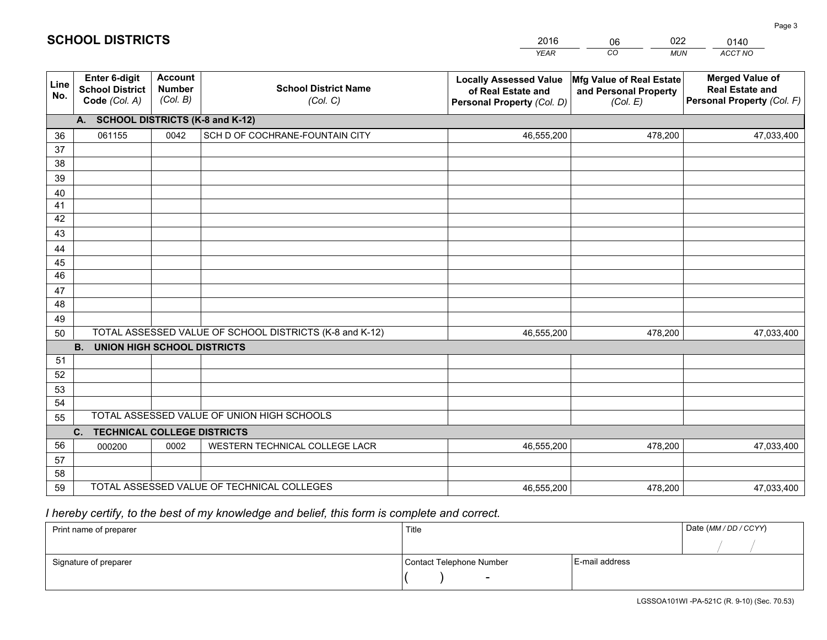|             |                                                          |                                             |                                                         | <b>YEAR</b>                                                                       | CO<br><b>MUN</b>                                              | ACCT NO                                                                        |
|-------------|----------------------------------------------------------|---------------------------------------------|---------------------------------------------------------|-----------------------------------------------------------------------------------|---------------------------------------------------------------|--------------------------------------------------------------------------------|
| Line<br>No. | Enter 6-digit<br><b>School District</b><br>Code (Col. A) | <b>Account</b><br><b>Number</b><br>(Col. B) | <b>School District Name</b><br>(Col. C)                 | <b>Locally Assessed Value</b><br>of Real Estate and<br>Personal Property (Col. D) | Mfg Value of Real Estate<br>and Personal Property<br>(Col. E) | <b>Merged Value of</b><br><b>Real Estate and</b><br>Personal Property (Col. F) |
|             | A. SCHOOL DISTRICTS (K-8 and K-12)                       |                                             |                                                         |                                                                                   |                                                               |                                                                                |
| 36          | 061155                                                   | 0042                                        | SCH D OF COCHRANE-FOUNTAIN CITY                         | 46,555,200                                                                        | 478,200                                                       | 47,033,400                                                                     |
| 37          |                                                          |                                             |                                                         |                                                                                   |                                                               |                                                                                |
| 38          |                                                          |                                             |                                                         |                                                                                   |                                                               |                                                                                |
| 39          |                                                          |                                             |                                                         |                                                                                   |                                                               |                                                                                |
| 40          |                                                          |                                             |                                                         |                                                                                   |                                                               |                                                                                |
| 41<br>42    |                                                          |                                             |                                                         |                                                                                   |                                                               |                                                                                |
| 43          |                                                          |                                             |                                                         |                                                                                   |                                                               |                                                                                |
| 44          |                                                          |                                             |                                                         |                                                                                   |                                                               |                                                                                |
| 45          |                                                          |                                             |                                                         |                                                                                   |                                                               |                                                                                |
| 46          |                                                          |                                             |                                                         |                                                                                   |                                                               |                                                                                |
| 47          |                                                          |                                             |                                                         |                                                                                   |                                                               |                                                                                |
| 48          |                                                          |                                             |                                                         |                                                                                   |                                                               |                                                                                |
| 49          |                                                          |                                             |                                                         |                                                                                   |                                                               |                                                                                |
| 50          |                                                          |                                             | TOTAL ASSESSED VALUE OF SCHOOL DISTRICTS (K-8 and K-12) | 46,555,200                                                                        | 478,200                                                       | 47,033,400                                                                     |
|             | <b>B.</b><br><b>UNION HIGH SCHOOL DISTRICTS</b>          |                                             |                                                         |                                                                                   |                                                               |                                                                                |
| 51          |                                                          |                                             |                                                         |                                                                                   |                                                               |                                                                                |
| 52          |                                                          |                                             |                                                         |                                                                                   |                                                               |                                                                                |
| 53          |                                                          |                                             |                                                         |                                                                                   |                                                               |                                                                                |
| 54          |                                                          |                                             |                                                         |                                                                                   |                                                               |                                                                                |
| 55          |                                                          |                                             | TOTAL ASSESSED VALUE OF UNION HIGH SCHOOLS              |                                                                                   |                                                               |                                                                                |
|             | C.<br><b>TECHNICAL COLLEGE DISTRICTS</b>                 |                                             |                                                         |                                                                                   |                                                               |                                                                                |
| 56<br>57    | 000200                                                   | 0002                                        | WESTERN TECHNICAL COLLEGE LACR                          | 46,555,200                                                                        | 478,200                                                       | 47,033,400                                                                     |
| 58          |                                                          |                                             |                                                         |                                                                                   |                                                               |                                                                                |
| 59          |                                                          |                                             | TOTAL ASSESSED VALUE OF TECHNICAL COLLEGES              | 46,555,200                                                                        | 478,200                                                       | 47,033,400                                                                     |
|             |                                                          |                                             |                                                         |                                                                                   |                                                               |                                                                                |

06

022

 *I hereby certify, to the best of my knowledge and belief, this form is complete and correct.*

**SCHOOL DISTRICTS**

| Print name of preparer | Title                    |                | Date (MM/DD/CCYY) |
|------------------------|--------------------------|----------------|-------------------|
|                        |                          |                |                   |
| Signature of preparer  | Contact Telephone Number | E-mail address |                   |
|                        | $\overline{\phantom{0}}$ |                |                   |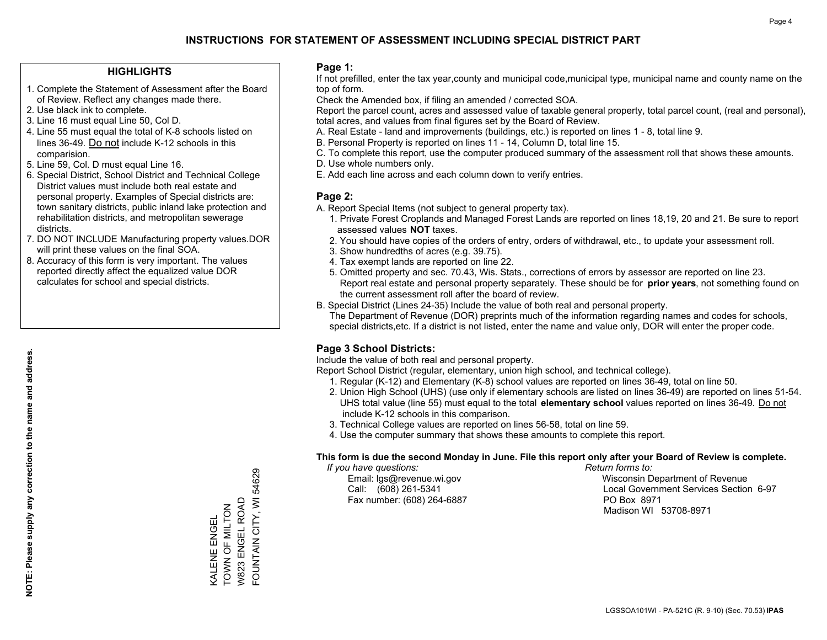#### **HIGHLIGHTS**

- 1. Complete the Statement of Assessment after the Board of Review. Reflect any changes made there.
- 2. Use black ink to complete.
- 3. Line 16 must equal Line 50, Col D.
- 4. Line 55 must equal the total of K-8 schools listed on lines 36-49. Do not include K-12 schools in this comparision.
- 5. Line 59, Col. D must equal Line 16.
- 6. Special District, School District and Technical College District values must include both real estate and personal property. Examples of Special districts are: town sanitary districts, public inland lake protection and rehabilitation districts, and metropolitan sewerage districts.
- 7. DO NOT INCLUDE Manufacturing property values.DOR will print these values on the final SOA.

KALENE ENGEL TOWN OF MILTON W823 ENGEL ROAD FOUNTAIN CITY, WI 54629

FOUNTAIN CITY, WI 54629

W823 ENGEL ROAD KALENE ENGEL<br>TOWN OF MILTON

 8. Accuracy of this form is very important. The values reported directly affect the equalized value DOR calculates for school and special districts.

#### **Page 1:**

 If not prefilled, enter the tax year,county and municipal code,municipal type, municipal name and county name on the top of form.

Check the Amended box, if filing an amended / corrected SOA.

 Report the parcel count, acres and assessed value of taxable general property, total parcel count, (real and personal), total acres, and values from final figures set by the Board of Review.

- A. Real Estate land and improvements (buildings, etc.) is reported on lines 1 8, total line 9.
- B. Personal Property is reported on lines 11 14, Column D, total line 15.
- C. To complete this report, use the computer produced summary of the assessment roll that shows these amounts.
- D. Use whole numbers only.
- E. Add each line across and each column down to verify entries.

#### **Page 2:**

- A. Report Special Items (not subject to general property tax).
- 1. Private Forest Croplands and Managed Forest Lands are reported on lines 18,19, 20 and 21. Be sure to report assessed values **NOT** taxes.
- 2. You should have copies of the orders of entry, orders of withdrawal, etc., to update your assessment roll.
	- 3. Show hundredths of acres (e.g. 39.75).
- 4. Tax exempt lands are reported on line 22.
- 5. Omitted property and sec. 70.43, Wis. Stats., corrections of errors by assessor are reported on line 23. Report real estate and personal property separately. These should be for **prior years**, not something found on the current assessment roll after the board of review.
- B. Special District (Lines 24-35) Include the value of both real and personal property.
- The Department of Revenue (DOR) preprints much of the information regarding names and codes for schools, special districts,etc. If a district is not listed, enter the name and value only, DOR will enter the proper code.

### **Page 3 School Districts:**

Include the value of both real and personal property.

Report School District (regular, elementary, union high school, and technical college).

- 1. Regular (K-12) and Elementary (K-8) school values are reported on lines 36-49, total on line 50.
- 2. Union High School (UHS) (use only if elementary schools are listed on lines 36-49) are reported on lines 51-54. UHS total value (line 55) must equal to the total **elementary school** values reported on lines 36-49. Do notinclude K-12 schools in this comparison.
- 3. Technical College values are reported on lines 56-58, total on line 59.
- 4. Use the computer summary that shows these amounts to complete this report.

#### **This form is due the second Monday in June. File this report only after your Board of Review is complete.**

 *If you have questions: Return forms to:*

Fax number: (608) 264-6887 PO Box 8971

 Email: lgs@revenue.wi.gov Wisconsin Department of Revenue Call: (608) 261-5341 Local Government Services Section 6-97Madison WI 53708-8971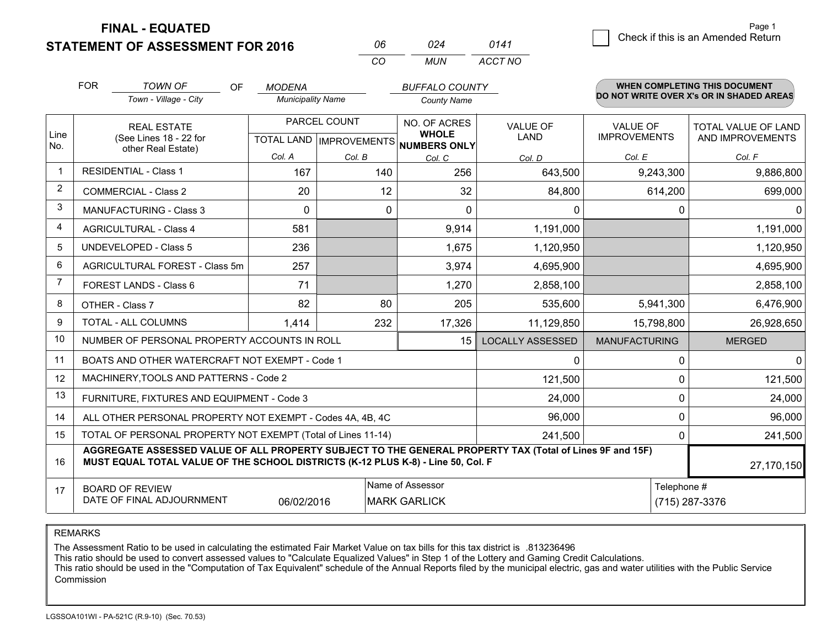**STATEMENT OF ASSESSMENT FOR 2016** 

**FINAL - EQUATED**

| 024 | 0141    |
|-----|---------|
| MUN | ACCT NO |

|                         | <b>FOR</b>                                                                                                                                                                                   | <b>TOWN OF</b><br>OF<br>Town - Village - City             | <b>MODENA</b><br><b>Municipality Name</b> |                                                          | <b>BUFFALO COUNTY</b><br><b>County Name</b> |                                |                                        | WHEN COMPLETING THIS DOCUMENT<br>DO NOT WRITE OVER X's OR IN SHADED AREAS |
|-------------------------|----------------------------------------------------------------------------------------------------------------------------------------------------------------------------------------------|-----------------------------------------------------------|-------------------------------------------|----------------------------------------------------------|---------------------------------------------|--------------------------------|----------------------------------------|---------------------------------------------------------------------------|
| Line<br>No.             | <b>REAL ESTATE</b><br>(See Lines 18 - 22 for                                                                                                                                                 |                                                           |                                           | PARCEL COUNT<br>TOTAL LAND   IMPROVEMENTS   NUMBERS ONLY |                                             | <b>VALUE OF</b><br><b>LAND</b> | <b>VALUE OF</b><br><b>IMPROVEMENTS</b> | <b>TOTAL VALUE OF LAND</b><br>AND IMPROVEMENTS                            |
|                         | other Real Estate)                                                                                                                                                                           |                                                           | Col. A                                    | Col. B                                                   | Col. C                                      | Col. D                         | Col. E                                 | Col. F                                                                    |
| $\overline{\mathbf{1}}$ | <b>RESIDENTIAL - Class 1</b>                                                                                                                                                                 |                                                           | 167                                       | 140                                                      | 256                                         | 643,500                        | 9,243,300                              | 9,886,800                                                                 |
| 2                       | <b>COMMERCIAL - Class 2</b>                                                                                                                                                                  |                                                           | 20                                        | 12                                                       | 32                                          | 84,800                         | 614,200                                | 699,000                                                                   |
| 3                       | MANUFACTURING - Class 3                                                                                                                                                                      |                                                           | 0                                         | 0                                                        | 0                                           | $\mathbf{0}$                   | 0                                      | $\Omega$                                                                  |
| 4                       | <b>AGRICULTURAL - Class 4</b>                                                                                                                                                                |                                                           | 581                                       |                                                          | 9,914                                       | 1,191,000                      |                                        | 1,191,000                                                                 |
| 5                       | <b>UNDEVELOPED - Class 5</b>                                                                                                                                                                 |                                                           | 236                                       |                                                          | 1,675                                       | 1,120,950                      |                                        | 1,120,950                                                                 |
| 6                       | AGRICULTURAL FOREST - Class 5m                                                                                                                                                               |                                                           | 257                                       |                                                          | 3,974                                       | 4,695,900                      |                                        | 4,695,900                                                                 |
| $\overline{7}$          | FOREST LANDS - Class 6                                                                                                                                                                       |                                                           | 71                                        |                                                          | 1,270                                       | 2,858,100                      |                                        | 2,858,100                                                                 |
| 8                       | OTHER - Class 7                                                                                                                                                                              |                                                           | 82                                        | 80                                                       | 205                                         | 535,600                        | 5,941,300                              | 6,476,900                                                                 |
| 9                       | TOTAL - ALL COLUMNS                                                                                                                                                                          |                                                           | 1,414                                     | 232                                                      | 17,326                                      | 11,129,850                     | 15,798,800                             | 26,928,650                                                                |
| 10                      | NUMBER OF PERSONAL PROPERTY ACCOUNTS IN ROLL                                                                                                                                                 |                                                           |                                           |                                                          | 15                                          | <b>LOCALLY ASSESSED</b>        | <b>MANUFACTURING</b>                   | <b>MERGED</b>                                                             |
| 11                      | BOATS AND OTHER WATERCRAFT NOT EXEMPT - Code 1                                                                                                                                               |                                                           |                                           |                                                          |                                             | $\mathbf{0}$                   | 0                                      | 0                                                                         |
| 12                      | MACHINERY, TOOLS AND PATTERNS - Code 2                                                                                                                                                       |                                                           |                                           |                                                          |                                             | 121,500                        | 0                                      | 121,500                                                                   |
| 13                      | FURNITURE, FIXTURES AND EQUIPMENT - Code 3                                                                                                                                                   |                                                           |                                           |                                                          |                                             | 24,000                         | $\Omega$                               | 24,000                                                                    |
| 14                      |                                                                                                                                                                                              | ALL OTHER PERSONAL PROPERTY NOT EXEMPT - Codes 4A, 4B, 4C |                                           |                                                          |                                             | 96,000                         | 0                                      | 96,000                                                                    |
| 15                      | TOTAL OF PERSONAL PROPERTY NOT EXEMPT (Total of Lines 11-14)<br>241,500<br>$\Omega$                                                                                                          |                                                           |                                           |                                                          |                                             |                                |                                        | 241,500                                                                   |
| 16                      | AGGREGATE ASSESSED VALUE OF ALL PROPERTY SUBJECT TO THE GENERAL PROPERTY TAX (Total of Lines 9F and 15F)<br>MUST EQUAL TOTAL VALUE OF THE SCHOOL DISTRICTS (K-12 PLUS K-8) - Line 50, Col. F |                                                           |                                           |                                                          |                                             |                                | 27,170,150                             |                                                                           |
| 17                      | <b>BOARD OF REVIEW</b>                                                                                                                                                                       |                                                           |                                           |                                                          | Name of Assessor                            |                                | Telephone #                            |                                                                           |
|                         | DATE OF FINAL ADJOURNMENT                                                                                                                                                                    |                                                           | 06/02/2016                                |                                                          | <b>MARK GARLICK</b>                         |                                |                                        | (715) 287-3376                                                            |

*CO*

*<sup>06</sup> <sup>024</sup>*

REMARKS

The Assessment Ratio to be used in calculating the estimated Fair Market Value on tax bills for this tax district is .813236496

This ratio should be used to convert assessed values to "Calculate Equalized Values" in Step 1 of the Lottery and Gaming Credit Calculations.<br>This ratio should be used in the "Computation of Tax Equivalent" schedule of the Commission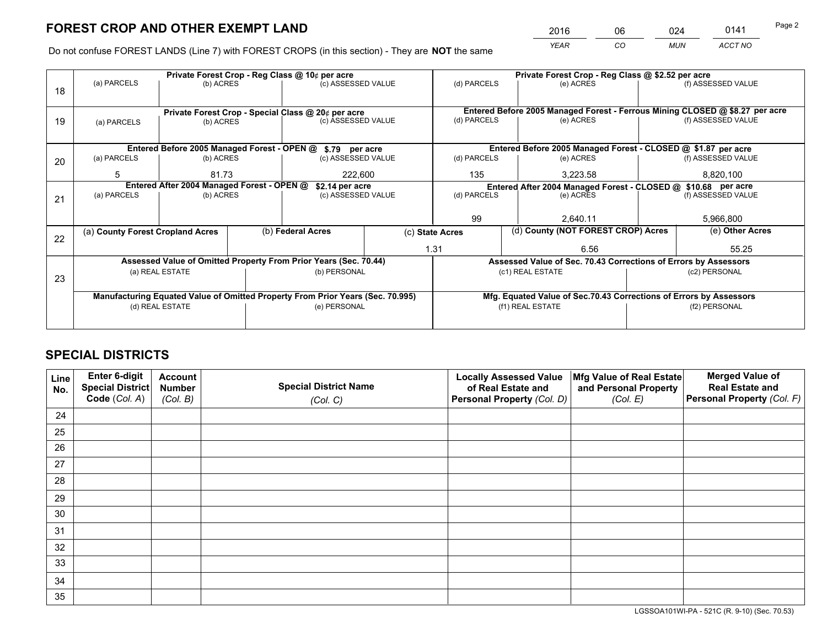*YEAR CO MUN ACCT NO* <sup>2016</sup> <sup>06</sup> <sup>024</sup> <sup>0141</sup>

Do not confuse FOREST LANDS (Line 7) with FOREST CROPS (in this section) - They are **NOT** the same

|                                                                                |                                 |                                                                        |                                     | Private Forest Crop - Reg Class @ \$2.52 per acre                   |                                                                                                                                                                                                                                                                                                                      |                                                                              |                                      |                                                                                                                                                                                                                                              |  |
|--------------------------------------------------------------------------------|---------------------------------|------------------------------------------------------------------------|-------------------------------------|---------------------------------------------------------------------|----------------------------------------------------------------------------------------------------------------------------------------------------------------------------------------------------------------------------------------------------------------------------------------------------------------------|------------------------------------------------------------------------------|--------------------------------------|----------------------------------------------------------------------------------------------------------------------------------------------------------------------------------------------------------------------------------------------|--|
|                                                                                |                                 |                                                                        |                                     |                                                                     | (d) PARCELS                                                                                                                                                                                                                                                                                                          | (e) ACRES                                                                    |                                      | (f) ASSESSED VALUE                                                                                                                                                                                                                           |  |
|                                                                                |                                 |                                                                        |                                     |                                                                     |                                                                                                                                                                                                                                                                                                                      |                                                                              |                                      |                                                                                                                                                                                                                                              |  |
|                                                                                |                                 |                                                                        |                                     |                                                                     |                                                                                                                                                                                                                                                                                                                      | Entered Before 2005 Managed Forest - Ferrous Mining CLOSED @ \$8.27 per acre |                                      |                                                                                                                                                                                                                                              |  |
| (a) PARCELS                                                                    | (c) ASSESSED VALUE<br>(b) ACRES |                                                                        |                                     | (d) PARCELS                                                         | (e) ACRES                                                                                                                                                                                                                                                                                                            |                                                                              | (f) ASSESSED VALUE                   |                                                                                                                                                                                                                                              |  |
|                                                                                |                                 |                                                                        |                                     |                                                                     |                                                                                                                                                                                                                                                                                                                      |                                                                              |                                      |                                                                                                                                                                                                                                              |  |
|                                                                                |                                 |                                                                        |                                     |                                                                     |                                                                                                                                                                                                                                                                                                                      |                                                                              |                                      |                                                                                                                                                                                                                                              |  |
| (a) PARCELS                                                                    |                                 |                                                                        |                                     |                                                                     | (d) PARCELS                                                                                                                                                                                                                                                                                                          | (e) ACRES                                                                    |                                      | (f) ASSESSED VALUE                                                                                                                                                                                                                           |  |
| 5                                                                              | 81.73                           |                                                                        |                                     |                                                                     | 135                                                                                                                                                                                                                                                                                                                  | 3,223.58                                                                     |                                      | 8,820,100                                                                                                                                                                                                                                    |  |
| Entered After 2004 Managed Forest - OPEN @                                     |                                 |                                                                        |                                     |                                                                     | Entered After 2004 Managed Forest - CLOSED @ \$10.68 per acre                                                                                                                                                                                                                                                        |                                                                              |                                      |                                                                                                                                                                                                                                              |  |
| (a) PARCELS                                                                    |                                 |                                                                        |                                     | (d) PARCELS                                                         |                                                                                                                                                                                                                                                                                                                      | (e) ACRES                                                                    |                                      | (f) ASSESSED VALUE                                                                                                                                                                                                                           |  |
|                                                                                |                                 |                                                                        |                                     |                                                                     |                                                                                                                                                                                                                                                                                                                      |                                                                              |                                      |                                                                                                                                                                                                                                              |  |
|                                                                                |                                 |                                                                        |                                     |                                                                     |                                                                                                                                                                                                                                                                                                                      | 2.640.11                                                                     |                                      | 5,966,800                                                                                                                                                                                                                                    |  |
|                                                                                |                                 |                                                                        |                                     |                                                                     |                                                                                                                                                                                                                                                                                                                      |                                                                              |                                      | (e) Other Acres                                                                                                                                                                                                                              |  |
|                                                                                |                                 |                                                                        |                                     |                                                                     | 6.56                                                                                                                                                                                                                                                                                                                 |                                                                              |                                      | 55.25                                                                                                                                                                                                                                        |  |
|                                                                                |                                 |                                                                        |                                     |                                                                     |                                                                                                                                                                                                                                                                                                                      |                                                                              |                                      |                                                                                                                                                                                                                                              |  |
|                                                                                |                                 |                                                                        |                                     |                                                                     |                                                                                                                                                                                                                                                                                                                      |                                                                              | (c2) PERSONAL                        |                                                                                                                                                                                                                                              |  |
|                                                                                |                                 |                                                                        |                                     |                                                                     |                                                                                                                                                                                                                                                                                                                      |                                                                              |                                      |                                                                                                                                                                                                                                              |  |
| Manufacturing Equated Value of Omitted Property From Prior Years (Sec. 70.995) |                                 |                                                                        |                                     |                                                                     |                                                                                                                                                                                                                                                                                                                      |                                                                              |                                      |                                                                                                                                                                                                                                              |  |
|                                                                                |                                 |                                                                        |                                     |                                                                     |                                                                                                                                                                                                                                                                                                                      |                                                                              |                                      | (f2) PERSONAL                                                                                                                                                                                                                                |  |
|                                                                                |                                 |                                                                        |                                     |                                                                     |                                                                                                                                                                                                                                                                                                                      |                                                                              |                                      |                                                                                                                                                                                                                                              |  |
|                                                                                | (a) PARCELS                     | (a) County Forest Cropland Acres<br>(a) REAL ESTATE<br>(d) REAL ESTATE | (b) ACRES<br>(b) ACRES<br>(b) ACRES | Private Forest Crop - Reg Class @ 10¢ per acre<br>(b) Federal Acres | (c) ASSESSED VALUE<br>Private Forest Crop - Special Class @ 20¢ per acre<br>Entered Before 2005 Managed Forest - OPEN @ \$.79 per acre<br>(c) ASSESSED VALUE<br>222,600<br>\$2.14 per acre<br>(c) ASSESSED VALUE<br>Assessed Value of Omitted Property From Prior Years (Sec. 70.44)<br>(b) PERSONAL<br>(e) PERSONAL | 99<br>(c) State Acres<br>1.31                                                | (c1) REAL ESTATE<br>(f1) REAL ESTATE | Entered Before 2005 Managed Forest - CLOSED @ \$1.87 per acre<br>(d) County (NOT FOREST CROP) Acres<br>Assessed Value of Sec. 70.43 Corrections of Errors by Assessors<br>Mfg. Equated Value of Sec.70.43 Corrections of Errors by Assessors |  |

## **SPECIAL DISTRICTS**

| Line<br>No. | Enter 6-digit<br><b>Special District</b> | <b>Account</b><br><b>Number</b> | <b>Special District Name</b> | <b>Locally Assessed Value</b><br>of Real Estate and | Mfg Value of Real Estate<br>and Personal Property | <b>Merged Value of</b><br><b>Real Estate and</b> |
|-------------|------------------------------------------|---------------------------------|------------------------------|-----------------------------------------------------|---------------------------------------------------|--------------------------------------------------|
|             | Code (Col. A)                            | (Col. B)                        | (Col. C)                     | Personal Property (Col. D)                          | (Col. E)                                          | Personal Property (Col. F)                       |
| 24          |                                          |                                 |                              |                                                     |                                                   |                                                  |
| 25          |                                          |                                 |                              |                                                     |                                                   |                                                  |
| 26          |                                          |                                 |                              |                                                     |                                                   |                                                  |
| 27          |                                          |                                 |                              |                                                     |                                                   |                                                  |
| 28          |                                          |                                 |                              |                                                     |                                                   |                                                  |
| 29          |                                          |                                 |                              |                                                     |                                                   |                                                  |
| 30          |                                          |                                 |                              |                                                     |                                                   |                                                  |
| 31          |                                          |                                 |                              |                                                     |                                                   |                                                  |
| 32          |                                          |                                 |                              |                                                     |                                                   |                                                  |
| 33          |                                          |                                 |                              |                                                     |                                                   |                                                  |
| 34          |                                          |                                 |                              |                                                     |                                                   |                                                  |
| 35          |                                          |                                 |                              |                                                     |                                                   |                                                  |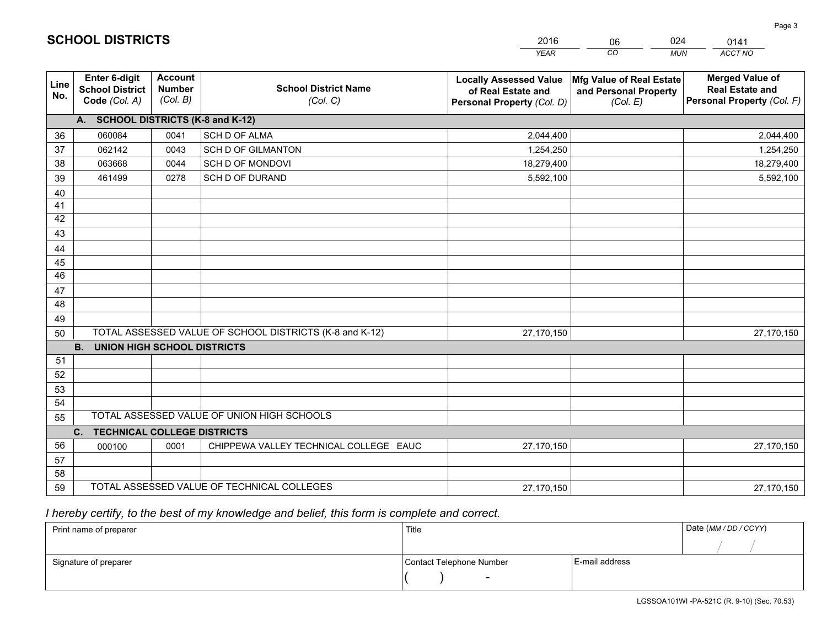|             |                                                          |                                             |                                                         | <b>YEAR</b>                                                                       | CO<br><b>MUN</b>                                              | ACCT NO                                                                        |
|-------------|----------------------------------------------------------|---------------------------------------------|---------------------------------------------------------|-----------------------------------------------------------------------------------|---------------------------------------------------------------|--------------------------------------------------------------------------------|
| Line<br>No. | Enter 6-digit<br><b>School District</b><br>Code (Col. A) | <b>Account</b><br><b>Number</b><br>(Col. B) | <b>School District Name</b><br>(Col. C)                 | <b>Locally Assessed Value</b><br>of Real Estate and<br>Personal Property (Col. D) | Mfg Value of Real Estate<br>and Personal Property<br>(Col. E) | <b>Merged Value of</b><br><b>Real Estate and</b><br>Personal Property (Col. F) |
|             | A. SCHOOL DISTRICTS (K-8 and K-12)                       |                                             |                                                         |                                                                                   |                                                               |                                                                                |
| 36          | 060084                                                   | 0041                                        | SCH D OF ALMA                                           | 2,044,400                                                                         |                                                               | 2,044,400                                                                      |
| 37          | 062142                                                   | 0043                                        | <b>SCH D OF GILMANTON</b>                               | 1,254,250                                                                         |                                                               | 1,254,250                                                                      |
| 38          | 063668                                                   | 0044                                        | SCH D OF MONDOVI                                        | 18,279,400                                                                        |                                                               | 18,279,400                                                                     |
| 39          | 461499                                                   | 0278                                        | SCH D OF DURAND                                         | 5,592,100                                                                         |                                                               | 5,592,100                                                                      |
| 40          |                                                          |                                             |                                                         |                                                                                   |                                                               |                                                                                |
| 41          |                                                          |                                             |                                                         |                                                                                   |                                                               |                                                                                |
| 42          |                                                          |                                             |                                                         |                                                                                   |                                                               |                                                                                |
| 43          |                                                          |                                             |                                                         |                                                                                   |                                                               |                                                                                |
| 44          |                                                          |                                             |                                                         |                                                                                   |                                                               |                                                                                |
| 45          |                                                          |                                             |                                                         |                                                                                   |                                                               |                                                                                |
| 46          |                                                          |                                             |                                                         |                                                                                   |                                                               |                                                                                |
| 47          |                                                          |                                             |                                                         |                                                                                   |                                                               |                                                                                |
| 48          |                                                          |                                             |                                                         |                                                                                   |                                                               |                                                                                |
| 49          |                                                          |                                             |                                                         |                                                                                   |                                                               |                                                                                |
| 50          |                                                          |                                             | TOTAL ASSESSED VALUE OF SCHOOL DISTRICTS (K-8 and K-12) | 27,170,150                                                                        |                                                               | 27,170,150                                                                     |
|             | <b>B.</b><br><b>UNION HIGH SCHOOL DISTRICTS</b>          |                                             |                                                         |                                                                                   |                                                               |                                                                                |
| 51          |                                                          |                                             |                                                         |                                                                                   |                                                               |                                                                                |
| 52          |                                                          |                                             |                                                         |                                                                                   |                                                               |                                                                                |
| 53          |                                                          |                                             |                                                         |                                                                                   |                                                               |                                                                                |
| 54          |                                                          |                                             |                                                         |                                                                                   |                                                               |                                                                                |
| 55          |                                                          |                                             | TOTAL ASSESSED VALUE OF UNION HIGH SCHOOLS              |                                                                                   |                                                               |                                                                                |
|             | C. TECHNICAL COLLEGE DISTRICTS                           |                                             |                                                         |                                                                                   |                                                               |                                                                                |
| 56          | 000100                                                   | 0001                                        | CHIPPEWA VALLEY TECHNICAL COLLEGE EAUC                  | 27,170,150                                                                        |                                                               | 27,170,150                                                                     |
| 57          |                                                          |                                             |                                                         |                                                                                   |                                                               |                                                                                |
| 58          |                                                          |                                             |                                                         |                                                                                   |                                                               |                                                                                |
| 59          |                                                          |                                             | TOTAL ASSESSED VALUE OF TECHNICAL COLLEGES              | 27,170,150                                                                        |                                                               | 27,170,150                                                                     |

06

024

 *I hereby certify, to the best of my knowledge and belief, this form is complete and correct.*

**SCHOOL DISTRICTS**

| Print name of preparer | Title                    |                | Date (MM / DD / CCYY) |
|------------------------|--------------------------|----------------|-----------------------|
|                        |                          |                |                       |
| Signature of preparer  | Contact Telephone Number | E-mail address |                       |
|                        | -                        |                |                       |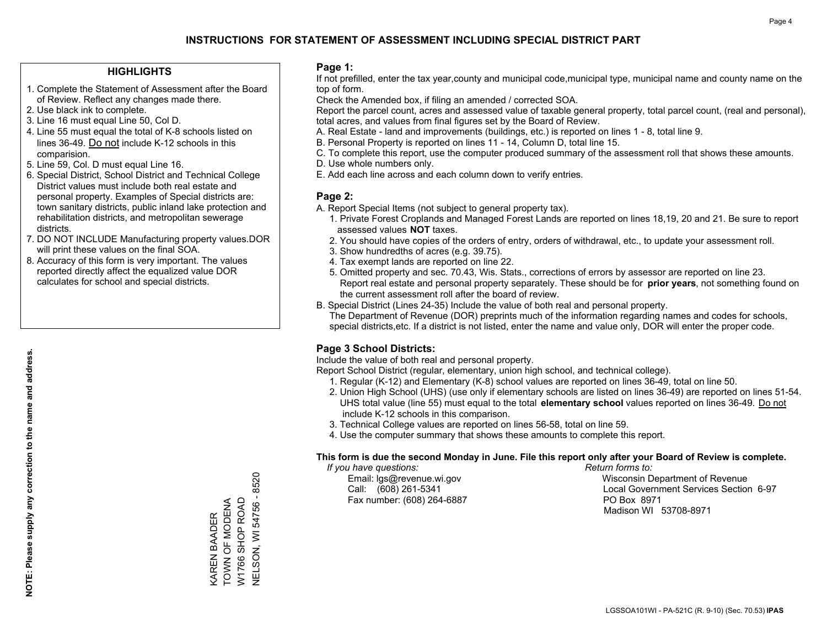#### **HIGHLIGHTS**

- 1. Complete the Statement of Assessment after the Board of Review. Reflect any changes made there.
- 2. Use black ink to complete.
- 3. Line 16 must equal Line 50, Col D.
- 4. Line 55 must equal the total of K-8 schools listed on lines 36-49. Do not include K-12 schools in this comparision.
- 5. Line 59, Col. D must equal Line 16.
- 6. Special District, School District and Technical College District values must include both real estate and personal property. Examples of Special districts are: town sanitary districts, public inland lake protection and rehabilitation districts, and metropolitan sewerage districts.
- 7. DO NOT INCLUDE Manufacturing property values.DOR will print these values on the final SOA.
- 8. Accuracy of this form is very important. The values reported directly affect the equalized value DOR calculates for school and special districts.

#### **Page 1:**

 If not prefilled, enter the tax year,county and municipal code,municipal type, municipal name and county name on the top of form.

Check the Amended box, if filing an amended / corrected SOA.

 Report the parcel count, acres and assessed value of taxable general property, total parcel count, (real and personal), total acres, and values from final figures set by the Board of Review.

- A. Real Estate land and improvements (buildings, etc.) is reported on lines 1 8, total line 9.
- B. Personal Property is reported on lines 11 14, Column D, total line 15.
- C. To complete this report, use the computer produced summary of the assessment roll that shows these amounts.
- D. Use whole numbers only.
- E. Add each line across and each column down to verify entries.

#### **Page 2:**

- A. Report Special Items (not subject to general property tax).
- 1. Private Forest Croplands and Managed Forest Lands are reported on lines 18,19, 20 and 21. Be sure to report assessed values **NOT** taxes.
- 2. You should have copies of the orders of entry, orders of withdrawal, etc., to update your assessment roll.
	- 3. Show hundredths of acres (e.g. 39.75).
- 4. Tax exempt lands are reported on line 22.
- 5. Omitted property and sec. 70.43, Wis. Stats., corrections of errors by assessor are reported on line 23. Report real estate and personal property separately. These should be for **prior years**, not something found on the current assessment roll after the board of review.
- B. Special District (Lines 24-35) Include the value of both real and personal property.
- The Department of Revenue (DOR) preprints much of the information regarding names and codes for schools, special districts,etc. If a district is not listed, enter the name and value only, DOR will enter the proper code.

### **Page 3 School Districts:**

Include the value of both real and personal property.

Report School District (regular, elementary, union high school, and technical college).

- 1. Regular (K-12) and Elementary (K-8) school values are reported on lines 36-49, total on line 50.
- 2. Union High School (UHS) (use only if elementary schools are listed on lines 36-49) are reported on lines 51-54. UHS total value (line 55) must equal to the total **elementary school** values reported on lines 36-49. Do notinclude K-12 schools in this comparison.
- 3. Technical College values are reported on lines 56-58, total on line 59.
- 4. Use the computer summary that shows these amounts to complete this report.

#### **This form is due the second Monday in June. File this report only after your Board of Review is complete.**

 *If you have questions: Return forms to:*

Fax number: (608) 264-6887 PO Box 8971

 Email: lgs@revenue.wi.gov Wisconsin Department of Revenue Call: (608) 261-5341 Local Government Services Section 6-97Madison WI 53708-8971

KAREN BAADER<br>TOWN OF MODENA<br>W1766 SHOP ROAD TOWN OF MODENA W1766 SHOP ROAD KAREN BAADER

NELSON, WI 54756 - 8520

**NELSON, WI 54756 - 8520**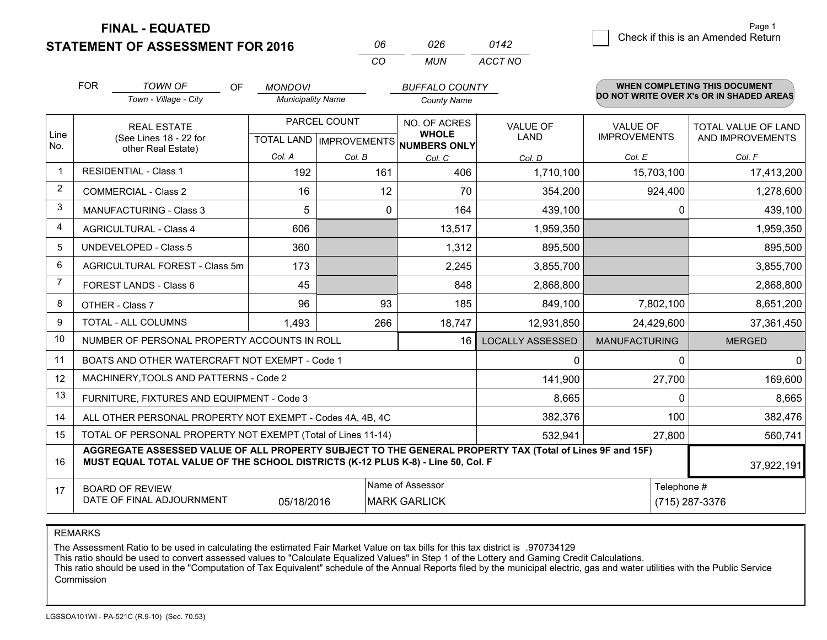**STATEMENT OF ASSESSMENT FOR 2016** 

**FINAL - EQUATED**

| Check if this is an Amended Return<br>-06<br>026<br>0142 |  |
|----------------------------------------------------------|--|
|----------------------------------------------------------|--|

*ACCT NO*

|             | <b>FOR</b>                                                                                                                                                                                   | <b>TOWN OF</b><br>OF                                      | <b>MONDOVI</b>           |                           | <b>BUFFALO COUNTY</b>        |                         |                                        | WHEN COMPLETING THIS DOCUMENT                  |
|-------------|----------------------------------------------------------------------------------------------------------------------------------------------------------------------------------------------|-----------------------------------------------------------|--------------------------|---------------------------|------------------------------|-------------------------|----------------------------------------|------------------------------------------------|
|             |                                                                                                                                                                                              | Town - Village - City                                     | <b>Municipality Name</b> |                           | <b>County Name</b>           |                         |                                        | DO NOT WRITE OVER X's OR IN SHADED AREAS       |
| Line        |                                                                                                                                                                                              | <b>REAL ESTATE</b><br>(See Lines 18 - 22 for              |                          | PARCEL COUNT              | NO. OF ACRES<br><b>WHOLE</b> | VALUE OF<br><b>LAND</b> | <b>VALUE OF</b><br><b>IMPROVEMENTS</b> | <b>TOTAL VALUE OF LAND</b><br>AND IMPROVEMENTS |
| No.         |                                                                                                                                                                                              | other Real Estate)                                        |                          | TOTAL LAND   IMPROVEMENTS | NUMBERS ONLY                 |                         |                                        |                                                |
|             |                                                                                                                                                                                              |                                                           | Col. A                   | Col. B                    | Col. C                       | Col. D                  | Col. E                                 | Col. F                                         |
| $\mathbf 1$ |                                                                                                                                                                                              | <b>RESIDENTIAL - Class 1</b>                              | 192                      | 161                       | 406                          | 1,710,100               | 15,703,100                             | 17,413,200                                     |
| 2           |                                                                                                                                                                                              | <b>COMMERCIAL - Class 2</b>                               | 16                       | 12                        | 70                           | 354,200                 | 924,400                                | 1,278,600                                      |
| 3           |                                                                                                                                                                                              | <b>MANUFACTURING - Class 3</b>                            | 5                        | 0                         | 164                          | 439,100                 | 0                                      | 439,100                                        |
| 4           |                                                                                                                                                                                              | <b>AGRICULTURAL - Class 4</b>                             | 606                      |                           | 13,517                       | 1,959,350               |                                        | 1,959,350                                      |
| 5           |                                                                                                                                                                                              | <b>UNDEVELOPED - Class 5</b>                              | 360                      |                           | 1,312                        | 895,500                 |                                        | 895,500                                        |
| 6           |                                                                                                                                                                                              | AGRICULTURAL FOREST - Class 5m                            | 173                      |                           | 2,245                        | 3,855,700               |                                        | 3,855,700                                      |
| 7           |                                                                                                                                                                                              | FOREST LANDS - Class 6                                    | 45                       |                           | 848                          | 2,868,800               |                                        | 2,868,800                                      |
| 8           |                                                                                                                                                                                              | OTHER - Class 7                                           | 96                       | 93                        | 185                          | 849,100                 | 7,802,100                              | 8,651,200                                      |
| 9           |                                                                                                                                                                                              | TOTAL - ALL COLUMNS                                       | 1,493                    | 266                       | 18,747                       | 12,931,850              | 24,429,600                             | 37,361,450                                     |
| 10          |                                                                                                                                                                                              | NUMBER OF PERSONAL PROPERTY ACCOUNTS IN ROLL              |                          |                           | 16                           | <b>LOCALLY ASSESSED</b> | <b>MANUFACTURING</b>                   | <b>MERGED</b>                                  |
| 11          |                                                                                                                                                                                              | BOATS AND OTHER WATERCRAFT NOT EXEMPT - Code 1            |                          |                           |                              | 0                       | 0                                      | 0                                              |
| 12          |                                                                                                                                                                                              | MACHINERY, TOOLS AND PATTERNS - Code 2                    |                          |                           |                              | 141,900                 | 27,700                                 | 169,600                                        |
| 13          |                                                                                                                                                                                              | FURNITURE, FIXTURES AND EQUIPMENT - Code 3                |                          |                           |                              | 8,665                   | 0                                      | 8,665                                          |
| 14          |                                                                                                                                                                                              | ALL OTHER PERSONAL PROPERTY NOT EXEMPT - Codes 4A, 4B, 4C |                          |                           |                              | 382,376                 | 100                                    | 382,476                                        |
| 15          | TOTAL OF PERSONAL PROPERTY NOT EXEMPT (Total of Lines 11-14)<br>532,941<br>27,800                                                                                                            |                                                           |                          |                           |                              |                         |                                        | 560,741                                        |
| 16          | AGGREGATE ASSESSED VALUE OF ALL PROPERTY SUBJECT TO THE GENERAL PROPERTY TAX (Total of Lines 9F and 15F)<br>MUST EQUAL TOTAL VALUE OF THE SCHOOL DISTRICTS (K-12 PLUS K-8) - Line 50, Col. F |                                                           |                          |                           |                              |                         |                                        | 37,922,191                                     |
| 17          |                                                                                                                                                                                              | <b>BOARD OF REVIEW</b>                                    |                          |                           | Name of Assessor             |                         | Telephone #                            |                                                |
|             | DATE OF FINAL ADJOURNMENT<br>05/18/2016<br><b>MARK GARLICK</b><br>(715) 287-3376                                                                                                             |                                                           |                          |                           |                              |                         |                                        |                                                |

*CO*

*MUN*

REMARKS

The Assessment Ratio to be used in calculating the estimated Fair Market Value on tax bills for this tax district is .970734129<br>This ratio should be used to convert assessed values to "Calculate Equalized Values" in Step 1 Commission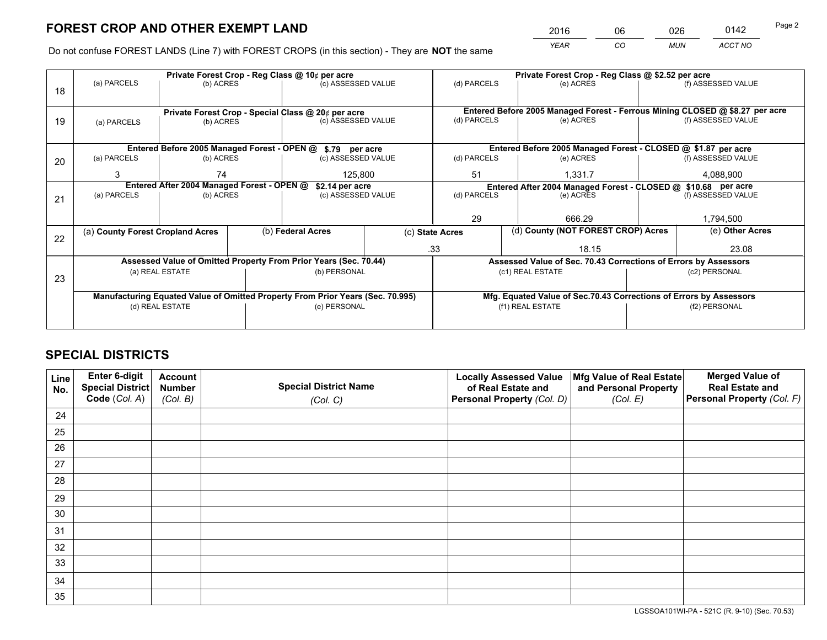*YEAR CO MUN ACCT NO* 2016 06 026 0142 Page 2

Do not confuse FOREST LANDS (Line 7) with FOREST CROPS (in this section) - They are **NOT** the same

|    |                                                                                |                                                    |                                       | Private Forest Crop - Reg Class @ 10¢ per acre                   |                                                                              | Private Forest Crop - Reg Class @ \$2.52 per acre |                                                                              |                                                                    |       |                                                                 |  |
|----|--------------------------------------------------------------------------------|----------------------------------------------------|---------------------------------------|------------------------------------------------------------------|------------------------------------------------------------------------------|---------------------------------------------------|------------------------------------------------------------------------------|--------------------------------------------------------------------|-------|-----------------------------------------------------------------|--|
| 18 | (a) PARCELS                                                                    | (b) ACRES                                          |                                       | (c) ASSESSED VALUE                                               |                                                                              | (d) PARCELS                                       |                                                                              | (e) ACRES                                                          |       | (f) ASSESSED VALUE                                              |  |
|    |                                                                                |                                                    |                                       |                                                                  |                                                                              |                                                   |                                                                              |                                                                    |       |                                                                 |  |
|    |                                                                                | Private Forest Crop - Special Class @ 20¢ per acre |                                       |                                                                  |                                                                              |                                                   | Entered Before 2005 Managed Forest - Ferrous Mining CLOSED @ \$8.27 per acre |                                                                    |       |                                                                 |  |
| 19 | (a) PARCELS                                                                    | (b) ACRES                                          |                                       | (c) ASSESSED VALUE                                               |                                                                              | (d) PARCELS                                       |                                                                              | (e) ACRES                                                          |       | (f) ASSESSED VALUE                                              |  |
|    |                                                                                |                                                    |                                       |                                                                  |                                                                              |                                                   |                                                                              |                                                                    |       |                                                                 |  |
|    |                                                                                |                                                    |                                       | Entered Before 2005 Managed Forest - OPEN @ \$.79 per acre       |                                                                              |                                                   |                                                                              | Entered Before 2005 Managed Forest - CLOSED @ \$1.87 per acre      |       |                                                                 |  |
| 20 | (a) PARCELS                                                                    | (b) ACRES                                          |                                       | (c) ASSESSED VALUE                                               |                                                                              | (d) PARCELS                                       |                                                                              | (e) ACRES                                                          |       | (f) ASSESSED VALUE                                              |  |
|    | 3                                                                              | 74                                                 |                                       | 125,800                                                          |                                                                              | 51                                                |                                                                              |                                                                    |       |                                                                 |  |
|    |                                                                                |                                                    |                                       |                                                                  |                                                                              | 1,331.7                                           |                                                                              | 4,088,900                                                          |       |                                                                 |  |
|    | Entered After 2004 Managed Forest - OPEN @                                     |                                                    | \$2.14 per acre<br>(c) ASSESSED VALUE |                                                                  | Entered After 2004 Managed Forest - CLOSED @ \$10.68 per acre<br>(d) PARCELS |                                                   | (f) ASSESSED VALUE                                                           |                                                                    |       |                                                                 |  |
| 21 | (a) PARCELS                                                                    | (b) ACRES                                          |                                       |                                                                  |                                                                              |                                                   |                                                                              | (e) ACRES                                                          |       |                                                                 |  |
|    |                                                                                |                                                    |                                       |                                                                  |                                                                              |                                                   |                                                                              |                                                                    |       |                                                                 |  |
|    |                                                                                |                                                    |                                       |                                                                  |                                                                              | 29                                                |                                                                              | 666.29                                                             |       | 1,794,500                                                       |  |
|    | (a) County Forest Cropland Acres                                               |                                                    |                                       | (b) Federal Acres                                                |                                                                              | (c) State Acres                                   |                                                                              | (d) County (NOT FOREST CROP) Acres                                 |       | (e) Other Acres                                                 |  |
| 22 |                                                                                |                                                    |                                       |                                                                  |                                                                              | .33<br>18.15                                      |                                                                              |                                                                    | 23.08 |                                                                 |  |
|    |                                                                                |                                                    |                                       | Assessed Value of Omitted Property From Prior Years (Sec. 70.44) |                                                                              |                                                   |                                                                              |                                                                    |       |                                                                 |  |
|    |                                                                                |                                                    |                                       |                                                                  |                                                                              |                                                   |                                                                              |                                                                    |       | Assessed Value of Sec. 70.43 Corrections of Errors by Assessors |  |
| 23 |                                                                                | (a) REAL ESTATE                                    |                                       | (b) PERSONAL                                                     |                                                                              |                                                   |                                                                              | (c1) REAL ESTATE                                                   |       | (c2) PERSONAL                                                   |  |
|    |                                                                                |                                                    |                                       |                                                                  |                                                                              |                                                   |                                                                              |                                                                    |       |                                                                 |  |
|    | Manufacturing Equated Value of Omitted Property From Prior Years (Sec. 70.995) |                                                    |                                       |                                                                  |                                                                              |                                                   |                                                                              | Mfg. Equated Value of Sec.70.43 Corrections of Errors by Assessors |       |                                                                 |  |
|    |                                                                                | (d) REAL ESTATE                                    |                                       | (e) PERSONAL                                                     |                                                                              |                                                   |                                                                              | (f1) REAL ESTATE                                                   |       | (f2) PERSONAL                                                   |  |
|    |                                                                                |                                                    |                                       |                                                                  |                                                                              |                                                   |                                                                              |                                                                    |       |                                                                 |  |
|    |                                                                                |                                                    |                                       |                                                                  |                                                                              |                                                   |                                                                              |                                                                    |       |                                                                 |  |

## **SPECIAL DISTRICTS**

| Line<br>No. | Enter 6-digit<br>Special District<br>Code (Col. A) | <b>Account</b><br><b>Number</b> | <b>Special District Name</b> | <b>Locally Assessed Value</b><br>of Real Estate and | Mfg Value of Real Estate<br>and Personal Property | <b>Merged Value of</b><br><b>Real Estate and</b><br>Personal Property (Col. F) |
|-------------|----------------------------------------------------|---------------------------------|------------------------------|-----------------------------------------------------|---------------------------------------------------|--------------------------------------------------------------------------------|
|             |                                                    | (Col. B)                        | (Col. C)                     | Personal Property (Col. D)                          | (Col. E)                                          |                                                                                |
| 24          |                                                    |                                 |                              |                                                     |                                                   |                                                                                |
| 25          |                                                    |                                 |                              |                                                     |                                                   |                                                                                |
| 26          |                                                    |                                 |                              |                                                     |                                                   |                                                                                |
| 27          |                                                    |                                 |                              |                                                     |                                                   |                                                                                |
| 28          |                                                    |                                 |                              |                                                     |                                                   |                                                                                |
| 29          |                                                    |                                 |                              |                                                     |                                                   |                                                                                |
| 30          |                                                    |                                 |                              |                                                     |                                                   |                                                                                |
| 31          |                                                    |                                 |                              |                                                     |                                                   |                                                                                |
| 32          |                                                    |                                 |                              |                                                     |                                                   |                                                                                |
| 33          |                                                    |                                 |                              |                                                     |                                                   |                                                                                |
| 34          |                                                    |                                 |                              |                                                     |                                                   |                                                                                |
| 35          |                                                    |                                 |                              |                                                     |                                                   |                                                                                |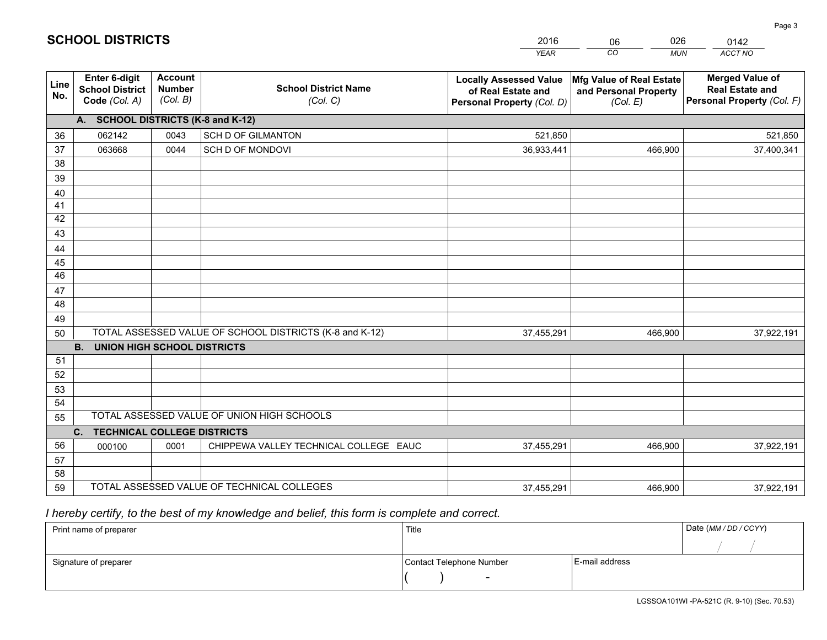|             |                                                                 |                                             |                                                         | <b>YEAR</b>                                                                       | CO<br><b>MUN</b>                                              | ACCT NO                                                                        |
|-------------|-----------------------------------------------------------------|---------------------------------------------|---------------------------------------------------------|-----------------------------------------------------------------------------------|---------------------------------------------------------------|--------------------------------------------------------------------------------|
| Line<br>No. | <b>Enter 6-digit</b><br><b>School District</b><br>Code (Col. A) | <b>Account</b><br><b>Number</b><br>(Col. B) | <b>School District Name</b><br>(Col. C)                 | <b>Locally Assessed Value</b><br>of Real Estate and<br>Personal Property (Col. D) | Mfg Value of Real Estate<br>and Personal Property<br>(Col. E) | <b>Merged Value of</b><br><b>Real Estate and</b><br>Personal Property (Col. F) |
|             | A. SCHOOL DISTRICTS (K-8 and K-12)                              |                                             |                                                         |                                                                                   |                                                               |                                                                                |
| 36          | 062142                                                          | 0043                                        | SCH D OF GILMANTON                                      | 521,850                                                                           |                                                               | 521,850                                                                        |
| 37          | 063668                                                          | 0044                                        | SCH D OF MONDOVI                                        | 36,933,441                                                                        | 466,900                                                       | 37,400,341                                                                     |
| 38          |                                                                 |                                             |                                                         |                                                                                   |                                                               |                                                                                |
| 39          |                                                                 |                                             |                                                         |                                                                                   |                                                               |                                                                                |
| 40          |                                                                 |                                             |                                                         |                                                                                   |                                                               |                                                                                |
| 41          |                                                                 |                                             |                                                         |                                                                                   |                                                               |                                                                                |
| 42          |                                                                 |                                             |                                                         |                                                                                   |                                                               |                                                                                |
| 43          |                                                                 |                                             |                                                         |                                                                                   |                                                               |                                                                                |
| 44          |                                                                 |                                             |                                                         |                                                                                   |                                                               |                                                                                |
| 45<br>46    |                                                                 |                                             |                                                         |                                                                                   |                                                               |                                                                                |
|             |                                                                 |                                             |                                                         |                                                                                   |                                                               |                                                                                |
| 47<br>48    |                                                                 |                                             |                                                         |                                                                                   |                                                               |                                                                                |
| 49          |                                                                 |                                             |                                                         |                                                                                   |                                                               |                                                                                |
| 50          |                                                                 |                                             | TOTAL ASSESSED VALUE OF SCHOOL DISTRICTS (K-8 and K-12) | 37,455,291                                                                        | 466,900                                                       | 37,922,191                                                                     |
|             | <b>B.</b><br><b>UNION HIGH SCHOOL DISTRICTS</b>                 |                                             |                                                         |                                                                                   |                                                               |                                                                                |
| 51          |                                                                 |                                             |                                                         |                                                                                   |                                                               |                                                                                |
| 52          |                                                                 |                                             |                                                         |                                                                                   |                                                               |                                                                                |
| 53          |                                                                 |                                             |                                                         |                                                                                   |                                                               |                                                                                |
| 54          |                                                                 |                                             |                                                         |                                                                                   |                                                               |                                                                                |
| 55          |                                                                 |                                             | TOTAL ASSESSED VALUE OF UNION HIGH SCHOOLS              |                                                                                   |                                                               |                                                                                |
|             | C.<br><b>TECHNICAL COLLEGE DISTRICTS</b>                        |                                             |                                                         |                                                                                   |                                                               |                                                                                |
| 56          | 000100                                                          | 0001                                        | CHIPPEWA VALLEY TECHNICAL COLLEGE EAUC                  | 37,455,291                                                                        | 466,900                                                       | 37,922,191                                                                     |
| 57          |                                                                 |                                             |                                                         |                                                                                   |                                                               |                                                                                |
| 58          |                                                                 |                                             |                                                         |                                                                                   |                                                               |                                                                                |
| 59          |                                                                 |                                             | TOTAL ASSESSED VALUE OF TECHNICAL COLLEGES              | 37,455,291                                                                        | 466,900                                                       | 37,922,191                                                                     |

06

026

 *I hereby certify, to the best of my knowledge and belief, this form is complete and correct.*

**SCHOOL DISTRICTS**

| Print name of preparer | Title                    |                | Date (MM / DD / CCYY) |
|------------------------|--------------------------|----------------|-----------------------|
|                        |                          |                |                       |
| Signature of preparer  | Contact Telephone Number | E-mail address |                       |
|                        | $\sim$                   |                |                       |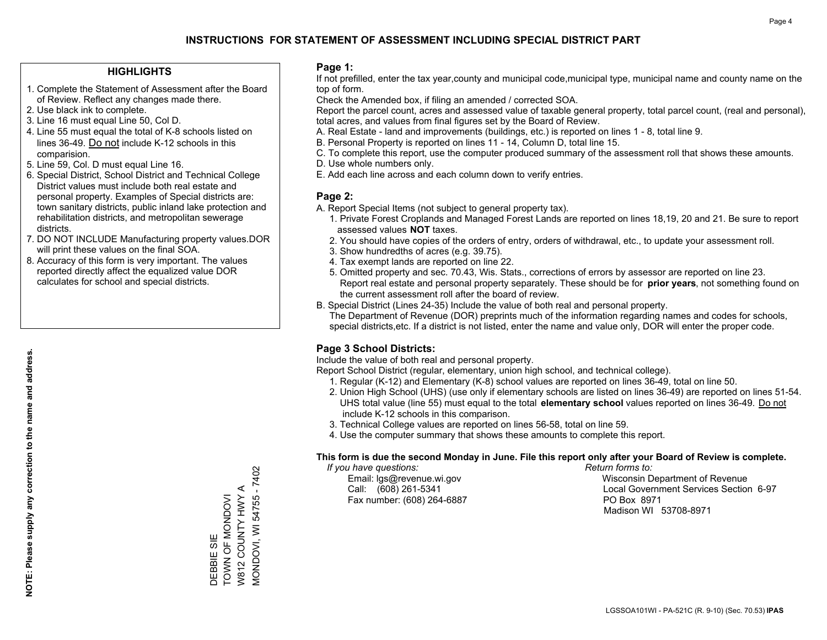#### **HIGHLIGHTS**

- 1. Complete the Statement of Assessment after the Board of Review. Reflect any changes made there.
- 2. Use black ink to complete.
- 3. Line 16 must equal Line 50, Col D.
- 4. Line 55 must equal the total of K-8 schools listed on lines 36-49. Do not include K-12 schools in this comparision.
- 5. Line 59, Col. D must equal Line 16.
- 6. Special District, School District and Technical College District values must include both real estate and personal property. Examples of Special districts are: town sanitary districts, public inland lake protection and rehabilitation districts, and metropolitan sewerage districts.
- 7. DO NOT INCLUDE Manufacturing property values.DOR will print these values on the final SOA.
- 8. Accuracy of this form is very important. The values reported directly affect the equalized value DOR calculates for school and special districts.

#### **Page 1:**

 If not prefilled, enter the tax year,county and municipal code,municipal type, municipal name and county name on the top of form.

Check the Amended box, if filing an amended / corrected SOA.

 Report the parcel count, acres and assessed value of taxable general property, total parcel count, (real and personal), total acres, and values from final figures set by the Board of Review.

- A. Real Estate land and improvements (buildings, etc.) is reported on lines 1 8, total line 9.
- B. Personal Property is reported on lines 11 14, Column D, total line 15.
- C. To complete this report, use the computer produced summary of the assessment roll that shows these amounts.
- D. Use whole numbers only.
- E. Add each line across and each column down to verify entries.

### **Page 2:**

- A. Report Special Items (not subject to general property tax).
- 1. Private Forest Croplands and Managed Forest Lands are reported on lines 18,19, 20 and 21. Be sure to report assessed values **NOT** taxes.
- 2. You should have copies of the orders of entry, orders of withdrawal, etc., to update your assessment roll.
	- 3. Show hundredths of acres (e.g. 39.75).
- 4. Tax exempt lands are reported on line 22.
- 5. Omitted property and sec. 70.43, Wis. Stats., corrections of errors by assessor are reported on line 23. Report real estate and personal property separately. These should be for **prior years**, not something found on the current assessment roll after the board of review.
- B. Special District (Lines 24-35) Include the value of both real and personal property.
- The Department of Revenue (DOR) preprints much of the information regarding names and codes for schools, special districts,etc. If a district is not listed, enter the name and value only, DOR will enter the proper code.

## **Page 3 School Districts:**

Include the value of both real and personal property.

Report School District (regular, elementary, union high school, and technical college).

- 1. Regular (K-12) and Elementary (K-8) school values are reported on lines 36-49, total on line 50.
- 2. Union High School (UHS) (use only if elementary schools are listed on lines 36-49) are reported on lines 51-54. UHS total value (line 55) must equal to the total **elementary school** values reported on lines 36-49. Do notinclude K-12 schools in this comparison.
- 3. Technical College values are reported on lines 56-58, total on line 59.
- 4. Use the computer summary that shows these amounts to complete this report.

#### **This form is due the second Monday in June. File this report only after your Board of Review is complete.**

 *If you have questions: Return forms to:*

Fax number: (608) 264-6887 PO Box 8971

 Email: lgs@revenue.wi.gov Wisconsin Department of Revenue Call: (608) 261-5341 Local Government Services Section 6-97Madison WI 53708-8971

**MONDOVI, WI 54755 - 7402** MONDOVI, WI 54755 - 7402 W812 COUNTY HWY A W812 COUNTY HWY A TOWN OF MONDOVI DEBBIE SIE<br>TOWN OF MONDOVI DEBBIE SIE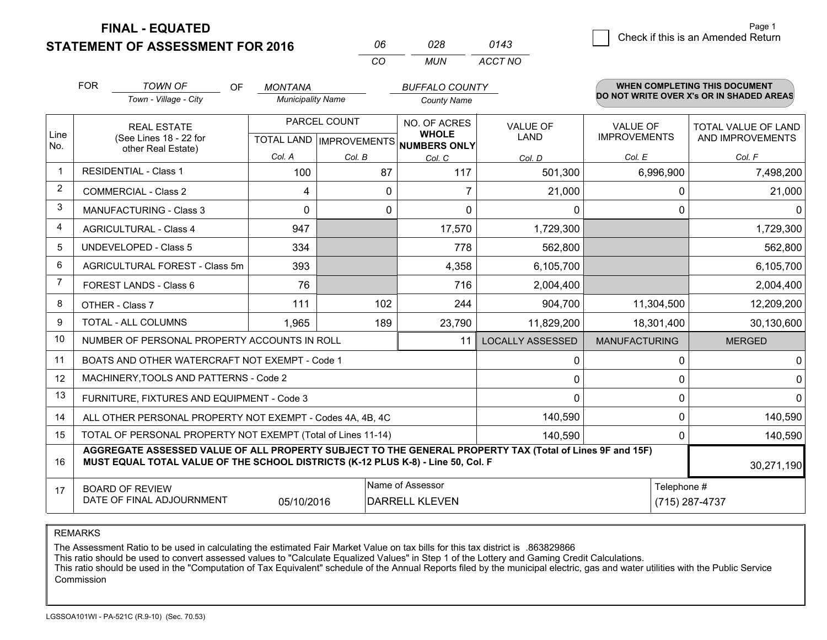**STATEMENT OF ASSESSMENT FOR 2016 FINAL - EQUATED**

|             | <b>FOR</b> | <b>TOWN OF</b><br><b>OF</b>                                                                                                                                                                  | <b>MONTANA</b>           |                                           | <b>BUFFALO COUNTY</b>                                |                         |                      | WHEN COMPLETING THIS DOCUMENT<br>DO NOT WRITE OVER X's OR IN SHADED AREAS |
|-------------|------------|----------------------------------------------------------------------------------------------------------------------------------------------------------------------------------------------|--------------------------|-------------------------------------------|------------------------------------------------------|-------------------------|----------------------|---------------------------------------------------------------------------|
|             |            | Town - Village - City                                                                                                                                                                        | <b>Municipality Name</b> |                                           | <b>County Name</b>                                   |                         |                      |                                                                           |
|             |            | <b>REAL ESTATE</b>                                                                                                                                                                           | PARCEL COUNT             |                                           | NO. OF ACRES                                         | <b>VALUE OF</b>         | <b>VALUE OF</b>      | TOTAL VALUE OF LAND                                                       |
| Line<br>No. |            | (See Lines 18 - 22 for<br>other Real Estate)                                                                                                                                                 |                          |                                           | <b>WHOLE</b><br>TOTAL LAND IMPROVEMENTS NUMBERS ONLY | LAND                    | <b>IMPROVEMENTS</b>  | AND IMPROVEMENTS                                                          |
|             |            |                                                                                                                                                                                              | Col. A                   | Col. B                                    | Col. C                                               | Col. D                  | Col. E               | Col. F                                                                    |
| $\mathbf 1$ |            | <b>RESIDENTIAL - Class 1</b>                                                                                                                                                                 | 100                      | 87                                        | 117                                                  | 501,300                 | 6,996,900            | 7,498,200                                                                 |
| 2           |            | <b>COMMERCIAL - Class 2</b>                                                                                                                                                                  | 4                        | 0                                         |                                                      | 21,000                  | 0                    | 21,000                                                                    |
| 3           |            | <b>MANUFACTURING - Class 3</b>                                                                                                                                                               | $\Omega$                 |                                           | 0<br>$\mathbf 0$                                     | $\Omega$                | $\Omega$             |                                                                           |
| 4           |            | <b>AGRICULTURAL - Class 4</b>                                                                                                                                                                | 947                      |                                           | 17,570                                               | 1,729,300               |                      | 1,729,300                                                                 |
| 5           |            | UNDEVELOPED - Class 5                                                                                                                                                                        | 334                      |                                           | 778                                                  | 562,800                 |                      | 562,800                                                                   |
| 6           |            | AGRICULTURAL FOREST - Class 5m                                                                                                                                                               | 393                      |                                           | 4,358                                                | 6,105,700               |                      | 6,105,700                                                                 |
| 7           |            | FOREST LANDS - Class 6                                                                                                                                                                       | 76                       |                                           | 716                                                  | 2,004,400               |                      | 2,004,400                                                                 |
| 8           |            | OTHER - Class 7                                                                                                                                                                              | 111                      | 102                                       | 244                                                  | 904,700                 | 11,304,500           | 12,209,200                                                                |
| 9           |            | <b>TOTAL - ALL COLUMNS</b>                                                                                                                                                                   | 1,965                    | 189                                       | 23,790                                               | 11,829,200              | 18,301,400           | 30,130,600                                                                |
| 10          |            | NUMBER OF PERSONAL PROPERTY ACCOUNTS IN ROLL                                                                                                                                                 |                          |                                           | 11                                                   | <b>LOCALLY ASSESSED</b> | <b>MANUFACTURING</b> | <b>MERGED</b>                                                             |
| 11          |            | BOATS AND OTHER WATERCRAFT NOT EXEMPT - Code 1                                                                                                                                               |                          |                                           |                                                      | 0                       | $\Omega$             | 0                                                                         |
| 12          |            | MACHINERY, TOOLS AND PATTERNS - Code 2                                                                                                                                                       |                          |                                           |                                                      | 0                       | 0                    |                                                                           |
| 13          |            | FURNITURE, FIXTURES AND EQUIPMENT - Code 3                                                                                                                                                   |                          |                                           |                                                      | $\Omega$                | $\Omega$             | 0                                                                         |
| 14          |            | ALL OTHER PERSONAL PROPERTY NOT EXEMPT - Codes 4A, 4B, 4C                                                                                                                                    |                          |                                           | 140,590                                              | 0                       | 140,590              |                                                                           |
| 15          |            | TOTAL OF PERSONAL PROPERTY NOT EXEMPT (Total of Lines 11-14)                                                                                                                                 |                          |                                           | 140,590                                              | 0                       | 140,590              |                                                                           |
| 16          |            | AGGREGATE ASSESSED VALUE OF ALL PROPERTY SUBJECT TO THE GENERAL PROPERTY TAX (Total of Lines 9F and 15F)<br>MUST EQUAL TOTAL VALUE OF THE SCHOOL DISTRICTS (K-12 PLUS K-8) - Line 50, Col. F |                          |                                           |                                                      |                         | 30,271,190           |                                                                           |
| 17          |            | <b>BOARD OF REVIEW</b><br>DATE OF FINAL ADJOURNMENT                                                                                                                                          | 05/10/2016               | Name of Assessor<br><b>DARRELL KLEVEN</b> |                                                      | Telephone #             | (715) 287-4737       |                                                                           |

*CO*

*MUN*

*ACCT NO0143*

*<sup>06</sup> <sup>028</sup>*

REMARKS

The Assessment Ratio to be used in calculating the estimated Fair Market Value on tax bills for this tax district is .863829866<br>This ratio should be used to convert assessed values to "Calculate Equalized Values" in Step 1 Commission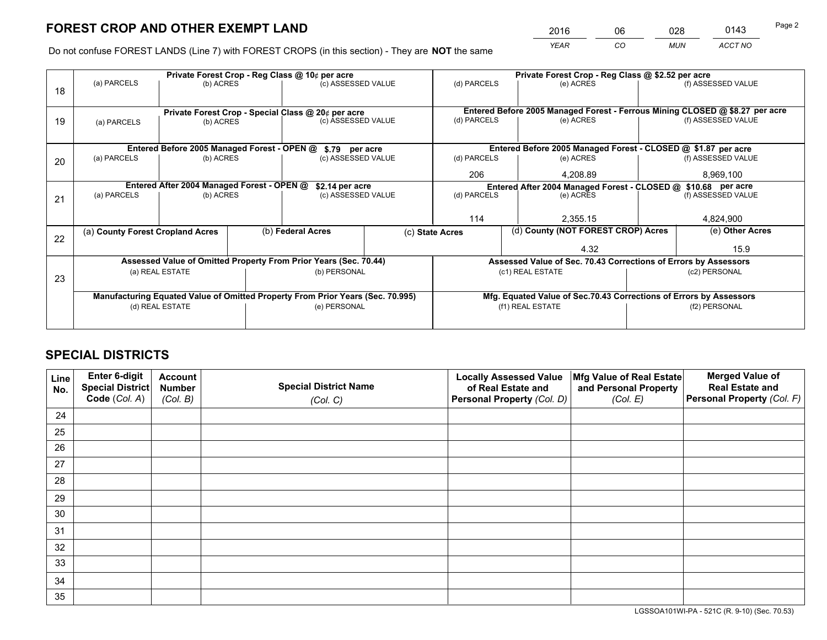*YEAR CO MUN ACCT NO* <sup>2016</sup> <sup>06</sup> <sup>028</sup> <sup>0143</sup>

Do not confuse FOREST LANDS (Line 7) with FOREST CROPS (in this section) - They are **NOT** the same

|    | Private Forest Crop - Reg Class @ 10¢ per acre                                 |                                             |              |                                                                  |                                                                    | Private Forest Crop - Reg Class @ \$2.52 per acre               |                                                                              |               |                    |  |
|----|--------------------------------------------------------------------------------|---------------------------------------------|--------------|------------------------------------------------------------------|--------------------------------------------------------------------|-----------------------------------------------------------------|------------------------------------------------------------------------------|---------------|--------------------|--|
| 18 | (a) PARCELS                                                                    | (b) ACRES                                   |              | (c) ASSESSED VALUE                                               |                                                                    | (d) PARCELS                                                     | (e) ACRES                                                                    |               | (f) ASSESSED VALUE |  |
|    |                                                                                |                                             |              |                                                                  |                                                                    |                                                                 |                                                                              |               |                    |  |
|    |                                                                                |                                             |              | Private Forest Crop - Special Class @ 20¢ per acre               |                                                                    |                                                                 | Entered Before 2005 Managed Forest - Ferrous Mining CLOSED @ \$8.27 per acre |               |                    |  |
| 19 | (a) PARCELS                                                                    | (b) ACRES                                   |              | (c) ASSESSED VALUE                                               |                                                                    | (d) PARCELS                                                     | (e) ACRES                                                                    |               | (f) ASSESSED VALUE |  |
|    |                                                                                |                                             |              |                                                                  |                                                                    |                                                                 |                                                                              |               |                    |  |
|    |                                                                                | Entered Before 2005 Managed Forest - OPEN @ |              | \$.79 per acre                                                   |                                                                    |                                                                 | Entered Before 2005 Managed Forest - CLOSED @ \$1.87 per acre                |               |                    |  |
| 20 | (a) PARCELS                                                                    | (b) ACRES                                   |              | (c) ASSESSED VALUE                                               |                                                                    | (d) PARCELS                                                     | (e) ACRES                                                                    |               | (f) ASSESSED VALUE |  |
|    |                                                                                |                                             |              |                                                                  |                                                                    | 206                                                             | 4.208.89                                                                     |               | 8,969,100          |  |
|    | Entered After 2004 Managed Forest - OPEN @<br>\$2.14 per acre                  |                                             |              |                                                                  | Entered After 2004 Managed Forest - CLOSED @ \$10.68 per acre      |                                                                 |                                                                              |               |                    |  |
| 21 | (a) PARCELS                                                                    | (b) ACRES                                   |              | (c) ASSESSED VALUE                                               |                                                                    | (d) PARCELS<br>(e) ACRES                                        |                                                                              |               | (f) ASSESSED VALUE |  |
|    |                                                                                |                                             |              |                                                                  |                                                                    |                                                                 |                                                                              |               |                    |  |
|    |                                                                                |                                             |              |                                                                  |                                                                    | 114                                                             | 2,355.15                                                                     |               | 4,824,900          |  |
| 22 | (a) County Forest Cropland Acres                                               |                                             |              | (b) Federal Acres                                                |                                                                    | (c) State Acres                                                 | (d) County (NOT FOREST CROP) Acres                                           |               | (e) Other Acres    |  |
|    |                                                                                |                                             |              |                                                                  |                                                                    |                                                                 | 4.32                                                                         |               | 15.9               |  |
|    |                                                                                |                                             |              | Assessed Value of Omitted Property From Prior Years (Sec. 70.44) |                                                                    | Assessed Value of Sec. 70.43 Corrections of Errors by Assessors |                                                                              |               |                    |  |
| 23 |                                                                                | (a) REAL ESTATE                             |              | (b) PERSONAL                                                     |                                                                    |                                                                 | (c1) REAL ESTATE                                                             |               | (c2) PERSONAL      |  |
|    |                                                                                |                                             |              |                                                                  |                                                                    |                                                                 |                                                                              |               |                    |  |
|    | Manufacturing Equated Value of Omitted Property From Prior Years (Sec. 70.995) |                                             |              |                                                                  | Mfg. Equated Value of Sec.70.43 Corrections of Errors by Assessors |                                                                 |                                                                              |               |                    |  |
|    | (d) REAL ESTATE                                                                |                                             | (e) PERSONAL |                                                                  |                                                                    | (f1) REAL ESTATE                                                |                                                                              | (f2) PERSONAL |                    |  |
|    |                                                                                |                                             |              |                                                                  |                                                                    |                                                                 |                                                                              |               |                    |  |

## **SPECIAL DISTRICTS**

| Line<br>No. | Enter 6-digit<br><b>Special District</b> | <b>Account</b><br><b>Number</b> | <b>Special District Name</b> | <b>Locally Assessed Value</b><br>of Real Estate and | Mfg Value of Real Estate<br>and Personal Property | <b>Merged Value of</b><br><b>Real Estate and</b> |
|-------------|------------------------------------------|---------------------------------|------------------------------|-----------------------------------------------------|---------------------------------------------------|--------------------------------------------------|
|             | Code (Col. A)                            | (Col. B)                        | (Col. C)                     | Personal Property (Col. D)                          | (Col. E)                                          | Personal Property (Col. F)                       |
| 24          |                                          |                                 |                              |                                                     |                                                   |                                                  |
| 25          |                                          |                                 |                              |                                                     |                                                   |                                                  |
| 26          |                                          |                                 |                              |                                                     |                                                   |                                                  |
| 27          |                                          |                                 |                              |                                                     |                                                   |                                                  |
| 28          |                                          |                                 |                              |                                                     |                                                   |                                                  |
| 29          |                                          |                                 |                              |                                                     |                                                   |                                                  |
| 30          |                                          |                                 |                              |                                                     |                                                   |                                                  |
| 31          |                                          |                                 |                              |                                                     |                                                   |                                                  |
| 32          |                                          |                                 |                              |                                                     |                                                   |                                                  |
| 33          |                                          |                                 |                              |                                                     |                                                   |                                                  |
| 34          |                                          |                                 |                              |                                                     |                                                   |                                                  |
| 35          |                                          |                                 |                              |                                                     |                                                   |                                                  |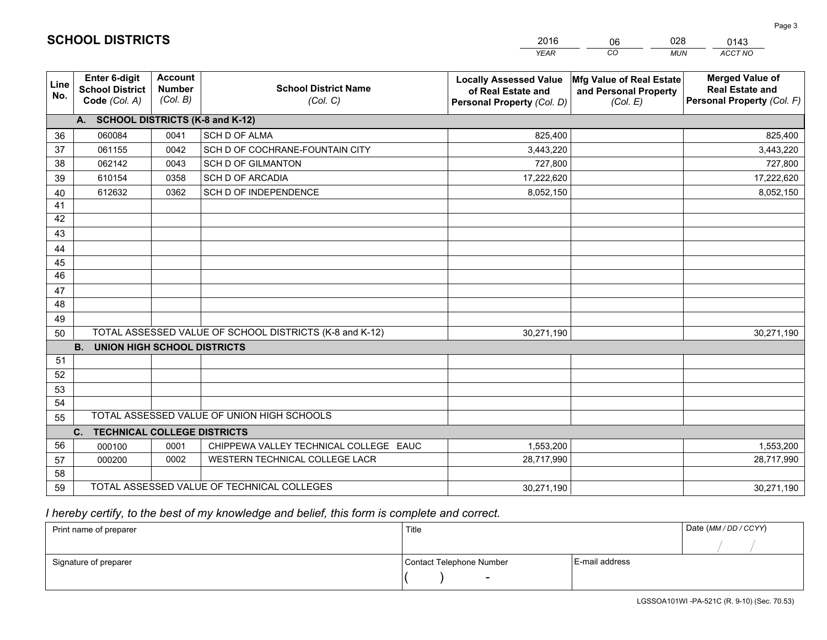|                 |                                                          |                                             |                                                         | <b>YEAR</b>                                                                       | CO<br><b>MUN</b>                                              | ACCT NO                                                                        |
|-----------------|----------------------------------------------------------|---------------------------------------------|---------------------------------------------------------|-----------------------------------------------------------------------------------|---------------------------------------------------------------|--------------------------------------------------------------------------------|
| Line<br>No.     | Enter 6-digit<br><b>School District</b><br>Code (Col. A) | <b>Account</b><br><b>Number</b><br>(Col. B) | <b>School District Name</b><br>(Col. C)                 | <b>Locally Assessed Value</b><br>of Real Estate and<br>Personal Property (Col. D) | Mfg Value of Real Estate<br>and Personal Property<br>(Col. E) | <b>Merged Value of</b><br><b>Real Estate and</b><br>Personal Property (Col. F) |
|                 | A. SCHOOL DISTRICTS (K-8 and K-12)                       |                                             |                                                         |                                                                                   |                                                               |                                                                                |
| 36              | 060084                                                   | 0041                                        | <b>SCH D OF ALMA</b>                                    | 825,400                                                                           |                                                               | 825,400                                                                        |
| 37              | 061155                                                   | 0042                                        | SCH D OF COCHRANE-FOUNTAIN CITY                         | 3,443,220                                                                         |                                                               | 3,443,220                                                                      |
| 38              | 062142                                                   | 0043                                        | <b>SCH D OF GILMANTON</b>                               | 727,800                                                                           |                                                               | 727,800                                                                        |
| 39              | 610154                                                   | 0358                                        | <b>SCH D OF ARCADIA</b>                                 | 17,222,620                                                                        |                                                               | 17,222,620                                                                     |
| 40              | 612632                                                   | 0362                                        | SCH D OF INDEPENDENCE                                   | 8,052,150                                                                         |                                                               | 8,052,150                                                                      |
| 41              |                                                          |                                             |                                                         |                                                                                   |                                                               |                                                                                |
| 42              |                                                          |                                             |                                                         |                                                                                   |                                                               |                                                                                |
| 43              |                                                          |                                             |                                                         |                                                                                   |                                                               |                                                                                |
| 44              |                                                          |                                             |                                                         |                                                                                   |                                                               |                                                                                |
| 45              |                                                          |                                             |                                                         |                                                                                   |                                                               |                                                                                |
| $\overline{46}$ |                                                          |                                             |                                                         |                                                                                   |                                                               |                                                                                |
| 47              |                                                          |                                             |                                                         |                                                                                   |                                                               |                                                                                |
| 48              |                                                          |                                             |                                                         |                                                                                   |                                                               |                                                                                |
| 49              |                                                          |                                             |                                                         |                                                                                   |                                                               |                                                                                |
| 50              |                                                          |                                             | TOTAL ASSESSED VALUE OF SCHOOL DISTRICTS (K-8 and K-12) | 30,271,190                                                                        |                                                               | 30,271,190                                                                     |
|                 | <b>B.</b><br><b>UNION HIGH SCHOOL DISTRICTS</b>          |                                             |                                                         |                                                                                   |                                                               |                                                                                |
| 51              |                                                          |                                             |                                                         |                                                                                   |                                                               |                                                                                |
| 52              |                                                          |                                             |                                                         |                                                                                   |                                                               |                                                                                |
| 53              |                                                          |                                             |                                                         |                                                                                   |                                                               |                                                                                |
| 54              |                                                          |                                             |                                                         |                                                                                   |                                                               |                                                                                |
| 55              |                                                          |                                             | TOTAL ASSESSED VALUE OF UNION HIGH SCHOOLS              |                                                                                   |                                                               |                                                                                |
|                 | C.<br><b>TECHNICAL COLLEGE DISTRICTS</b>                 |                                             |                                                         |                                                                                   |                                                               |                                                                                |
| 56              | 000100                                                   | 0001                                        | CHIPPEWA VALLEY TECHNICAL COLLEGE EAUC                  | 1,553,200                                                                         |                                                               | 1,553,200                                                                      |
| 57              | 000200                                                   | 0002                                        | WESTERN TECHNICAL COLLEGE LACR                          | 28,717,990                                                                        |                                                               | 28,717,990                                                                     |
| 58              |                                                          |                                             |                                                         |                                                                                   |                                                               |                                                                                |
| 59              |                                                          |                                             | TOTAL ASSESSED VALUE OF TECHNICAL COLLEGES              | 30,271,190                                                                        |                                                               | 30,271,190                                                                     |

06

028

## *I hereby certify, to the best of my knowledge and belief, this form is complete and correct.*

**SCHOOL DISTRICTS**

| Print name of preparer | Title                    |                | Date (MM / DD / CCYY) |
|------------------------|--------------------------|----------------|-----------------------|
|                        |                          |                |                       |
| Signature of preparer  | Contact Telephone Number | E-mail address |                       |
|                        | $\overline{\phantom{0}}$ |                |                       |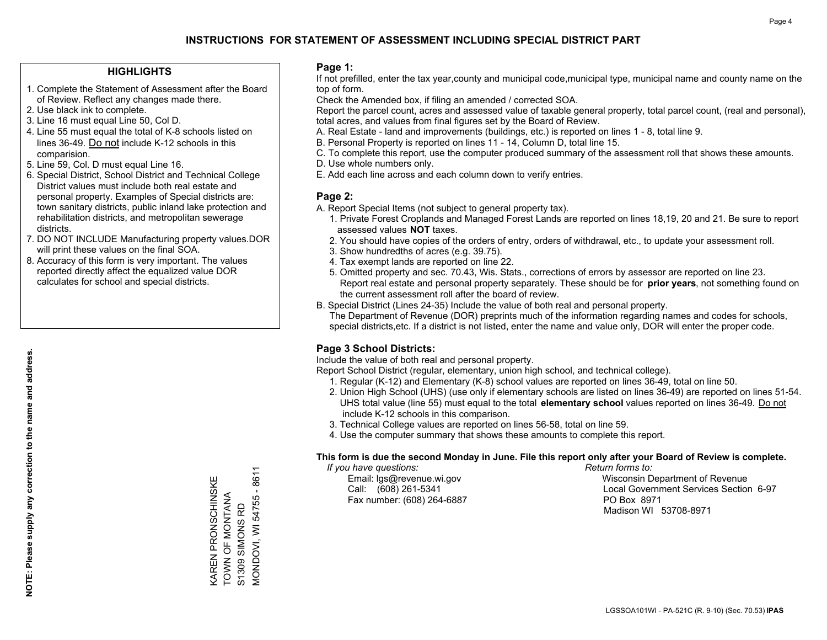#### **HIGHLIGHTS**

- 1. Complete the Statement of Assessment after the Board of Review. Reflect any changes made there.
- 2. Use black ink to complete.
- 3. Line 16 must equal Line 50, Col D.
- 4. Line 55 must equal the total of K-8 schools listed on lines 36-49. Do not include K-12 schools in this comparision.
- 5. Line 59, Col. D must equal Line 16.
- 6. Special District, School District and Technical College District values must include both real estate and personal property. Examples of Special districts are: town sanitary districts, public inland lake protection and rehabilitation districts, and metropolitan sewerage districts.
- 7. DO NOT INCLUDE Manufacturing property values.DOR will print these values on the final SOA.

KAREN PRONSCHINSKE TOWN OF MONTANA S1309 SIMONS RD

KAREN PRONSCHINSKE<br>TOWN OF MONTANA

MONDOVI, WI 54755 - 8611

**MONDOVI, WI 54755 - 8611** 

S1309 SIMONS RD

 8. Accuracy of this form is very important. The values reported directly affect the equalized value DOR calculates for school and special districts.

#### **Page 1:**

 If not prefilled, enter the tax year,county and municipal code,municipal type, municipal name and county name on the top of form.

Check the Amended box, if filing an amended / corrected SOA.

 Report the parcel count, acres and assessed value of taxable general property, total parcel count, (real and personal), total acres, and values from final figures set by the Board of Review.

- A. Real Estate land and improvements (buildings, etc.) is reported on lines 1 8, total line 9.
- B. Personal Property is reported on lines 11 14, Column D, total line 15.
- C. To complete this report, use the computer produced summary of the assessment roll that shows these amounts.
- D. Use whole numbers only.
- E. Add each line across and each column down to verify entries.

#### **Page 2:**

- A. Report Special Items (not subject to general property tax).
- 1. Private Forest Croplands and Managed Forest Lands are reported on lines 18,19, 20 and 21. Be sure to report assessed values **NOT** taxes.
- 2. You should have copies of the orders of entry, orders of withdrawal, etc., to update your assessment roll.
	- 3. Show hundredths of acres (e.g. 39.75).
- 4. Tax exempt lands are reported on line 22.
- 5. Omitted property and sec. 70.43, Wis. Stats., corrections of errors by assessor are reported on line 23. Report real estate and personal property separately. These should be for **prior years**, not something found on the current assessment roll after the board of review.
- B. Special District (Lines 24-35) Include the value of both real and personal property.
- The Department of Revenue (DOR) preprints much of the information regarding names and codes for schools, special districts,etc. If a district is not listed, enter the name and value only, DOR will enter the proper code.

### **Page 3 School Districts:**

Include the value of both real and personal property.

Report School District (regular, elementary, union high school, and technical college).

- 1. Regular (K-12) and Elementary (K-8) school values are reported on lines 36-49, total on line 50.
- 2. Union High School (UHS) (use only if elementary schools are listed on lines 36-49) are reported on lines 51-54. UHS total value (line 55) must equal to the total **elementary school** values reported on lines 36-49. Do notinclude K-12 schools in this comparison.
- 3. Technical College values are reported on lines 56-58, total on line 59.
- 4. Use the computer summary that shows these amounts to complete this report.

#### **This form is due the second Monday in June. File this report only after your Board of Review is complete.**

 *If you have questions: Return forms to:*

Fax number: (608) 264-6887 PO Box 8971

 Email: lgs@revenue.wi.gov Wisconsin Department of Revenue Call: (608) 261-5341 Local Government Services Section 6-97Madison WI 53708-8971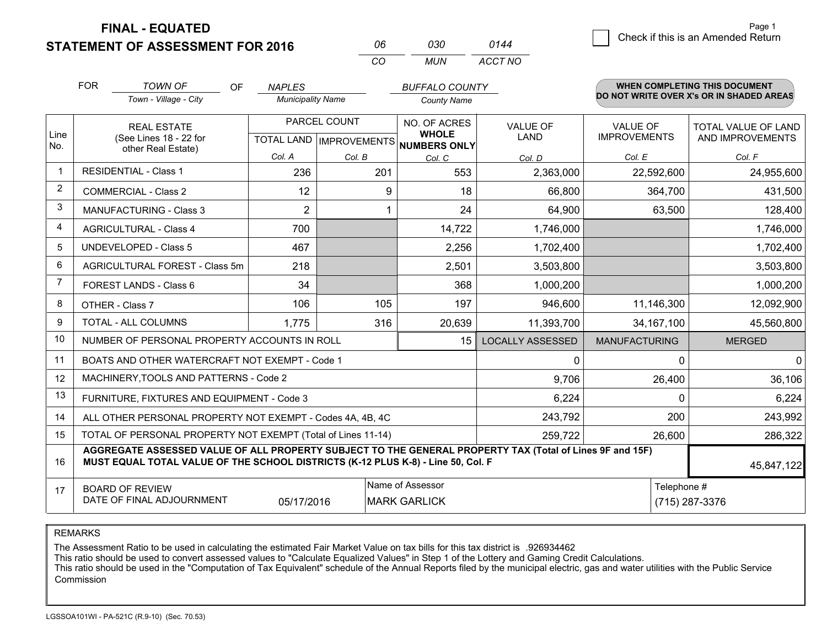**FINAL - EQUATED**

**STATEMENT OF ASSESSMENT FOR 2016** 

| NR       | กจก   | 0144    |
|----------|-------|---------|
| $\cdots$ | MI IN | ACCT NO |

|                | <b>FOR</b>         | <b>TOWN OF</b><br><b>OF</b>                                                                                                                                                                  | <b>NAPLES</b>            |        | <b>BUFFALO COUNTY</b>                                |                         |                      | WHEN COMPLETING THIS DOCUMENT<br>DO NOT WRITE OVER X's OR IN SHADED AREAS |
|----------------|--------------------|----------------------------------------------------------------------------------------------------------------------------------------------------------------------------------------------|--------------------------|--------|------------------------------------------------------|-------------------------|----------------------|---------------------------------------------------------------------------|
|                |                    | Town - Village - City                                                                                                                                                                        | <b>Municipality Name</b> |        | <b>County Name</b>                                   |                         |                      |                                                                           |
|                | <b>REAL ESTATE</b> |                                                                                                                                                                                              | PARCEL COUNT             |        | NO. OF ACRES                                         | <b>VALUE OF</b>         | <b>VALUE OF</b>      | TOTAL VALUE OF LAND                                                       |
| Line<br>No.    |                    | (See Lines 18 - 22 for<br>other Real Estate)                                                                                                                                                 |                          |        | <b>WHOLE</b><br>TOTAL LAND IMPROVEMENTS NUMBERS ONLY | LAND                    | <b>IMPROVEMENTS</b>  | AND IMPROVEMENTS                                                          |
|                |                    |                                                                                                                                                                                              | Col. A                   | Col. B | Col. C                                               | Col. D                  | Col. E               | Col. F                                                                    |
| $\mathbf 1$    |                    | <b>RESIDENTIAL - Class 1</b>                                                                                                                                                                 | 236                      | 201    | 553                                                  | 2,363,000               | 22,592,600           | 24,955,600                                                                |
| $\overline{2}$ |                    | <b>COMMERCIAL - Class 2</b>                                                                                                                                                                  | 12                       | 9      | 18                                                   | 66,800                  | 364,700              | 431,500                                                                   |
| 3              |                    | <b>MANUFACTURING - Class 3</b>                                                                                                                                                               | 2                        |        | 24                                                   | 64,900                  | 63,500               | 128,400                                                                   |
| 4              |                    | <b>AGRICULTURAL - Class 4</b>                                                                                                                                                                | 700                      |        | 14,722                                               | 1,746,000               |                      | 1,746,000                                                                 |
| 5              |                    | UNDEVELOPED - Class 5                                                                                                                                                                        | 467                      |        | 2,256                                                | 1,702,400               |                      | 1,702,400                                                                 |
| 6              |                    | <b>AGRICULTURAL FOREST - Class 5m</b>                                                                                                                                                        | 218                      |        | 2,501                                                | 3,503,800               |                      | 3,503,800                                                                 |
| 7              |                    | FOREST LANDS - Class 6                                                                                                                                                                       | 34                       |        | 368                                                  | 1,000,200               |                      | 1,000,200                                                                 |
| 8              |                    | OTHER - Class 7                                                                                                                                                                              | 106                      | 105    | 197                                                  | 946,600                 | 11,146,300           | 12,092,900                                                                |
| 9              |                    | TOTAL - ALL COLUMNS                                                                                                                                                                          | 1,775                    | 316    | 20,639                                               | 11,393,700              | 34, 167, 100         | 45,560,800                                                                |
| 10             |                    | NUMBER OF PERSONAL PROPERTY ACCOUNTS IN ROLL                                                                                                                                                 |                          |        | 15                                                   | <b>LOCALLY ASSESSED</b> | <b>MANUFACTURING</b> | <b>MERGED</b>                                                             |
| 11             |                    | BOATS AND OTHER WATERCRAFT NOT EXEMPT - Code 1                                                                                                                                               |                          |        |                                                      | $\mathbf{0}$            | $\Omega$             | $\mathbf 0$                                                               |
| 12             |                    | MACHINERY, TOOLS AND PATTERNS - Code 2                                                                                                                                                       |                          |        |                                                      | 9,706                   | 26,400               | 36,106                                                                    |
| 13             |                    | FURNITURE, FIXTURES AND EQUIPMENT - Code 3                                                                                                                                                   |                          |        |                                                      | 6,224                   | $\Omega$             | 6,224                                                                     |
| 14             |                    | ALL OTHER PERSONAL PROPERTY NOT EXEMPT - Codes 4A, 4B, 4C                                                                                                                                    |                          |        |                                                      | 243,792                 | 200                  | 243,992                                                                   |
| 15             |                    | TOTAL OF PERSONAL PROPERTY NOT EXEMPT (Total of Lines 11-14)                                                                                                                                 |                          |        | 259,722                                              | 26,600                  | 286,322              |                                                                           |
| 16             |                    | AGGREGATE ASSESSED VALUE OF ALL PROPERTY SUBJECT TO THE GENERAL PROPERTY TAX (Total of Lines 9F and 15F)<br>MUST EQUAL TOTAL VALUE OF THE SCHOOL DISTRICTS (K-12 PLUS K-8) - Line 50, Col. F |                          |        |                                                      | 45,847,122              |                      |                                                                           |
| 17             |                    | <b>BOARD OF REVIEW</b>                                                                                                                                                                       |                          |        | Name of Assessor                                     |                         | Telephone #          |                                                                           |
|                |                    | DATE OF FINAL ADJOURNMENT                                                                                                                                                                    | 05/17/2016               |        | <b>MARK GARLICK</b>                                  |                         |                      | (715) 287-3376                                                            |

REMARKS

The Assessment Ratio to be used in calculating the estimated Fair Market Value on tax bills for this tax district is .926934462

This ratio should be used to convert assessed values to "Calculate Equalized Values" in Step 1 of the Lottery and Gaming Credit Calculations.<br>This ratio should be used in the "Computation of Tax Equivalent" schedule of the Commission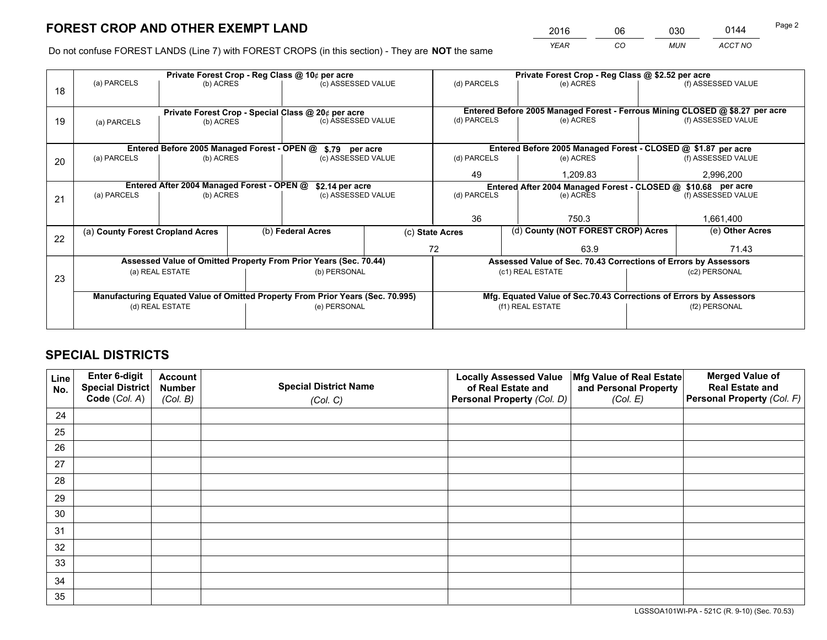*YEAR CO MUN ACCT NO* 2016 06 030 0144

Do not confuse FOREST LANDS (Line 7) with FOREST CROPS (in this section) - They are **NOT** the same

|    | Private Forest Crop - Reg Class @ 10¢ per acre                                 |                                             |  |                                                                  |                                                                    | Private Forest Crop - Reg Class @ \$2.52 per acre |                                                                              |  |                    |  |
|----|--------------------------------------------------------------------------------|---------------------------------------------|--|------------------------------------------------------------------|--------------------------------------------------------------------|---------------------------------------------------|------------------------------------------------------------------------------|--|--------------------|--|
| 18 | (a) PARCELS                                                                    | (b) ACRES                                   |  | (c) ASSESSED VALUE                                               |                                                                    | (d) PARCELS                                       | (e) ACRES                                                                    |  | (f) ASSESSED VALUE |  |
|    |                                                                                |                                             |  |                                                                  |                                                                    |                                                   |                                                                              |  |                    |  |
|    |                                                                                |                                             |  | Private Forest Crop - Special Class @ 20¢ per acre               |                                                                    |                                                   | Entered Before 2005 Managed Forest - Ferrous Mining CLOSED @ \$8.27 per acre |  |                    |  |
| 19 | (a) PARCELS                                                                    | (b) ACRES                                   |  | (c) ASSESSED VALUE                                               |                                                                    | (d) PARCELS                                       | (e) ACRES                                                                    |  | (f) ASSESSED VALUE |  |
|    |                                                                                |                                             |  |                                                                  |                                                                    |                                                   |                                                                              |  |                    |  |
|    |                                                                                | Entered Before 2005 Managed Forest - OPEN @ |  | \$.79 per acre                                                   |                                                                    |                                                   | Entered Before 2005 Managed Forest - CLOSED @ \$1.87 per acre                |  |                    |  |
| 20 | (a) PARCELS                                                                    | (b) ACRES                                   |  | (c) ASSESSED VALUE                                               |                                                                    | (d) PARCELS                                       | (e) ACRES                                                                    |  | (f) ASSESSED VALUE |  |
|    |                                                                                |                                             |  |                                                                  | 49                                                                 | 1.209.83                                          |                                                                              |  |                    |  |
|    | Entered After 2004 Managed Forest - OPEN @<br>\$2.14 per acre                  |                                             |  |                                                                  | Entered After 2004 Managed Forest - CLOSED @ \$10.68 per acre      |                                                   |                                                                              |  |                    |  |
| 21 | (a) PARCELS                                                                    | (b) ACRES                                   |  | (c) ASSESSED VALUE                                               |                                                                    | (d) PARCELS                                       | (e) ACRES                                                                    |  | (f) ASSESSED VALUE |  |
|    |                                                                                |                                             |  |                                                                  |                                                                    |                                                   |                                                                              |  |                    |  |
|    |                                                                                |                                             |  |                                                                  |                                                                    | 36                                                | 750.3                                                                        |  | 1,661,400          |  |
| 22 | (a) County Forest Cropland Acres                                               |                                             |  | (b) Federal Acres                                                |                                                                    | (c) State Acres                                   | (d) County (NOT FOREST CROP) Acres                                           |  | (e) Other Acres    |  |
|    |                                                                                |                                             |  |                                                                  |                                                                    | 72                                                | 63.9                                                                         |  | 71.43              |  |
|    |                                                                                |                                             |  | Assessed Value of Omitted Property From Prior Years (Sec. 70.44) |                                                                    |                                                   | Assessed Value of Sec. 70.43 Corrections of Errors by Assessors              |  |                    |  |
| 23 |                                                                                | (a) REAL ESTATE                             |  | (b) PERSONAL                                                     |                                                                    |                                                   | (c1) REAL ESTATE                                                             |  | (c2) PERSONAL      |  |
|    |                                                                                |                                             |  |                                                                  |                                                                    |                                                   |                                                                              |  |                    |  |
|    | Manufacturing Equated Value of Omitted Property From Prior Years (Sec. 70.995) |                                             |  |                                                                  | Mfg. Equated Value of Sec.70.43 Corrections of Errors by Assessors |                                                   |                                                                              |  |                    |  |
|    | (d) REAL ESTATE                                                                |                                             |  | (e) PERSONAL                                                     |                                                                    | (f1) REAL ESTATE                                  |                                                                              |  | (f2) PERSONAL      |  |
|    |                                                                                |                                             |  |                                                                  |                                                                    |                                                   |                                                                              |  |                    |  |

## **SPECIAL DISTRICTS**

| Line<br>No. | Enter 6-digit<br>Special District<br>Code (Col. A) | <b>Account</b><br><b>Number</b> | <b>Special District Name</b> | <b>Locally Assessed Value</b><br>of Real Estate and | Mfg Value of Real Estate<br>and Personal Property | <b>Merged Value of</b><br><b>Real Estate and</b><br>Personal Property (Col. F) |
|-------------|----------------------------------------------------|---------------------------------|------------------------------|-----------------------------------------------------|---------------------------------------------------|--------------------------------------------------------------------------------|
|             |                                                    | (Col. B)                        | (Col. C)                     | Personal Property (Col. D)                          | (Col. E)                                          |                                                                                |
| 24          |                                                    |                                 |                              |                                                     |                                                   |                                                                                |
| 25          |                                                    |                                 |                              |                                                     |                                                   |                                                                                |
| 26          |                                                    |                                 |                              |                                                     |                                                   |                                                                                |
| 27          |                                                    |                                 |                              |                                                     |                                                   |                                                                                |
| 28          |                                                    |                                 |                              |                                                     |                                                   |                                                                                |
| 29          |                                                    |                                 |                              |                                                     |                                                   |                                                                                |
| 30          |                                                    |                                 |                              |                                                     |                                                   |                                                                                |
| 31          |                                                    |                                 |                              |                                                     |                                                   |                                                                                |
| 32          |                                                    |                                 |                              |                                                     |                                                   |                                                                                |
| 33          |                                                    |                                 |                              |                                                     |                                                   |                                                                                |
| 34          |                                                    |                                 |                              |                                                     |                                                   |                                                                                |
| 35          |                                                    |                                 |                              |                                                     |                                                   |                                                                                |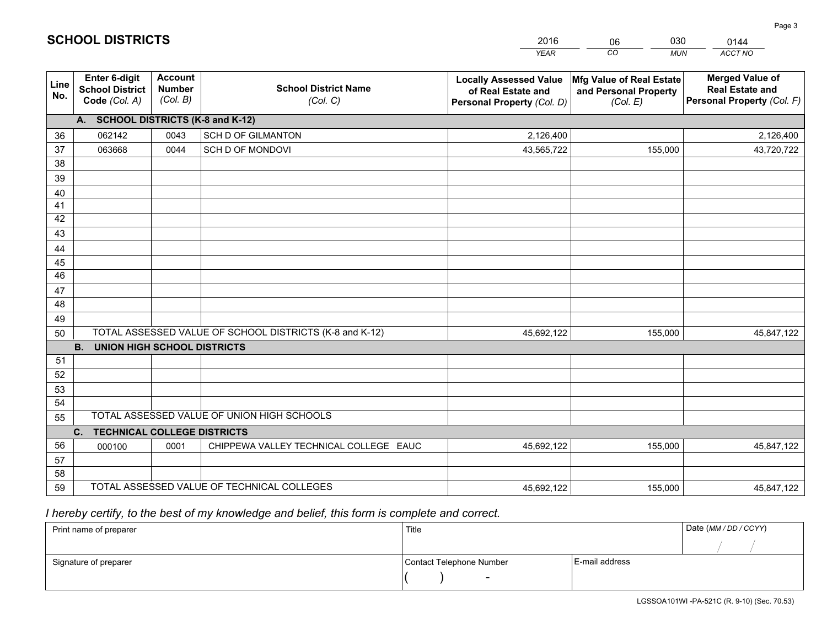|                       |                                                                 |                                             |                                                         | <b>YEAR</b>                                                                       | CO<br><b>MUN</b>                                              | ACCT NO                                                                        |
|-----------------------|-----------------------------------------------------------------|---------------------------------------------|---------------------------------------------------------|-----------------------------------------------------------------------------------|---------------------------------------------------------------|--------------------------------------------------------------------------------|
| Line<br>No.           | <b>Enter 6-digit</b><br><b>School District</b><br>Code (Col. A) | <b>Account</b><br><b>Number</b><br>(Col. B) | <b>School District Name</b><br>(Col. C)                 | <b>Locally Assessed Value</b><br>of Real Estate and<br>Personal Property (Col. D) | Mfg Value of Real Estate<br>and Personal Property<br>(Col. E) | <b>Merged Value of</b><br><b>Real Estate and</b><br>Personal Property (Col. F) |
|                       | A. SCHOOL DISTRICTS (K-8 and K-12)                              |                                             |                                                         |                                                                                   |                                                               |                                                                                |
| 36                    | 062142                                                          | 0043                                        | <b>SCH D OF GILMANTON</b>                               | 2,126,400                                                                         |                                                               | 2,126,400                                                                      |
| 37                    | 063668                                                          | 0044                                        | SCH D OF MONDOVI                                        | 43,565,722                                                                        | 155,000                                                       | 43,720,722                                                                     |
| 38                    |                                                                 |                                             |                                                         |                                                                                   |                                                               |                                                                                |
| 39                    |                                                                 |                                             |                                                         |                                                                                   |                                                               |                                                                                |
| 40                    |                                                                 |                                             |                                                         |                                                                                   |                                                               |                                                                                |
| 41                    |                                                                 |                                             |                                                         |                                                                                   |                                                               |                                                                                |
| 42                    |                                                                 |                                             |                                                         |                                                                                   |                                                               |                                                                                |
| 43                    |                                                                 |                                             |                                                         |                                                                                   |                                                               |                                                                                |
| 44                    |                                                                 |                                             |                                                         |                                                                                   |                                                               |                                                                                |
| 45<br>$\overline{46}$ |                                                                 |                                             |                                                         |                                                                                   |                                                               |                                                                                |
|                       |                                                                 |                                             |                                                         |                                                                                   |                                                               |                                                                                |
| 47<br>48              |                                                                 |                                             |                                                         |                                                                                   |                                                               |                                                                                |
| 49                    |                                                                 |                                             |                                                         |                                                                                   |                                                               |                                                                                |
| 50                    |                                                                 |                                             | TOTAL ASSESSED VALUE OF SCHOOL DISTRICTS (K-8 and K-12) | 45,692,122                                                                        | 155,000                                                       | 45,847,122                                                                     |
|                       | <b>B.</b><br><b>UNION HIGH SCHOOL DISTRICTS</b>                 |                                             |                                                         |                                                                                   |                                                               |                                                                                |
| 51                    |                                                                 |                                             |                                                         |                                                                                   |                                                               |                                                                                |
| 52                    |                                                                 |                                             |                                                         |                                                                                   |                                                               |                                                                                |
| 53                    |                                                                 |                                             |                                                         |                                                                                   |                                                               |                                                                                |
| 54                    |                                                                 |                                             |                                                         |                                                                                   |                                                               |                                                                                |
| 55                    |                                                                 |                                             | TOTAL ASSESSED VALUE OF UNION HIGH SCHOOLS              |                                                                                   |                                                               |                                                                                |
|                       | C.<br><b>TECHNICAL COLLEGE DISTRICTS</b>                        |                                             |                                                         |                                                                                   |                                                               |                                                                                |
| 56                    | 000100                                                          | 0001                                        | CHIPPEWA VALLEY TECHNICAL COLLEGE EAUC                  | 45,692,122                                                                        | 155,000                                                       | 45,847,122                                                                     |
| 57                    |                                                                 |                                             |                                                         |                                                                                   |                                                               |                                                                                |
| 58                    |                                                                 |                                             |                                                         |                                                                                   |                                                               |                                                                                |
| 59                    |                                                                 |                                             | TOTAL ASSESSED VALUE OF TECHNICAL COLLEGES              | 45,692,122                                                                        | 155,000                                                       | 45,847,122                                                                     |

06

030

 *I hereby certify, to the best of my knowledge and belief, this form is complete and correct.*

**SCHOOL DISTRICTS**

| Print name of preparer | Title                    |                | Date (MM / DD / CCYY) |
|------------------------|--------------------------|----------------|-----------------------|
|                        |                          |                |                       |
| Signature of preparer  | Contact Telephone Number | E-mail address |                       |
|                        | $\overline{\phantom{0}}$ |                |                       |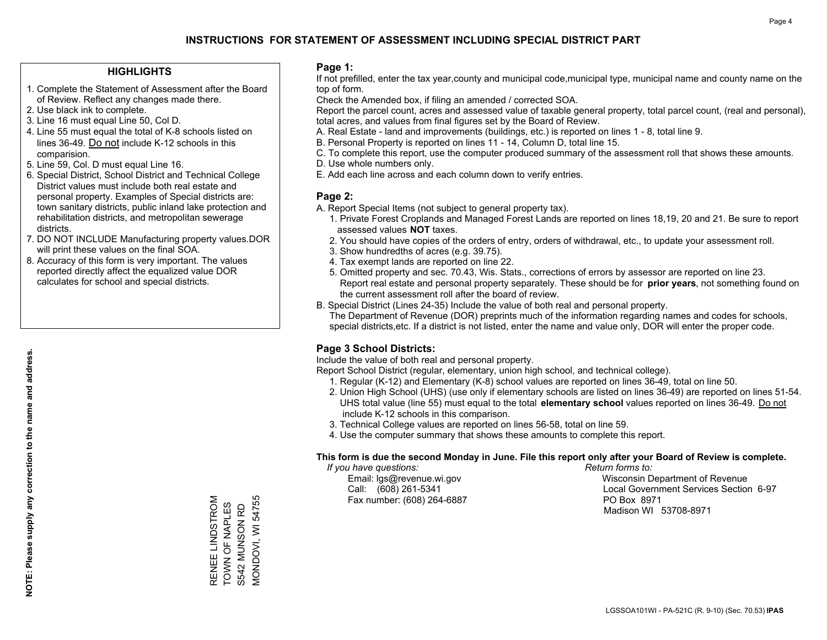#### **HIGHLIGHTS**

- 1. Complete the Statement of Assessment after the Board of Review. Reflect any changes made there.
- 2. Use black ink to complete.
- 3. Line 16 must equal Line 50, Col D.
- 4. Line 55 must equal the total of K-8 schools listed on lines 36-49. Do not include K-12 schools in this comparision.
- 5. Line 59, Col. D must equal Line 16.
- 6. Special District, School District and Technical College District values must include both real estate and personal property. Examples of Special districts are: town sanitary districts, public inland lake protection and rehabilitation districts, and metropolitan sewerage districts.
- 7. DO NOT INCLUDE Manufacturing property values.DOR will print these values on the final SOA.
- 8. Accuracy of this form is very important. The values reported directly affect the equalized value DOR calculates for school and special districts.

#### **Page 1:**

 If not prefilled, enter the tax year,county and municipal code,municipal type, municipal name and county name on the top of form.

Check the Amended box, if filing an amended / corrected SOA.

 Report the parcel count, acres and assessed value of taxable general property, total parcel count, (real and personal), total acres, and values from final figures set by the Board of Review.

- A. Real Estate land and improvements (buildings, etc.) is reported on lines 1 8, total line 9.
- B. Personal Property is reported on lines 11 14, Column D, total line 15.
- C. To complete this report, use the computer produced summary of the assessment roll that shows these amounts.
- D. Use whole numbers only.
- E. Add each line across and each column down to verify entries.

### **Page 2:**

- A. Report Special Items (not subject to general property tax).
- 1. Private Forest Croplands and Managed Forest Lands are reported on lines 18,19, 20 and 21. Be sure to report assessed values **NOT** taxes.
- 2. You should have copies of the orders of entry, orders of withdrawal, etc., to update your assessment roll.
	- 3. Show hundredths of acres (e.g. 39.75).
- 4. Tax exempt lands are reported on line 22.
- 5. Omitted property and sec. 70.43, Wis. Stats., corrections of errors by assessor are reported on line 23. Report real estate and personal property separately. These should be for **prior years**, not something found on the current assessment roll after the board of review.
- B. Special District (Lines 24-35) Include the value of both real and personal property.

 The Department of Revenue (DOR) preprints much of the information regarding names and codes for schools, special districts,etc. If a district is not listed, enter the name and value only, DOR will enter the proper code.

### **Page 3 School Districts:**

Include the value of both real and personal property.

Report School District (regular, elementary, union high school, and technical college).

- 1. Regular (K-12) and Elementary (K-8) school values are reported on lines 36-49, total on line 50.
- 2. Union High School (UHS) (use only if elementary schools are listed on lines 36-49) are reported on lines 51-54. UHS total value (line 55) must equal to the total **elementary school** values reported on lines 36-49. Do notinclude K-12 schools in this comparison.
- 3. Technical College values are reported on lines 56-58, total on line 59.
- 4. Use the computer summary that shows these amounts to complete this report.

#### **This form is due the second Monday in June. File this report only after your Board of Review is complete.**

 *If you have questions: Return forms to:*

Fax number: (608) 264-6887 PO Box 8971

 Email: lgs@revenue.wi.gov Wisconsin Department of Revenue Call: (608) 261-5341 Local Government Services Section 6-97Madison WI 53708-8971

MONDOVI, WI 54755 RENEE LINDSTROM RENEE LINDSTROM TOWN OF NAPLES<br>S542 MUNSON RD MONDOVI, WI 54755 TOWN OF NAPLES S542 MUNSON RD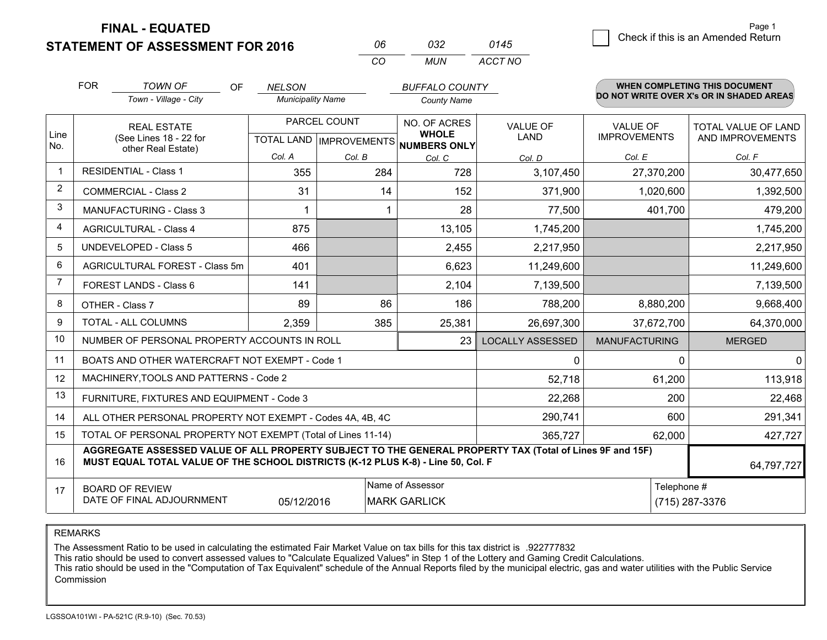**FINAL - EQUATED**

**STATEMENT OF ASSESSMENT FOR 2016** 

| กค       | กาว   | 0145    |
|----------|-------|---------|
| $\alpha$ | MI IN | ACCT NO |

|                | <b>FOR</b>                                                                                                                                                                                   | <b>TOWN OF</b><br><b>OF</b><br>Town - Village - City         | <b>NELSON</b><br><b>Municipality Name</b> |                                                      | <b>BUFFALO COUNTY</b> |                         |                      | <b>WHEN COMPLETING THIS DOCUMENT</b><br>DO NOT WRITE OVER X's OR IN SHADED AREAS |  |
|----------------|----------------------------------------------------------------------------------------------------------------------------------------------------------------------------------------------|--------------------------------------------------------------|-------------------------------------------|------------------------------------------------------|-----------------------|-------------------------|----------------------|----------------------------------------------------------------------------------|--|
|                |                                                                                                                                                                                              |                                                              |                                           |                                                      | <b>County Name</b>    |                         |                      |                                                                                  |  |
|                | <b>REAL ESTATE</b>                                                                                                                                                                           |                                                              | PARCEL COUNT                              |                                                      | NO. OF ACRES          | <b>VALUE OF</b>         | <b>VALUE OF</b>      | TOTAL VALUE OF LAND                                                              |  |
| Line<br>No.    | (See Lines 18 - 22 for<br>other Real Estate)                                                                                                                                                 |                                                              |                                           | <b>WHOLE</b><br>TOTAL LAND IMPROVEMENTS NUMBERS ONLY | <b>LAND</b>           | <b>IMPROVEMENTS</b>     | AND IMPROVEMENTS     |                                                                                  |  |
|                |                                                                                                                                                                                              |                                                              | Col. A                                    | Col. B                                               | Col. C                | Col. D                  | Col. E               | Col. F                                                                           |  |
| $\mathbf 1$    |                                                                                                                                                                                              | <b>RESIDENTIAL - Class 1</b>                                 | 355                                       | 284                                                  | 728                   | 3,107,450               | 27,370,200           | 30,477,650                                                                       |  |
| $\overline{2}$ |                                                                                                                                                                                              | <b>COMMERCIAL - Class 2</b>                                  | 31                                        | 14                                                   | 152                   | 371,900                 | 1,020,600            | 1,392,500                                                                        |  |
| 3              |                                                                                                                                                                                              | <b>MANUFACTURING - Class 3</b>                               |                                           |                                                      | 28                    | 77,500                  | 401,700              | 479,200                                                                          |  |
| $\overline{4}$ |                                                                                                                                                                                              | <b>AGRICULTURAL - Class 4</b>                                | 875                                       |                                                      | 13,105                | 1,745,200               |                      | 1,745,200                                                                        |  |
| 5              |                                                                                                                                                                                              | <b>UNDEVELOPED - Class 5</b>                                 | 466                                       |                                                      | 2,455                 | 2,217,950               |                      | 2,217,950                                                                        |  |
| 6              |                                                                                                                                                                                              | AGRICULTURAL FOREST - Class 5m                               | 401                                       |                                                      | 6,623                 | 11,249,600              |                      | 11,249,600                                                                       |  |
| 7              |                                                                                                                                                                                              | FOREST LANDS - Class 6                                       | 141                                       |                                                      | 2,104                 | 7,139,500               |                      | 7,139,500                                                                        |  |
| 8              |                                                                                                                                                                                              | OTHER - Class 7                                              | 89                                        | 86                                                   | 186                   | 788,200                 | 8,880,200            | 9,668,400                                                                        |  |
| 9              |                                                                                                                                                                                              | TOTAL - ALL COLUMNS                                          | 2,359                                     | 385                                                  | 25,381                | 26,697,300              | 37,672,700           | 64,370,000                                                                       |  |
| 10             |                                                                                                                                                                                              | NUMBER OF PERSONAL PROPERTY ACCOUNTS IN ROLL                 |                                           |                                                      | 23                    | <b>LOCALLY ASSESSED</b> | <b>MANUFACTURING</b> | <b>MERGED</b>                                                                    |  |
| 11             |                                                                                                                                                                                              | BOATS AND OTHER WATERCRAFT NOT EXEMPT - Code 1               |                                           |                                                      |                       | 0                       | $\mathbf 0$          | $\mathbf 0$                                                                      |  |
| 12             |                                                                                                                                                                                              | MACHINERY, TOOLS AND PATTERNS - Code 2                       |                                           |                                                      |                       | 52,718                  | 61,200               | 113,918                                                                          |  |
| 13             |                                                                                                                                                                                              | FURNITURE, FIXTURES AND EQUIPMENT - Code 3                   |                                           |                                                      |                       | 22,268                  | 200                  | 22,468                                                                           |  |
| 14             |                                                                                                                                                                                              | ALL OTHER PERSONAL PROPERTY NOT EXEMPT - Codes 4A, 4B, 4C    |                                           |                                                      |                       | 290,741                 | 600                  | 291,341                                                                          |  |
| 15             |                                                                                                                                                                                              | TOTAL OF PERSONAL PROPERTY NOT EXEMPT (Total of Lines 11-14) |                                           |                                                      | 365,727               | 62,000                  | 427,727              |                                                                                  |  |
| 16             | AGGREGATE ASSESSED VALUE OF ALL PROPERTY SUBJECT TO THE GENERAL PROPERTY TAX (Total of Lines 9F and 15F)<br>MUST EQUAL TOTAL VALUE OF THE SCHOOL DISTRICTS (K-12 PLUS K-8) - Line 50, Col. F |                                                              |                                           |                                                      |                       |                         |                      | 64,797,727                                                                       |  |
| 17             |                                                                                                                                                                                              | <b>BOARD OF REVIEW</b>                                       |                                           |                                                      | Name of Assessor      |                         | Telephone #          |                                                                                  |  |
|                |                                                                                                                                                                                              | DATE OF FINAL ADJOURNMENT                                    | 05/12/2016                                |                                                      | <b>MARK GARLICK</b>   |                         |                      | (715) 287-3376                                                                   |  |

REMARKS

The Assessment Ratio to be used in calculating the estimated Fair Market Value on tax bills for this tax district is .922777832

This ratio should be used to convert assessed values to "Calculate Equalized Values" in Step 1 of the Lottery and Gaming Credit Calculations.<br>This ratio should be used in the "Computation of Tax Equivalent" schedule of the Commission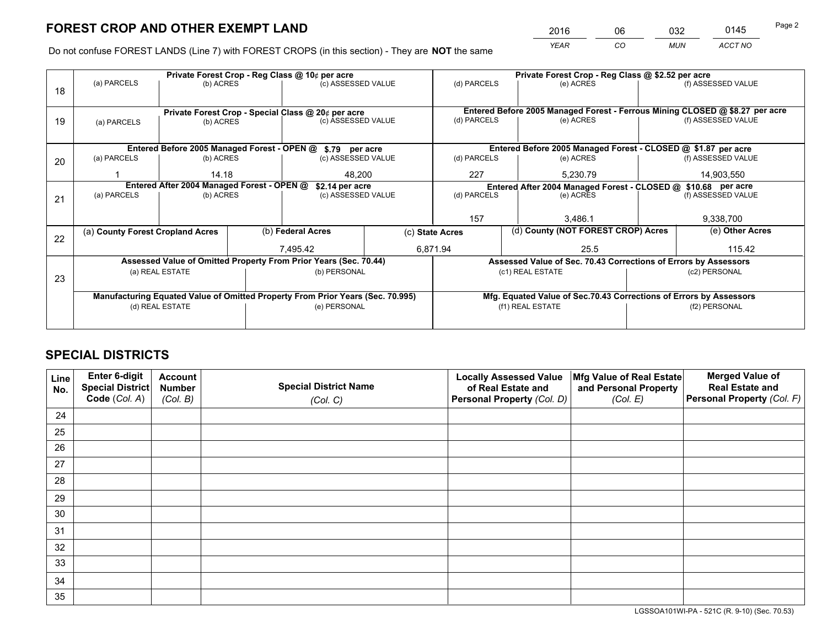*YEAR CO MUN ACCT NO* 2016 06 032 0145

Do not confuse FOREST LANDS (Line 7) with FOREST CROPS (in this section) - They are **NOT** the same

|    |                                                                                |                 |  | Private Forest Crop - Reg Class @ 10¢ per acre                   |                                                                              | Private Forest Crop - Reg Class @ \$2.52 per acre               |                                                               |                                                                    |            |                    |
|----|--------------------------------------------------------------------------------|-----------------|--|------------------------------------------------------------------|------------------------------------------------------------------------------|-----------------------------------------------------------------|---------------------------------------------------------------|--------------------------------------------------------------------|------------|--------------------|
| 18 | (a) PARCELS                                                                    | (b) ACRES       |  | (c) ASSESSED VALUE                                               |                                                                              | (d) PARCELS                                                     |                                                               | (e) ACRES                                                          |            | (f) ASSESSED VALUE |
|    |                                                                                |                 |  |                                                                  |                                                                              |                                                                 |                                                               |                                                                    |            |                    |
|    | Private Forest Crop - Special Class @ 20¢ per acre                             |                 |  |                                                                  | Entered Before 2005 Managed Forest - Ferrous Mining CLOSED @ \$8.27 per acre |                                                                 |                                                               |                                                                    |            |                    |
| 19 | (a) PARCELS                                                                    | (b) ACRES       |  | (c) ASSESSED VALUE                                               |                                                                              | (d) PARCELS                                                     |                                                               | (e) ACRES                                                          |            | (f) ASSESSED VALUE |
|    |                                                                                |                 |  |                                                                  |                                                                              |                                                                 |                                                               |                                                                    |            |                    |
|    | Entered Before 2005 Managed Forest - OPEN @ \$.79 per acre                     |                 |  |                                                                  |                                                                              |                                                                 |                                                               | Entered Before 2005 Managed Forest - CLOSED @ \$1.87 per acre      |            |                    |
| 20 | (a) PARCELS                                                                    | (b) ACRES       |  | (c) ASSESSED VALUE                                               |                                                                              | (d) PARCELS                                                     |                                                               | (e) ACRES                                                          |            | (f) ASSESSED VALUE |
|    |                                                                                | 14.18           |  | 48,200                                                           |                                                                              | 227                                                             |                                                               | 5.230.79                                                           | 14,903,550 |                    |
|    | Entered After 2004 Managed Forest - OPEN @<br>\$2.14 per acre                  |                 |  |                                                                  |                                                                              |                                                                 | Entered After 2004 Managed Forest - CLOSED @ \$10.68 per acre |                                                                    |            |                    |
| 21 | (a) PARCELS                                                                    | (b) ACRES       |  | (c) ASSESSED VALUE                                               |                                                                              | (d) PARCELS                                                     |                                                               | (e) ACRES                                                          |            | (f) ASSESSED VALUE |
|    |                                                                                |                 |  |                                                                  |                                                                              |                                                                 |                                                               |                                                                    |            |                    |
|    |                                                                                |                 |  |                                                                  |                                                                              | 157                                                             |                                                               | 3.486.1                                                            |            | 9,338,700          |
| 22 | (a) County Forest Cropland Acres                                               |                 |  | (b) Federal Acres                                                |                                                                              | (c) State Acres                                                 |                                                               | (d) County (NOT FOREST CROP) Acres                                 |            | (e) Other Acres    |
|    |                                                                                |                 |  | 7,495.42                                                         |                                                                              | 6,871.94                                                        |                                                               | 25.5                                                               |            | 115.42             |
|    |                                                                                |                 |  | Assessed Value of Omitted Property From Prior Years (Sec. 70.44) |                                                                              | Assessed Value of Sec. 70.43 Corrections of Errors by Assessors |                                                               |                                                                    |            |                    |
| 23 |                                                                                | (a) REAL ESTATE |  | (b) PERSONAL                                                     |                                                                              |                                                                 |                                                               | (c1) REAL ESTATE                                                   |            | (c2) PERSONAL      |
|    |                                                                                |                 |  |                                                                  |                                                                              |                                                                 |                                                               |                                                                    |            |                    |
|    | Manufacturing Equated Value of Omitted Property From Prior Years (Sec. 70.995) |                 |  |                                                                  |                                                                              |                                                                 |                                                               | Mfg. Equated Value of Sec.70.43 Corrections of Errors by Assessors |            |                    |
|    | (d) REAL ESTATE                                                                |                 |  | (e) PERSONAL                                                     |                                                                              |                                                                 |                                                               | (f1) REAL ESTATE                                                   |            | (f2) PERSONAL      |
|    |                                                                                |                 |  |                                                                  |                                                                              |                                                                 |                                                               |                                                                    |            |                    |

## **SPECIAL DISTRICTS**

| Line<br>No. | Enter 6-digit<br><b>Special District</b> | <b>Account</b><br><b>Number</b> | <b>Special District Name</b> | <b>Locally Assessed Value</b><br>of Real Estate and | Mfg Value of Real Estate<br>and Personal Property | <b>Merged Value of</b><br><b>Real Estate and</b> |
|-------------|------------------------------------------|---------------------------------|------------------------------|-----------------------------------------------------|---------------------------------------------------|--------------------------------------------------|
|             | Code (Col. A)                            | (Col. B)                        | (Col. C)                     | Personal Property (Col. D)                          | (Col. E)                                          | Personal Property (Col. F)                       |
| 24          |                                          |                                 |                              |                                                     |                                                   |                                                  |
| 25          |                                          |                                 |                              |                                                     |                                                   |                                                  |
| 26          |                                          |                                 |                              |                                                     |                                                   |                                                  |
| 27          |                                          |                                 |                              |                                                     |                                                   |                                                  |
| 28          |                                          |                                 |                              |                                                     |                                                   |                                                  |
| 29          |                                          |                                 |                              |                                                     |                                                   |                                                  |
| 30          |                                          |                                 |                              |                                                     |                                                   |                                                  |
| 31          |                                          |                                 |                              |                                                     |                                                   |                                                  |
| 32          |                                          |                                 |                              |                                                     |                                                   |                                                  |
| 33          |                                          |                                 |                              |                                                     |                                                   |                                                  |
| 34          |                                          |                                 |                              |                                                     |                                                   |                                                  |
| 35          |                                          |                                 |                              |                                                     |                                                   |                                                  |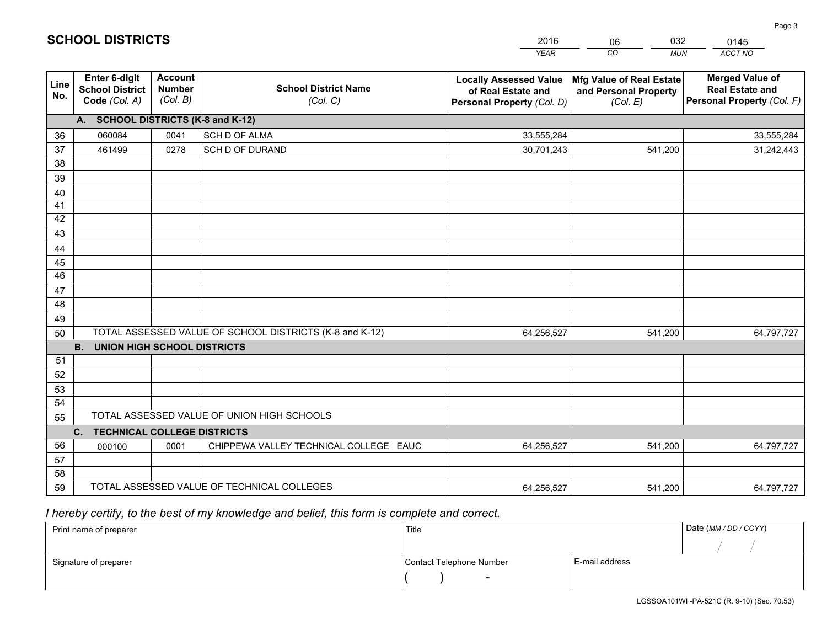|             |                                                          |                                             |                                                         | <b>YEAR</b>                                                                       | CO<br><b>MUN</b>                                              | ACCT NO                                                                        |
|-------------|----------------------------------------------------------|---------------------------------------------|---------------------------------------------------------|-----------------------------------------------------------------------------------|---------------------------------------------------------------|--------------------------------------------------------------------------------|
| Line<br>No. | Enter 6-digit<br><b>School District</b><br>Code (Col. A) | <b>Account</b><br><b>Number</b><br>(Col. B) | <b>School District Name</b><br>(Col. C)                 | <b>Locally Assessed Value</b><br>of Real Estate and<br>Personal Property (Col. D) | Mfg Value of Real Estate<br>and Personal Property<br>(Col. E) | <b>Merged Value of</b><br><b>Real Estate and</b><br>Personal Property (Col. F) |
|             | A. SCHOOL DISTRICTS (K-8 and K-12)                       |                                             |                                                         |                                                                                   |                                                               |                                                                                |
| 36          | 060084                                                   | 0041                                        | SCH D OF ALMA                                           | 33,555,284                                                                        |                                                               | 33,555,284                                                                     |
| 37          | 461499                                                   | 0278                                        | SCH D OF DURAND                                         | 30,701,243                                                                        | 541,200                                                       | 31,242,443                                                                     |
| 38          |                                                          |                                             |                                                         |                                                                                   |                                                               |                                                                                |
| 39          |                                                          |                                             |                                                         |                                                                                   |                                                               |                                                                                |
| 40          |                                                          |                                             |                                                         |                                                                                   |                                                               |                                                                                |
| 41          |                                                          |                                             |                                                         |                                                                                   |                                                               |                                                                                |
| 42          |                                                          |                                             |                                                         |                                                                                   |                                                               |                                                                                |
| 43          |                                                          |                                             |                                                         |                                                                                   |                                                               |                                                                                |
| 44          |                                                          |                                             |                                                         |                                                                                   |                                                               |                                                                                |
| 45<br>46    |                                                          |                                             |                                                         |                                                                                   |                                                               |                                                                                |
| 47          |                                                          |                                             |                                                         |                                                                                   |                                                               |                                                                                |
| 48          |                                                          |                                             |                                                         |                                                                                   |                                                               |                                                                                |
| 49          |                                                          |                                             |                                                         |                                                                                   |                                                               |                                                                                |
| 50          |                                                          |                                             | TOTAL ASSESSED VALUE OF SCHOOL DISTRICTS (K-8 and K-12) | 64,256,527                                                                        | 541,200                                                       | 64,797,727                                                                     |
|             | <b>B.</b><br><b>UNION HIGH SCHOOL DISTRICTS</b>          |                                             |                                                         |                                                                                   |                                                               |                                                                                |
| 51          |                                                          |                                             |                                                         |                                                                                   |                                                               |                                                                                |
| 52          |                                                          |                                             |                                                         |                                                                                   |                                                               |                                                                                |
| 53          |                                                          |                                             |                                                         |                                                                                   |                                                               |                                                                                |
| 54          |                                                          |                                             |                                                         |                                                                                   |                                                               |                                                                                |
| 55          |                                                          |                                             | TOTAL ASSESSED VALUE OF UNION HIGH SCHOOLS              |                                                                                   |                                                               |                                                                                |
|             | C.<br><b>TECHNICAL COLLEGE DISTRICTS</b>                 |                                             |                                                         |                                                                                   |                                                               |                                                                                |
| 56          | 000100                                                   | 0001                                        | CHIPPEWA VALLEY TECHNICAL COLLEGE EAUC                  | 64,256,527                                                                        | 541,200                                                       | 64,797,727                                                                     |
| 57          |                                                          |                                             |                                                         |                                                                                   |                                                               |                                                                                |
| 58          |                                                          |                                             |                                                         |                                                                                   |                                                               |                                                                                |
| 59          |                                                          |                                             | TOTAL ASSESSED VALUE OF TECHNICAL COLLEGES              | 64,256,527                                                                        | 541,200                                                       | 64,797,727                                                                     |

06

032

 *I hereby certify, to the best of my knowledge and belief, this form is complete and correct.*

**SCHOOL DISTRICTS**

| Print name of preparer | Title                    |                | Date (MM / DD / CCYY) |
|------------------------|--------------------------|----------------|-----------------------|
|                        |                          |                |                       |
| Signature of preparer  | Contact Telephone Number | E-mail address |                       |
|                        | $\overline{\phantom{0}}$ |                |                       |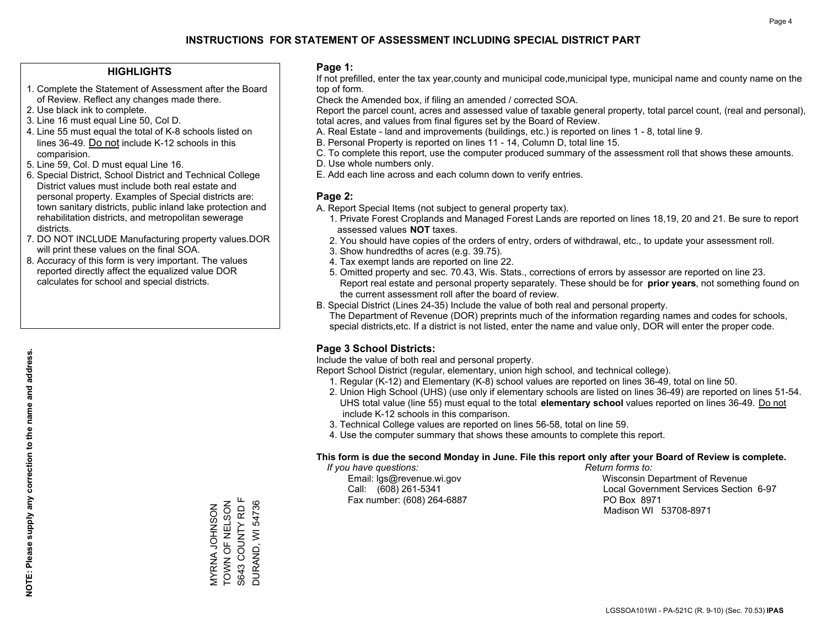#### **HIGHLIGHTS**

- 1. Complete the Statement of Assessment after the Board of Review. Reflect any changes made there.
- 2. Use black ink to complete.
- 3. Line 16 must equal Line 50, Col D.
- 4. Line 55 must equal the total of K-8 schools listed on lines 36-49. Do not include K-12 schools in this comparision.
- 5. Line 59, Col. D must equal Line 16.
- 6. Special District, School District and Technical College District values must include both real estate and personal property. Examples of Special districts are: town sanitary districts, public inland lake protection and rehabilitation districts, and metropolitan sewerage districts.
- 7. DO NOT INCLUDE Manufacturing property values.DOR will print these values on the final SOA.
- 8. Accuracy of this form is very important. The values reported directly affect the equalized value DOR calculates for school and special districts.

#### **Page 1:**

 If not prefilled, enter the tax year,county and municipal code,municipal type, municipal name and county name on the top of form.

Check the Amended box, if filing an amended / corrected SOA.

 Report the parcel count, acres and assessed value of taxable general property, total parcel count, (real and personal), total acres, and values from final figures set by the Board of Review.

- A. Real Estate land and improvements (buildings, etc.) is reported on lines 1 8, total line 9.
- B. Personal Property is reported on lines 11 14, Column D, total line 15.
- C. To complete this report, use the computer produced summary of the assessment roll that shows these amounts.
- D. Use whole numbers only.
- E. Add each line across and each column down to verify entries.

#### **Page 2:**

- A. Report Special Items (not subject to general property tax).
- 1. Private Forest Croplands and Managed Forest Lands are reported on lines 18,19, 20 and 21. Be sure to report assessed values **NOT** taxes.
- 2. You should have copies of the orders of entry, orders of withdrawal, etc., to update your assessment roll.
	- 3. Show hundredths of acres (e.g. 39.75).
- 4. Tax exempt lands are reported on line 22.
- 5. Omitted property and sec. 70.43, Wis. Stats., corrections of errors by assessor are reported on line 23. Report real estate and personal property separately. These should be for **prior years**, not something found on the current assessment roll after the board of review.
- B. Special District (Lines 24-35) Include the value of both real and personal property.
- The Department of Revenue (DOR) preprints much of the information regarding names and codes for schools, special districts,etc. If a district is not listed, enter the name and value only, DOR will enter the proper code.

### **Page 3 School Districts:**

Include the value of both real and personal property.

Report School District (regular, elementary, union high school, and technical college).

- 1. Regular (K-12) and Elementary (K-8) school values are reported on lines 36-49, total on line 50.
- 2. Union High School (UHS) (use only if elementary schools are listed on lines 36-49) are reported on lines 51-54. UHS total value (line 55) must equal to the total **elementary school** values reported on lines 36-49. Do notinclude K-12 schools in this comparison.
- 3. Technical College values are reported on lines 56-58, total on line 59.
- 4. Use the computer summary that shows these amounts to complete this report.

#### **This form is due the second Monday in June. File this report only after your Board of Review is complete.**

 *If you have questions: Return forms to:*

Fax number: (608) 264-6887 PO Box 8971

 Email: lgs@revenue.wi.gov Wisconsin Department of Revenue Call: (608) 261-5341 Local Government Services Section 6-97Madison WI 53708-8971

MYRNA JOHNSON<br>TOWN OF NELSON<br>S643 COUNTY RD F TOWN OF NELSON S643 COUNTY RD F DURAND, WI 54736 DURAND, WI 54736 MYRNA JOHNSON

**NOTE: Please supply any correction to the name and address.**

NOTE: Please supply any correction to the name and address.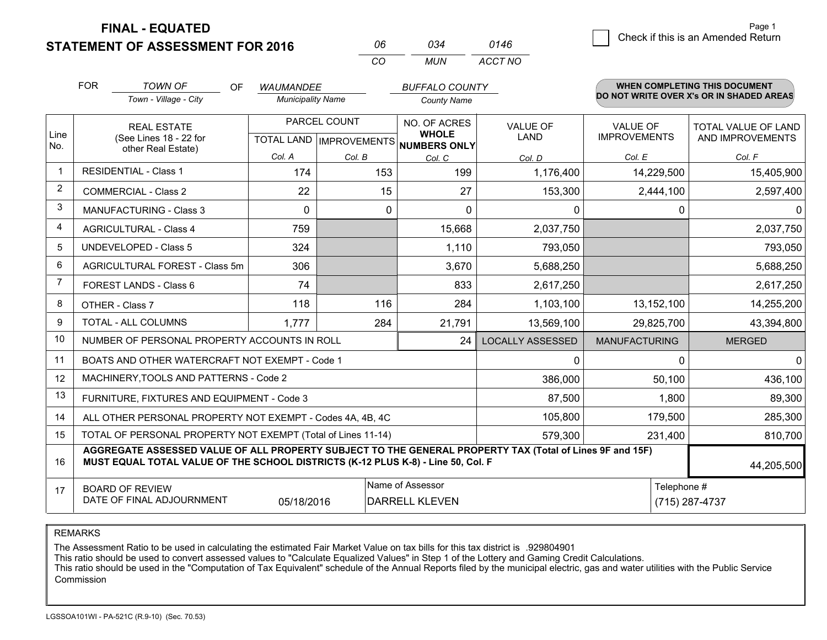**STATEMENT OF ASSESSMENT FOR 2016** 

**FINAL - EQUATED**

|   | Page 1                             |
|---|------------------------------------|
| 6 | Check if this is an Amended Return |
|   |                                    |

|                | <b>FOR</b>                                                                                                                                                                                   | <b>TOWN OF</b><br>OF<br>Town - Village - City                | <b>WAUMANDEE</b><br><b>Municipality Name</b>         |        | <b>BUFFALO COUNTY</b><br><b>County Name</b> |                         |                                        | <b>WHEN COMPLETING THIS DOCUMENT</b><br>DO NOT WRITE OVER X's OR IN SHADED AREAS |
|----------------|----------------------------------------------------------------------------------------------------------------------------------------------------------------------------------------------|--------------------------------------------------------------|------------------------------------------------------|--------|---------------------------------------------|-------------------------|----------------------------------------|----------------------------------------------------------------------------------|
| Line<br>No.    | <b>REAL ESTATE</b><br>(See Lines 18 - 22 for                                                                                                                                                 |                                                              | PARCEL COUNT<br>TOTAL LAND IMPROVEMENTS NUMBERS ONLY |        | NO. OF ACRES<br><b>WHOLE</b>                | <b>VALUE OF</b><br>LAND | <b>VALUE OF</b><br><b>IMPROVEMENTS</b> | TOTAL VALUE OF LAND<br>AND IMPROVEMENTS                                          |
|                |                                                                                                                                                                                              | other Real Estate)                                           | Col. A                                               | Col. B | Col. C                                      | Col. D                  | Col. E                                 | Col. F                                                                           |
| $\mathbf{1}$   |                                                                                                                                                                                              | <b>RESIDENTIAL - Class 1</b>                                 | 174                                                  | 153    | 199                                         | 1,176,400               | 14,229,500                             | 15,405,900                                                                       |
| 2              |                                                                                                                                                                                              | <b>COMMERCIAL - Class 2</b>                                  | 22                                                   | 15     | 27                                          | 153,300                 | 2,444,100                              | 2,597,400                                                                        |
| 3              |                                                                                                                                                                                              | <b>MANUFACTURING - Class 3</b>                               | 0                                                    |        | 0<br>$\Omega$                               | $\mathbf{0}$            | 0                                      | 0                                                                                |
| $\overline{4}$ |                                                                                                                                                                                              | <b>AGRICULTURAL - Class 4</b>                                | 759                                                  |        | 15,668                                      | 2,037,750               |                                        | 2,037,750                                                                        |
| 5              |                                                                                                                                                                                              | <b>UNDEVELOPED - Class 5</b>                                 | 324                                                  |        | 1,110                                       | 793,050                 |                                        | 793,050                                                                          |
| 6              |                                                                                                                                                                                              | AGRICULTURAL FOREST - Class 5m                               | 306                                                  |        | 3,670                                       | 5,688,250               |                                        | 5,688,250                                                                        |
| $\overline{7}$ |                                                                                                                                                                                              | FOREST LANDS - Class 6                                       | 74                                                   |        | 833                                         | 2,617,250               |                                        | 2,617,250                                                                        |
| 8              |                                                                                                                                                                                              | OTHER - Class 7                                              | 118                                                  | 116    | 284                                         | 1,103,100               | 13,152,100                             | 14,255,200                                                                       |
| 9              |                                                                                                                                                                                              | TOTAL - ALL COLUMNS                                          | 1.777                                                | 284    | 21,791                                      | 13,569,100              | 29,825,700                             | 43,394,800                                                                       |
| 10             |                                                                                                                                                                                              | NUMBER OF PERSONAL PROPERTY ACCOUNTS IN ROLL                 |                                                      |        | 24                                          | <b>LOCALLY ASSESSED</b> | <b>MANUFACTURING</b>                   | <b>MERGED</b>                                                                    |
| 11             |                                                                                                                                                                                              | BOATS AND OTHER WATERCRAFT NOT EXEMPT - Code 1               |                                                      |        |                                             | $\mathbf{0}$            | $\Omega$                               | $\mathbf{0}$                                                                     |
| 12             |                                                                                                                                                                                              | MACHINERY, TOOLS AND PATTERNS - Code 2                       |                                                      |        |                                             | 386,000                 | 50,100                                 | 436,100                                                                          |
| 13             |                                                                                                                                                                                              | FURNITURE, FIXTURES AND EQUIPMENT - Code 3                   |                                                      |        |                                             | 87,500                  | 1,800                                  | 89,300                                                                           |
| 14             |                                                                                                                                                                                              | ALL OTHER PERSONAL PROPERTY NOT EXEMPT - Codes 4A, 4B, 4C    |                                                      |        |                                             | 105,800                 | 179,500                                | 285,300                                                                          |
| 15             |                                                                                                                                                                                              | TOTAL OF PERSONAL PROPERTY NOT EXEMPT (Total of Lines 11-14) |                                                      |        | 579,300                                     | 231,400                 | 810,700                                |                                                                                  |
| 16             | AGGREGATE ASSESSED VALUE OF ALL PROPERTY SUBJECT TO THE GENERAL PROPERTY TAX (Total of Lines 9F and 15F)<br>MUST EQUAL TOTAL VALUE OF THE SCHOOL DISTRICTS (K-12 PLUS K-8) - Line 50, Col. F |                                                              |                                                      |        |                                             |                         | 44,205,500                             |                                                                                  |
| 17             |                                                                                                                                                                                              | <b>BOARD OF REVIEW</b><br>DATE OF FINAL ADJOURNMENT          | 05/18/2016                                           |        | Name of Assessor<br><b>DARRELL KLEVEN</b>   |                         | Telephone #                            | (715) 287-4737                                                                   |

*CO*

*MUN*

*ACCT NO0146*

*<sup>06</sup> <sup>034</sup>*

REMARKS

The Assessment Ratio to be used in calculating the estimated Fair Market Value on tax bills for this tax district is .929804901<br>This ratio should be used to convert assessed values to "Calculate Equalized Values" in Step 1 Commission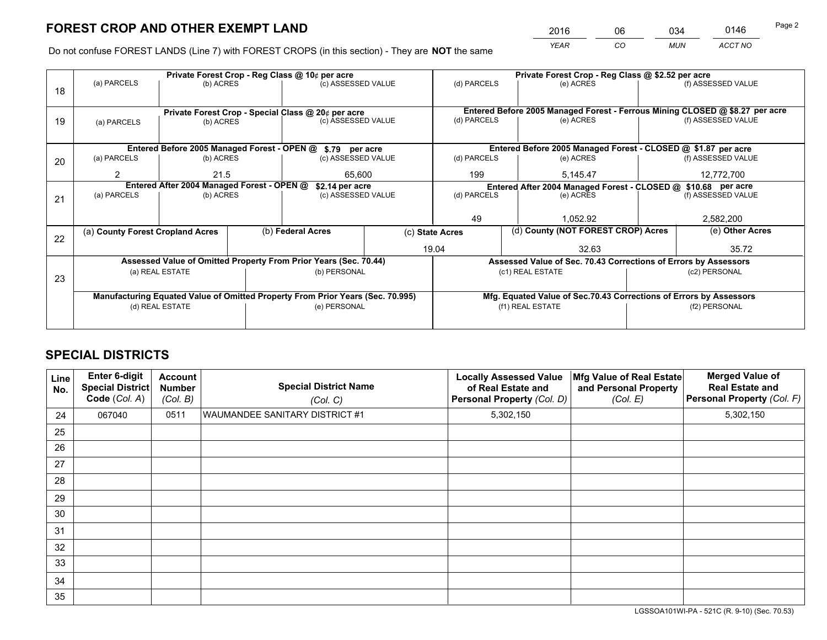*YEAR CO MUN ACCT NO* <sup>2016</sup> <sup>06</sup> <sup>034</sup> <sup>0146</sup>

Do not confuse FOREST LANDS (Line 7) with FOREST CROPS (in this section) - They are **NOT** the same

|    |                                                                                |                 |  | Private Forest Crop - Reg Class @ 10¢ per acre                   |          | Private Forest Crop - Reg Class @ \$2.52 per acre             |                                                                              |       |  |                    |  |
|----|--------------------------------------------------------------------------------|-----------------|--|------------------------------------------------------------------|----------|---------------------------------------------------------------|------------------------------------------------------------------------------|-------|--|--------------------|--|
| 18 | (a) PARCELS                                                                    | (b) ACRES       |  | (c) ASSESSED VALUE                                               |          | (d) PARCELS                                                   | (e) ACRES                                                                    |       |  | (f) ASSESSED VALUE |  |
|    |                                                                                |                 |  |                                                                  |          |                                                               |                                                                              |       |  |                    |  |
|    |                                                                                |                 |  | Private Forest Crop - Special Class @ 20¢ per acre               |          |                                                               | Entered Before 2005 Managed Forest - Ferrous Mining CLOSED @ \$8.27 per acre |       |  |                    |  |
| 19 | (a) PARCELS                                                                    | (b) ACRES       |  | (c) ASSESSED VALUE                                               |          | (d) PARCELS                                                   | (e) ACRES                                                                    |       |  | (f) ASSESSED VALUE |  |
|    |                                                                                |                 |  |                                                                  |          |                                                               |                                                                              |       |  |                    |  |
|    | Entered Before 2005 Managed Forest - OPEN @ \$.79 per acre                     |                 |  |                                                                  |          |                                                               | Entered Before 2005 Managed Forest - CLOSED @ \$1.87 per acre                |       |  |                    |  |
| 20 | (a) PARCELS                                                                    | (b) ACRES       |  | (c) ASSESSED VALUE                                               |          | (d) PARCELS                                                   | (e) ACRES                                                                    |       |  | (f) ASSESSED VALUE |  |
|    | 2                                                                              | 21.5<br>65.600  |  | 199                                                              | 5.145.47 |                                                               | 12,772,700                                                                   |       |  |                    |  |
|    | Entered After 2004 Managed Forest - OPEN @<br>\$2.14 per acre                  |                 |  |                                                                  |          | Entered After 2004 Managed Forest - CLOSED @ \$10.68 per acre |                                                                              |       |  |                    |  |
| 21 | (a) PARCELS                                                                    | (b) ACRES       |  | (c) ASSESSED VALUE                                               |          | (d) PARCELS                                                   | (e) ACRES                                                                    |       |  | (f) ASSESSED VALUE |  |
|    |                                                                                |                 |  |                                                                  |          |                                                               |                                                                              |       |  |                    |  |
|    |                                                                                |                 |  |                                                                  |          | 49                                                            | 1.052.92                                                                     |       |  | 2,582,200          |  |
| 22 | (a) County Forest Cropland Acres                                               |                 |  | (b) Federal Acres                                                |          | (c) State Acres                                               | (d) County (NOT FOREST CROP) Acres                                           |       |  | (e) Other Acres    |  |
|    |                                                                                |                 |  |                                                                  |          | 19.04                                                         |                                                                              | 32.63 |  | 35.72              |  |
|    |                                                                                |                 |  | Assessed Value of Omitted Property From Prior Years (Sec. 70.44) |          |                                                               | Assessed Value of Sec. 70.43 Corrections of Errors by Assessors              |       |  |                    |  |
| 23 |                                                                                | (a) REAL ESTATE |  | (b) PERSONAL                                                     |          |                                                               | (c1) REAL ESTATE                                                             |       |  | (c2) PERSONAL      |  |
|    |                                                                                |                 |  |                                                                  |          |                                                               |                                                                              |       |  |                    |  |
|    | Manufacturing Equated Value of Omitted Property From Prior Years (Sec. 70.995) |                 |  |                                                                  |          |                                                               | Mfg. Equated Value of Sec.70.43 Corrections of Errors by Assessors           |       |  |                    |  |
|    | (d) REAL ESTATE                                                                |                 |  | (e) PERSONAL                                                     |          |                                                               | (f1) REAL ESTATE                                                             |       |  | (f2) PERSONAL      |  |
|    |                                                                                |                 |  |                                                                  |          |                                                               |                                                                              |       |  |                    |  |

## **SPECIAL DISTRICTS**

| Line<br>No. | <b>Enter 6-digit</b><br><b>Special District</b><br>Code (Col. A) | <b>Account</b><br><b>Number</b><br>(Col. B) | <b>Special District Name</b><br>(Col. C) | <b>Locally Assessed Value</b><br>of Real Estate and<br>Personal Property (Col. D) | Mfg Value of Real Estate<br>and Personal Property<br>(Col. E) | <b>Merged Value of</b><br><b>Real Estate and</b><br>Personal Property (Col. F) |
|-------------|------------------------------------------------------------------|---------------------------------------------|------------------------------------------|-----------------------------------------------------------------------------------|---------------------------------------------------------------|--------------------------------------------------------------------------------|
| 24          | 067040                                                           | 0511                                        | WAUMANDEE SANITARY DISTRICT #1           | 5,302,150                                                                         |                                                               | 5,302,150                                                                      |
| 25          |                                                                  |                                             |                                          |                                                                                   |                                                               |                                                                                |
| 26          |                                                                  |                                             |                                          |                                                                                   |                                                               |                                                                                |
| 27          |                                                                  |                                             |                                          |                                                                                   |                                                               |                                                                                |
| 28          |                                                                  |                                             |                                          |                                                                                   |                                                               |                                                                                |
| 29          |                                                                  |                                             |                                          |                                                                                   |                                                               |                                                                                |
| 30          |                                                                  |                                             |                                          |                                                                                   |                                                               |                                                                                |
| 31          |                                                                  |                                             |                                          |                                                                                   |                                                               |                                                                                |
| 32          |                                                                  |                                             |                                          |                                                                                   |                                                               |                                                                                |
| 33          |                                                                  |                                             |                                          |                                                                                   |                                                               |                                                                                |
| 34          |                                                                  |                                             |                                          |                                                                                   |                                                               |                                                                                |
| 35          |                                                                  |                                             |                                          |                                                                                   |                                                               |                                                                                |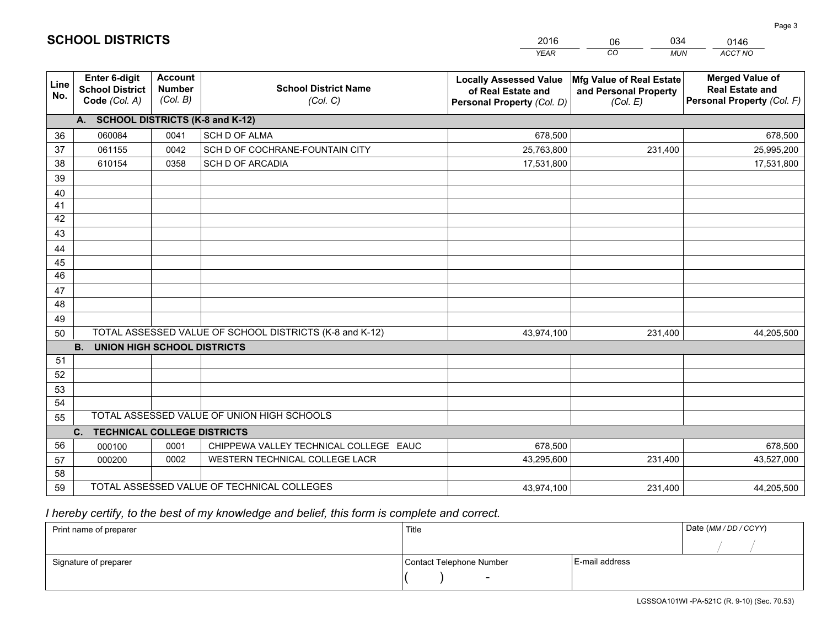|             |                                                          |                                             |                                                         | <b>YEAR</b>                                                                       | CO<br><b>MUN</b>                                              | ACCT NO                                                                        |
|-------------|----------------------------------------------------------|---------------------------------------------|---------------------------------------------------------|-----------------------------------------------------------------------------------|---------------------------------------------------------------|--------------------------------------------------------------------------------|
| Line<br>No. | Enter 6-digit<br><b>School District</b><br>Code (Col. A) | <b>Account</b><br><b>Number</b><br>(Col. B) | <b>School District Name</b><br>(Col. C)                 | <b>Locally Assessed Value</b><br>of Real Estate and<br>Personal Property (Col. D) | Mfg Value of Real Estate<br>and Personal Property<br>(Col. E) | <b>Merged Value of</b><br><b>Real Estate and</b><br>Personal Property (Col. F) |
|             | A. SCHOOL DISTRICTS (K-8 and K-12)                       |                                             |                                                         |                                                                                   |                                                               |                                                                                |
| 36          | 060084                                                   | 0041                                        | <b>SCH D OF ALMA</b>                                    | 678,500                                                                           |                                                               | 678,500                                                                        |
| 37          | 061155                                                   | 0042                                        | SCH D OF COCHRANE-FOUNTAIN CITY                         | 25,763,800                                                                        | 231,400                                                       | 25,995,200                                                                     |
| 38          | 610154                                                   | 0358                                        | <b>SCH D OF ARCADIA</b>                                 | 17,531,800                                                                        |                                                               | 17,531,800                                                                     |
| 39          |                                                          |                                             |                                                         |                                                                                   |                                                               |                                                                                |
| 40          |                                                          |                                             |                                                         |                                                                                   |                                                               |                                                                                |
| 41          |                                                          |                                             |                                                         |                                                                                   |                                                               |                                                                                |
| 42          |                                                          |                                             |                                                         |                                                                                   |                                                               |                                                                                |
| 43          |                                                          |                                             |                                                         |                                                                                   |                                                               |                                                                                |
| 44          |                                                          |                                             |                                                         |                                                                                   |                                                               |                                                                                |
| 45          |                                                          |                                             |                                                         |                                                                                   |                                                               |                                                                                |
| 46          |                                                          |                                             |                                                         |                                                                                   |                                                               |                                                                                |
| 47          |                                                          |                                             |                                                         |                                                                                   |                                                               |                                                                                |
| 48          |                                                          |                                             |                                                         |                                                                                   |                                                               |                                                                                |
| 49          |                                                          |                                             |                                                         |                                                                                   |                                                               |                                                                                |
| 50          |                                                          |                                             | TOTAL ASSESSED VALUE OF SCHOOL DISTRICTS (K-8 and K-12) | 43,974,100                                                                        | 231,400                                                       | 44,205,500                                                                     |
|             | <b>B.</b><br><b>UNION HIGH SCHOOL DISTRICTS</b>          |                                             |                                                         |                                                                                   |                                                               |                                                                                |
| 51          |                                                          |                                             |                                                         |                                                                                   |                                                               |                                                                                |
| 52          |                                                          |                                             |                                                         |                                                                                   |                                                               |                                                                                |
| 53<br>54    |                                                          |                                             |                                                         |                                                                                   |                                                               |                                                                                |
|             |                                                          |                                             | TOTAL ASSESSED VALUE OF UNION HIGH SCHOOLS              |                                                                                   |                                                               |                                                                                |
| 55          | C.<br><b>TECHNICAL COLLEGE DISTRICTS</b>                 |                                             |                                                         |                                                                                   |                                                               |                                                                                |
| 56          | 000100                                                   | 0001                                        | CHIPPEWA VALLEY TECHNICAL COLLEGE EAUC                  | 678,500                                                                           |                                                               | 678,500                                                                        |
| 57          | 000200                                                   | 0002                                        | WESTERN TECHNICAL COLLEGE LACR                          | 43,295,600                                                                        | 231,400                                                       | 43,527,000                                                                     |
| 58          |                                                          |                                             |                                                         |                                                                                   |                                                               |                                                                                |
| 59          |                                                          |                                             | TOTAL ASSESSED VALUE OF TECHNICAL COLLEGES              | 43,974,100                                                                        | 231,400                                                       | 44,205,500                                                                     |
|             |                                                          |                                             |                                                         |                                                                                   |                                                               |                                                                                |

06

034

## *I hereby certify, to the best of my knowledge and belief, this form is complete and correct.*

**SCHOOL DISTRICTS**

| Print name of preparer | Title                    |                | Date (MM / DD / CCYY) |
|------------------------|--------------------------|----------------|-----------------------|
|                        |                          |                |                       |
| Signature of preparer  | Contact Telephone Number | E-mail address |                       |
|                        | $\overline{\phantom{0}}$ |                |                       |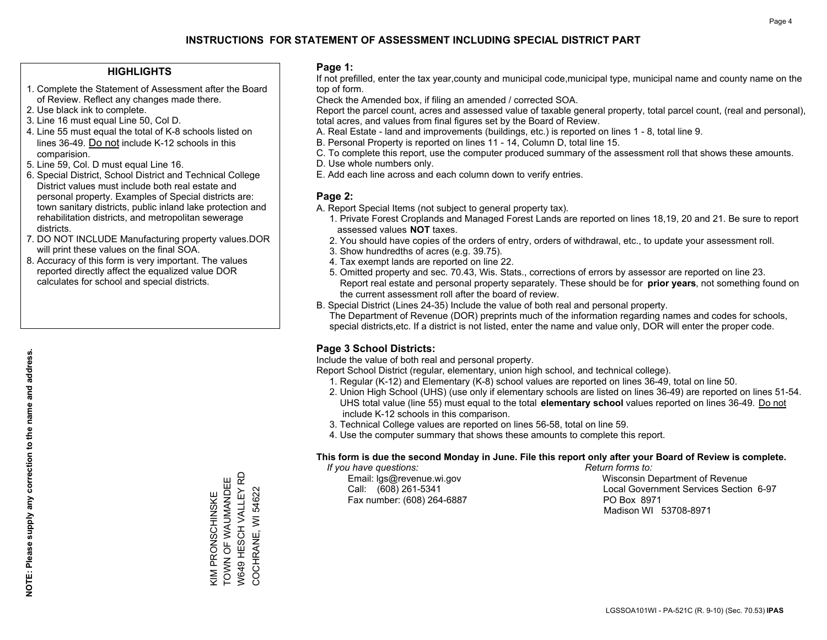#### **HIGHLIGHTS**

- 1. Complete the Statement of Assessment after the Board of Review. Reflect any changes made there.
- 2. Use black ink to complete.
- 3. Line 16 must equal Line 50, Col D.
- 4. Line 55 must equal the total of K-8 schools listed on lines 36-49. Do not include K-12 schools in this comparision.
- 5. Line 59, Col. D must equal Line 16.
- 6. Special District, School District and Technical College District values must include both real estate and personal property. Examples of Special districts are: town sanitary districts, public inland lake protection and rehabilitation districts, and metropolitan sewerage districts.
- 7. DO NOT INCLUDE Manufacturing property values.DOR will print these values on the final SOA.

KIM PRONSCHINSKE TOWN OF WAUMANDEE W649 HESCH VALLEY RD COCHRANE, WI 54622

W649 HESCH VALLEY RD KIM PRONSCHINSKE<br>TOWN OF WAUMANDEE

COCHRANE, WI 54622

 8. Accuracy of this form is very important. The values reported directly affect the equalized value DOR calculates for school and special districts.

#### **Page 1:**

 If not prefilled, enter the tax year,county and municipal code,municipal type, municipal name and county name on the top of form.

Check the Amended box, if filing an amended / corrected SOA.

 Report the parcel count, acres and assessed value of taxable general property, total parcel count, (real and personal), total acres, and values from final figures set by the Board of Review.

- A. Real Estate land and improvements (buildings, etc.) is reported on lines 1 8, total line 9.
- B. Personal Property is reported on lines 11 14, Column D, total line 15.
- C. To complete this report, use the computer produced summary of the assessment roll that shows these amounts.
- D. Use whole numbers only.
- E. Add each line across and each column down to verify entries.

#### **Page 2:**

- A. Report Special Items (not subject to general property tax).
- 1. Private Forest Croplands and Managed Forest Lands are reported on lines 18,19, 20 and 21. Be sure to report assessed values **NOT** taxes.
- 2. You should have copies of the orders of entry, orders of withdrawal, etc., to update your assessment roll.
	- 3. Show hundredths of acres (e.g. 39.75).
- 4. Tax exempt lands are reported on line 22.
- 5. Omitted property and sec. 70.43, Wis. Stats., corrections of errors by assessor are reported on line 23. Report real estate and personal property separately. These should be for **prior years**, not something found on the current assessment roll after the board of review.
- B. Special District (Lines 24-35) Include the value of both real and personal property.

 The Department of Revenue (DOR) preprints much of the information regarding names and codes for schools, special districts,etc. If a district is not listed, enter the name and value only, DOR will enter the proper code.

### **Page 3 School Districts:**

Include the value of both real and personal property.

Report School District (regular, elementary, union high school, and technical college).

- 1. Regular (K-12) and Elementary (K-8) school values are reported on lines 36-49, total on line 50.
- 2. Union High School (UHS) (use only if elementary schools are listed on lines 36-49) are reported on lines 51-54. UHS total value (line 55) must equal to the total **elementary school** values reported on lines 36-49. Do notinclude K-12 schools in this comparison.
- 3. Technical College values are reported on lines 56-58, total on line 59.
- 4. Use the computer summary that shows these amounts to complete this report.

#### **This form is due the second Monday in June. File this report only after your Board of Review is complete.**

 *If you have questions: Return forms to:*

Fax number: (608) 264-6887 PO Box 8971

 Email: lgs@revenue.wi.gov Wisconsin Department of Revenue Call: (608) 261-5341 Local Government Services Section 6-97Madison WI 53708-8971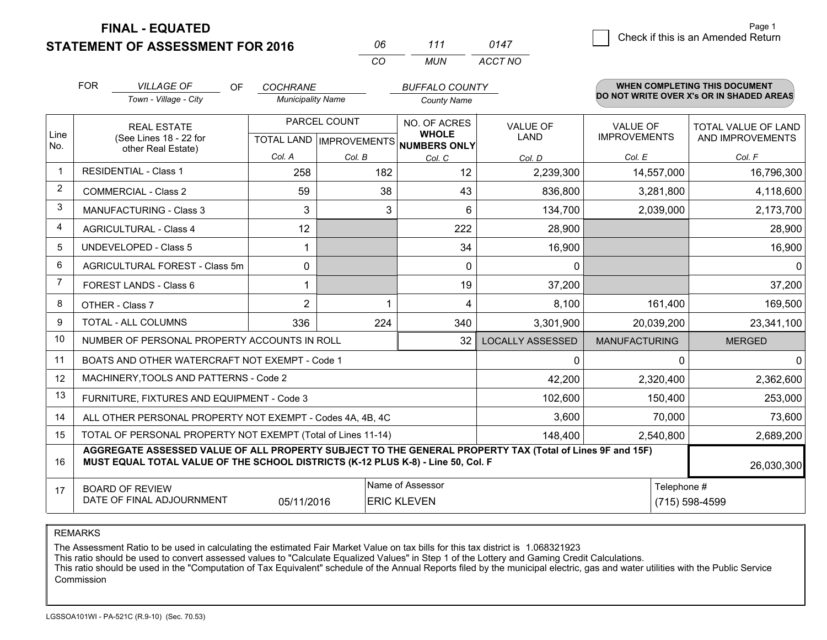**STATEMENT OF ASSESSMENT FOR 2016** 

**FINAL - EQUATED**

| NR | 111 | 0147    |
|----|-----|---------|
| (  | MUN | ACCT NO |

|                | <b>FOR</b>                                                                                                                                   | <b>VILLAGE OF</b><br>OF.                                                                                                                                                                                   | <b>COCHRANE</b>          |                                                      | <b>BUFFALO COUNTY</b>        |                                |                                        | WHEN COMPLETING THIS DOCUMENT            |
|----------------|----------------------------------------------------------------------------------------------------------------------------------------------|------------------------------------------------------------------------------------------------------------------------------------------------------------------------------------------------------------|--------------------------|------------------------------------------------------|------------------------------|--------------------------------|----------------------------------------|------------------------------------------|
|                |                                                                                                                                              | Town - Village - City                                                                                                                                                                                      | <b>Municipality Name</b> |                                                      | <b>County Name</b>           |                                |                                        | DO NOT WRITE OVER X's OR IN SHADED AREAS |
| Line<br>No.    |                                                                                                                                              | <b>REAL ESTATE</b><br>(See Lines 18 - 22 for                                                                                                                                                               |                          | PARCEL COUNT<br>TOTAL LAND IMPROVEMENTS NUMBERS ONLY | NO. OF ACRES<br><b>WHOLE</b> | <b>VALUE OF</b><br><b>LAND</b> | <b>VALUE OF</b><br><b>IMPROVEMENTS</b> | TOTAL VALUE OF LAND<br>AND IMPROVEMENTS  |
|                | other Real Estate)                                                                                                                           |                                                                                                                                                                                                            | Col. A                   | Col. B                                               | Col. C                       | Col. D                         | Col. E                                 | Col. F                                   |
| $\mathbf{1}$   |                                                                                                                                              | <b>RESIDENTIAL - Class 1</b>                                                                                                                                                                               | 258                      | 182                                                  | 12                           | 2,239,300                      | 14,557,000                             | 16,796,300                               |
| 2              |                                                                                                                                              | <b>COMMERCIAL - Class 2</b>                                                                                                                                                                                | 59                       | 38                                                   | 43                           | 836,800                        | 3,281,800                              | 4,118,600                                |
| 3              |                                                                                                                                              | <b>MANUFACTURING - Class 3</b>                                                                                                                                                                             | 3                        | 3                                                    | 6                            | 134,700                        | 2,039,000                              | 2,173,700                                |
| 4              |                                                                                                                                              | <b>AGRICULTURAL - Class 4</b>                                                                                                                                                                              | 12                       |                                                      | 222                          | 28,900                         |                                        | 28,900                                   |
| 5              |                                                                                                                                              | UNDEVELOPED - Class 5                                                                                                                                                                                      |                          |                                                      | 34                           | 16,900                         |                                        | 16,900                                   |
| 6              |                                                                                                                                              | AGRICULTURAL FOREST - Class 5m                                                                                                                                                                             | 0                        |                                                      | $\mathbf 0$                  | 0                              |                                        | 0                                        |
| $\overline{7}$ |                                                                                                                                              | FOREST LANDS - Class 6                                                                                                                                                                                     |                          |                                                      | 19                           | 37,200                         |                                        | 37,200                                   |
| 8              |                                                                                                                                              | OTHER - Class 7                                                                                                                                                                                            | $\overline{2}$           |                                                      | 4                            | 8,100                          | 161,400                                | 169,500                                  |
| 9              | TOTAL - ALL COLUMNS                                                                                                                          |                                                                                                                                                                                                            | 336                      | 224                                                  | 340                          | 3,301,900                      | 20,039,200                             | 23,341,100                               |
| 10             |                                                                                                                                              | NUMBER OF PERSONAL PROPERTY ACCOUNTS IN ROLL                                                                                                                                                               |                          |                                                      | 32                           | <b>LOCALLY ASSESSED</b>        | <b>MANUFACTURING</b>                   | <b>MERGED</b>                            |
| 11             |                                                                                                                                              | BOATS AND OTHER WATERCRAFT NOT EXEMPT - Code 1                                                                                                                                                             |                          |                                                      | 0                            | $\mathbf{0}$                   | $\mathbf{0}$                           |                                          |
| 12             |                                                                                                                                              | MACHINERY, TOOLS AND PATTERNS - Code 2                                                                                                                                                                     |                          |                                                      |                              | 42,200                         | 2,320,400                              | 2,362,600                                |
| 13             |                                                                                                                                              | FURNITURE, FIXTURES AND EQUIPMENT - Code 3                                                                                                                                                                 |                          |                                                      |                              | 102,600                        | 150,400                                | 253,000                                  |
| 14             |                                                                                                                                              | ALL OTHER PERSONAL PROPERTY NOT EXEMPT - Codes 4A, 4B, 4C                                                                                                                                                  |                          |                                                      | 3,600                        | 70,000                         | 73,600                                 |                                          |
| 15             | TOTAL OF PERSONAL PROPERTY NOT EXEMPT (Total of Lines 11-14)<br>148,400                                                                      |                                                                                                                                                                                                            |                          |                                                      |                              |                                |                                        | 2,689,200                                |
| 16             |                                                                                                                                              | AGGREGATE ASSESSED VALUE OF ALL PROPERTY SUBJECT TO THE GENERAL PROPERTY TAX (Total of Lines 9F and 15F)<br>MUST EQUAL TOTAL VALUE OF THE SCHOOL DISTRICTS (K-12 PLUS K-8) - Line 50, Col. F<br>26,030,300 |                          |                                                      |                              |                                |                                        |                                          |
| 17             | Name of Assessor<br>Telephone #<br><b>BOARD OF REVIEW</b><br>DATE OF FINAL ADJOURNMENT<br>05/11/2016<br><b>ERIC KLEVEN</b><br>(715) 598-4599 |                                                                                                                                                                                                            |                          |                                                      |                              |                                |                                        |                                          |

REMARKS

The Assessment Ratio to be used in calculating the estimated Fair Market Value on tax bills for this tax district is 1.068321923<br>This ratio should be used to convert assessed values to "Calculate Equalized Values" in Step Commission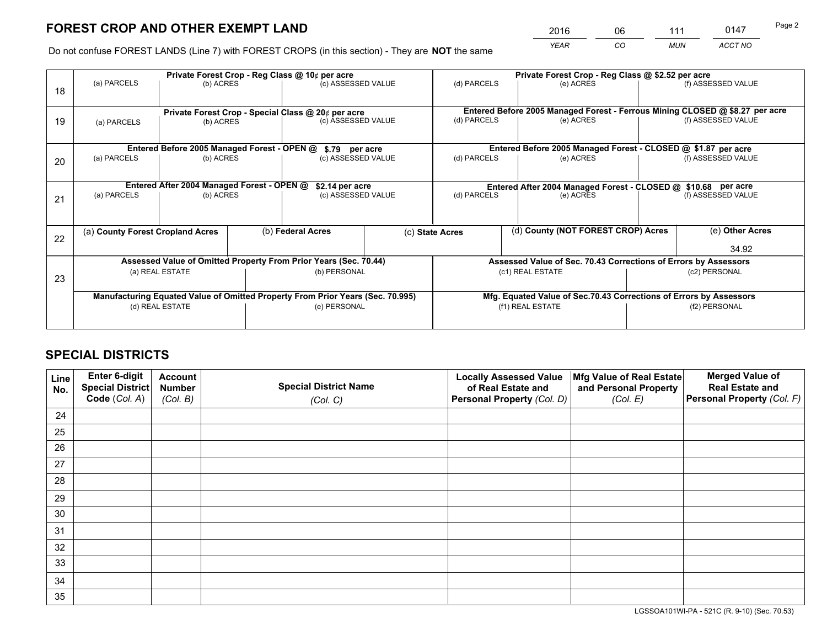*YEAR CO MUN ACCT NO* <sup>2016</sup> <sup>06</sup> <sup>111</sup> <sup>0147</sup>

Do not confuse FOREST LANDS (Line 7) with FOREST CROPS (in this section) - They are **NOT** the same

|    |                                                                                |                                             |                                                                  | Private Forest Crop - Reg Class @ 10¢ per acre     |  | Private Forest Crop - Reg Class @ \$2.52 per acre                  |  |                                    |                    |                                                                              |
|----|--------------------------------------------------------------------------------|---------------------------------------------|------------------------------------------------------------------|----------------------------------------------------|--|--------------------------------------------------------------------|--|------------------------------------|--------------------|------------------------------------------------------------------------------|
| 18 | (a) PARCELS                                                                    | (b) ACRES                                   |                                                                  | (c) ASSESSED VALUE                                 |  | (d) PARCELS                                                        |  | (e) ACRES                          |                    | (f) ASSESSED VALUE                                                           |
|    |                                                                                |                                             |                                                                  | Private Forest Crop - Special Class @ 20¢ per acre |  |                                                                    |  |                                    |                    | Entered Before 2005 Managed Forest - Ferrous Mining CLOSED @ \$8.27 per acre |
| 19 | (a) PARCELS                                                                    | (b) ACRES                                   |                                                                  | (c) ASSESSED VALUE                                 |  | (d) PARCELS                                                        |  | (e) ACRES                          |                    | (f) ASSESSED VALUE                                                           |
|    |                                                                                | Entered Before 2005 Managed Forest - OPEN @ |                                                                  |                                                    |  |                                                                    |  |                                    |                    | Entered Before 2005 Managed Forest - CLOSED @ \$1.87 per acre                |
| 20 | (a) PARCELS                                                                    | (b) ACRES                                   |                                                                  | \$.79 per acre<br>(c) ASSESSED VALUE               |  | (d) PARCELS<br>(e) ACRES                                           |  |                                    | (f) ASSESSED VALUE |                                                                              |
|    |                                                                                |                                             | Entered After 2004 Managed Forest - CLOSED @<br>\$10.68 per acre |                                                    |  |                                                                    |  |                                    |                    |                                                                              |
| 21 | Entered After 2004 Managed Forest - OPEN @<br>(a) PARCELS<br>(b) ACRES         |                                             |                                                                  | \$2.14 per acre<br>(c) ASSESSED VALUE              |  | (d) PARCELS<br>(e) ACRES                                           |  |                                    | (f) ASSESSED VALUE |                                                                              |
|    |                                                                                |                                             |                                                                  |                                                    |  |                                                                    |  |                                    |                    |                                                                              |
| 22 | (a) County Forest Cropland Acres                                               |                                             |                                                                  | (b) Federal Acres                                  |  | (c) State Acres                                                    |  | (d) County (NOT FOREST CROP) Acres |                    | (e) Other Acres                                                              |
|    |                                                                                |                                             |                                                                  |                                                    |  |                                                                    |  |                                    | 34.92              |                                                                              |
|    | Assessed Value of Omitted Property From Prior Years (Sec. 70.44)               |                                             | Assessed Value of Sec. 70.43 Corrections of Errors by Assessors  |                                                    |  |                                                                    |  |                                    |                    |                                                                              |
| 23 | (a) REAL ESTATE                                                                |                                             |                                                                  | (b) PERSONAL                                       |  | (c1) REAL ESTATE                                                   |  |                                    | (c2) PERSONAL      |                                                                              |
|    | Manufacturing Equated Value of Omitted Property From Prior Years (Sec. 70.995) |                                             |                                                                  |                                                    |  | Mfg. Equated Value of Sec.70.43 Corrections of Errors by Assessors |  |                                    |                    |                                                                              |
|    | (d) REAL ESTATE                                                                |                                             |                                                                  | (e) PERSONAL                                       |  | (f1) REAL ESTATE                                                   |  |                                    | (f2) PERSONAL      |                                                                              |
|    |                                                                                |                                             |                                                                  |                                                    |  |                                                                    |  |                                    |                    |                                                                              |

## **SPECIAL DISTRICTS**

| Line<br>No. | Enter 6-digit<br><b>Special District</b> | <b>Account</b><br><b>Number</b> | <b>Special District Name</b> | <b>Locally Assessed Value</b><br>of Real Estate and | Mfg Value of Real Estate<br>and Personal Property | <b>Merged Value of</b><br><b>Real Estate and</b> |
|-------------|------------------------------------------|---------------------------------|------------------------------|-----------------------------------------------------|---------------------------------------------------|--------------------------------------------------|
|             | Code (Col. A)                            | (Col. B)                        | (Col. C)                     | Personal Property (Col. D)                          | (Col. E)                                          | Personal Property (Col. F)                       |
| 24          |                                          |                                 |                              |                                                     |                                                   |                                                  |
| 25          |                                          |                                 |                              |                                                     |                                                   |                                                  |
| 26          |                                          |                                 |                              |                                                     |                                                   |                                                  |
| 27          |                                          |                                 |                              |                                                     |                                                   |                                                  |
| 28          |                                          |                                 |                              |                                                     |                                                   |                                                  |
| 29          |                                          |                                 |                              |                                                     |                                                   |                                                  |
| 30          |                                          |                                 |                              |                                                     |                                                   |                                                  |
| 31          |                                          |                                 |                              |                                                     |                                                   |                                                  |
| 32          |                                          |                                 |                              |                                                     |                                                   |                                                  |
| 33          |                                          |                                 |                              |                                                     |                                                   |                                                  |
| 34          |                                          |                                 |                              |                                                     |                                                   |                                                  |
| 35          |                                          |                                 |                              |                                                     |                                                   |                                                  |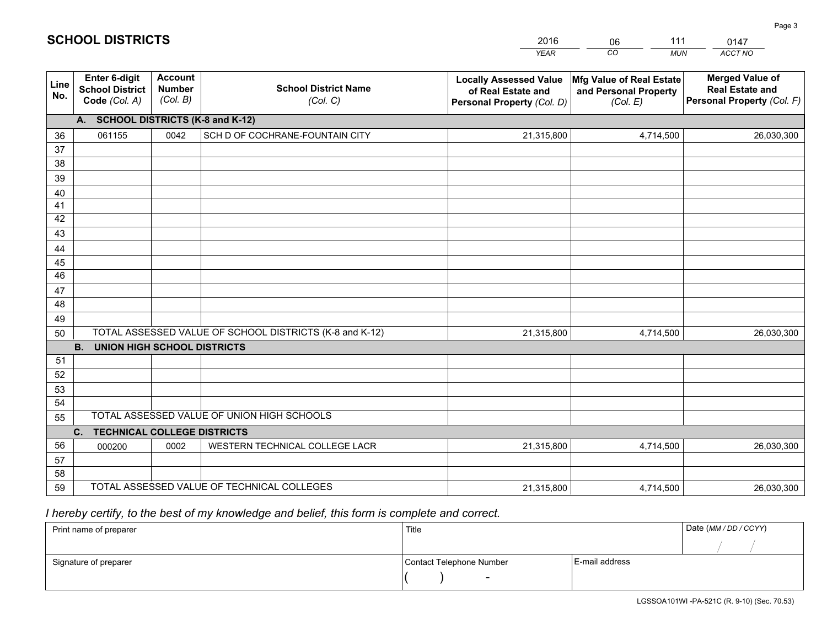|             |                                                                                                  |                                             |                                            | <b>YEAR</b>                                                                       | CO<br><b>MUN</b>                                              | <b>ACCT NO</b>                                                                 |  |  |
|-------------|--------------------------------------------------------------------------------------------------|---------------------------------------------|--------------------------------------------|-----------------------------------------------------------------------------------|---------------------------------------------------------------|--------------------------------------------------------------------------------|--|--|
| Line<br>No. | <b>Enter 6-digit</b><br><b>School District</b><br>Code (Col. A)                                  | <b>Account</b><br><b>Number</b><br>(Col. B) | <b>School District Name</b><br>(Col. C)    | <b>Locally Assessed Value</b><br>of Real Estate and<br>Personal Property (Col. D) | Mfg Value of Real Estate<br>and Personal Property<br>(Col. E) | <b>Merged Value of</b><br><b>Real Estate and</b><br>Personal Property (Col. F) |  |  |
|             | A. SCHOOL DISTRICTS (K-8 and K-12)                                                               |                                             |                                            |                                                                                   |                                                               |                                                                                |  |  |
| 36          | 061155                                                                                           | 0042                                        | SCH D OF COCHRANE-FOUNTAIN CITY            | 21,315,800                                                                        | 4,714,500                                                     | 26,030,300                                                                     |  |  |
| 37          |                                                                                                  |                                             |                                            |                                                                                   |                                                               |                                                                                |  |  |
| 38          |                                                                                                  |                                             |                                            |                                                                                   |                                                               |                                                                                |  |  |
| 39          |                                                                                                  |                                             |                                            |                                                                                   |                                                               |                                                                                |  |  |
| 40          |                                                                                                  |                                             |                                            |                                                                                   |                                                               |                                                                                |  |  |
| 41<br>42    |                                                                                                  |                                             |                                            |                                                                                   |                                                               |                                                                                |  |  |
| 43          |                                                                                                  |                                             |                                            |                                                                                   |                                                               |                                                                                |  |  |
| 44          |                                                                                                  |                                             |                                            |                                                                                   |                                                               |                                                                                |  |  |
| 45          |                                                                                                  |                                             |                                            |                                                                                   |                                                               |                                                                                |  |  |
| 46          |                                                                                                  |                                             |                                            |                                                                                   |                                                               |                                                                                |  |  |
| 47          |                                                                                                  |                                             |                                            |                                                                                   |                                                               |                                                                                |  |  |
| 48          |                                                                                                  |                                             |                                            |                                                                                   |                                                               |                                                                                |  |  |
| 49          |                                                                                                  |                                             |                                            |                                                                                   |                                                               |                                                                                |  |  |
| 50          | TOTAL ASSESSED VALUE OF SCHOOL DISTRICTS (K-8 and K-12)<br>21,315,800<br>4,714,500<br>26,030,300 |                                             |                                            |                                                                                   |                                                               |                                                                                |  |  |
|             | <b>B.</b><br><b>UNION HIGH SCHOOL DISTRICTS</b>                                                  |                                             |                                            |                                                                                   |                                                               |                                                                                |  |  |
| 51          |                                                                                                  |                                             |                                            |                                                                                   |                                                               |                                                                                |  |  |
| 52          |                                                                                                  |                                             |                                            |                                                                                   |                                                               |                                                                                |  |  |
| 53          |                                                                                                  |                                             |                                            |                                                                                   |                                                               |                                                                                |  |  |
| 54          |                                                                                                  |                                             | TOTAL ASSESSED VALUE OF UNION HIGH SCHOOLS |                                                                                   |                                                               |                                                                                |  |  |
| 55          | C.<br><b>TECHNICAL COLLEGE DISTRICTS</b>                                                         |                                             |                                            |                                                                                   |                                                               |                                                                                |  |  |
| 56          | 000200                                                                                           | 0002                                        | WESTERN TECHNICAL COLLEGE LACR             | 21,315,800                                                                        | 4,714,500                                                     | 26,030,300                                                                     |  |  |
| 57          |                                                                                                  |                                             |                                            |                                                                                   |                                                               |                                                                                |  |  |
| 58          |                                                                                                  |                                             |                                            |                                                                                   |                                                               |                                                                                |  |  |
| 59          |                                                                                                  |                                             | TOTAL ASSESSED VALUE OF TECHNICAL COLLEGES | 21,315,800                                                                        | 4,714,500                                                     | 26,030,300                                                                     |  |  |

06

111

## *I hereby certify, to the best of my knowledge and belief, this form is complete and correct.*

**SCHOOL DISTRICTS**

| Print name of preparer | Title                    | Date (MM / DD / CCYY) |  |
|------------------------|--------------------------|-----------------------|--|
|                        |                          |                       |  |
| Signature of preparer  | Contact Telephone Number | E-mail address        |  |
|                        | $\overline{\phantom{0}}$ |                       |  |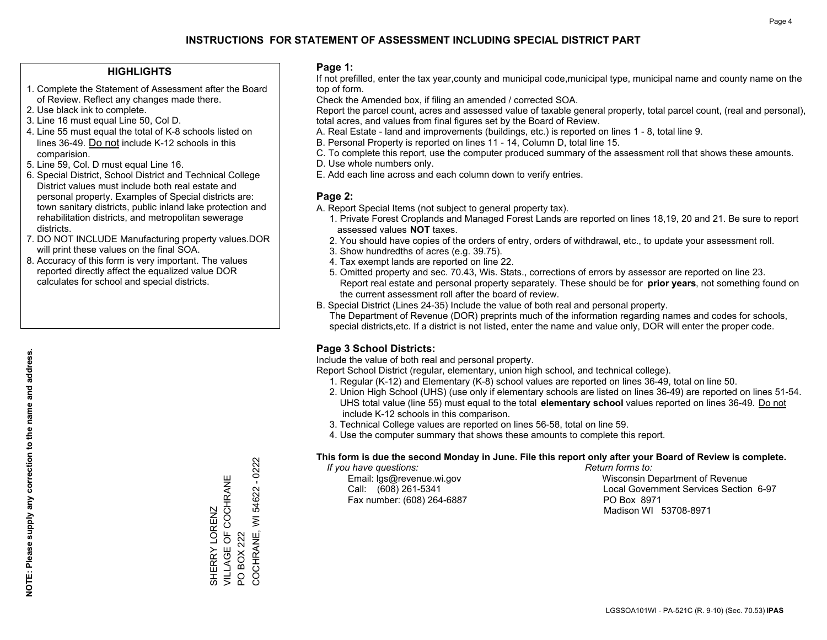#### **HIGHLIGHTS**

- 1. Complete the Statement of Assessment after the Board of Review. Reflect any changes made there.
- 2. Use black ink to complete.
- 3. Line 16 must equal Line 50, Col D.
- 4. Line 55 must equal the total of K-8 schools listed on lines 36-49. Do not include K-12 schools in this comparision.
- 5. Line 59, Col. D must equal Line 16.
- 6. Special District, School District and Technical College District values must include both real estate and personal property. Examples of Special districts are: town sanitary districts, public inland lake protection and rehabilitation districts, and metropolitan sewerage districts.
- 7. DO NOT INCLUDE Manufacturing property values.DOR will print these values on the final SOA.
- 8. Accuracy of this form is very important. The values reported directly affect the equalized value DOR calculates for school and special districts.

#### **Page 1:**

 If not prefilled, enter the tax year,county and municipal code,municipal type, municipal name and county name on the top of form.

Check the Amended box, if filing an amended / corrected SOA.

 Report the parcel count, acres and assessed value of taxable general property, total parcel count, (real and personal), total acres, and values from final figures set by the Board of Review.

- A. Real Estate land and improvements (buildings, etc.) is reported on lines 1 8, total line 9.
- B. Personal Property is reported on lines 11 14, Column D, total line 15.
- C. To complete this report, use the computer produced summary of the assessment roll that shows these amounts.
- D. Use whole numbers only.
- E. Add each line across and each column down to verify entries.

### **Page 2:**

- A. Report Special Items (not subject to general property tax).
- 1. Private Forest Croplands and Managed Forest Lands are reported on lines 18,19, 20 and 21. Be sure to report assessed values **NOT** taxes.
- 2. You should have copies of the orders of entry, orders of withdrawal, etc., to update your assessment roll.
	- 3. Show hundredths of acres (e.g. 39.75).
- 4. Tax exempt lands are reported on line 22.
- 5. Omitted property and sec. 70.43, Wis. Stats., corrections of errors by assessor are reported on line 23. Report real estate and personal property separately. These should be for **prior years**, not something found on the current assessment roll after the board of review.
- B. Special District (Lines 24-35) Include the value of both real and personal property.
- The Department of Revenue (DOR) preprints much of the information regarding names and codes for schools, special districts,etc. If a district is not listed, enter the name and value only, DOR will enter the proper code.

## **Page 3 School Districts:**

Include the value of both real and personal property.

Report School District (regular, elementary, union high school, and technical college).

- 1. Regular (K-12) and Elementary (K-8) school values are reported on lines 36-49, total on line 50.
- 2. Union High School (UHS) (use only if elementary schools are listed on lines 36-49) are reported on lines 51-54. UHS total value (line 55) must equal to the total **elementary school** values reported on lines 36-49. Do notinclude K-12 schools in this comparison.
- 3. Technical College values are reported on lines 56-58, total on line 59.
- 4. Use the computer summary that shows these amounts to complete this report.

#### **This form is due the second Monday in June. File this report only after your Board of Review is complete.**

 *If you have questions: Return forms to:*

Fax number: (608) 264-6887 PO Box 8971

 Email: lgs@revenue.wi.gov Wisconsin Department of Revenue Call: (608) 261-5341 Local Government Services Section 6-97Madison WI 53708-8971

0222 COCHRANE, WI 54622 - 0222 VILLAGE OF COCHRANE SHERRY LORENZ<br>VILLAGE OF COCHRANE COCHRANE, WI 54622 SHERRY LORENZ **BOX 222** PO BOX 222  $\overline{S}$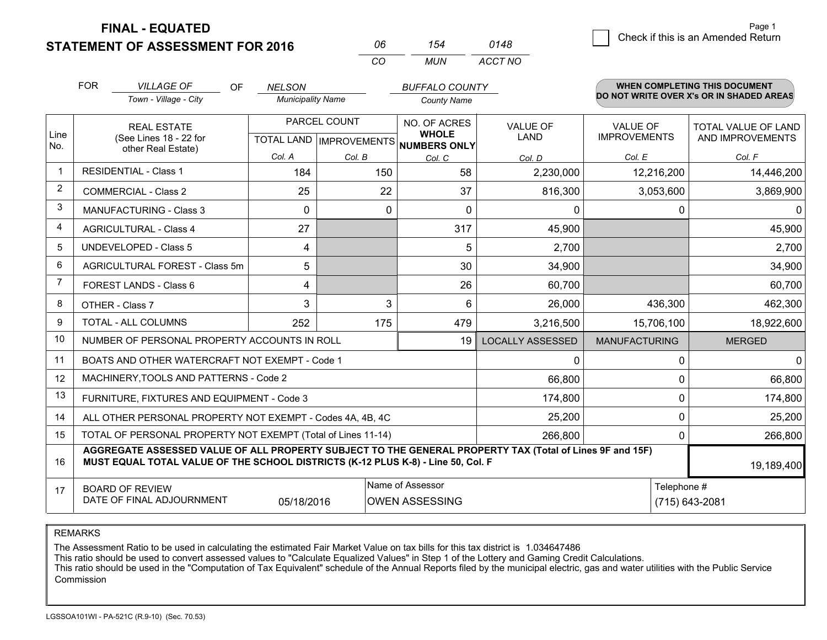**FINAL - EQUATED**

|   |                                    | Page 1 |
|---|------------------------------------|--------|
| 8 | Check if this is an Amended Return |        |

|                | <b>FOR</b><br><b>VILLAGE OF</b><br>OF<br>Town - Village - City                                                                                                                               | <b>NELSON</b><br><b>Municipality Name</b> |              | <b>BUFFALO COUNTY</b><br><b>County Name</b>                          |                         |                                        | <b>WHEN COMPLETING THIS DOCUMENT</b><br>DO NOT WRITE OVER X's OR IN SHADED AREAS |
|----------------|----------------------------------------------------------------------------------------------------------------------------------------------------------------------------------------------|-------------------------------------------|--------------|----------------------------------------------------------------------|-------------------------|----------------------------------------|----------------------------------------------------------------------------------|
| Line<br>No.    | <b>REAL ESTATE</b><br>(See Lines 18 - 22 for                                                                                                                                                 |                                           | PARCEL COUNT | NO. OF ACRES<br><b>WHOLE</b><br>TOTAL LAND IMPROVEMENTS NUMBERS ONLY | <b>VALUE OF</b><br>LAND | <b>VALUE OF</b><br><b>IMPROVEMENTS</b> | TOTAL VALUE OF LAND<br>AND IMPROVEMENTS                                          |
|                | other Real Estate)                                                                                                                                                                           | Col. A                                    | Col. B       | Col. C                                                               | Col. D                  | Col. E                                 | Col. F                                                                           |
| $\mathbf 1$    | <b>RESIDENTIAL - Class 1</b>                                                                                                                                                                 | 184                                       | 150          | 58                                                                   | 2,230,000               | 12,216,200                             | 14,446,200                                                                       |
| $\overline{2}$ | <b>COMMERCIAL - Class 2</b>                                                                                                                                                                  | 25                                        | 22           | 37                                                                   | 816,300                 | 3,053,600                              | 3,869,900                                                                        |
| 3              | <b>MANUFACTURING - Class 3</b>                                                                                                                                                               | 0                                         | $\Omega$     | 0                                                                    | 0                       | 0                                      | 0                                                                                |
| $\overline{4}$ | <b>AGRICULTURAL - Class 4</b>                                                                                                                                                                | 27                                        |              | 317                                                                  | 45,900                  |                                        | 45,900                                                                           |
| 5              | <b>UNDEVELOPED - Class 5</b>                                                                                                                                                                 | 4                                         |              | 5                                                                    | 2,700                   |                                        | 2,700                                                                            |
| 6              | AGRICULTURAL FOREST - Class 5m                                                                                                                                                               | 5                                         |              | 30                                                                   | 34,900                  |                                        | 34,900                                                                           |
| 7              | FOREST LANDS - Class 6                                                                                                                                                                       | 4                                         |              | 26                                                                   | 60,700                  |                                        | 60,700                                                                           |
| 8              | OTHER - Class 7                                                                                                                                                                              | 3                                         | 3            | 6                                                                    | 26,000                  | 436,300                                | 462,300                                                                          |
| 9              | TOTAL - ALL COLUMNS                                                                                                                                                                          | 252                                       | 175          | 479                                                                  | 3,216,500               | 15,706,100                             | 18,922,600                                                                       |
| 10             | NUMBER OF PERSONAL PROPERTY ACCOUNTS IN ROLL                                                                                                                                                 |                                           |              | 19                                                                   | <b>LOCALLY ASSESSED</b> | <b>MANUFACTURING</b>                   | <b>MERGED</b>                                                                    |
| 11             | BOATS AND OTHER WATERCRAFT NOT EXEMPT - Code 1                                                                                                                                               |                                           |              |                                                                      | $\Omega$                | 0                                      | n                                                                                |
| 12             | MACHINERY, TOOLS AND PATTERNS - Code 2                                                                                                                                                       |                                           |              |                                                                      | 66,800                  | 0                                      | 66,800                                                                           |
| 13             | FURNITURE, FIXTURES AND EQUIPMENT - Code 3                                                                                                                                                   |                                           |              |                                                                      | 174,800                 | 0                                      | 174,800                                                                          |
| 14             | ALL OTHER PERSONAL PROPERTY NOT EXEMPT - Codes 4A, 4B, 4C                                                                                                                                    |                                           |              |                                                                      | 25,200                  | 0                                      | 25,200                                                                           |
| 15             | TOTAL OF PERSONAL PROPERTY NOT EXEMPT (Total of Lines 11-14)                                                                                                                                 |                                           | 266,800      | 0                                                                    | 266,800                 |                                        |                                                                                  |
| 16             | AGGREGATE ASSESSED VALUE OF ALL PROPERTY SUBJECT TO THE GENERAL PROPERTY TAX (Total of Lines 9F and 15F)<br>MUST EQUAL TOTAL VALUE OF THE SCHOOL DISTRICTS (K-12 PLUS K-8) - Line 50, Col. F |                                           |              |                                                                      |                         | 19,189,400                             |                                                                                  |
| 17             | Name of Assessor<br><b>BOARD OF REVIEW</b><br>DATE OF FINAL ADJOURNMENT<br><b>OWEN ASSESSING</b><br>05/18/2016                                                                               |                                           |              |                                                                      |                         | Telephone #                            | (715) 643-2081                                                                   |

*MUN*

*ACCT NO0148*

*<sup>06</sup> <sup>154</sup>*

*CO*

REMARKS

The Assessment Ratio to be used in calculating the estimated Fair Market Value on tax bills for this tax district is 1.034647486<br>This ratio should be used to convert assessed values to "Calculate Equalized Values" in Step Commission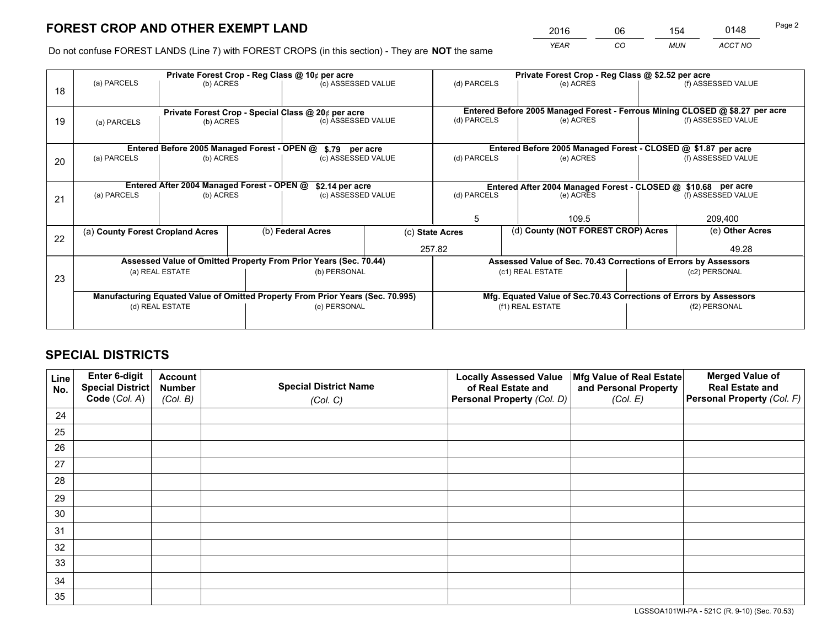*YEAR CO MUN ACCT NO* <sup>2016</sup> <sup>06</sup> <sup>154</sup> <sup>0148</sup>

Do not confuse FOREST LANDS (Line 7) with FOREST CROPS (in this section) - They are **NOT** the same

|    |                                                                                |                                             |  | Private Forest Crop - Reg Class @ 10¢ per acre                   |                                      | Private Forest Crop - Reg Class @ \$2.52 per acre             |                                                                    |                                                                              |                    |  |
|----|--------------------------------------------------------------------------------|---------------------------------------------|--|------------------------------------------------------------------|--------------------------------------|---------------------------------------------------------------|--------------------------------------------------------------------|------------------------------------------------------------------------------|--------------------|--|
| 18 | (a) PARCELS                                                                    | (b) ACRES                                   |  | (c) ASSESSED VALUE                                               |                                      | (d) PARCELS                                                   | (e) ACRES                                                          |                                                                              | (f) ASSESSED VALUE |  |
|    |                                                                                |                                             |  | Private Forest Crop - Special Class @ 20¢ per acre               |                                      |                                                               |                                                                    | Entered Before 2005 Managed Forest - Ferrous Mining CLOSED @ \$8.27 per acre |                    |  |
| 19 | (a) PARCELS                                                                    | (b) ACRES                                   |  | (c) ASSESSED VALUE                                               |                                      | (d) PARCELS                                                   | (e) ACRES                                                          |                                                                              | (f) ASSESSED VALUE |  |
|    |                                                                                | Entered Before 2005 Managed Forest - OPEN @ |  |                                                                  |                                      |                                                               | Entered Before 2005 Managed Forest - CLOSED @ \$1.87 per acre      |                                                                              |                    |  |
| 20 | (a) PARCELS                                                                    | (b) ACRES                                   |  |                                                                  | \$.79 per acre<br>(c) ASSESSED VALUE |                                                               | (e) ACRES                                                          |                                                                              | (f) ASSESSED VALUE |  |
|    | Entered After 2004 Managed Forest - OPEN @<br>\$2.14 per acre                  |                                             |  |                                                                  |                                      | Entered After 2004 Managed Forest - CLOSED @ \$10.68 per acre |                                                                    |                                                                              |                    |  |
| 21 | (a) PARCELS                                                                    | (b) ACRES                                   |  | (c) ASSESSED VALUE                                               |                                      | (d) PARCELS<br>(e) ACRES                                      |                                                                    |                                                                              | (f) ASSESSED VALUE |  |
|    |                                                                                |                                             |  |                                                                  |                                      | 5                                                             | 109.5                                                              |                                                                              | 209,400            |  |
| 22 | (a) County Forest Cropland Acres                                               |                                             |  | (b) Federal Acres                                                |                                      | (d) County (NOT FOREST CROP) Acres<br>(c) State Acres         |                                                                    |                                                                              | (e) Other Acres    |  |
|    |                                                                                |                                             |  |                                                                  |                                      | 257.82                                                        |                                                                    | 49.28                                                                        |                    |  |
|    |                                                                                |                                             |  | Assessed Value of Omitted Property From Prior Years (Sec. 70.44) |                                      |                                                               | Assessed Value of Sec. 70.43 Corrections of Errors by Assessors    |                                                                              |                    |  |
| 23 | (a) REAL ESTATE                                                                |                                             |  | (b) PERSONAL                                                     |                                      | (c1) REAL ESTATE                                              |                                                                    | (c2) PERSONAL                                                                |                    |  |
|    | Manufacturing Equated Value of Omitted Property From Prior Years (Sec. 70.995) |                                             |  |                                                                  |                                      |                                                               | Mfg. Equated Value of Sec.70.43 Corrections of Errors by Assessors |                                                                              |                    |  |
|    |                                                                                | (d) REAL ESTATE                             |  | (e) PERSONAL                                                     |                                      |                                                               | (f1) REAL ESTATE                                                   |                                                                              | (f2) PERSONAL      |  |
|    |                                                                                |                                             |  |                                                                  |                                      |                                                               |                                                                    |                                                                              |                    |  |

# **SPECIAL DISTRICTS**

| Line<br>No. | Enter 6-digit<br>Special District<br>Code (Col. A) | <b>Account</b><br><b>Number</b> | <b>Special District Name</b> | <b>Locally Assessed Value</b><br>of Real Estate and | Mfg Value of Real Estate<br>and Personal Property | <b>Merged Value of</b><br><b>Real Estate and</b><br>Personal Property (Col. F) |
|-------------|----------------------------------------------------|---------------------------------|------------------------------|-----------------------------------------------------|---------------------------------------------------|--------------------------------------------------------------------------------|
|             |                                                    | (Col. B)                        | (Col. C)                     | Personal Property (Col. D)                          | (Col. E)                                          |                                                                                |
| 24          |                                                    |                                 |                              |                                                     |                                                   |                                                                                |
| 25          |                                                    |                                 |                              |                                                     |                                                   |                                                                                |
| 26          |                                                    |                                 |                              |                                                     |                                                   |                                                                                |
| 27          |                                                    |                                 |                              |                                                     |                                                   |                                                                                |
| 28          |                                                    |                                 |                              |                                                     |                                                   |                                                                                |
| 29          |                                                    |                                 |                              |                                                     |                                                   |                                                                                |
| 30          |                                                    |                                 |                              |                                                     |                                                   |                                                                                |
| 31          |                                                    |                                 |                              |                                                     |                                                   |                                                                                |
| 32          |                                                    |                                 |                              |                                                     |                                                   |                                                                                |
| 33          |                                                    |                                 |                              |                                                     |                                                   |                                                                                |
| 34          |                                                    |                                 |                              |                                                     |                                                   |                                                                                |
| 35          |                                                    |                                 |                              |                                                     |                                                   |                                                                                |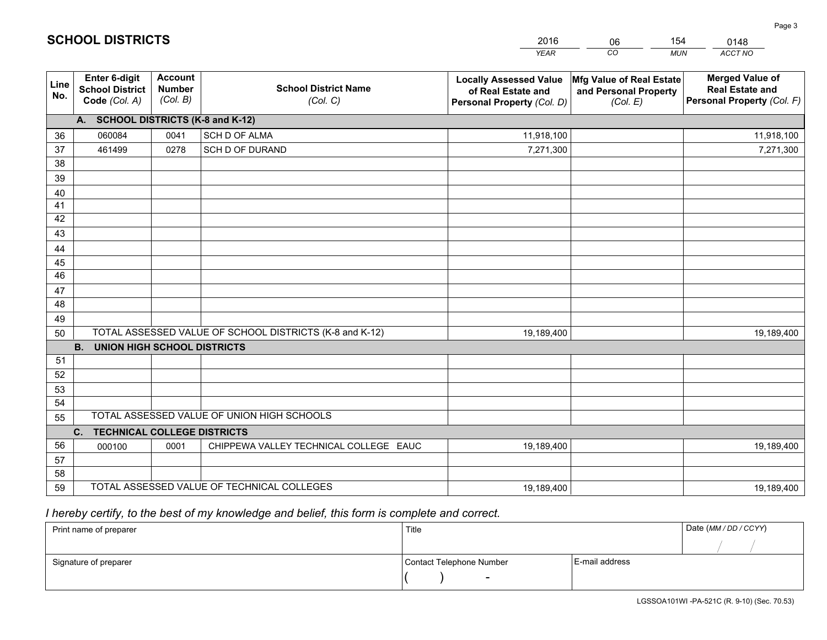|             |                                                          |                                             |                                                         | <b>YEAR</b>                                                                       | CO<br><b>MUN</b>                                              | ACCT NO                                                                        |
|-------------|----------------------------------------------------------|---------------------------------------------|---------------------------------------------------------|-----------------------------------------------------------------------------------|---------------------------------------------------------------|--------------------------------------------------------------------------------|
| Line<br>No. | Enter 6-digit<br><b>School District</b><br>Code (Col. A) | <b>Account</b><br><b>Number</b><br>(Col. B) | <b>School District Name</b><br>(Col. C)                 | <b>Locally Assessed Value</b><br>of Real Estate and<br>Personal Property (Col. D) | Mfg Value of Real Estate<br>and Personal Property<br>(Col. E) | <b>Merged Value of</b><br><b>Real Estate and</b><br>Personal Property (Col. F) |
|             | A. SCHOOL DISTRICTS (K-8 and K-12)                       |                                             |                                                         |                                                                                   |                                                               |                                                                                |
| 36          | 060084                                                   | 0041                                        | <b>SCH D OF ALMA</b>                                    | 11,918,100                                                                        |                                                               | 11,918,100                                                                     |
| 37          | 461499                                                   | 0278                                        | SCH D OF DURAND                                         | 7,271,300                                                                         |                                                               | 7,271,300                                                                      |
| 38          |                                                          |                                             |                                                         |                                                                                   |                                                               |                                                                                |
| 39          |                                                          |                                             |                                                         |                                                                                   |                                                               |                                                                                |
| 40          |                                                          |                                             |                                                         |                                                                                   |                                                               |                                                                                |
| 41          |                                                          |                                             |                                                         |                                                                                   |                                                               |                                                                                |
| 42          |                                                          |                                             |                                                         |                                                                                   |                                                               |                                                                                |
| 43          |                                                          |                                             |                                                         |                                                                                   |                                                               |                                                                                |
| 44          |                                                          |                                             |                                                         |                                                                                   |                                                               |                                                                                |
| 45          |                                                          |                                             |                                                         |                                                                                   |                                                               |                                                                                |
| 46          |                                                          |                                             |                                                         |                                                                                   |                                                               |                                                                                |
| 47          |                                                          |                                             |                                                         |                                                                                   |                                                               |                                                                                |
| 48          |                                                          |                                             |                                                         |                                                                                   |                                                               |                                                                                |
| 49          |                                                          |                                             | TOTAL ASSESSED VALUE OF SCHOOL DISTRICTS (K-8 and K-12) |                                                                                   |                                                               |                                                                                |
| 50          | B <sub>1</sub><br><b>UNION HIGH SCHOOL DISTRICTS</b>     |                                             |                                                         | 19,189,400                                                                        |                                                               | 19,189,400                                                                     |
| 51          |                                                          |                                             |                                                         |                                                                                   |                                                               |                                                                                |
| 52          |                                                          |                                             |                                                         |                                                                                   |                                                               |                                                                                |
| 53          |                                                          |                                             |                                                         |                                                                                   |                                                               |                                                                                |
| 54          |                                                          |                                             |                                                         |                                                                                   |                                                               |                                                                                |
| 55          |                                                          |                                             | TOTAL ASSESSED VALUE OF UNION HIGH SCHOOLS              |                                                                                   |                                                               |                                                                                |
|             | C. TECHNICAL COLLEGE DISTRICTS                           |                                             |                                                         |                                                                                   |                                                               |                                                                                |
| 56          | 000100                                                   | 0001                                        | CHIPPEWA VALLEY TECHNICAL COLLEGE EAUC                  | 19,189,400                                                                        |                                                               | 19,189,400                                                                     |
| 57          |                                                          |                                             |                                                         |                                                                                   |                                                               |                                                                                |
| 58          |                                                          |                                             |                                                         |                                                                                   |                                                               |                                                                                |
| 59          |                                                          |                                             | TOTAL ASSESSED VALUE OF TECHNICAL COLLEGES              | 19,189,400                                                                        |                                                               | 19,189,400                                                                     |

06

154

 *I hereby certify, to the best of my knowledge and belief, this form is complete and correct.*

**SCHOOL DISTRICTS**

| Print name of preparer | Title                    |                | Date (MM/DD/CCYY) |
|------------------------|--------------------------|----------------|-------------------|
|                        |                          |                |                   |
| Signature of preparer  | Contact Telephone Number | E-mail address |                   |
|                        | $\overline{\phantom{0}}$ |                |                   |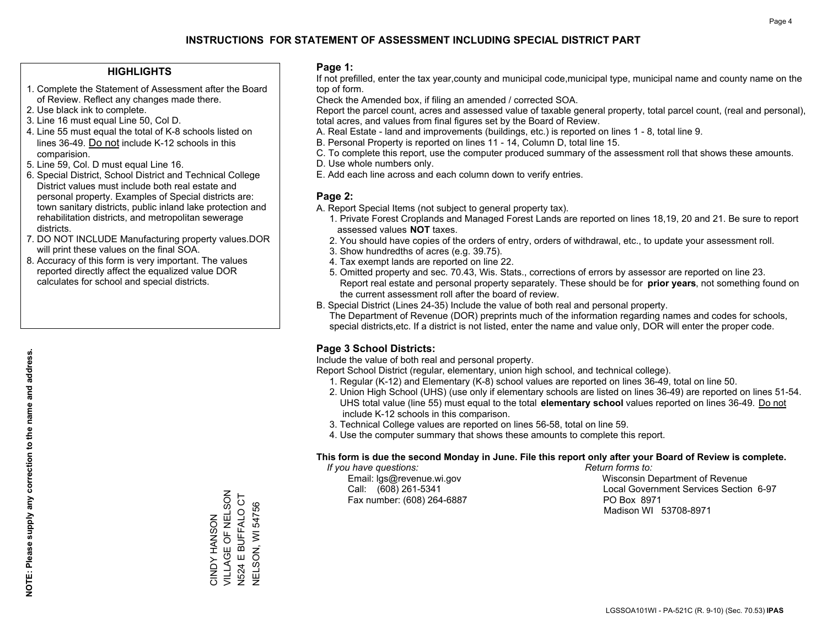#### **HIGHLIGHTS**

- 1. Complete the Statement of Assessment after the Board of Review. Reflect any changes made there.
- 2. Use black ink to complete.
- 3. Line 16 must equal Line 50, Col D.
- 4. Line 55 must equal the total of K-8 schools listed on lines 36-49. Do not include K-12 schools in this comparision.
- 5. Line 59, Col. D must equal Line 16.
- 6. Special District, School District and Technical College District values must include both real estate and personal property. Examples of Special districts are: town sanitary districts, public inland lake protection and rehabilitation districts, and metropolitan sewerage districts.
- 7. DO NOT INCLUDE Manufacturing property values.DOR will print these values on the final SOA.

CINDY HANSON VILLAGE OF NELSON N524 E BUFFALO CT NELSON, WI 54756

CINDY HANSON<br>VILLAGE OF NELSON N524 E BUFFALO CT **NELSON, WI 54756** 

 8. Accuracy of this form is very important. The values reported directly affect the equalized value DOR calculates for school and special districts.

#### **Page 1:**

 If not prefilled, enter the tax year,county and municipal code,municipal type, municipal name and county name on the top of form.

Check the Amended box, if filing an amended / corrected SOA.

 Report the parcel count, acres and assessed value of taxable general property, total parcel count, (real and personal), total acres, and values from final figures set by the Board of Review.

- A. Real Estate land and improvements (buildings, etc.) is reported on lines 1 8, total line 9.
- B. Personal Property is reported on lines 11 14, Column D, total line 15.
- C. To complete this report, use the computer produced summary of the assessment roll that shows these amounts.
- D. Use whole numbers only.
- E. Add each line across and each column down to verify entries.

#### **Page 2:**

- A. Report Special Items (not subject to general property tax).
- 1. Private Forest Croplands and Managed Forest Lands are reported on lines 18,19, 20 and 21. Be sure to report assessed values **NOT** taxes.
- 2. You should have copies of the orders of entry, orders of withdrawal, etc., to update your assessment roll.
	- 3. Show hundredths of acres (e.g. 39.75).
- 4. Tax exempt lands are reported on line 22.
- 5. Omitted property and sec. 70.43, Wis. Stats., corrections of errors by assessor are reported on line 23. Report real estate and personal property separately. These should be for **prior years**, not something found on the current assessment roll after the board of review.
- B. Special District (Lines 24-35) Include the value of both real and personal property.

 The Department of Revenue (DOR) preprints much of the information regarding names and codes for schools, special districts,etc. If a district is not listed, enter the name and value only, DOR will enter the proper code.

### **Page 3 School Districts:**

Include the value of both real and personal property.

Report School District (regular, elementary, union high school, and technical college).

- 1. Regular (K-12) and Elementary (K-8) school values are reported on lines 36-49, total on line 50.
- 2. Union High School (UHS) (use only if elementary schools are listed on lines 36-49) are reported on lines 51-54. UHS total value (line 55) must equal to the total **elementary school** values reported on lines 36-49. Do notinclude K-12 schools in this comparison.
- 3. Technical College values are reported on lines 56-58, total on line 59.
- 4. Use the computer summary that shows these amounts to complete this report.

#### **This form is due the second Monday in June. File this report only after your Board of Review is complete.**

 *If you have questions: Return forms to:*

Fax number: (608) 264-6887 PO Box 8971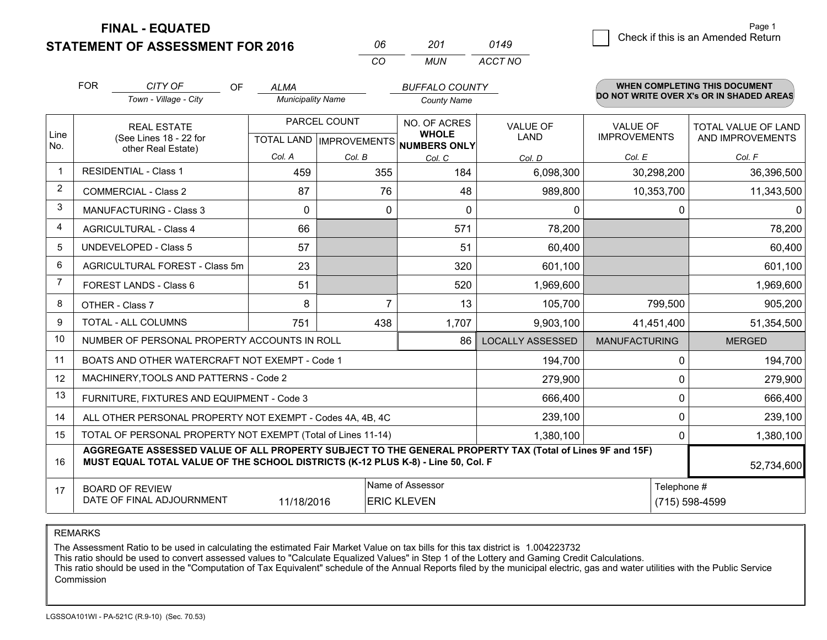**FINAL - EQUATED**

**STATEMENT OF ASSESSMENT FOR 2016** 

| 06  | 201 | 0149    |
|-----|-----|---------|
| CO. | MUN | ACCT NO |

|                         | <b>FOR</b>                                                                                                                                                                                   | CITY OF<br><b>OF</b><br>Town - Village - City             | <b>ALMA</b><br><b>Municipality Name</b> |              | <b>BUFFALO COUNTY</b><br><b>County Name</b>                         |                                |                                        | <b>WHEN COMPLETING THIS DOCUMENT</b><br>DO NOT WRITE OVER X's OR IN SHADED AREAS |
|-------------------------|----------------------------------------------------------------------------------------------------------------------------------------------------------------------------------------------|-----------------------------------------------------------|-----------------------------------------|--------------|---------------------------------------------------------------------|--------------------------------|----------------------------------------|----------------------------------------------------------------------------------|
| Line                    |                                                                                                                                                                                              | <b>REAL ESTATE</b><br>(See Lines 18 - 22 for              |                                         | PARCEL COUNT | NO. OF ACRES<br><b>WHOLE</b><br>TOTAL LAND MPROVEMENTS NUMBERS ONLY | <b>VALUE OF</b><br><b>LAND</b> | <b>VALUE OF</b><br><b>IMPROVEMENTS</b> | TOTAL VALUE OF LAND<br>AND IMPROVEMENTS                                          |
| No.                     | other Real Estate)                                                                                                                                                                           |                                                           | Col. A                                  | Col. B       | Col. C                                                              | Col. D                         | Col. E                                 | Col. F                                                                           |
| -1                      |                                                                                                                                                                                              | <b>RESIDENTIAL - Class 1</b>                              | 459                                     | 355          | 184                                                                 | 6,098,300                      | 30,298,200                             | 36,396,500                                                                       |
| $\overline{2}$          |                                                                                                                                                                                              | <b>COMMERCIAL - Class 2</b>                               | 87                                      | 76           | 48                                                                  | 989,800                        | 10,353,700                             | 11,343,500                                                                       |
| 3                       |                                                                                                                                                                                              | <b>MANUFACTURING - Class 3</b>                            | $\Omega$                                | $\Omega$     | $\mathbf{0}$                                                        | 0                              | $\Omega$                               | $\Omega$                                                                         |
| $\overline{\mathbf{4}}$ |                                                                                                                                                                                              | <b>AGRICULTURAL - Class 4</b>                             | 66                                      |              | 571                                                                 | 78,200                         |                                        | 78,200                                                                           |
| 5                       |                                                                                                                                                                                              | <b>UNDEVELOPED - Class 5</b>                              | 57                                      |              | 51                                                                  | 60,400                         |                                        | 60,400                                                                           |
| 6                       | AGRICULTURAL FOREST - Class 5m                                                                                                                                                               |                                                           | 23                                      |              | 320                                                                 | 601,100                        |                                        | 601,100                                                                          |
| 7                       | FOREST LANDS - Class 6                                                                                                                                                                       |                                                           | 51                                      |              | 520                                                                 | 1,969,600                      |                                        | 1,969,600                                                                        |
| 8                       |                                                                                                                                                                                              | OTHER - Class 7                                           | 8                                       | 7            | 13                                                                  | 105,700                        | 799,500                                | 905,200                                                                          |
| 9                       |                                                                                                                                                                                              | TOTAL - ALL COLUMNS                                       | 751                                     | 438          | 1,707                                                               | 9,903,100                      | 41,451,400                             | 51,354,500                                                                       |
| 10                      |                                                                                                                                                                                              | NUMBER OF PERSONAL PROPERTY ACCOUNTS IN ROLL              |                                         |              | 86                                                                  | <b>LOCALLY ASSESSED</b>        | <b>MANUFACTURING</b>                   | <b>MERGED</b>                                                                    |
| 11                      |                                                                                                                                                                                              | BOATS AND OTHER WATERCRAFT NOT EXEMPT - Code 1            |                                         |              |                                                                     | 194,700                        | 0                                      | 194,700                                                                          |
| 12                      |                                                                                                                                                                                              | MACHINERY, TOOLS AND PATTERNS - Code 2                    |                                         |              |                                                                     | 279,900                        | 0                                      | 279,900                                                                          |
| 13                      |                                                                                                                                                                                              | FURNITURE, FIXTURES AND EQUIPMENT - Code 3                |                                         |              |                                                                     | 666,400                        | 0                                      | 666,400                                                                          |
| 14                      |                                                                                                                                                                                              | ALL OTHER PERSONAL PROPERTY NOT EXEMPT - Codes 4A, 4B, 4C |                                         |              |                                                                     | 239,100                        | 0                                      | 239,100                                                                          |
| 15                      | TOTAL OF PERSONAL PROPERTY NOT EXEMPT (Total of Lines 11-14)<br>1,380,100                                                                                                                    |                                                           |                                         |              |                                                                     |                                | 0                                      | 1,380,100                                                                        |
| 16                      | AGGREGATE ASSESSED VALUE OF ALL PROPERTY SUBJECT TO THE GENERAL PROPERTY TAX (Total of Lines 9F and 15F)<br>MUST EQUAL TOTAL VALUE OF THE SCHOOL DISTRICTS (K-12 PLUS K-8) - Line 50, Col. F |                                                           |                                         |              |                                                                     |                                | 52,734,600                             |                                                                                  |
| 17                      |                                                                                                                                                                                              | <b>BOARD OF REVIEW</b>                                    |                                         |              | Name of Assessor                                                    |                                | Telephone #                            |                                                                                  |
|                         | DATE OF FINAL ADJOURNMENT<br>11/18/2016<br><b>ERIC KLEVEN</b>                                                                                                                                |                                                           |                                         |              |                                                                     |                                |                                        | (715) 598-4599                                                                   |

REMARKS

The Assessment Ratio to be used in calculating the estimated Fair Market Value on tax bills for this tax district is 1.004223732

This ratio should be used to convert assessed values to "Calculate Equalized Values" in Step 1 of the Lottery and Gaming Credit Calculations.<br>This ratio should be used in the "Computation of Tax Equivalent" schedule of the Commission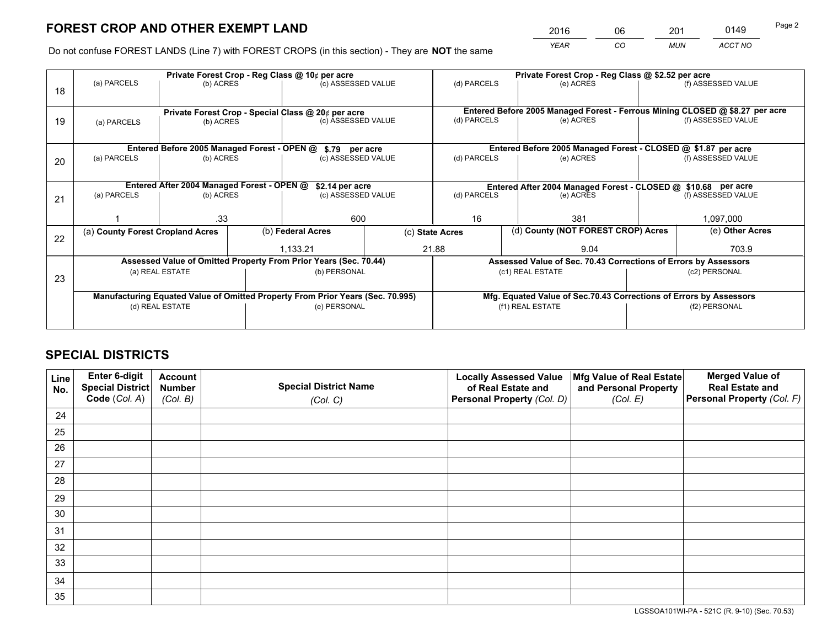*YEAR CO MUN ACCT NO* <sup>2016</sup> <sup>06</sup> <sup>201</sup> <sup>0149</sup>

Do not confuse FOREST LANDS (Line 7) with FOREST CROPS (in this section) - They are **NOT** the same

|    |                                                                                |                                             |  | Private Forest Crop - Reg Class @ 10¢ per acre                   | Private Forest Crop - Reg Class @ \$2.52 per acre                                |                                                       |                                                                              |               |                    |  |
|----|--------------------------------------------------------------------------------|---------------------------------------------|--|------------------------------------------------------------------|----------------------------------------------------------------------------------|-------------------------------------------------------|------------------------------------------------------------------------------|---------------|--------------------|--|
| 18 | (a) PARCELS                                                                    | (b) ACRES                                   |  | (c) ASSESSED VALUE                                               |                                                                                  | (d) PARCELS                                           | (e) ACRES                                                                    |               | (f) ASSESSED VALUE |  |
|    |                                                                                |                                             |  |                                                                  |                                                                                  |                                                       |                                                                              |               |                    |  |
|    |                                                                                |                                             |  | Private Forest Crop - Special Class @ 20¢ per acre               |                                                                                  |                                                       | Entered Before 2005 Managed Forest - Ferrous Mining CLOSED @ \$8.27 per acre |               |                    |  |
| 19 | (a) PARCELS                                                                    | (b) ACRES                                   |  | (c) ASSESSED VALUE                                               |                                                                                  | (d) PARCELS                                           | (e) ACRES                                                                    |               | (f) ASSESSED VALUE |  |
|    |                                                                                |                                             |  |                                                                  |                                                                                  |                                                       |                                                                              |               |                    |  |
|    |                                                                                | Entered Before 2005 Managed Forest - OPEN @ |  | \$.79 per acre                                                   |                                                                                  |                                                       | Entered Before 2005 Managed Forest - CLOSED @ \$1.87 per acre                |               |                    |  |
| 20 | (a) PARCELS                                                                    | (b) ACRES                                   |  | (c) ASSESSED VALUE                                               |                                                                                  | (d) PARCELS                                           | (e) ACRES                                                                    |               | (f) ASSESSED VALUE |  |
|    |                                                                                |                                             |  |                                                                  |                                                                                  |                                                       |                                                                              |               |                    |  |
|    | Entered After 2004 Managed Forest - OPEN @                                     |                                             |  |                                                                  | \$2.14 per acre<br>Entered After 2004 Managed Forest - CLOSED @ \$10.68 per acre |                                                       |                                                                              |               |                    |  |
| 21 | (a) PARCELS                                                                    | (b) ACRES                                   |  | (c) ASSESSED VALUE                                               |                                                                                  | (d) PARCELS<br>(e) ACRES                              |                                                                              |               | (f) ASSESSED VALUE |  |
|    |                                                                                |                                             |  |                                                                  |                                                                                  |                                                       |                                                                              |               |                    |  |
|    |                                                                                | .33                                         |  | 600                                                              |                                                                                  | 16<br>381                                             |                                                                              | 1,097,000     |                    |  |
|    | (a) County Forest Cropland Acres                                               |                                             |  | (b) Federal Acres                                                |                                                                                  | (d) County (NOT FOREST CROP) Acres<br>(c) State Acres |                                                                              |               | (e) Other Acres    |  |
| 22 |                                                                                |                                             |  | 1,133.21                                                         |                                                                                  | 21.88<br>9.04                                         |                                                                              |               | 703.9              |  |
|    |                                                                                |                                             |  | Assessed Value of Omitted Property From Prior Years (Sec. 70.44) |                                                                                  |                                                       | Assessed Value of Sec. 70.43 Corrections of Errors by Assessors              |               |                    |  |
|    |                                                                                | (a) REAL ESTATE                             |  | (b) PERSONAL                                                     |                                                                                  |                                                       | (c1) REAL ESTATE                                                             | (c2) PERSONAL |                    |  |
| 23 |                                                                                |                                             |  |                                                                  |                                                                                  |                                                       |                                                                              |               |                    |  |
|    | Manufacturing Equated Value of Omitted Property From Prior Years (Sec. 70.995) |                                             |  |                                                                  |                                                                                  |                                                       | Mfg. Equated Value of Sec.70.43 Corrections of Errors by Assessors           |               |                    |  |
|    | (d) REAL ESTATE                                                                |                                             |  | (e) PERSONAL                                                     |                                                                                  | (f1) REAL ESTATE                                      |                                                                              | (f2) PERSONAL |                    |  |
|    |                                                                                |                                             |  |                                                                  |                                                                                  |                                                       |                                                                              |               |                    |  |
|    |                                                                                |                                             |  |                                                                  |                                                                                  |                                                       |                                                                              |               |                    |  |

# **SPECIAL DISTRICTS**

| Line<br>No. | Enter 6-digit<br>Special District<br>Code (Col. A) | <b>Account</b><br><b>Number</b> | <b>Special District Name</b> | <b>Locally Assessed Value</b><br>of Real Estate and | Mfg Value of Real Estate<br>and Personal Property | <b>Merged Value of</b><br><b>Real Estate and</b><br>Personal Property (Col. F) |
|-------------|----------------------------------------------------|---------------------------------|------------------------------|-----------------------------------------------------|---------------------------------------------------|--------------------------------------------------------------------------------|
|             |                                                    | (Col. B)                        | (Col. C)                     | Personal Property (Col. D)                          | (Col. E)                                          |                                                                                |
| 24          |                                                    |                                 |                              |                                                     |                                                   |                                                                                |
| 25          |                                                    |                                 |                              |                                                     |                                                   |                                                                                |
| 26          |                                                    |                                 |                              |                                                     |                                                   |                                                                                |
| 27          |                                                    |                                 |                              |                                                     |                                                   |                                                                                |
| 28          |                                                    |                                 |                              |                                                     |                                                   |                                                                                |
| 29          |                                                    |                                 |                              |                                                     |                                                   |                                                                                |
| 30          |                                                    |                                 |                              |                                                     |                                                   |                                                                                |
| 31          |                                                    |                                 |                              |                                                     |                                                   |                                                                                |
| 32          |                                                    |                                 |                              |                                                     |                                                   |                                                                                |
| 33          |                                                    |                                 |                              |                                                     |                                                   |                                                                                |
| 34          |                                                    |                                 |                              |                                                     |                                                   |                                                                                |
| 35          |                                                    |                                 |                              |                                                     |                                                   |                                                                                |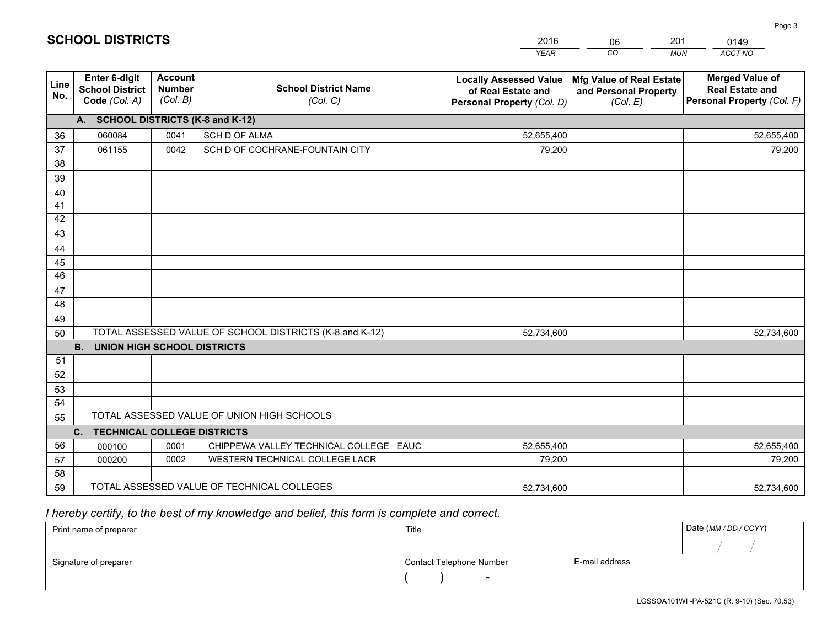|             |                                                                 |                                             |                                                         | <b>YEAR</b>                                                                       | CO<br><b>MUN</b>                                              | ACCT NO                                                                        |
|-------------|-----------------------------------------------------------------|---------------------------------------------|---------------------------------------------------------|-----------------------------------------------------------------------------------|---------------------------------------------------------------|--------------------------------------------------------------------------------|
| Line<br>No. | <b>Enter 6-digit</b><br><b>School District</b><br>Code (Col. A) | <b>Account</b><br><b>Number</b><br>(Col. B) | <b>School District Name</b><br>(Col. C)                 | <b>Locally Assessed Value</b><br>of Real Estate and<br>Personal Property (Col. D) | Mfg Value of Real Estate<br>and Personal Property<br>(Col. E) | <b>Merged Value of</b><br><b>Real Estate and</b><br>Personal Property (Col. F) |
|             | A. SCHOOL DISTRICTS (K-8 and K-12)                              |                                             |                                                         |                                                                                   |                                                               |                                                                                |
| 36          | 060084                                                          | 0041                                        | <b>SCH D OF ALMA</b>                                    | 52,655,400                                                                        |                                                               | 52,655,400                                                                     |
| 37          | 061155                                                          | 0042                                        | SCH D OF COCHRANE-FOUNTAIN CITY                         | 79,200                                                                            |                                                               | 79,200                                                                         |
| 38          |                                                                 |                                             |                                                         |                                                                                   |                                                               |                                                                                |
| 39          |                                                                 |                                             |                                                         |                                                                                   |                                                               |                                                                                |
| 40          |                                                                 |                                             |                                                         |                                                                                   |                                                               |                                                                                |
| 41          |                                                                 |                                             |                                                         |                                                                                   |                                                               |                                                                                |
| 42          |                                                                 |                                             |                                                         |                                                                                   |                                                               |                                                                                |
| 43          |                                                                 |                                             |                                                         |                                                                                   |                                                               |                                                                                |
| 44          |                                                                 |                                             |                                                         |                                                                                   |                                                               |                                                                                |
| 45          |                                                                 |                                             |                                                         |                                                                                   |                                                               |                                                                                |
| 46          |                                                                 |                                             |                                                         |                                                                                   |                                                               |                                                                                |
| 47          |                                                                 |                                             |                                                         |                                                                                   |                                                               |                                                                                |
| 48          |                                                                 |                                             |                                                         |                                                                                   |                                                               |                                                                                |
| 49          |                                                                 |                                             |                                                         |                                                                                   |                                                               |                                                                                |
| 50          |                                                                 |                                             | TOTAL ASSESSED VALUE OF SCHOOL DISTRICTS (K-8 and K-12) | 52,734,600                                                                        |                                                               | 52,734,600                                                                     |
|             | <b>B.</b><br><b>UNION HIGH SCHOOL DISTRICTS</b>                 |                                             |                                                         |                                                                                   |                                                               |                                                                                |
| 51          |                                                                 |                                             |                                                         |                                                                                   |                                                               |                                                                                |
| 52          |                                                                 |                                             |                                                         |                                                                                   |                                                               |                                                                                |
| 53          |                                                                 |                                             |                                                         |                                                                                   |                                                               |                                                                                |
| 54          |                                                                 |                                             |                                                         |                                                                                   |                                                               |                                                                                |
| 55          |                                                                 |                                             | TOTAL ASSESSED VALUE OF UNION HIGH SCHOOLS              |                                                                                   |                                                               |                                                                                |
|             | <b>TECHNICAL COLLEGE DISTRICTS</b><br>C.                        |                                             |                                                         |                                                                                   |                                                               |                                                                                |
| 56          | 000100                                                          | 0001                                        | CHIPPEWA VALLEY TECHNICAL COLLEGE EAUC                  | 52,655,400                                                                        |                                                               | 52,655,400                                                                     |
| 57          | 000200                                                          | 0002                                        | WESTERN TECHNICAL COLLEGE LACR                          | 79,200                                                                            |                                                               | 79,200                                                                         |
| 58          |                                                                 |                                             |                                                         |                                                                                   |                                                               |                                                                                |
| 59          |                                                                 |                                             | TOTAL ASSESSED VALUE OF TECHNICAL COLLEGES              | 52,734,600                                                                        |                                                               | 52,734,600                                                                     |

06

201

# *I hereby certify, to the best of my knowledge and belief, this form is complete and correct.*

**SCHOOL DISTRICTS**

| Print name of preparer | Title                    |                | Date (MM / DD / CCYY) |
|------------------------|--------------------------|----------------|-----------------------|
|                        |                          |                |                       |
| Signature of preparer  | Contact Telephone Number | E-mail address |                       |
|                        | $\overline{\phantom{0}}$ |                |                       |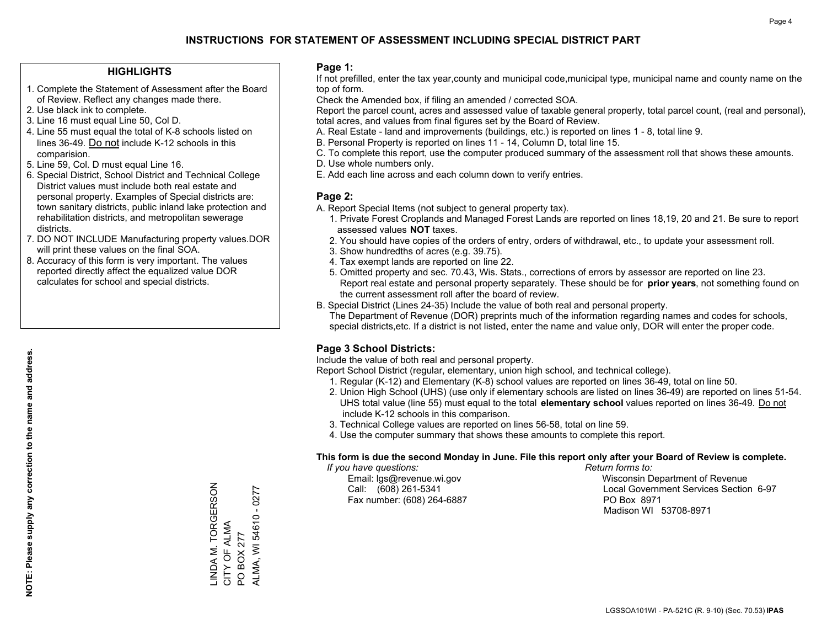#### **HIGHLIGHTS**

- 1. Complete the Statement of Assessment after the Board of Review. Reflect any changes made there.
- 2. Use black ink to complete.
- 3. Line 16 must equal Line 50, Col D.
- 4. Line 55 must equal the total of K-8 schools listed on lines 36-49. Do not include K-12 schools in this comparision.
- 5. Line 59, Col. D must equal Line 16.
- 6. Special District, School District and Technical College District values must include both real estate and personal property. Examples of Special districts are: town sanitary districts, public inland lake protection and rehabilitation districts, and metropolitan sewerage districts.
- 7. DO NOT INCLUDE Manufacturing property values.DOR will print these values on the final SOA.

LINDA M. TORGERSON

LINDA M. TORGERSON<br>CITY OF ALMA

CITY OF ALMA PO BOX 277

PO BOX 277

ALMA, WI 54610 - 0277

ALMA, WI 54610 - 0277

 8. Accuracy of this form is very important. The values reported directly affect the equalized value DOR calculates for school and special districts.

#### **Page 1:**

 If not prefilled, enter the tax year,county and municipal code,municipal type, municipal name and county name on the top of form.

Check the Amended box, if filing an amended / corrected SOA.

 Report the parcel count, acres and assessed value of taxable general property, total parcel count, (real and personal), total acres, and values from final figures set by the Board of Review.

- A. Real Estate land and improvements (buildings, etc.) is reported on lines 1 8, total line 9.
- B. Personal Property is reported on lines 11 14, Column D, total line 15.
- C. To complete this report, use the computer produced summary of the assessment roll that shows these amounts.
- D. Use whole numbers only.
- E. Add each line across and each column down to verify entries.

#### **Page 2:**

- A. Report Special Items (not subject to general property tax).
- 1. Private Forest Croplands and Managed Forest Lands are reported on lines 18,19, 20 and 21. Be sure to report assessed values **NOT** taxes.
- 2. You should have copies of the orders of entry, orders of withdrawal, etc., to update your assessment roll.
	- 3. Show hundredths of acres (e.g. 39.75).
- 4. Tax exempt lands are reported on line 22.
- 5. Omitted property and sec. 70.43, Wis. Stats., corrections of errors by assessor are reported on line 23. Report real estate and personal property separately. These should be for **prior years**, not something found on the current assessment roll after the board of review.
- B. Special District (Lines 24-35) Include the value of both real and personal property.

 The Department of Revenue (DOR) preprints much of the information regarding names and codes for schools, special districts,etc. If a district is not listed, enter the name and value only, DOR will enter the proper code.

### **Page 3 School Districts:**

Include the value of both real and personal property.

Report School District (regular, elementary, union high school, and technical college).

- 1. Regular (K-12) and Elementary (K-8) school values are reported on lines 36-49, total on line 50.
- 2. Union High School (UHS) (use only if elementary schools are listed on lines 36-49) are reported on lines 51-54. UHS total value (line 55) must equal to the total **elementary school** values reported on lines 36-49. Do notinclude K-12 schools in this comparison.
- 3. Technical College values are reported on lines 56-58, total on line 59.
- 4. Use the computer summary that shows these amounts to complete this report.

#### **This form is due the second Monday in June. File this report only after your Board of Review is complete.**

 *If you have questions: Return forms to:*

Fax number: (608) 264-6887 PO Box 8971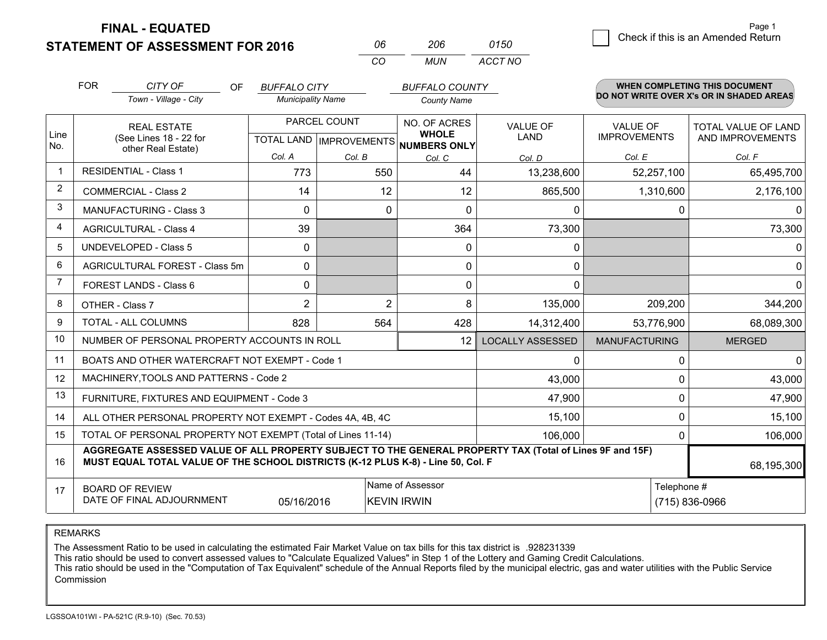**FINAL - EQUATED**

|                         | <b>FOR</b>                                                   | CITY OF<br>OF<br>Town - Village - City                                                                                                                                                       | <b>BUFFALO CITY</b><br><b>Municipality Name</b> |                | <b>BUFFALO COUNTY</b><br><b>County Name</b>                          |                                |                                        | <b>WHEN COMPLETING THIS DOCUMENT</b><br>DO NOT WRITE OVER X's OR IN SHADED AREAS |
|-------------------------|--------------------------------------------------------------|----------------------------------------------------------------------------------------------------------------------------------------------------------------------------------------------|-------------------------------------------------|----------------|----------------------------------------------------------------------|--------------------------------|----------------------------------------|----------------------------------------------------------------------------------|
| Line<br>No.             |                                                              | <b>REAL ESTATE</b><br>(See Lines 18 - 22 for                                                                                                                                                 |                                                 | PARCEL COUNT   | NO. OF ACRES<br><b>WHOLE</b><br>TOTAL LAND IMPROVEMENTS NUMBERS ONLY | <b>VALUE OF</b><br><b>LAND</b> | <b>VALUE OF</b><br><b>IMPROVEMENTS</b> | <b>TOTAL VALUE OF LAND</b><br>AND IMPROVEMENTS                                   |
|                         |                                                              | other Real Estate)                                                                                                                                                                           | Col. A                                          | Col. B         | Col. C                                                               | Col. D                         | Col. E                                 | Col. F                                                                           |
| 1                       |                                                              | <b>RESIDENTIAL - Class 1</b>                                                                                                                                                                 | 773                                             | 550            | 44                                                                   | 13,238,600                     | 52,257,100                             | 65,495,700                                                                       |
| $\overline{2}$          |                                                              | <b>COMMERCIAL - Class 2</b>                                                                                                                                                                  | 14                                              | 12             | 12                                                                   | 865,500                        | 1,310,600                              | 2,176,100                                                                        |
| 3                       |                                                              | <b>MANUFACTURING - Class 3</b>                                                                                                                                                               | $\Omega$                                        | 0              | $\Omega$                                                             | $\mathbf{0}$                   | 0                                      | 0                                                                                |
| $\overline{\mathbf{4}}$ |                                                              | <b>AGRICULTURAL - Class 4</b>                                                                                                                                                                | 39                                              |                | 364                                                                  | 73,300                         |                                        | 73,300                                                                           |
| 5                       |                                                              | <b>UNDEVELOPED - Class 5</b>                                                                                                                                                                 | 0                                               |                | $\mathbf 0$                                                          | 0                              |                                        | $\Omega$                                                                         |
| 6                       |                                                              | AGRICULTURAL FOREST - Class 5m                                                                                                                                                               | $\mathbf{0}$                                    |                | 0                                                                    | 0                              |                                        | 0                                                                                |
| $\overline{7}$          |                                                              | FOREST LANDS - Class 6                                                                                                                                                                       | $\mathbf{0}$                                    |                | 0                                                                    | $\mathbf{0}$                   |                                        | 0                                                                                |
| 8                       |                                                              | OTHER - Class 7                                                                                                                                                                              | $\overline{2}$                                  | $\overline{2}$ | 8                                                                    | 135,000                        | 209,200                                | 344,200                                                                          |
| 9                       |                                                              | <b>TOTAL - ALL COLUMNS</b>                                                                                                                                                                   | 828                                             | 564            | 428                                                                  | 14,312,400                     | 53,776,900                             | 68,089,300                                                                       |
| 10                      |                                                              | NUMBER OF PERSONAL PROPERTY ACCOUNTS IN ROLL                                                                                                                                                 |                                                 |                | 12                                                                   | <b>LOCALLY ASSESSED</b>        | <b>MANUFACTURING</b>                   | <b>MERGED</b>                                                                    |
| 11                      |                                                              | BOATS AND OTHER WATERCRAFT NOT EXEMPT - Code 1                                                                                                                                               |                                                 |                |                                                                      | $\mathbf 0$                    | 0                                      | $\Omega$                                                                         |
| 12                      |                                                              | MACHINERY, TOOLS AND PATTERNS - Code 2                                                                                                                                                       |                                                 |                |                                                                      | 43,000                         | $\Omega$                               | 43,000                                                                           |
| 13                      |                                                              | FURNITURE, FIXTURES AND EQUIPMENT - Code 3                                                                                                                                                   |                                                 |                |                                                                      | 47,900                         | 0                                      | 47,900                                                                           |
| 14                      |                                                              | ALL OTHER PERSONAL PROPERTY NOT EXEMPT - Codes 4A, 4B, 4C                                                                                                                                    |                                                 |                |                                                                      | 15,100                         | $\Omega$                               | 15,100                                                                           |
| 15                      | TOTAL OF PERSONAL PROPERTY NOT EXEMPT (Total of Lines 11-14) |                                                                                                                                                                                              |                                                 |                |                                                                      | 106,000                        | 0                                      | 106,000                                                                          |
| 16                      |                                                              | AGGREGATE ASSESSED VALUE OF ALL PROPERTY SUBJECT TO THE GENERAL PROPERTY TAX (Total of Lines 9F and 15F)<br>MUST EQUAL TOTAL VALUE OF THE SCHOOL DISTRICTS (K-12 PLUS K-8) - Line 50, Col. F |                                                 |                |                                                                      |                                |                                        | 68,195,300                                                                       |
| 17                      |                                                              | <b>BOARD OF REVIEW</b><br>DATE OF FINAL ADJOURNMENT                                                                                                                                          | 05/16/2016                                      |                | Name of Assessor<br><b>KEVIN IRWIN</b>                               |                                | Telephone #                            | (715) 836-0966                                                                   |

*CO*

*MUN*

*ACCT NO0150*

*<sup>06</sup> <sup>206</sup>*

REMARKS

The Assessment Ratio to be used in calculating the estimated Fair Market Value on tax bills for this tax district is .928231339<br>This ratio should be used to convert assessed values to "Calculate Equalized Values" in Step 1 Commission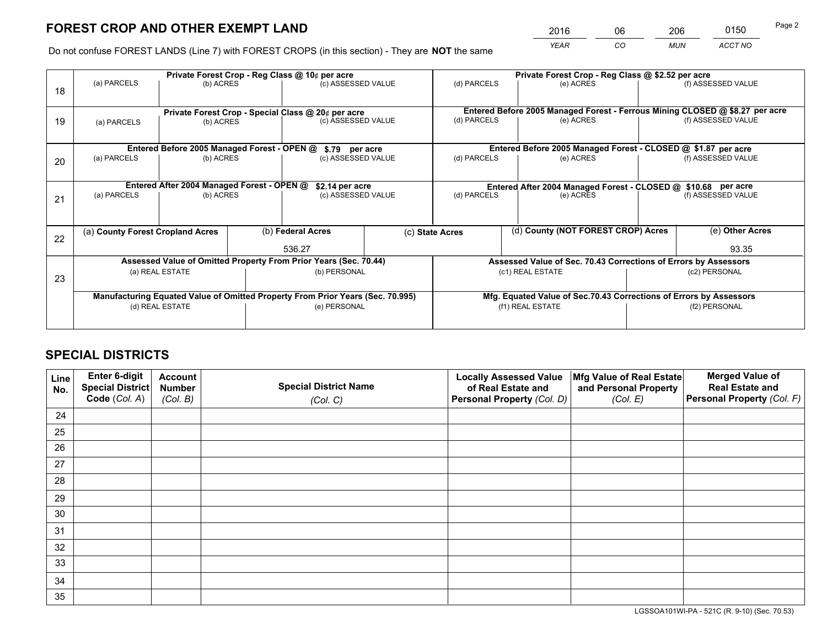*YEAR CO MUN ACCT NO* <sup>2016</sup> <sup>06</sup> <sup>206</sup> <sup>0150</sup>

Do not confuse FOREST LANDS (Line 7) with FOREST CROPS (in this section) - They are **NOT** the same

|    | Private Forest Crop - Reg Class @ 10¢ per acre                                 |                                             |                                                    |                                                                  |                                                                    | Private Forest Crop - Reg Class @ \$2.52 per acre               |                                                                              |  |                    |  |
|----|--------------------------------------------------------------------------------|---------------------------------------------|----------------------------------------------------|------------------------------------------------------------------|--------------------------------------------------------------------|-----------------------------------------------------------------|------------------------------------------------------------------------------|--|--------------------|--|
| 18 | (a) PARCELS                                                                    | (b) ACRES                                   |                                                    | (c) ASSESSED VALUE                                               |                                                                    | (d) PARCELS                                                     | (e) ACRES                                                                    |  | (f) ASSESSED VALUE |  |
|    |                                                                                |                                             |                                                    |                                                                  |                                                                    |                                                                 |                                                                              |  |                    |  |
|    |                                                                                |                                             | Private Forest Crop - Special Class @ 20¢ per acre |                                                                  |                                                                    |                                                                 | Entered Before 2005 Managed Forest - Ferrous Mining CLOSED @ \$8.27 per acre |  |                    |  |
| 19 | (a) PARCELS                                                                    | (b) ACRES                                   |                                                    | (c) ASSESSED VALUE                                               |                                                                    | (d) PARCELS                                                     | (e) ACRES                                                                    |  | (f) ASSESSED VALUE |  |
|    |                                                                                |                                             |                                                    |                                                                  |                                                                    |                                                                 |                                                                              |  |                    |  |
|    |                                                                                | Entered Before 2005 Managed Forest - OPEN @ |                                                    | \$.79 per acre                                                   |                                                                    |                                                                 | Entered Before 2005 Managed Forest - CLOSED @ \$1.87 per acre                |  |                    |  |
| 20 | (a) PARCELS                                                                    | (b) ACRES                                   |                                                    | (c) ASSESSED VALUE                                               |                                                                    | (d) PARCELS                                                     | (e) ACRES                                                                    |  | (f) ASSESSED VALUE |  |
|    |                                                                                |                                             |                                                    |                                                                  |                                                                    |                                                                 |                                                                              |  |                    |  |
|    | Entered After 2004 Managed Forest - OPEN @<br>\$2.14 per acre                  |                                             |                                                    |                                                                  |                                                                    | Entered After 2004 Managed Forest - CLOSED @ \$10.68 per acre   |                                                                              |  |                    |  |
| 21 | (a) PARCELS                                                                    | (b) ACRES                                   |                                                    | (c) ASSESSED VALUE                                               |                                                                    | (d) PARCELS<br>(e) ACRES                                        |                                                                              |  | (f) ASSESSED VALUE |  |
|    |                                                                                |                                             |                                                    |                                                                  |                                                                    |                                                                 |                                                                              |  |                    |  |
|    |                                                                                |                                             |                                                    |                                                                  |                                                                    |                                                                 |                                                                              |  |                    |  |
| 22 | (a) County Forest Cropland Acres                                               |                                             |                                                    | (b) Federal Acres                                                |                                                                    | (c) State Acres                                                 | (d) County (NOT FOREST CROP) Acres                                           |  | (e) Other Acres    |  |
|    |                                                                                |                                             |                                                    | 536.27                                                           |                                                                    |                                                                 |                                                                              |  | 93.35              |  |
|    |                                                                                |                                             |                                                    | Assessed Value of Omitted Property From Prior Years (Sec. 70.44) |                                                                    | Assessed Value of Sec. 70.43 Corrections of Errors by Assessors |                                                                              |  |                    |  |
| 23 |                                                                                | (a) REAL ESTATE                             |                                                    | (b) PERSONAL                                                     |                                                                    |                                                                 | (c1) REAL ESTATE                                                             |  | (c2) PERSONAL      |  |
|    |                                                                                |                                             |                                                    |                                                                  |                                                                    |                                                                 |                                                                              |  |                    |  |
|    | Manufacturing Equated Value of Omitted Property From Prior Years (Sec. 70.995) |                                             |                                                    |                                                                  | Mfg. Equated Value of Sec.70.43 Corrections of Errors by Assessors |                                                                 |                                                                              |  |                    |  |
|    | (d) REAL ESTATE                                                                |                                             |                                                    | (e) PERSONAL                                                     |                                                                    | (f1) REAL ESTATE                                                |                                                                              |  | (f2) PERSONAL      |  |
|    |                                                                                |                                             |                                                    |                                                                  |                                                                    |                                                                 |                                                                              |  |                    |  |

# **SPECIAL DISTRICTS**

| Line<br>No. | Enter 6-digit<br><b>Special District</b> | <b>Account</b><br><b>Number</b> | <b>Special District Name</b> | <b>Locally Assessed Value</b><br>of Real Estate and | Mfg Value of Real Estate<br>and Personal Property | <b>Merged Value of</b><br><b>Real Estate and</b> |
|-------------|------------------------------------------|---------------------------------|------------------------------|-----------------------------------------------------|---------------------------------------------------|--------------------------------------------------|
|             | Code (Col. A)                            | (Col. B)                        | (Col. C)                     | Personal Property (Col. D)                          | (Col. E)                                          | Personal Property (Col. F)                       |
| 24          |                                          |                                 |                              |                                                     |                                                   |                                                  |
| 25          |                                          |                                 |                              |                                                     |                                                   |                                                  |
| 26          |                                          |                                 |                              |                                                     |                                                   |                                                  |
| 27          |                                          |                                 |                              |                                                     |                                                   |                                                  |
| 28          |                                          |                                 |                              |                                                     |                                                   |                                                  |
| 29          |                                          |                                 |                              |                                                     |                                                   |                                                  |
| 30          |                                          |                                 |                              |                                                     |                                                   |                                                  |
| 31          |                                          |                                 |                              |                                                     |                                                   |                                                  |
| 32          |                                          |                                 |                              |                                                     |                                                   |                                                  |
| 33          |                                          |                                 |                              |                                                     |                                                   |                                                  |
| 34          |                                          |                                 |                              |                                                     |                                                   |                                                  |
| 35          |                                          |                                 |                              |                                                     |                                                   |                                                  |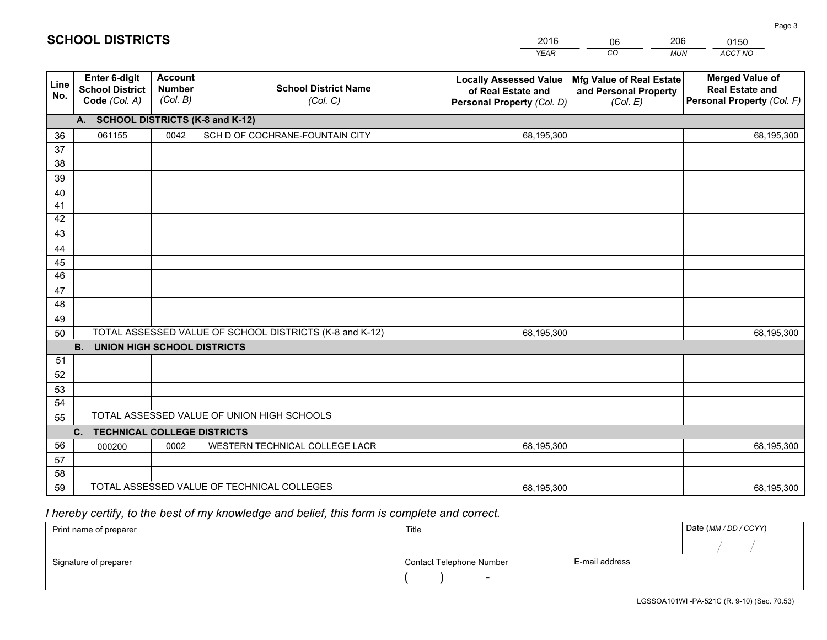|             |                                                          |                                             |                                                         | <b>YEAR</b>                                                                       | CO<br><b>MUN</b>                                              | ACCT NO                                                                        |
|-------------|----------------------------------------------------------|---------------------------------------------|---------------------------------------------------------|-----------------------------------------------------------------------------------|---------------------------------------------------------------|--------------------------------------------------------------------------------|
| Line<br>No. | Enter 6-digit<br><b>School District</b><br>Code (Col. A) | <b>Account</b><br><b>Number</b><br>(Col. B) | <b>School District Name</b><br>(Col. C)                 | <b>Locally Assessed Value</b><br>of Real Estate and<br>Personal Property (Col. D) | Mfg Value of Real Estate<br>and Personal Property<br>(Col. E) | <b>Merged Value of</b><br><b>Real Estate and</b><br>Personal Property (Col. F) |
|             | A. SCHOOL DISTRICTS (K-8 and K-12)                       |                                             |                                                         |                                                                                   |                                                               |                                                                                |
| 36          | 061155                                                   | 0042                                        | SCH D OF COCHRANE-FOUNTAIN CITY                         | 68,195,300                                                                        |                                                               | 68,195,300                                                                     |
| 37          |                                                          |                                             |                                                         |                                                                                   |                                                               |                                                                                |
| 38          |                                                          |                                             |                                                         |                                                                                   |                                                               |                                                                                |
| 39          |                                                          |                                             |                                                         |                                                                                   |                                                               |                                                                                |
| 40          |                                                          |                                             |                                                         |                                                                                   |                                                               |                                                                                |
| 41          |                                                          |                                             |                                                         |                                                                                   |                                                               |                                                                                |
| 42          |                                                          |                                             |                                                         |                                                                                   |                                                               |                                                                                |
| 43          |                                                          |                                             |                                                         |                                                                                   |                                                               |                                                                                |
| 44          |                                                          |                                             |                                                         |                                                                                   |                                                               |                                                                                |
| 45<br>46    |                                                          |                                             |                                                         |                                                                                   |                                                               |                                                                                |
|             |                                                          |                                             |                                                         |                                                                                   |                                                               |                                                                                |
| 47<br>48    |                                                          |                                             |                                                         |                                                                                   |                                                               |                                                                                |
| 49          |                                                          |                                             |                                                         |                                                                                   |                                                               |                                                                                |
| 50          |                                                          |                                             | TOTAL ASSESSED VALUE OF SCHOOL DISTRICTS (K-8 and K-12) | 68,195,300                                                                        |                                                               | 68,195,300                                                                     |
|             | <b>B.</b><br><b>UNION HIGH SCHOOL DISTRICTS</b>          |                                             |                                                         |                                                                                   |                                                               |                                                                                |
| 51          |                                                          |                                             |                                                         |                                                                                   |                                                               |                                                                                |
| 52          |                                                          |                                             |                                                         |                                                                                   |                                                               |                                                                                |
| 53          |                                                          |                                             |                                                         |                                                                                   |                                                               |                                                                                |
| 54          |                                                          |                                             |                                                         |                                                                                   |                                                               |                                                                                |
| 55          |                                                          |                                             | TOTAL ASSESSED VALUE OF UNION HIGH SCHOOLS              |                                                                                   |                                                               |                                                                                |
|             | C. TECHNICAL COLLEGE DISTRICTS                           |                                             |                                                         |                                                                                   |                                                               |                                                                                |
| 56          | 000200                                                   | 0002                                        | WESTERN TECHNICAL COLLEGE LACR                          | 68,195,300                                                                        |                                                               | 68,195,300                                                                     |
| 57          |                                                          |                                             |                                                         |                                                                                   |                                                               |                                                                                |
| 58          |                                                          |                                             |                                                         |                                                                                   |                                                               |                                                                                |
| 59          |                                                          |                                             | TOTAL ASSESSED VALUE OF TECHNICAL COLLEGES              | 68,195,300                                                                        |                                                               | 68,195,300                                                                     |

# *I hereby certify, to the best of my knowledge and belief, this form is complete and correct.*

| Print name of preparer | Title                    |                | Date (MM / DD / CCYY) |
|------------------------|--------------------------|----------------|-----------------------|
|                        |                          |                |                       |
| Signature of preparer  | Contact Telephone Number | E-mail address |                       |
|                        | $\sim$                   |                |                       |

# **SCHOOL DISTRICTS**

201606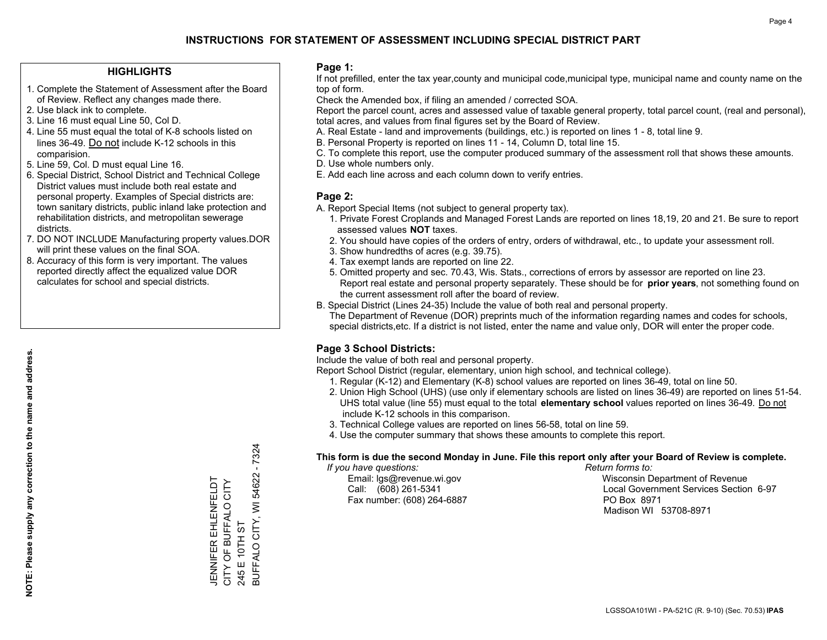#### **HIGHLIGHTS**

- 1. Complete the Statement of Assessment after the Board of Review. Reflect any changes made there.
- 2. Use black ink to complete.
- 3. Line 16 must equal Line 50, Col D.
- 4. Line 55 must equal the total of K-8 schools listed on lines 36-49. Do not include K-12 schools in this comparision.
- 5. Line 59, Col. D must equal Line 16.
- 6. Special District, School District and Technical College District values must include both real estate and personal property. Examples of Special districts are: town sanitary districts, public inland lake protection and rehabilitation districts, and metropolitan sewerage districts.
- 7. DO NOT INCLUDE Manufacturing property values.DOR will print these values on the final SOA.

JENNIFER EHLENFELDT CITY OF BUFFALO CITY

**JENNIFER EHLENFELDT**<br>CITY OF BUFFALO CITY

245 E 10TH ST

245 E 10TH ST

BUFFALO CITY, WI 54622 - 7324

BUFFALO CITY, WI 54622

7324

 8. Accuracy of this form is very important. The values reported directly affect the equalized value DOR calculates for school and special districts.

#### **Page 1:**

 If not prefilled, enter the tax year,county and municipal code,municipal type, municipal name and county name on the top of form.

Check the Amended box, if filing an amended / corrected SOA.

 Report the parcel count, acres and assessed value of taxable general property, total parcel count, (real and personal), total acres, and values from final figures set by the Board of Review.

- A. Real Estate land and improvements (buildings, etc.) is reported on lines 1 8, total line 9.
- B. Personal Property is reported on lines 11 14, Column D, total line 15.
- C. To complete this report, use the computer produced summary of the assessment roll that shows these amounts.
- D. Use whole numbers only.
- E. Add each line across and each column down to verify entries.

#### **Page 2:**

- A. Report Special Items (not subject to general property tax).
- 1. Private Forest Croplands and Managed Forest Lands are reported on lines 18,19, 20 and 21. Be sure to report assessed values **NOT** taxes.
- 2. You should have copies of the orders of entry, orders of withdrawal, etc., to update your assessment roll.
	- 3. Show hundredths of acres (e.g. 39.75).
- 4. Tax exempt lands are reported on line 22.
- 5. Omitted property and sec. 70.43, Wis. Stats., corrections of errors by assessor are reported on line 23. Report real estate and personal property separately. These should be for **prior years**, not something found on the current assessment roll after the board of review.
- B. Special District (Lines 24-35) Include the value of both real and personal property.
- The Department of Revenue (DOR) preprints much of the information regarding names and codes for schools, special districts,etc. If a district is not listed, enter the name and value only, DOR will enter the proper code.

### **Page 3 School Districts:**

Include the value of both real and personal property.

Report School District (regular, elementary, union high school, and technical college).

- 1. Regular (K-12) and Elementary (K-8) school values are reported on lines 36-49, total on line 50.
- 2. Union High School (UHS) (use only if elementary schools are listed on lines 36-49) are reported on lines 51-54. UHS total value (line 55) must equal to the total **elementary school** values reported on lines 36-49. Do notinclude K-12 schools in this comparison.
- 3. Technical College values are reported on lines 56-58, total on line 59.
- 4. Use the computer summary that shows these amounts to complete this report.

#### **This form is due the second Monday in June. File this report only after your Board of Review is complete.**

 *If you have questions: Return forms to:*

Fax number: (608) 264-6887 PO Box 8971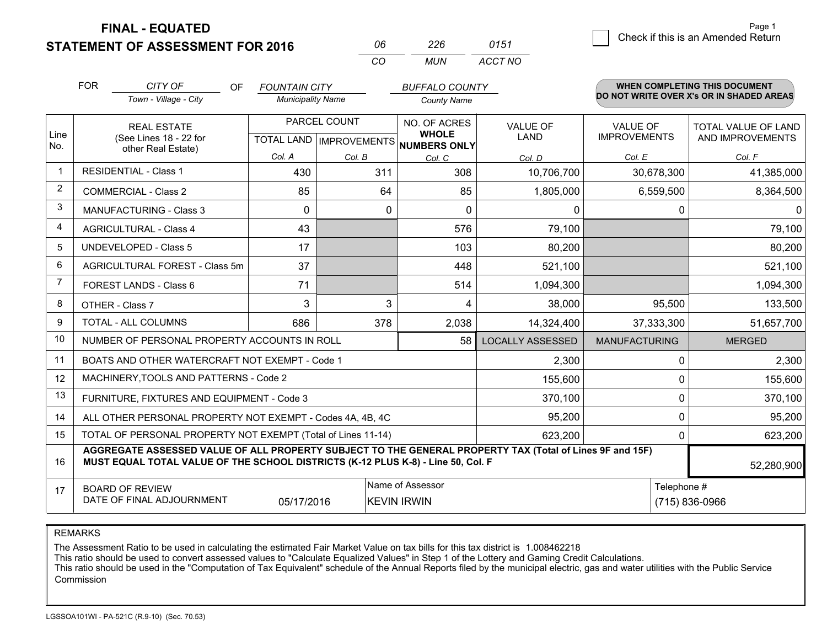**FINAL - EQUATED**

| Page 1                             |
|------------------------------------|
| Check if this is an Amended Return |
|                                    |

|                | <b>FOR</b>                              | CITY OF<br>OF                                                                                                                                                                                | <b>FOUNTAIN CITY</b>     |                           | <b>BUFFALO COUNTY</b>        |                         |                      | <b>WHEN COMPLETING THIS DOCUMENT</b>     |
|----------------|-----------------------------------------|----------------------------------------------------------------------------------------------------------------------------------------------------------------------------------------------|--------------------------|---------------------------|------------------------------|-------------------------|----------------------|------------------------------------------|
|                |                                         | Town - Village - City                                                                                                                                                                        | <b>Municipality Name</b> |                           | <b>County Name</b>           |                         |                      | DO NOT WRITE OVER X's OR IN SHADED AREAS |
|                |                                         | <b>REAL ESTATE</b>                                                                                                                                                                           |                          | PARCEL COUNT              | NO. OF ACRES                 | <b>VALUE OF</b>         | <b>VALUE OF</b>      | <b>TOTAL VALUE OF LAND</b>               |
| Line<br>No.    |                                         | (See Lines 18 - 22 for<br>other Real Estate)                                                                                                                                                 |                          | TOTAL LAND   IMPROVEMENTS | <b>WHOLE</b><br>NUMBERS ONLY | <b>LAND</b>             | <b>IMPROVEMENTS</b>  | AND IMPROVEMENTS                         |
|                |                                         |                                                                                                                                                                                              | Col. A                   | Col. B                    | Col. C                       | Col. D                  | Col. E               | Col. F                                   |
| $\mathbf 1$    |                                         | <b>RESIDENTIAL - Class 1</b>                                                                                                                                                                 | 430                      | 311                       | 308                          | 10,706,700              | 30,678,300           | 41,385,000                               |
| $\overline{2}$ |                                         | <b>COMMERCIAL - Class 2</b>                                                                                                                                                                  | 85                       | 64                        | 85                           | 1,805,000               | 6,559,500            | 8,364,500                                |
| 3              |                                         | <b>MANUFACTURING - Class 3</b>                                                                                                                                                               | $\Omega$                 |                           | $\Omega$<br>0                | $\mathbf{0}$            | 0                    | 0                                        |
| $\overline{4}$ |                                         | <b>AGRICULTURAL - Class 4</b>                                                                                                                                                                | 43                       |                           | 576                          | 79,100                  |                      | 79,100                                   |
| 5              |                                         | <b>UNDEVELOPED - Class 5</b>                                                                                                                                                                 | 17                       |                           | 103                          | 80,200                  |                      | 80,200                                   |
| 6              |                                         | AGRICULTURAL FOREST - Class 5m                                                                                                                                                               | 37                       |                           | 448                          | 521,100                 |                      | 521,100                                  |
| $\overline{7}$ |                                         | FOREST LANDS - Class 6                                                                                                                                                                       | 71                       |                           | 514                          | 1,094,300               |                      | 1,094,300                                |
| 8              |                                         | OTHER - Class 7                                                                                                                                                                              | 3                        |                           | 3<br>4                       | 38,000                  | 95,500               | 133,500                                  |
| 9              |                                         | TOTAL - ALL COLUMNS                                                                                                                                                                          | 686                      | 378                       | 2,038                        | 14,324,400              | 37,333,300           | 51,657,700                               |
| 10             |                                         | NUMBER OF PERSONAL PROPERTY ACCOUNTS IN ROLL                                                                                                                                                 |                          |                           | 58                           | <b>LOCALLY ASSESSED</b> | <b>MANUFACTURING</b> | <b>MERGED</b>                            |
| 11             |                                         | BOATS AND OTHER WATERCRAFT NOT EXEMPT - Code 1                                                                                                                                               |                          |                           |                              | 2,300                   | 0                    | 2,300                                    |
| 12             |                                         | MACHINERY, TOOLS AND PATTERNS - Code 2                                                                                                                                                       |                          |                           |                              | 155,600                 | 0                    | 155,600                                  |
| 13             |                                         | FURNITURE, FIXTURES AND EQUIPMENT - Code 3                                                                                                                                                   |                          |                           |                              | 370,100                 | 0                    | 370,100                                  |
| 14             |                                         | ALL OTHER PERSONAL PROPERTY NOT EXEMPT - Codes 4A, 4B, 4C                                                                                                                                    |                          |                           |                              | 95,200                  | 0                    | 95,200                                   |
| 15             |                                         | TOTAL OF PERSONAL PROPERTY NOT EXEMPT (Total of Lines 11-14)                                                                                                                                 |                          |                           | 623,200                      | 0                       | 623,200              |                                          |
| 16             |                                         | AGGREGATE ASSESSED VALUE OF ALL PROPERTY SUBJECT TO THE GENERAL PROPERTY TAX (Total of Lines 9F and 15F)<br>MUST EQUAL TOTAL VALUE OF THE SCHOOL DISTRICTS (K-12 PLUS K-8) - Line 50, Col. F |                          |                           |                              |                         |                      | 52,280,900                               |
| 17             |                                         | <b>BOARD OF REVIEW</b>                                                                                                                                                                       |                          |                           | Name of Assessor             |                         | Telephone #          |                                          |
|                | DATE OF FINAL ADJOURNMENT<br>05/17/2016 |                                                                                                                                                                                              |                          |                           | <b>KEVIN IRWIN</b>           |                         |                      | (715) 836-0966                           |

*CO*

*MUN*

*ACCT NO0151*

*<sup>06</sup> <sup>226</sup>*

REMARKS

The Assessment Ratio to be used in calculating the estimated Fair Market Value on tax bills for this tax district is 1.008462218<br>This ratio should be used to convert assessed values to "Calculate Equalized Values" in Step Commission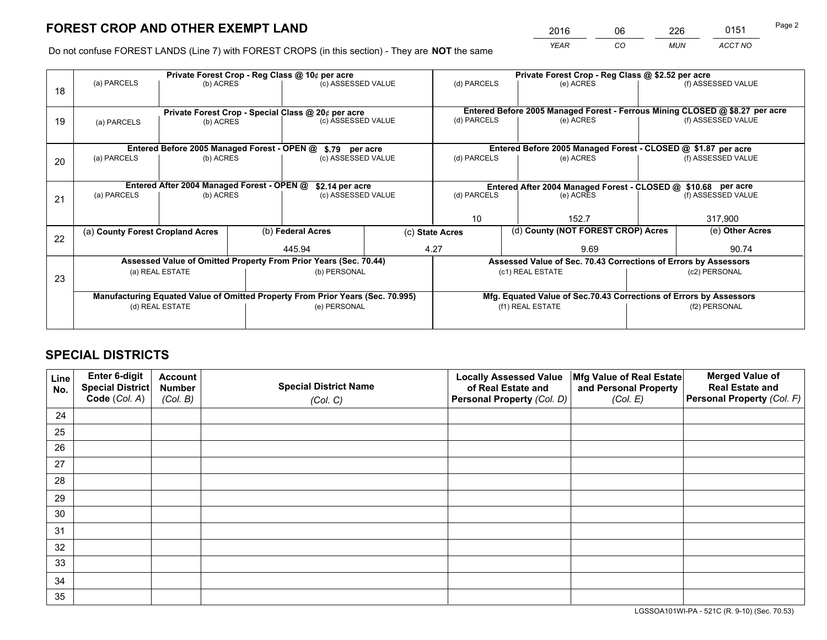*YEAR CO MUN ACCT NO* 2016 06 226 0151

Do not confuse FOREST LANDS (Line 7) with FOREST CROPS (in this section) - They are **NOT** the same

|    |                                                                                |                                                               |                                                    | Private Forest Crop - Reg Class @ 10¢ per acre                     |  | Private Forest Crop - Reg Class @ \$2.52 per acre               |                                                                              |               |                    |  |
|----|--------------------------------------------------------------------------------|---------------------------------------------------------------|----------------------------------------------------|--------------------------------------------------------------------|--|-----------------------------------------------------------------|------------------------------------------------------------------------------|---------------|--------------------|--|
| 18 | (a) PARCELS                                                                    | (b) ACRES                                                     |                                                    | (c) ASSESSED VALUE                                                 |  | (d) PARCELS                                                     | (e) ACRES                                                                    |               | (f) ASSESSED VALUE |  |
|    |                                                                                |                                                               | Private Forest Crop - Special Class @ 20¢ per acre |                                                                    |  |                                                                 | Entered Before 2005 Managed Forest - Ferrous Mining CLOSED @ \$8.27 per acre |               |                    |  |
| 19 | (a) PARCELS                                                                    | (b) ACRES                                                     |                                                    | (c) ASSESSED VALUE                                                 |  | (d) PARCELS                                                     | (e) ACRES                                                                    |               | (f) ASSESSED VALUE |  |
|    |                                                                                |                                                               |                                                    |                                                                    |  |                                                                 |                                                                              |               |                    |  |
|    |                                                                                | Entered Before 2005 Managed Forest - OPEN @                   |                                                    | \$.79 per acre                                                     |  |                                                                 | Entered Before 2005 Managed Forest - CLOSED @ \$1.87 per acre                |               |                    |  |
| 20 | (a) PARCELS                                                                    | (b) ACRES                                                     |                                                    | (c) ASSESSED VALUE                                                 |  | (d) PARCELS                                                     | (e) ACRES                                                                    |               | (f) ASSESSED VALUE |  |
|    |                                                                                | Entered After 2004 Managed Forest - OPEN @<br>\$2.14 per acre |                                                    |                                                                    |  |                                                                 | Entered After 2004 Managed Forest - CLOSED @ \$10.68 per acre                |               |                    |  |
| 21 | (a) PARCELS                                                                    | (b) ACRES                                                     |                                                    | (c) ASSESSED VALUE                                                 |  | (d) PARCELS<br>(e) ACRES                                        |                                                                              |               | (f) ASSESSED VALUE |  |
|    |                                                                                |                                                               |                                                    |                                                                    |  |                                                                 |                                                                              |               |                    |  |
|    |                                                                                |                                                               |                                                    |                                                                    |  | 10                                                              | 152.7                                                                        |               | 317,900            |  |
| 22 | (a) County Forest Cropland Acres                                               |                                                               |                                                    | (b) Federal Acres                                                  |  | (c) State Acres                                                 | (d) County (NOT FOREST CROP) Acres                                           |               | (e) Other Acres    |  |
|    |                                                                                |                                                               |                                                    | 445.94                                                             |  | 4.27                                                            | 9.69                                                                         |               | 90.74              |  |
|    |                                                                                |                                                               |                                                    | Assessed Value of Omitted Property From Prior Years (Sec. 70.44)   |  | Assessed Value of Sec. 70.43 Corrections of Errors by Assessors |                                                                              |               |                    |  |
|    |                                                                                | (a) REAL ESTATE                                               |                                                    | (b) PERSONAL                                                       |  |                                                                 | (c1) REAL ESTATE                                                             |               | (c2) PERSONAL      |  |
| 23 |                                                                                |                                                               |                                                    |                                                                    |  |                                                                 |                                                                              |               |                    |  |
|    | Manufacturing Equated Value of Omitted Property From Prior Years (Sec. 70.995) |                                                               |                                                    | Mfg. Equated Value of Sec.70.43 Corrections of Errors by Assessors |  |                                                                 |                                                                              |               |                    |  |
|    | (d) REAL ESTATE                                                                |                                                               |                                                    | (e) PERSONAL                                                       |  | (f1) REAL ESTATE                                                |                                                                              | (f2) PERSONAL |                    |  |
|    |                                                                                |                                                               |                                                    |                                                                    |  |                                                                 |                                                                              |               |                    |  |

# **SPECIAL DISTRICTS**

| Line<br>No. | Enter 6-digit<br>Special District<br>Code (Col. A) | <b>Account</b><br><b>Number</b> | <b>Special District Name</b> | <b>Locally Assessed Value</b><br>of Real Estate and | Mfg Value of Real Estate<br>and Personal Property | <b>Merged Value of</b><br><b>Real Estate and</b><br>Personal Property (Col. F) |
|-------------|----------------------------------------------------|---------------------------------|------------------------------|-----------------------------------------------------|---------------------------------------------------|--------------------------------------------------------------------------------|
|             |                                                    | (Col. B)                        | (Col. C)                     | Personal Property (Col. D)                          | (Col. E)                                          |                                                                                |
| 24          |                                                    |                                 |                              |                                                     |                                                   |                                                                                |
| 25          |                                                    |                                 |                              |                                                     |                                                   |                                                                                |
| 26          |                                                    |                                 |                              |                                                     |                                                   |                                                                                |
| 27          |                                                    |                                 |                              |                                                     |                                                   |                                                                                |
| 28          |                                                    |                                 |                              |                                                     |                                                   |                                                                                |
| 29          |                                                    |                                 |                              |                                                     |                                                   |                                                                                |
| 30          |                                                    |                                 |                              |                                                     |                                                   |                                                                                |
| 31          |                                                    |                                 |                              |                                                     |                                                   |                                                                                |
| 32          |                                                    |                                 |                              |                                                     |                                                   |                                                                                |
| 33          |                                                    |                                 |                              |                                                     |                                                   |                                                                                |
| 34          |                                                    |                                 |                              |                                                     |                                                   |                                                                                |
| 35          |                                                    |                                 |                              |                                                     |                                                   |                                                                                |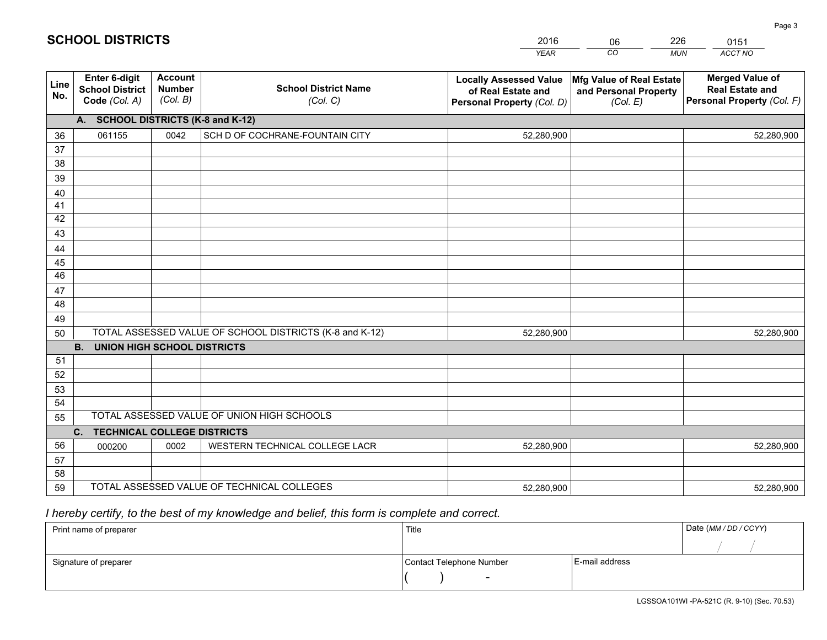|             |                                                          |                                             |                                                         | <b>YEAR</b>                                                                       | CO<br><b>MUN</b>                                              | ACCT NO                                                                        |
|-------------|----------------------------------------------------------|---------------------------------------------|---------------------------------------------------------|-----------------------------------------------------------------------------------|---------------------------------------------------------------|--------------------------------------------------------------------------------|
| Line<br>No. | Enter 6-digit<br><b>School District</b><br>Code (Col. A) | <b>Account</b><br><b>Number</b><br>(Col. B) | <b>School District Name</b><br>(Col. C)                 | <b>Locally Assessed Value</b><br>of Real Estate and<br>Personal Property (Col. D) | Mfg Value of Real Estate<br>and Personal Property<br>(Col. E) | <b>Merged Value of</b><br><b>Real Estate and</b><br>Personal Property (Col. F) |
|             | A. SCHOOL DISTRICTS (K-8 and K-12)                       |                                             |                                                         |                                                                                   |                                                               |                                                                                |
| 36          | 061155                                                   | 0042                                        | SCH D OF COCHRANE-FOUNTAIN CITY                         | 52,280,900                                                                        |                                                               | 52,280,900                                                                     |
| 37          |                                                          |                                             |                                                         |                                                                                   |                                                               |                                                                                |
| 38          |                                                          |                                             |                                                         |                                                                                   |                                                               |                                                                                |
| 39          |                                                          |                                             |                                                         |                                                                                   |                                                               |                                                                                |
| 40          |                                                          |                                             |                                                         |                                                                                   |                                                               |                                                                                |
| 41          |                                                          |                                             |                                                         |                                                                                   |                                                               |                                                                                |
| 42          |                                                          |                                             |                                                         |                                                                                   |                                                               |                                                                                |
| 43          |                                                          |                                             |                                                         |                                                                                   |                                                               |                                                                                |
| 44          |                                                          |                                             |                                                         |                                                                                   |                                                               |                                                                                |
| 45<br>46    |                                                          |                                             |                                                         |                                                                                   |                                                               |                                                                                |
| 47          |                                                          |                                             |                                                         |                                                                                   |                                                               |                                                                                |
| 48          |                                                          |                                             |                                                         |                                                                                   |                                                               |                                                                                |
| 49          |                                                          |                                             |                                                         |                                                                                   |                                                               |                                                                                |
| 50          |                                                          |                                             | TOTAL ASSESSED VALUE OF SCHOOL DISTRICTS (K-8 and K-12) | 52,280,900                                                                        |                                                               | 52,280,900                                                                     |
|             | <b>B.</b><br><b>UNION HIGH SCHOOL DISTRICTS</b>          |                                             |                                                         |                                                                                   |                                                               |                                                                                |
| 51          |                                                          |                                             |                                                         |                                                                                   |                                                               |                                                                                |
| 52          |                                                          |                                             |                                                         |                                                                                   |                                                               |                                                                                |
| 53          |                                                          |                                             |                                                         |                                                                                   |                                                               |                                                                                |
| 54          |                                                          |                                             |                                                         |                                                                                   |                                                               |                                                                                |
| 55          |                                                          |                                             | TOTAL ASSESSED VALUE OF UNION HIGH SCHOOLS              |                                                                                   |                                                               |                                                                                |
|             | C. TECHNICAL COLLEGE DISTRICTS                           |                                             |                                                         |                                                                                   |                                                               |                                                                                |
| 56          | 000200                                                   | 0002                                        | WESTERN TECHNICAL COLLEGE LACR                          | 52,280,900                                                                        |                                                               | 52,280,900                                                                     |
| 57          |                                                          |                                             |                                                         |                                                                                   |                                                               |                                                                                |
| 58          |                                                          |                                             |                                                         |                                                                                   |                                                               |                                                                                |
| 59          |                                                          |                                             | TOTAL ASSESSED VALUE OF TECHNICAL COLLEGES              | 52,280,900                                                                        |                                                               | 52,280,900                                                                     |

06

226

# *I hereby certify, to the best of my knowledge and belief, this form is complete and correct.*

**SCHOOL DISTRICTS**

| Print name of preparer | Title                    |                | Date (MM / DD / CCYY) |
|------------------------|--------------------------|----------------|-----------------------|
|                        |                          |                |                       |
| Signature of preparer  | Contact Telephone Number | E-mail address |                       |
|                        | $\overline{\phantom{0}}$ |                |                       |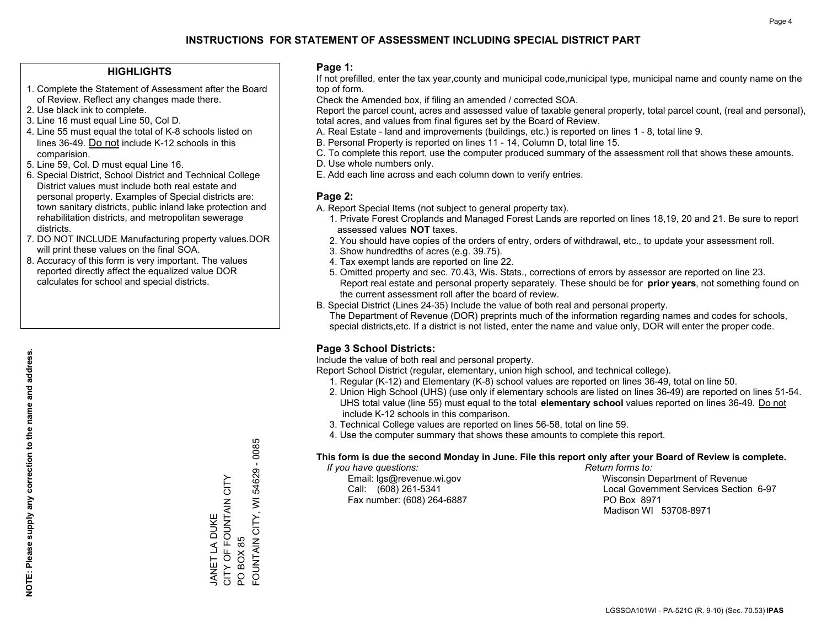#### **HIGHLIGHTS**

- 1. Complete the Statement of Assessment after the Board of Review. Reflect any changes made there.
- 2. Use black ink to complete.
- 3. Line 16 must equal Line 50, Col D.
- 4. Line 55 must equal the total of K-8 schools listed on lines 36-49. Do not include K-12 schools in this comparision.
- 5. Line 59, Col. D must equal Line 16.
- 6. Special District, School District and Technical College District values must include both real estate and personal property. Examples of Special districts are: town sanitary districts, public inland lake protection and rehabilitation districts, and metropolitan sewerage districts.
- 7. DO NOT INCLUDE Manufacturing property values.DOR will print these values on the final SOA.

JANET LA DUKE

JANET LA DUKE

CITY OF FOUNTAIN CITY

CITY OF FOUNTAIN CITY

PO BOX 85

PO BOX 85

FOUNTAIN CITY, WI 54629 - 0085

FOUNTAIN CITY, WI

54629 - 0085

 8. Accuracy of this form is very important. The values reported directly affect the equalized value DOR calculates for school and special districts.

#### **Page 1:**

 If not prefilled, enter the tax year,county and municipal code,municipal type, municipal name and county name on the top of form.

Check the Amended box, if filing an amended / corrected SOA.

 Report the parcel count, acres and assessed value of taxable general property, total parcel count, (real and personal), total acres, and values from final figures set by the Board of Review.

- A. Real Estate land and improvements (buildings, etc.) is reported on lines 1 8, total line 9.
- B. Personal Property is reported on lines 11 14, Column D, total line 15.
- C. To complete this report, use the computer produced summary of the assessment roll that shows these amounts.
- D. Use whole numbers only.
- E. Add each line across and each column down to verify entries.

#### **Page 2:**

- A. Report Special Items (not subject to general property tax).
- 1. Private Forest Croplands and Managed Forest Lands are reported on lines 18,19, 20 and 21. Be sure to report assessed values **NOT** taxes.
- 2. You should have copies of the orders of entry, orders of withdrawal, etc., to update your assessment roll.
	- 3. Show hundredths of acres (e.g. 39.75).
- 4. Tax exempt lands are reported on line 22.
- 5. Omitted property and sec. 70.43, Wis. Stats., corrections of errors by assessor are reported on line 23. Report real estate and personal property separately. These should be for **prior years**, not something found on the current assessment roll after the board of review.
- B. Special District (Lines 24-35) Include the value of both real and personal property.
- The Department of Revenue (DOR) preprints much of the information regarding names and codes for schools, special districts,etc. If a district is not listed, enter the name and value only, DOR will enter the proper code.

### **Page 3 School Districts:**

Include the value of both real and personal property.

Report School District (regular, elementary, union high school, and technical college).

- 1. Regular (K-12) and Elementary (K-8) school values are reported on lines 36-49, total on line 50.
- 2. Union High School (UHS) (use only if elementary schools are listed on lines 36-49) are reported on lines 51-54. UHS total value (line 55) must equal to the total **elementary school** values reported on lines 36-49. Do notinclude K-12 schools in this comparison.
- 3. Technical College values are reported on lines 56-58, total on line 59.
- 4. Use the computer summary that shows these amounts to complete this report.

#### **This form is due the second Monday in June. File this report only after your Board of Review is complete.**

 *If you have questions: Return forms to:*

Fax number: (608) 264-6887 PO Box 8971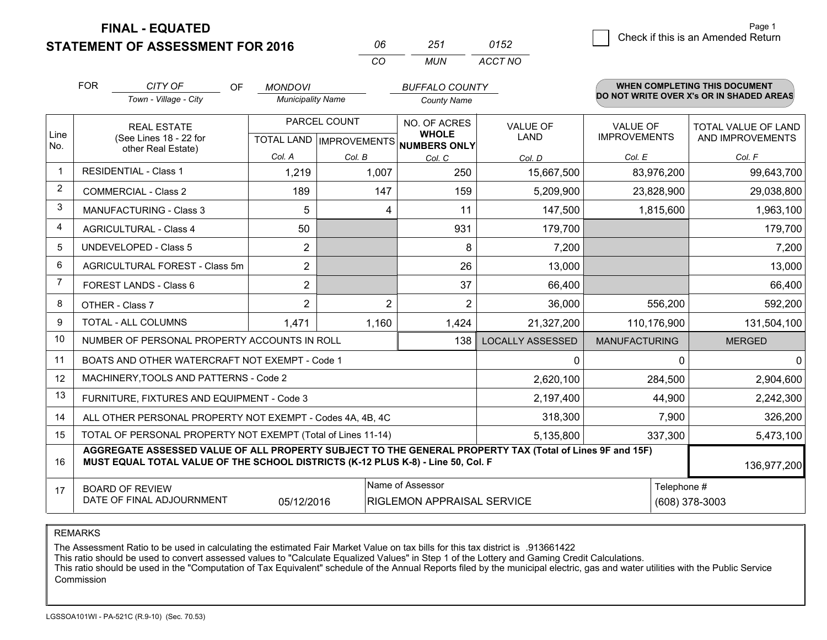**FINAL - EQUATED**

| 06  | 251 | 0152    |
|-----|-----|---------|
| CO. | MUN | ACCT NO |

|                | <b>FOR</b>                                                                                                                                                                                                  | CITY OF<br><b>OF</b><br>Town - Village - City                | <b>MONDOVI</b><br><b>Municipality Name</b>          |        | <b>BUFFALO COUNTY</b><br><b>County Name</b> |                                |                                        | <b>WHEN COMPLETING THIS DOCUMENT</b><br>DO NOT WRITE OVER X's OR IN SHADED AREAS |
|----------------|-------------------------------------------------------------------------------------------------------------------------------------------------------------------------------------------------------------|--------------------------------------------------------------|-----------------------------------------------------|--------|---------------------------------------------|--------------------------------|----------------------------------------|----------------------------------------------------------------------------------|
| Line           |                                                                                                                                                                                                             | <b>REAL ESTATE</b><br>(See Lines 18 - 22 for                 | PARCEL COUNT<br>TOTAL LAND MPROVEMENTS NUMBERS ONLY |        | NO. OF ACRES<br><b>WHOLE</b>                | <b>VALUE OF</b><br><b>LAND</b> | <b>VALUE OF</b><br><b>IMPROVEMENTS</b> | TOTAL VALUE OF LAND<br>AND IMPROVEMENTS                                          |
| No.            | other Real Estate)                                                                                                                                                                                          |                                                              | Col. A                                              | Col. B |                                             | Col. D                         | Col. E                                 | Col. F                                                                           |
| $\mathbf 1$    |                                                                                                                                                                                                             | <b>RESIDENTIAL - Class 1</b>                                 | 1,219                                               | 1,007  | Col. C<br>250                               | 15,667,500                     | 83,976,200                             | 99,643,700                                                                       |
| $\overline{2}$ |                                                                                                                                                                                                             | <b>COMMERCIAL - Class 2</b>                                  | 189                                                 | 147    | 159                                         | 5,209,900                      | 23,828,900                             | 29,038,800                                                                       |
| 3              |                                                                                                                                                                                                             | <b>MANUFACTURING - Class 3</b>                               | 5                                                   |        | 11<br>4                                     | 147,500                        | 1,815,600                              | 1,963,100                                                                        |
| 4              |                                                                                                                                                                                                             | <b>AGRICULTURAL - Class 4</b>                                | 50                                                  |        | 931                                         | 179,700                        |                                        | 179,700                                                                          |
| 5              |                                                                                                                                                                                                             | <b>UNDEVELOPED - Class 5</b>                                 | $\overline{2}$                                      |        | 8                                           | 7,200                          |                                        | 7,200                                                                            |
| 6              |                                                                                                                                                                                                             | AGRICULTURAL FOREST - Class 5m                               | $\overline{2}$                                      |        | 26                                          | 13,000                         |                                        | 13,000                                                                           |
| 7              |                                                                                                                                                                                                             | FOREST LANDS - Class 6                                       | $\overline{2}$                                      |        | 37                                          | 66,400                         |                                        | 66,400                                                                           |
| 8              | OTHER - Class 7                                                                                                                                                                                             |                                                              | $\overline{2}$                                      |        | $\overline{2}$<br>$\overline{2}$            | 36,000                         | 556,200                                | 592,200                                                                          |
| 9              | TOTAL - ALL COLUMNS                                                                                                                                                                                         |                                                              | 1,471                                               | 1,160  | 1,424                                       | 21,327,200                     | 110,176,900                            | 131,504,100                                                                      |
| 10             | NUMBER OF PERSONAL PROPERTY ACCOUNTS IN ROLL                                                                                                                                                                |                                                              |                                                     |        |                                             | <b>LOCALLY ASSESSED</b>        | <b>MANUFACTURING</b>                   | <b>MERGED</b>                                                                    |
| 11             |                                                                                                                                                                                                             | BOATS AND OTHER WATERCRAFT NOT EXEMPT - Code 1               |                                                     |        | 0                                           | 0                              | 0                                      |                                                                                  |
| 12             |                                                                                                                                                                                                             | MACHINERY, TOOLS AND PATTERNS - Code 2                       |                                                     |        |                                             | 2,620,100                      | 284,500                                | 2,904,600                                                                        |
| 13             |                                                                                                                                                                                                             | FURNITURE, FIXTURES AND EQUIPMENT - Code 3                   |                                                     |        | 2,197,400                                   | 44,900                         | 2,242,300                              |                                                                                  |
| 14             |                                                                                                                                                                                                             | ALL OTHER PERSONAL PROPERTY NOT EXEMPT - Codes 4A, 4B, 4C    |                                                     |        | 318,300                                     | 7,900                          | 326,200                                |                                                                                  |
| 15             |                                                                                                                                                                                                             | TOTAL OF PERSONAL PROPERTY NOT EXEMPT (Total of Lines 11-14) |                                                     |        | 5,135,800                                   | 337,300                        | 5,473,100                              |                                                                                  |
| 16             | AGGREGATE ASSESSED VALUE OF ALL PROPERTY SUBJECT TO THE GENERAL PROPERTY TAX (Total of Lines 9F and 15F)<br>MUST EQUAL TOTAL VALUE OF THE SCHOOL DISTRICTS (K-12 PLUS K-8) - Line 50, Col. F<br>136,977,200 |                                                              |                                                     |        |                                             |                                |                                        |                                                                                  |
| 17             | Name of Assessor<br>Telephone #<br><b>BOARD OF REVIEW</b><br>DATE OF FINAL ADJOURNMENT<br>05/12/2016<br><b>RIGLEMON APPRAISAL SERVICE</b>                                                                   |                                                              |                                                     |        |                                             | (608) 378-3003                 |                                        |                                                                                  |

REMARKS

The Assessment Ratio to be used in calculating the estimated Fair Market Value on tax bills for this tax district is .913661422

This ratio should be used to convert assessed values to "Calculate Equalized Values" in Step 1 of the Lottery and Gaming Credit Calculations.

 This ratio should be used in the "Computation of Tax Equivalent" schedule of the Annual Reports filed by the municipal electric, gas and water utilities with the Public Service Commission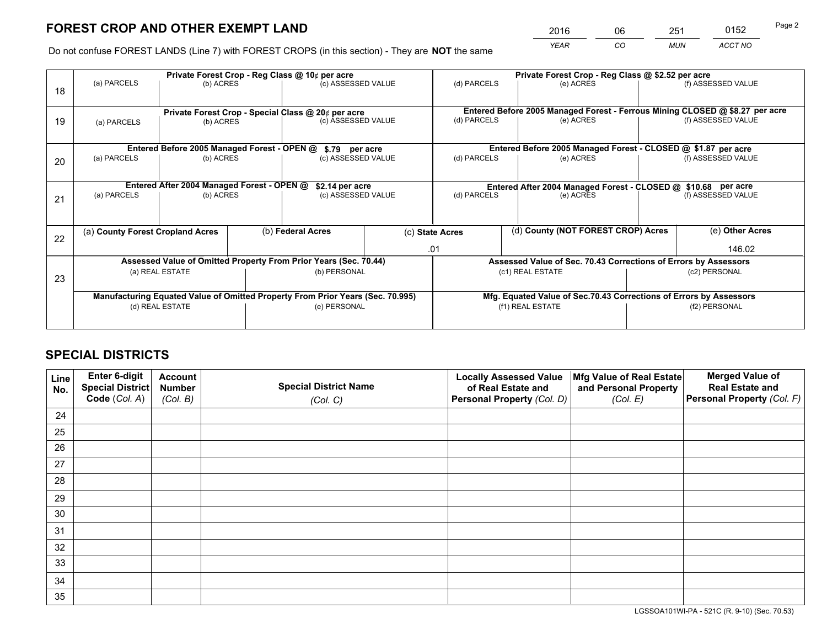*YEAR CO MUN ACCT NO* 2016 06 251 0152 Page 2

Do not confuse FOREST LANDS (Line 7) with FOREST CROPS (in this section) - They are **NOT** the same

|    |                                                                                |                                             |  | Private Forest Crop - Reg Class @ 10¢ per acre                   |  | Private Forest Crop - Reg Class @ \$2.52 per acre                            |                                    |                    |                    |  |
|----|--------------------------------------------------------------------------------|---------------------------------------------|--|------------------------------------------------------------------|--|------------------------------------------------------------------------------|------------------------------------|--------------------|--------------------|--|
| 18 | (a) PARCELS                                                                    | (b) ACRES                                   |  | (c) ASSESSED VALUE                                               |  | (d) PARCELS                                                                  | (e) ACRES                          |                    | (f) ASSESSED VALUE |  |
|    |                                                                                |                                             |  |                                                                  |  |                                                                              |                                    |                    |                    |  |
|    | Private Forest Crop - Special Class @ 20¢ per acre                             |                                             |  |                                                                  |  | Entered Before 2005 Managed Forest - Ferrous Mining CLOSED @ \$8.27 per acre |                                    |                    |                    |  |
| 19 | (a) PARCELS<br>(b) ACRES                                                       |                                             |  | (c) ASSESSED VALUE                                               |  |                                                                              | (e) ACRES                          |                    | (f) ASSESSED VALUE |  |
|    |                                                                                |                                             |  |                                                                  |  |                                                                              |                                    |                    |                    |  |
|    |                                                                                | Entered Before 2005 Managed Forest - OPEN @ |  | \$.79 per acre                                                   |  | Entered Before 2005 Managed Forest - CLOSED @ \$1.87 per acre                |                                    |                    |                    |  |
| 20 | (a) PARCELS<br>(b) ACRES                                                       |                                             |  | (c) ASSESSED VALUE                                               |  | (d) PARCELS                                                                  | (e) ACRES                          |                    |                    |  |
|    |                                                                                |                                             |  |                                                                  |  |                                                                              |                                    |                    |                    |  |
|    | Entered After 2004 Managed Forest - OPEN @<br>\$2.14 per acre                  |                                             |  |                                                                  |  | Entered After 2004 Managed Forest - CLOSED @ \$10.68 per acre                |                                    |                    |                    |  |
| 21 | (a) PARCELS<br>(b) ACRES                                                       |                                             |  | (c) ASSESSED VALUE                                               |  | (d) PARCELS<br>(e) ACRES                                                     |                                    | (f) ASSESSED VALUE |                    |  |
|    |                                                                                |                                             |  |                                                                  |  |                                                                              |                                    |                    |                    |  |
|    |                                                                                |                                             |  |                                                                  |  |                                                                              |                                    |                    |                    |  |
| 22 | (a) County Forest Cropland Acres                                               |                                             |  | (b) Federal Acres                                                |  | (c) State Acres                                                              | (d) County (NOT FOREST CROP) Acres |                    | (e) Other Acres    |  |
|    |                                                                                |                                             |  |                                                                  |  | .01                                                                          |                                    |                    | 146.02             |  |
|    |                                                                                |                                             |  | Assessed Value of Omitted Property From Prior Years (Sec. 70.44) |  | Assessed Value of Sec. 70.43 Corrections of Errors by Assessors              |                                    |                    |                    |  |
| 23 | (a) REAL ESTATE                                                                |                                             |  | (b) PERSONAL                                                     |  | (c1) REAL ESTATE                                                             |                                    | (c2) PERSONAL      |                    |  |
|    |                                                                                |                                             |  |                                                                  |  |                                                                              |                                    |                    |                    |  |
|    | Manufacturing Equated Value of Omitted Property From Prior Years (Sec. 70.995) |                                             |  |                                                                  |  | Mfg. Equated Value of Sec.70.43 Corrections of Errors by Assessors           |                                    |                    |                    |  |
|    | (d) REAL ESTATE                                                                |                                             |  | (e) PERSONAL                                                     |  | (f1) REAL ESTATE                                                             |                                    | (f2) PERSONAL      |                    |  |
|    |                                                                                |                                             |  |                                                                  |  |                                                                              |                                    |                    |                    |  |

# **SPECIAL DISTRICTS**

| Line<br>No. | Enter 6-digit<br>Special District<br>Code (Col. A) | <b>Account</b><br><b>Number</b> | <b>Special District Name</b> | <b>Locally Assessed Value</b><br>of Real Estate and | Mfg Value of Real Estate<br>and Personal Property | <b>Merged Value of</b><br><b>Real Estate and</b><br>Personal Property (Col. F) |
|-------------|----------------------------------------------------|---------------------------------|------------------------------|-----------------------------------------------------|---------------------------------------------------|--------------------------------------------------------------------------------|
|             |                                                    | (Col. B)                        | (Col. C)                     | Personal Property (Col. D)                          | (Col. E)                                          |                                                                                |
| 24          |                                                    |                                 |                              |                                                     |                                                   |                                                                                |
| 25          |                                                    |                                 |                              |                                                     |                                                   |                                                                                |
| 26          |                                                    |                                 |                              |                                                     |                                                   |                                                                                |
| 27          |                                                    |                                 |                              |                                                     |                                                   |                                                                                |
| 28          |                                                    |                                 |                              |                                                     |                                                   |                                                                                |
| 29          |                                                    |                                 |                              |                                                     |                                                   |                                                                                |
| 30          |                                                    |                                 |                              |                                                     |                                                   |                                                                                |
| 31          |                                                    |                                 |                              |                                                     |                                                   |                                                                                |
| 32          |                                                    |                                 |                              |                                                     |                                                   |                                                                                |
| 33          |                                                    |                                 |                              |                                                     |                                                   |                                                                                |
| 34          |                                                    |                                 |                              |                                                     |                                                   |                                                                                |
| 35          |                                                    |                                 |                              |                                                     |                                                   |                                                                                |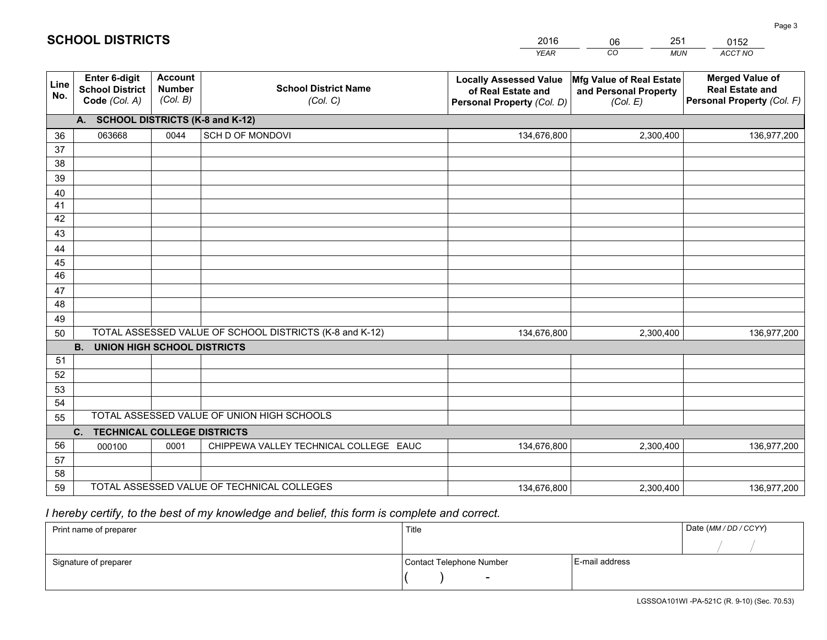|             |                                                                 |                                             |                                                         | <b>YEAR</b>                                                                       | CO<br><b>MUN</b>                                              | ACCT NO                                                                        |  |  |
|-------------|-----------------------------------------------------------------|---------------------------------------------|---------------------------------------------------------|-----------------------------------------------------------------------------------|---------------------------------------------------------------|--------------------------------------------------------------------------------|--|--|
| Line<br>No. | <b>Enter 6-digit</b><br><b>School District</b><br>Code (Col. A) | <b>Account</b><br><b>Number</b><br>(Col. B) | <b>School District Name</b><br>(Col. C)                 | <b>Locally Assessed Value</b><br>of Real Estate and<br>Personal Property (Col. D) | Mfg Value of Real Estate<br>and Personal Property<br>(Col. E) | <b>Merged Value of</b><br><b>Real Estate and</b><br>Personal Property (Col. F) |  |  |
|             | A. SCHOOL DISTRICTS (K-8 and K-12)                              |                                             |                                                         |                                                                                   |                                                               |                                                                                |  |  |
| 36          | 063668                                                          | 0044                                        | SCH D OF MONDOVI                                        | 134,676,800                                                                       | 2,300,400                                                     | 136,977,200                                                                    |  |  |
| 37          |                                                                 |                                             |                                                         |                                                                                   |                                                               |                                                                                |  |  |
| 38          |                                                                 |                                             |                                                         |                                                                                   |                                                               |                                                                                |  |  |
| 39          |                                                                 |                                             |                                                         |                                                                                   |                                                               |                                                                                |  |  |
| 40          |                                                                 |                                             |                                                         |                                                                                   |                                                               |                                                                                |  |  |
| 41<br>42    |                                                                 |                                             |                                                         |                                                                                   |                                                               |                                                                                |  |  |
| 43          |                                                                 |                                             |                                                         |                                                                                   |                                                               |                                                                                |  |  |
|             |                                                                 |                                             |                                                         |                                                                                   |                                                               |                                                                                |  |  |
| 44<br>45    |                                                                 |                                             |                                                         |                                                                                   |                                                               |                                                                                |  |  |
| 46          |                                                                 |                                             |                                                         |                                                                                   |                                                               |                                                                                |  |  |
| 47          |                                                                 |                                             |                                                         |                                                                                   |                                                               |                                                                                |  |  |
| 48          |                                                                 |                                             |                                                         |                                                                                   |                                                               |                                                                                |  |  |
| 49          |                                                                 |                                             |                                                         |                                                                                   |                                                               |                                                                                |  |  |
| 50          |                                                                 |                                             | TOTAL ASSESSED VALUE OF SCHOOL DISTRICTS (K-8 and K-12) | 134,676,800                                                                       | 2,300,400                                                     | 136,977,200                                                                    |  |  |
|             | <b>B.</b><br>UNION HIGH SCHOOL DISTRICTS                        |                                             |                                                         |                                                                                   |                                                               |                                                                                |  |  |
| 51          |                                                                 |                                             |                                                         |                                                                                   |                                                               |                                                                                |  |  |
| 52          |                                                                 |                                             |                                                         |                                                                                   |                                                               |                                                                                |  |  |
| 53          |                                                                 |                                             |                                                         |                                                                                   |                                                               |                                                                                |  |  |
| 54          |                                                                 |                                             |                                                         |                                                                                   |                                                               |                                                                                |  |  |
| 55          | TOTAL ASSESSED VALUE OF UNION HIGH SCHOOLS                      |                                             |                                                         |                                                                                   |                                                               |                                                                                |  |  |
|             | C.<br><b>TECHNICAL COLLEGE DISTRICTS</b>                        |                                             |                                                         |                                                                                   |                                                               |                                                                                |  |  |
| 56          | 000100                                                          | 0001                                        | CHIPPEWA VALLEY TECHNICAL COLLEGE EAUC                  | 134,676,800                                                                       | 2,300,400                                                     | 136,977,200                                                                    |  |  |
| 57<br>58    |                                                                 |                                             |                                                         |                                                                                   |                                                               |                                                                                |  |  |
| 59          |                                                                 |                                             | TOTAL ASSESSED VALUE OF TECHNICAL COLLEGES              | 134,676,800                                                                       | 2,300,400                                                     | 136,977,200                                                                    |  |  |
|             |                                                                 |                                             |                                                         |                                                                                   |                                                               |                                                                                |  |  |

06

251

 *I hereby certify, to the best of my knowledge and belief, this form is complete and correct.*

**SCHOOL DISTRICTS**

| Print name of preparer | Title                    | Date (MM / DD / CCYY) |  |
|------------------------|--------------------------|-----------------------|--|
|                        |                          |                       |  |
| Signature of preparer  | Contact Telephone Number | E-mail address        |  |
|                        | $\overline{\phantom{0}}$ |                       |  |